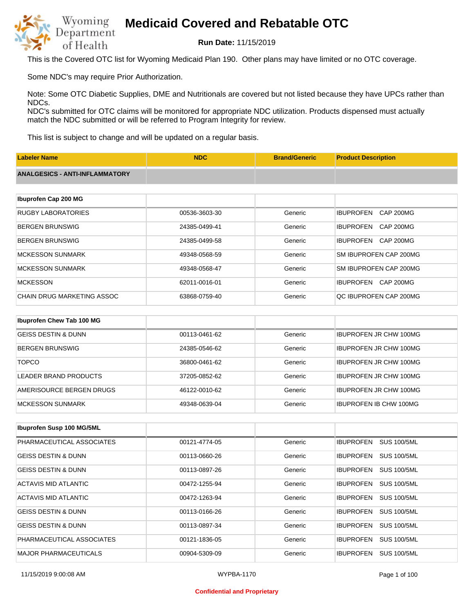

**Run Date:** 11/15/2019

This is the Covered OTC list for Wyoming Medicaid Plan 190. Other plans may have limited or no OTC coverage.

Some NDC's may require Prior Authorization.

Note: Some OTC Diabetic Supplies, DME and Nutritionals are covered but not listed because they have UPCs rather than NDCs.

NDC's submitted for OTC claims will be monitored for appropriate NDC utilization. Products dispensed must actually match the NDC submitted or will be referred to Program Integrity for review.

This list is subject to change and will be updated on a regular basis.

| <b>Labeler Name</b>                   | <b>NDC</b>    | <b>Brand/Generic</b> | <b>Product Description</b>           |
|---------------------------------------|---------------|----------------------|--------------------------------------|
| <b>ANALGESICS - ANTI-INFLAMMATORY</b> |               |                      |                                      |
|                                       |               |                      |                                      |
| Ibuprofen Cap 200 MG                  |               |                      |                                      |
| <b>RUGBY LABORATORIES</b>             | 00536-3603-30 | Generic              | <b>IBUPROFEN</b><br><b>CAP 200MG</b> |
| <b>BERGEN BRUNSWIG</b>                | 24385-0499-41 | Generic              | <b>IBUPROFEN</b><br><b>CAP 200MG</b> |
| <b>BERGEN BRUNSWIG</b>                | 24385-0499-58 | Generic              | <b>IBUPROFEN</b><br><b>CAP 200MG</b> |
| <b>MCKESSON SUNMARK</b>               | 49348-0568-59 | Generic              | SM IBUPROFEN CAP 200MG               |
| <b>MCKESSON SUNMARK</b>               | 49348-0568-47 | Generic              | SM IBUPROFEN CAP 200MG               |
| <b>MCKESSON</b>                       | 62011-0016-01 | Generic              | <b>IBUPROFEN</b><br>CAP 200MG        |
| CHAIN DRUG MARKETING ASSOC            | 63868-0759-40 | Generic              | QC IBUPROFEN CAP 200MG               |
|                                       |               |                      |                                      |
| Ibuprofen Chew Tab 100 MG             |               |                      |                                      |
| <b>GEISS DESTIN &amp; DUNN</b>        | 00113-0461-62 | Generic              | <b>IBUPROFEN JR CHW 100MG</b>        |

| <b>BERGEN BRUNSWIG</b>   | 24385-0546-62 | Generic | <b>IBUPROFEN JR CHW 100MG</b> |
|--------------------------|---------------|---------|-------------------------------|
| <b>TOPCO</b>             | 36800-0461-62 | Generic | <b>IBUPROFEN JR CHW 100MG</b> |
| LEADER BRAND PRODUCTS    | 37205-0852-62 | Generic | <b>IBUPROFEN JR CHW 100MG</b> |
| AMERISOURCE BERGEN DRUGS | 46122-0010-62 | Generic | <b>IBUPROFEN JR CHW 100MG</b> |
| IMCKESSON SUNMARK        | 49348-0639-04 | Generic | <b>IBUPROFEN IB CHW 100MG</b> |

| <b>Ibuprofen Susp 100 MG/5ML</b> |               |         |                                        |
|----------------------------------|---------------|---------|----------------------------------------|
| PHARMACEUTICAL ASSOCIATES        | 00121-4774-05 | Generic | <b>SUS 100/5ML</b><br><b>IBUPROFEN</b> |
| <b>GEISS DESTIN &amp; DUNN</b>   | 00113-0660-26 | Generic | <b>IBUPROFEN</b><br><b>SUS 100/5ML</b> |
| <b>GEISS DESTIN &amp; DUNN</b>   | 00113-0897-26 | Generic | <b>SUS 100/5ML</b><br><b>IBUPROFEN</b> |
| ACTAVIS MID ATLANTIC             | 00472-1255-94 | Generic | <b>IBUPROFEN</b><br><b>SUS 100/5ML</b> |
| ACTAVIS MID ATLANTIC             | 00472-1263-94 | Generic | <b>IBUPROFEN</b><br><b>SUS 100/5ML</b> |
| <b>GEISS DESTIN &amp; DUNN</b>   | 00113-0166-26 | Generic | <b>IBUPROFEN</b><br><b>SUS 100/5ML</b> |
| <b>GEISS DESTIN &amp; DUNN</b>   | 00113-0897-34 | Generic | <b>IBUPROFEN</b><br><b>SUS 100/5ML</b> |
| PHARMACEUTICAL ASSOCIATES        | 00121-1836-05 | Generic | <b>IBUPROFEN</b><br><b>SUS 100/5ML</b> |
| <b>MAJOR PHARMACEUTICALS</b>     | 00904-5309-09 | Generic | <b>IBUPROFEN</b><br><b>SUS 100/5ML</b> |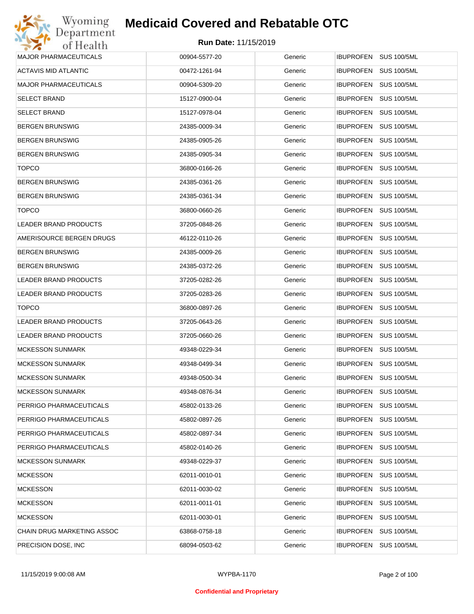

| Wyoming                      | <b>Medicaid Covered and Rebatable OTC</b> |         |                                 |
|------------------------------|-------------------------------------------|---------|---------------------------------|
| Department<br>of Health      | <b>Run Date: 11/15/2019</b>               |         |                                 |
| <b>MAJOR PHARMACEUTICALS</b> | 00904-5577-20                             | Generic | IBUPROFEN SUS 100/5ML           |
| ACTAVIS MID ATLANTIC         | 00472-1261-94                             | Generic | IBUPROFEN<br><b>SUS 100/5ML</b> |
| <b>MAJOR PHARMACEUTICALS</b> | 00904-5309-20                             | Generic | IBUPROFEN<br><b>SUS 100/5ML</b> |
| <b>SELECT BRAND</b>          | 15127-0900-04                             | Generic | IBUPROFEN<br><b>SUS 100/5ML</b> |
| <b>SELECT BRAND</b>          | 15127-0978-04                             | Generic | IBUPROFEN<br><b>SUS 100/5ML</b> |
| <b>BERGEN BRUNSWIG</b>       | 24385-0009-34                             | Generic | IBUPROFEN<br><b>SUS 100/5ML</b> |
| <b>BERGEN BRUNSWIG</b>       | 24385-0905-26                             | Generic | IBUPROFEN<br><b>SUS 100/5ML</b> |
| <b>BERGEN BRUNSWIG</b>       | 24385-0905-34                             | Generic | IBUPROFEN<br><b>SUS 100/5ML</b> |
| <b>TOPCO</b>                 | 36800-0166-26                             | Generic | IBUPROFEN<br><b>SUS 100/5ML</b> |
| <b>BERGEN BRUNSWIG</b>       | 24385-0361-26                             | Generic | IBUPROFEN<br><b>SUS 100/5ML</b> |
| <b>BERGEN BRUNSWIG</b>       | 24385-0361-34                             | Generic | IBUPROFEN<br><b>SUS 100/5ML</b> |
| <b>TOPCO</b>                 | 36800-0660-26                             | Generic | IBUPROFEN<br><b>SUS 100/5ML</b> |
| <b>LEADER BRAND PRODUCTS</b> | 37205-0848-26                             | Generic | IBUPROFEN<br><b>SUS 100/5ML</b> |
| AMERISOURCE BERGEN DRUGS     | 46122-0110-26                             | Generic | IBUPROFEN<br><b>SUS 100/5ML</b> |
| <b>BERGEN BRUNSWIG</b>       | 24385-0009-26                             | Generic | IBUPROFEN<br><b>SUS 100/5ML</b> |
| <b>BERGEN BRUNSWIG</b>       | 24385-0372-26                             | Generic | IBUPROFEN<br><b>SUS 100/5ML</b> |
| LEADER BRAND PRODUCTS        | 37205-0282-26                             | Generic | IBUPROFEN<br><b>SUS 100/5ML</b> |
| LEADER BRAND PRODUCTS        | 37205-0283-26                             | Generic | IBUPROFEN<br><b>SUS 100/5ML</b> |
| <b>TOPCO</b>                 | 36800-0897-26                             | Generic | IBUPROFEN<br><b>SUS 100/5ML</b> |
| LEADER BRAND PRODUCTS        | 37205-0643-26                             | Generic | IBUPROFEN<br><b>SUS 100/5ML</b> |
| LEADER BRAND PRODUCTS        | 37205-0660-26                             | Generic | IBUPROFEN<br><b>SUS 100/5ML</b> |
| <b>MCKESSON SUNMARK</b>      | 49348-0229-34                             | Generic | IBUPROFEN SUS 100/5ML           |
| <b>MCKESSON SUNMARK</b>      | 49348-0499-34                             | Generic | IBUPROFEN SUS 100/5ML           |
| <b>MCKESSON SUNMARK</b>      | 49348-0500-34                             | Generic | <b>SUS 100/5ML</b><br>IBUPROFEN |
| <b>MCKESSON SUNMARK</b>      | 49348-0876-34                             | Generic | IBUPROFEN<br><b>SUS 100/5ML</b> |
| PERRIGO PHARMACEUTICALS      | 45802-0133-26                             | Generic | <b>SUS 100/5ML</b><br>IBUPROFEN |
| PERRIGO PHARMACEUTICALS      | 45802-0897-26                             | Generic | <b>SUS 100/5ML</b><br>IBUPROFEN |
| PERRIGO PHARMACEUTICALS      | 45802-0897-34                             | Generic | <b>SUS 100/5ML</b><br>IBUPROFEN |
| PERRIGO PHARMACEUTICALS      | 45802-0140-26                             | Generic | <b>SUS 100/5ML</b><br>IBUPROFEN |
| <b>MCKESSON SUNMARK</b>      | 49348-0229-37                             | Generic | <b>SUS 100/5ML</b><br>IBUPROFEN |
| <b>MCKESSON</b>              | 62011-0010-01                             | Generic | <b>SUS 100/5ML</b><br>IBUPROFEN |
| <b>MCKESSON</b>              | 62011-0030-02                             | Generic | <b>SUS 100/5ML</b><br>IBUPROFEN |
| <b>MCKESSON</b>              | 62011-0011-01                             | Generic | <b>SUS 100/5ML</b><br>IBUPROFEN |
| <b>MCKESSON</b>              | 62011-0030-01                             | Generic | <b>SUS 100/5ML</b><br>IBUPROFEN |
| CHAIN DRUG MARKETING ASSOC   | 63868-0758-18                             | Generic | <b>SUS 100/5ML</b><br>IBUPROFEN |
| PRECISION DOSE, INC          | 68094-0503-62                             | Generic | <b>SUS 100/5ML</b><br>IBUPROFEN |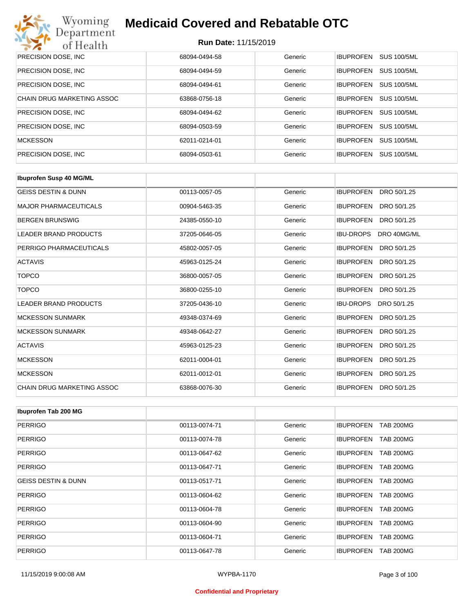

| PRECISION DOSE, INC.       | 68094-0494-58 | Generic | <b>SUS 100/5ML</b><br><b>IBUPROFEN</b> |
|----------------------------|---------------|---------|----------------------------------------|
| PRECISION DOSE, INC.       | 68094-0494-59 | Generic | <b>SUS 100/5ML</b><br><b>IBUPROFEN</b> |
| PRECISION DOSE, INC.       | 68094-0494-61 | Generic | <b>SUS 100/5ML</b><br><b>IBUPROFEN</b> |
| CHAIN DRUG MARKETING ASSOC | 63868-0756-18 | Generic | <b>SUS 100/5ML</b><br><b>IBUPROFEN</b> |
| PRECISION DOSE, INC.       | 68094-0494-62 | Generic | <b>SUS 100/5ML</b><br><b>IBUPROFEN</b> |
| PRECISION DOSE, INC.       | 68094-0503-59 | Generic | <b>SUS 100/5ML</b><br><b>IBUPROFEN</b> |
| <b>MCKESSON</b>            | 62011-0214-01 | Generic | <b>SUS 100/5ML</b><br><b>IBUPROFEN</b> |
| PRECISION DOSE, INC.       | 68094-0503-61 | Generic | <b>IBUPROFEN</b><br><b>SUS 100/5ML</b> |

| <b>Ibuprofen Susp 40 MG/ML</b>    |               |         |                                 |
|-----------------------------------|---------------|---------|---------------------------------|
| <b>GEISS DESTIN &amp; DUNN</b>    | 00113-0057-05 | Generic | <b>IBUPROFEN</b><br>DRO 50/1.25 |
| <b>MAJOR PHARMACEUTICALS</b>      | 00904-5463-35 | Generic | <b>IBUPROFEN</b><br>DRO 50/1.25 |
| <b>BERGEN BRUNSWIG</b>            | 24385-0550-10 | Generic | <b>IBUPROFEN</b><br>DRO 50/1.25 |
| <b>LEADER BRAND PRODUCTS</b>      | 37205-0646-05 | Generic | <b>IBU-DROPS</b><br>DRO 40MG/ML |
| PERRIGO PHARMACEUTICALS           | 45802-0057-05 | Generic | <b>IBUPROFEN</b><br>DRO 50/1.25 |
| <b>ACTAVIS</b>                    | 45963-0125-24 | Generic | <b>IBUPROFEN</b><br>DRO 50/1.25 |
| <b>TOPCO</b>                      | 36800-0057-05 | Generic | <b>IBUPROFEN</b><br>DRO 50/1.25 |
| <b>TOPCO</b>                      | 36800-0255-10 | Generic | <b>IBUPROFEN</b><br>DRO 50/1.25 |
| <b>LEADER BRAND PRODUCTS</b>      | 37205-0436-10 | Generic | <b>IBU-DROPS</b><br>DRO 50/1.25 |
| <b>MCKESSON SUNMARK</b>           | 49348-0374-69 | Generic | <b>IBUPROFEN</b><br>DRO 50/1.25 |
| <b>MCKESSON SUNMARK</b>           | 49348-0642-27 | Generic | <b>IBUPROFEN</b><br>DRO 50/1.25 |
| <b>ACTAVIS</b>                    | 45963-0125-23 | Generic | <b>IBUPROFEN</b><br>DRO 50/1.25 |
| <b>MCKESSON</b>                   | 62011-0004-01 | Generic | <b>IBUPROFEN</b><br>DRO 50/1.25 |
| <b>MCKESSON</b>                   | 62011-0012-01 | Generic | <b>IBUPROFEN</b><br>DRO 50/1.25 |
| <b>CHAIN DRUG MARKETING ASSOC</b> | 63868-0076-30 | Generic | <b>IBUPROFEN</b><br>DRO 50/1.25 |

| Ibuprofen Tab 200 MG           |               |         |                                      |
|--------------------------------|---------------|---------|--------------------------------------|
| <b>PERRIGO</b>                 | 00113-0074-71 | Generic | <b>IBUPROFEN</b><br><b>TAB 200MG</b> |
| <b>PERRIGO</b>                 | 00113-0074-78 | Generic | <b>TAB 200MG</b><br><b>IBUPROFEN</b> |
| <b>PERRIGO</b>                 | 00113-0647-62 | Generic | <b>IBUPROFEN</b><br><b>TAB 200MG</b> |
| <b>PERRIGO</b>                 | 00113-0647-71 | Generic | <b>TAB 200MG</b><br><b>IBUPROFEN</b> |
| <b>GEISS DESTIN &amp; DUNN</b> | 00113-0517-71 | Generic | <b>IBUPROFEN</b><br><b>TAB 200MG</b> |
| <b>PERRIGO</b>                 | 00113-0604-62 | Generic | <b>IBUPROFEN</b><br><b>TAB 200MG</b> |
| <b>PERRIGO</b>                 | 00113-0604-78 | Generic | <b>IBUPROFEN</b><br><b>TAB 200MG</b> |
| <b>PERRIGO</b>                 | 00113-0604-90 | Generic | <b>IBUPROFEN</b><br><b>TAB 200MG</b> |
| <b>PERRIGO</b>                 | 00113-0604-71 | Generic | <b>IBUPROFEN</b><br><b>TAB 200MG</b> |
| <b>PERRIGO</b>                 | 00113-0647-78 | Generic | <b>IBUPROFEN</b><br><b>TAB 200MG</b> |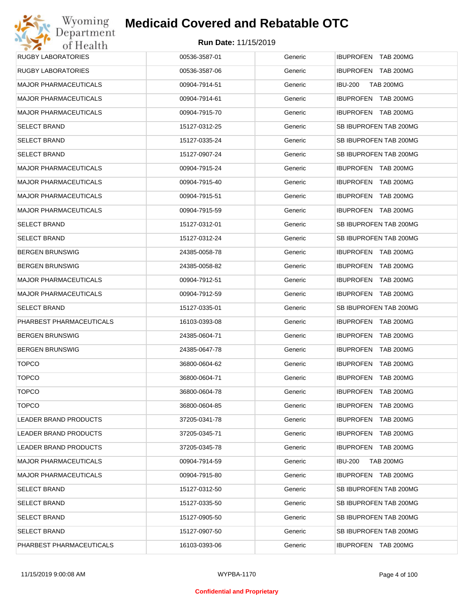| <b>RUGBY LABORATORIES</b>    | 00536-3587-01 | Generic | IBUPROFEN TAB 200MG                |
|------------------------------|---------------|---------|------------------------------------|
| <b>RUGBY LABORATORIES</b>    | 00536-3587-06 | Generic | IBUPROFEN TAB 200MG                |
| <b>MAJOR PHARMACEUTICALS</b> | 00904-7914-51 | Generic | <b>IBU-200</b><br><b>TAB 200MG</b> |
| <b>MAJOR PHARMACEUTICALS</b> | 00904-7914-61 | Generic | IBUPROFEN TAB 200MG                |
| <b>MAJOR PHARMACEUTICALS</b> | 00904-7915-70 | Generic | IBUPROFEN TAB 200MG                |
| <b>SELECT BRAND</b>          | 15127-0312-25 | Generic | SB IBUPROFEN TAB 200MG             |
| <b>SELECT BRAND</b>          | 15127-0335-24 | Generic | SB IBUPROFEN TAB 200MG             |
| <b>SELECT BRAND</b>          | 15127-0907-24 | Generic | SB IBUPROFEN TAB 200MG             |
| <b>MAJOR PHARMACEUTICALS</b> | 00904-7915-24 | Generic | IBUPROFEN TAB 200MG                |
| <b>MAJOR PHARMACEUTICALS</b> | 00904-7915-40 | Generic | IBUPROFEN TAB 200MG                |
| <b>MAJOR PHARMACEUTICALS</b> | 00904-7915-51 | Generic | <b>IBUPROFEN TAB 200MG</b>         |
| <b>MAJOR PHARMACEUTICALS</b> | 00904-7915-59 | Generic | IBUPROFEN TAB 200MG                |
| <b>SELECT BRAND</b>          | 15127-0312-01 | Generic | SB IBUPROFEN TAB 200MG             |
| <b>SELECT BRAND</b>          | 15127-0312-24 | Generic | SB IBUPROFEN TAB 200MG             |
| <b>BERGEN BRUNSWIG</b>       | 24385-0058-78 | Generic | IBUPROFEN TAB 200MG                |
| <b>BERGEN BRUNSWIG</b>       | 24385-0058-82 | Generic | IBUPROFEN TAB 200MG                |
| <b>MAJOR PHARMACEUTICALS</b> | 00904-7912-51 | Generic | IBUPROFEN TAB 200MG                |
| <b>MAJOR PHARMACEUTICALS</b> | 00904-7912-59 | Generic | IBUPROFEN TAB 200MG                |
| <b>SELECT BRAND</b>          | 15127-0335-01 | Generic | SB IBUPROFEN TAB 200MG             |
| PHARBEST PHARMACEUTICALS     | 16103-0393-08 | Generic | IBUPROFEN TAB 200MG                |
| <b>BERGEN BRUNSWIG</b>       | 24385-0604-71 | Generic | IBUPROFEN TAB 200MG                |
| <b>BERGEN BRUNSWIG</b>       | 24385-0647-78 | Generic | IBUPROFEN TAB 200MG                |
| <b>TOPCO</b>                 | 36800-0604-62 | Generic | IBUPROFEN TAB 200MG                |
| <b>TOPCO</b>                 | 36800-0604-71 | Generic | IBUPROFEN TAB 200MG                |
| <b>TOPCO</b>                 | 36800-0604-78 | Generic | <b>IBUPROFEN TAB 200MG</b>         |
| <b>TOPCO</b>                 | 36800-0604-85 | Generic | <b>IBUPROFEN TAB 200MG</b>         |
| LEADER BRAND PRODUCTS        | 37205-0341-78 | Generic | IBUPROFEN TAB 200MG                |
| <b>LEADER BRAND PRODUCTS</b> | 37205-0345-71 | Generic | IBUPROFEN TAB 200MG                |
| LEADER BRAND PRODUCTS        | 37205-0345-78 | Generic | IBUPROFEN TAB 200MG                |
| <b>MAJOR PHARMACEUTICALS</b> | 00904-7914-59 | Generic | <b>TAB 200MG</b><br><b>IBU-200</b> |
| <b>MAJOR PHARMACEUTICALS</b> | 00904-7915-80 | Generic | IBUPROFEN TAB 200MG                |
| <b>SELECT BRAND</b>          | 15127-0312-50 | Generic | SB IBUPROFEN TAB 200MG             |
| <b>SELECT BRAND</b>          | 15127-0335-50 | Generic | SB IBUPROFEN TAB 200MG             |
| <b>SELECT BRAND</b>          | 15127-0905-50 | Generic | SB IBUPROFEN TAB 200MG             |
| <b>SELECT BRAND</b>          | 15127-0907-50 | Generic | SB IBUPROFEN TAB 200MG             |
| PHARBEST PHARMACEUTICALS     | 16103-0393-06 | Generic | IBUPROFEN TAB 200MG                |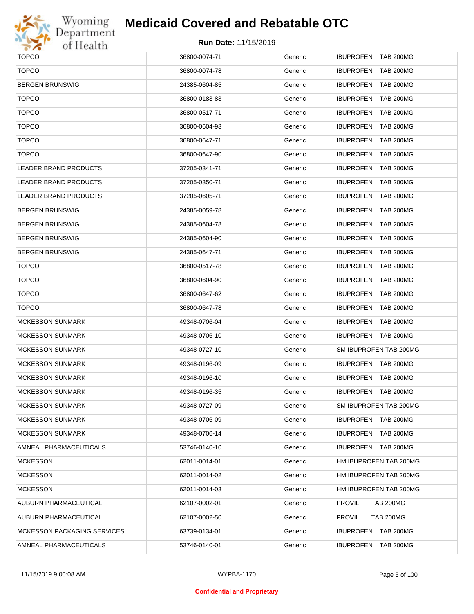

# Wyoming<br>Department<br>of Health

### **Medicaid Covered and Rebatable OTC**

| <b>TOPCO</b>                       | 36800-0074-71 | Generic | IBUPROFEN TAB 200MG        |
|------------------------------------|---------------|---------|----------------------------|
| <b>TOPCO</b>                       | 36800-0074-78 | Generic | IBUPROFEN TAB 200MG        |
| <b>BERGEN BRUNSWIG</b>             | 24385-0604-85 | Generic | IBUPROFEN TAB 200MG        |
| <b>TOPCO</b>                       | 36800-0183-83 | Generic | IBUPROFEN TAB 200MG        |
| <b>TOPCO</b>                       | 36800-0517-71 | Generic | <b>IBUPROFEN TAB 200MG</b> |
| <b>TOPCO</b>                       | 36800-0604-93 | Generic | IBUPROFEN TAB 200MG        |
| <b>TOPCO</b>                       | 36800-0647-71 | Generic | <b>IBUPROFEN TAB 200MG</b> |
| <b>TOPCO</b>                       | 36800-0647-90 | Generic | IBUPROFEN TAB 200MG        |
| <b>LEADER BRAND PRODUCTS</b>       | 37205-0341-71 | Generic | IBUPROFEN TAB 200MG        |
| <b>LEADER BRAND PRODUCTS</b>       | 37205-0350-71 | Generic | IBUPROFEN TAB 200MG        |
| LEADER BRAND PRODUCTS              | 37205-0605-71 | Generic | IBUPROFEN TAB 200MG        |
| <b>BERGEN BRUNSWIG</b>             | 24385-0059-78 | Generic | IBUPROFEN TAB 200MG        |
| <b>BERGEN BRUNSWIG</b>             | 24385-0604-78 | Generic | IBUPROFEN TAB 200MG        |
| <b>BERGEN BRUNSWIG</b>             | 24385-0604-90 | Generic | IBUPROFEN TAB 200MG        |
| <b>BERGEN BRUNSWIG</b>             | 24385-0647-71 | Generic | IBUPROFEN TAB 200MG        |
| <b>TOPCO</b>                       | 36800-0517-78 | Generic | IBUPROFEN TAB 200MG        |
| <b>TOPCO</b>                       | 36800-0604-90 | Generic | IBUPROFEN TAB 200MG        |
| <b>TOPCO</b>                       | 36800-0647-62 | Generic | IBUPROFEN TAB 200MG        |
| <b>TOPCO</b>                       | 36800-0647-78 | Generic | IBUPROFEN TAB 200MG        |
| <b>MCKESSON SUNMARK</b>            | 49348-0706-04 | Generic | IBUPROFEN TAB 200MG        |
| <b>MCKESSON SUNMARK</b>            | 49348-0706-10 | Generic | IBUPROFEN TAB 200MG        |
| <b>MCKESSON SUNMARK</b>            | 49348-0727-10 | Generic | SM IBUPROFEN TAB 200MG     |
| <b>MCKESSON SUNMARK</b>            | 49348-0196-09 | Generic | IBUPROFEN TAB 200MG        |
| <b>MCKESSON SUNMARK</b>            | 49348-0196-10 | Generic | IBUPROFEN TAB 200MG        |
| <b>MCKESSON SUNMARK</b>            | 49348-0196-35 | Generic | IBUPROFEN TAB 200MG        |
| <b>MCKESSON SUNMARK</b>            | 49348-0727-09 | Generic | SM IBUPROFEN TAB 200MG     |
| <b>MCKESSON SUNMARK</b>            | 49348-0706-09 | Generic | IBUPROFEN TAB 200MG        |
| <b>MCKESSON SUNMARK</b>            | 49348-0706-14 | Generic | IBUPROFEN TAB 200MG        |
| AMNEAL PHARMACEUTICALS             | 53746-0140-10 | Generic | IBUPROFEN TAB 200MG        |
| <b>MCKESSON</b>                    | 62011-0014-01 | Generic | HM IBUPROFEN TAB 200MG     |
| <b>MCKESSON</b>                    | 62011-0014-02 | Generic | HM IBUPROFEN TAB 200MG     |
| <b>MCKESSON</b>                    | 62011-0014-03 | Generic | HM IBUPROFEN TAB 200MG     |
| AUBURN PHARMACEUTICAL              | 62107-0002-01 | Generic | PROVIL<br><b>TAB 200MG</b> |
| AUBURN PHARMACEUTICAL              | 62107-0002-50 | Generic | PROVIL<br><b>TAB 200MG</b> |
| <b>MCKESSON PACKAGING SERVICES</b> | 63739-0134-01 | Generic | IBUPROFEN TAB 200MG        |
| AMNEAL PHARMACEUTICALS             | 53746-0140-01 | Generic | IBUPROFEN TAB 200MG        |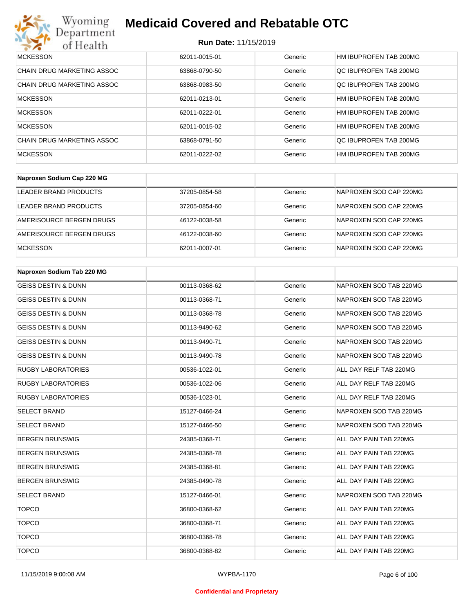#### **Run Date:** 11/15/2019

| Wyoming<br><b>Medicaid Covered and Rebatable OTC</b><br>Jepartment |                             |         |                        |  |
|--------------------------------------------------------------------|-----------------------------|---------|------------------------|--|
| of Health                                                          | <b>Run Date: 11/15/2019</b> |         |                        |  |
| <b>MCKESSON</b>                                                    | 62011-0015-01               | Generic | HM IBUPROFEN TAB 200MG |  |
| CHAIN DRUG MARKETING ASSOC                                         | 63868-0790-50               | Generic | OC IBUPROFEN TAB 200MG |  |
| <b>CHAIN DRUG MARKETING ASSOC</b>                                  | 63868-0983-50               | Generic | QC IBUPROFEN TAB 200MG |  |
| <b>MCKESSON</b>                                                    | 62011-0213-01               | Generic | HM IBUPROFEN TAB 200MG |  |
| <b>MCKESSON</b>                                                    | 62011-0222-01               | Generic | HM IBUPROFEN TAB 200MG |  |
| <b>MCKESSON</b>                                                    | 62011-0015-02               | Generic | HM IBUPROFEN TAB 200MG |  |
| CHAIN DRUG MARKETING ASSOC                                         | 63868-0791-50               | Generic | OC IBUPROFEN TAB 200MG |  |
| <b>MCKESSON</b>                                                    | 62011-0222-02               | Generic | HM IBUPROFEN TAB 200MG |  |

| Naproxen Sodium Cap 220 MG |               |         |                        |
|----------------------------|---------------|---------|------------------------|
| LEADER BRAND PRODUCTS      | 37205-0854-58 | Generic | NAPROXEN SOD CAP 220MG |
| LEADER BRAND PRODUCTS      | 37205-0854-60 | Generic | NAPROXEN SOD CAP 220MG |
| AMERISOURCE BERGEN DRUGS   | 46122-0038-58 | Generic | NAPROXEN SOD CAP 220MG |
| AMERISOURCE BERGEN DRUGS   | 46122-0038-60 | Generic | NAPROXEN SOD CAP 220MG |
| <b>MCKESSON</b>            | 62011-0007-01 | Generic | NAPROXEN SOD CAP 220MG |

| Naproxen Sodium Tab 220 MG     |               |         |                        |
|--------------------------------|---------------|---------|------------------------|
| <b>GEISS DESTIN &amp; DUNN</b> | 00113-0368-62 | Generic | NAPROXEN SOD TAB 220MG |
| <b>GEISS DESTIN &amp; DUNN</b> | 00113-0368-71 | Generic | NAPROXEN SOD TAB 220MG |
| <b>GEISS DESTIN &amp; DUNN</b> | 00113-0368-78 | Generic | NAPROXEN SOD TAB 220MG |
| <b>GEISS DESTIN &amp; DUNN</b> | 00113-9490-62 | Generic | NAPROXEN SOD TAB 220MG |
| <b>GEISS DESTIN &amp; DUNN</b> | 00113-9490-71 | Generic | NAPROXEN SOD TAB 220MG |
| <b>GEISS DESTIN &amp; DUNN</b> | 00113-9490-78 | Generic | NAPROXEN SOD TAB 220MG |
| <b>RUGBY LABORATORIES</b>      | 00536-1022-01 | Generic | ALL DAY RELF TAB 220MG |
| <b>RUGBY LABORATORIES</b>      | 00536-1022-06 | Generic | ALL DAY RELF TAB 220MG |
| <b>RUGBY LABORATORIES</b>      | 00536-1023-01 | Generic | ALL DAY RELF TAB 220MG |
| <b>SELECT BRAND</b>            | 15127-0466-24 | Generic | NAPROXEN SOD TAB 220MG |
| <b>SELECT BRAND</b>            | 15127-0466-50 | Generic | NAPROXEN SOD TAB 220MG |
| <b>BERGEN BRUNSWIG</b>         | 24385-0368-71 | Generic | ALL DAY PAIN TAB 220MG |
| <b>BERGEN BRUNSWIG</b>         | 24385-0368-78 | Generic | ALL DAY PAIN TAB 220MG |
| <b>BERGEN BRUNSWIG</b>         | 24385-0368-81 | Generic | ALL DAY PAIN TAB 220MG |
| <b>BERGEN BRUNSWIG</b>         | 24385-0490-78 | Generic | ALL DAY PAIN TAB 220MG |
| <b>SELECT BRAND</b>            | 15127-0466-01 | Generic | NAPROXEN SOD TAB 220MG |
| <b>TOPCO</b>                   | 36800-0368-62 | Generic | ALL DAY PAIN TAB 220MG |
| <b>TOPCO</b>                   | 36800-0368-71 | Generic | ALL DAY PAIN TAB 220MG |
| <b>TOPCO</b>                   | 36800-0368-78 | Generic | ALL DAY PAIN TAB 220MG |
| <b>TOPCO</b>                   | 36800-0368-82 | Generic | ALL DAY PAIN TAB 220MG |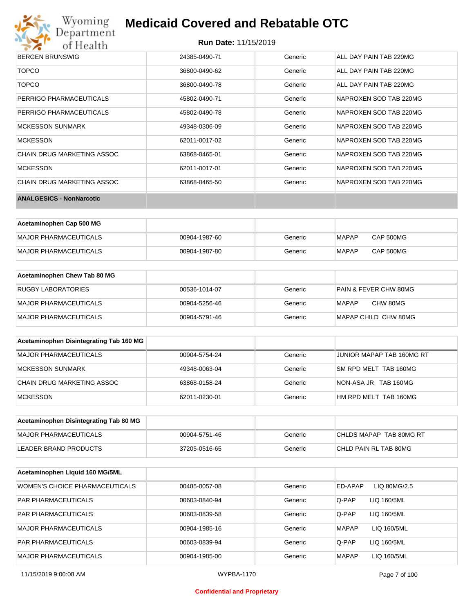

#### **Run Date:** 11/15/2019

| <b>BERGEN BRUNSWIG</b>          | 24385-0490-71 | Generic | ALL DAY PAIN TAB 220MG |
|---------------------------------|---------------|---------|------------------------|
| <b>TOPCO</b>                    | 36800-0490-62 | Generic | ALL DAY PAIN TAB 220MG |
| <b>TOPCO</b>                    | 36800-0490-78 | Generic | ALL DAY PAIN TAB 220MG |
| PERRIGO PHARMACEUTICALS         | 45802-0490-71 | Generic | NAPROXEN SOD TAB 220MG |
| PERRIGO PHARMACEUTICALS         | 45802-0490-78 | Generic | NAPROXEN SOD TAB 220MG |
| <b>MCKESSON SUNMARK</b>         | 49348-0306-09 | Generic | NAPROXEN SOD TAB 220MG |
| <b>MCKESSON</b>                 | 62011-0017-02 | Generic | NAPROXEN SOD TAB 220MG |
| CHAIN DRUG MARKETING ASSOC      | 63868-0465-01 | Generic | NAPROXEN SOD TAB 220MG |
| <b>MCKESSON</b>                 | 62011-0017-01 | Generic | NAPROXEN SOD TAB 220MG |
| CHAIN DRUG MARKETING ASSOC      | 63868-0465-50 | Generic | NAPROXEN SOD TAB 220MG |
| <b>ANALGESICS - NonNarcotic</b> |               |         |                        |

| Acetaminophen Cap 500 MG |               |         |              |           |
|--------------------------|---------------|---------|--------------|-----------|
| MAJOR PHARMACEUTICALS    | 00904-1987-60 | Generic | MAPAP        | CAP 500MG |
| MAJOR PHARMACEUTICALS    | 00904-1987-80 | Generic | <b>MAPAP</b> | CAP 500MG |

| Acetaminophen Chew Tab 80 MG |               |         |                       |
|------------------------------|---------------|---------|-----------------------|
| <b>RUGBY LABORATORIES</b>    | 00536-1014-07 | Generic | PAIN & FEVER CHW 80MG |
| <b>MAJOR PHARMACEUTICALS</b> | 00904-5256-46 | Generic | CHW 80MG<br>MAPAP     |
| <b>MAJOR PHARMACEUTICALS</b> | 00904-5791-46 | Generic | MAPAP CHILD CHW 80MG  |

| Acetaminophen Disintegrating Tab 160 MG |               |         |                           |
|-----------------------------------------|---------------|---------|---------------------------|
| MAJOR PHARMACEUTICALS                   | 00904-5754-24 | Generic | JUNIOR MAPAP TAB 160MG RT |
| MCKESSON SUNMARK                        | 49348-0063-04 | Generic | SM RPD MELT TAB 160MG     |
| CHAIN DRUG MARKETING ASSOC              | 63868-0158-24 | Generic | NON-ASA JR TAB 160MG      |
| MCKESSON                                | 62011-0230-01 | Generic | HM RPD MELT TAB 160MG     |

| Acetaminophen Disintegrating Tab 80 MG |               |         |                         |
|----------------------------------------|---------------|---------|-------------------------|
| MAJOR PHARMACEUTICALS                  | 00904-5751-46 | Generic | CHLDS MAPAP TAB 80MG RT |
| LEADER BRAND PRODUCTS                  | 37205-0516-65 | Generic | CHLD PAIN RL TAB 80MG   |

| Acetaminophen Liquid 160 MG/5ML |               |         |                             |
|---------------------------------|---------------|---------|-----------------------------|
| WOMEN'S CHOICE PHARMACEUTICALS  | 00485-0057-08 | Generic | ED-APAP<br>LIQ 80MG/2.5     |
| <b>PAR PHARMACEUTICALS</b>      | 00603-0840-94 | Generic | Q-PAP<br>LIQ 160/5ML        |
| <b>PAR PHARMACEUTICALS</b>      | 00603-0839-58 | Generic | LIQ 160/5ML<br>Q-PAP        |
| <b>MAJOR PHARMACEUTICALS</b>    | 00904-1985-16 | Generic | <b>MAPAP</b><br>LIQ 160/5ML |
| <b>PAR PHARMACEUTICALS</b>      | 00603-0839-94 | Generic | Q-PAP<br>LIQ 160/5ML        |
| <b>MAJOR PHARMACEUTICALS</b>    | 00904-1985-00 | Generic | <b>MAPAP</b><br>LIQ 160/5ML |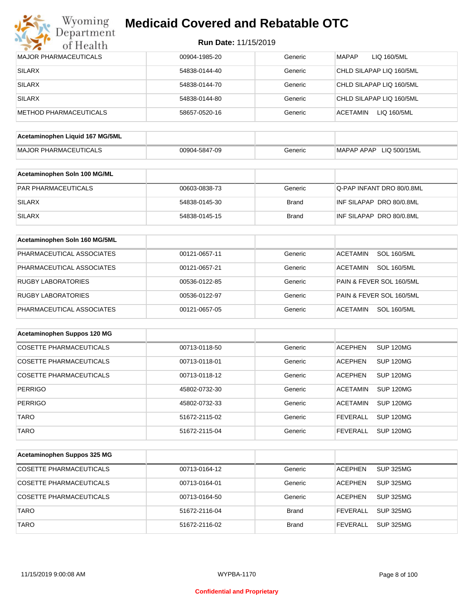

| <b>Run Date: 11/15/2019</b> |  |  |  |
|-----------------------------|--|--|--|
|-----------------------------|--|--|--|

| <b>MAJOR PHARMACEUTICALS</b>    | 00904-1985-20 | Generic      | <b>MAPAP</b><br>LIQ 160/5ML           |
|---------------------------------|---------------|--------------|---------------------------------------|
| <b>SILARX</b>                   | 54838-0144-40 | Generic      | CHLD SILAPAP LIQ 160/5ML              |
| <b>SILARX</b>                   | 54838-0144-70 | Generic      | CHLD SILAPAP LIQ 160/5ML              |
| <b>SILARX</b>                   | 54838-0144-80 | Generic      | CHLD SILAPAP LIQ 160/5ML              |
| <b>METHOD PHARMACEUTICALS</b>   | 58657-0520-16 | Generic      | <b>ACETAMIN</b><br>LIQ 160/5ML        |
|                                 |               |              |                                       |
| Acetaminophen Liquid 167 MG/5ML |               |              |                                       |
| <b>MAJOR PHARMACEUTICALS</b>    | 00904-5847-09 | Generic      | MAPAP APAP LIQ 500/15ML               |
| Acetaminophen Soln 100 MG/ML    |               |              |                                       |
| PAR PHARMACEUTICALS             | 00603-0838-73 | Generic      | Q-PAP INFANT DRO 80/0.8ML             |
| <b>SILARX</b>                   | 54838-0145-30 | <b>Brand</b> | INF SILAPAP DRO 80/0.8ML              |
| <b>SILARX</b>                   | 54838-0145-15 | <b>Brand</b> | INF SILAPAP DRO 80/0.8ML              |
| Acetaminophen Soln 160 MG/5ML   |               |              |                                       |
| PHARMACEUTICAL ASSOCIATES       | 00121-0657-11 | Generic      | <b>SOL 160/5ML</b><br><b>ACETAMIN</b> |
| PHARMACEUTICAL ASSOCIATES       | 00121-0657-21 | Generic      | <b>SOL 160/5ML</b><br><b>ACETAMIN</b> |
| RUGBY LABORATORIES              | 00536-0122-85 | Generic      | PAIN & FEVER SOL 160/5ML              |
| <b>RUGBY LABORATORIES</b>       | 00536-0122-97 | Generic      | PAIN & FEVER SOL 160/5ML              |
|                                 |               |              |                                       |
| PHARMACEUTICAL ASSOCIATES       | 00121-0657-05 | Generic      | <b>ACETAMIN</b><br><b>SOL 160/5ML</b> |
| Acetaminophen Suppos 120 MG     |               |              |                                       |
| <b>COSETTE PHARMACEUTICALS</b>  | 00713-0118-50 | Generic      | <b>ACEPHEN</b><br><b>SUP 120MG</b>    |
| <b>COSETTE PHARMACEUTICALS</b>  | 00713-0118-01 | Generic      | <b>ACEPHEN</b><br>SUP 120MG           |
| <b>COSETTE PHARMACEUTICALS</b>  | 00713-0118-12 | Generic      | <b>ACEPHEN</b><br>SUP 120MG           |
| <b>PERRIGO</b>                  | 45802-0732-30 | Generic      | <b>ACETAMIN</b><br>SUP 120MG          |
| PERRIGO                         | 45802-0732-33 | Generic      | ACETAMIN SUP 120MG                    |
| <b>TARO</b>                     | 51672-2115-02 | Generic      | <b>FEVERALL</b><br><b>SUP 120MG</b>   |
| <b>TARO</b>                     | 51672-2115-04 | Generic      | <b>FEVERALL</b><br><b>SUP 120MG</b>   |
|                                 |               |              |                                       |
| Acetaminophen Suppos 325 MG     |               |              |                                       |
| <b>COSETTE PHARMACEUTICALS</b>  | 00713-0164-12 | Generic      | <b>SUP 325MG</b><br><b>ACEPHEN</b>    |
| <b>COSETTE PHARMACEUTICALS</b>  | 00713-0164-01 | Generic      | <b>ACEPHEN</b><br><b>SUP 325MG</b>    |
| <b>COSETTE PHARMACEUTICALS</b>  | 00713-0164-50 | Generic      | <b>ACEPHEN</b><br><b>SUP 325MG</b>    |
| <b>TARO</b>                     | 51672-2116-04 | Brand        | <b>FEVERALL</b><br><b>SUP 325MG</b>   |
| <b>TARO</b>                     | 51672-2116-02 | <b>Brand</b> | <b>FEVERALL</b><br><b>SUP 325MG</b>   |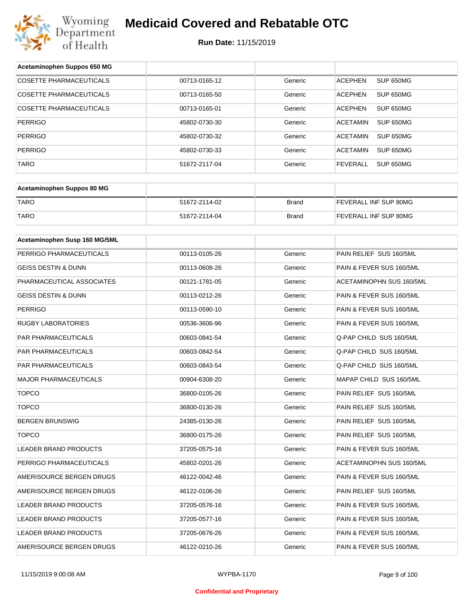

| Acetaminophen Suppos 650 MG    |               |              |                                     |
|--------------------------------|---------------|--------------|-------------------------------------|
| <b>COSETTE PHARMACEUTICALS</b> | 00713-0165-12 | Generic      | SUP 650MG<br><b>ACEPHEN</b>         |
| COSETTE PHARMACEUTICALS        | 00713-0165-50 | Generic      | ACEPHEN<br>SUP 650MG                |
| <b>COSETTE PHARMACEUTICALS</b> | 00713-0165-01 | Generic      | <b>ACEPHEN</b><br>SUP 650MG         |
| <b>PERRIGO</b>                 | 45802-0730-30 | Generic      | ACETAMIN<br>SUP 650MG               |
| <b>PERRIGO</b>                 | 45802-0730-32 | Generic      | ACETAMIN<br>SUP 650MG               |
| <b>PERRIGO</b>                 | 45802-0730-33 | Generic      | ACETAMIN<br>SUP 650MG               |
| <b>TARO</b>                    | 51672-2117-04 | Generic      | <b>FEVERALL</b><br><b>SUP 650MG</b> |
|                                |               |              |                                     |
| Acetaminophen Suppos 80 MG     |               |              |                                     |
| <b>TARO</b>                    | 51672-2114-02 | <b>Brand</b> | FEVERALL INF SUP 80MG               |
| <b>TARO</b>                    | 51672-2114-04 | <b>Brand</b> | FEVERALL INF SUP 80MG               |
|                                |               |              |                                     |
| Acetaminophen Susp 160 MG/5ML  |               |              |                                     |
| PERRIGO PHARMACEUTICALS        | 00113-0105-26 | Generic      | PAIN RELIEF SUS 160/5ML             |
| <b>GEISS DESTIN &amp; DUNN</b> | 00113-0608-26 | Generic      | PAIN & FEVER SUS 160/5ML            |
| PHARMACEUTICAL ASSOCIATES      | 00121-1781-05 | Generic      | ACETAMINOPHN SUS 160/5ML            |
| GEISS DESTIN & DUNN            | 00113-0212-26 | Generic      | PAIN & FEVER SUS 160/5ML            |
| <b>PERRIGO</b>                 | 00113-0590-10 | Generic      | PAIN & FEVER SUS 160/5ML            |
| <b>RUGBY LABORATORIES</b>      | 00536-3606-96 | Generic      | PAIN & FEVER SUS 160/5ML            |
| PAR PHARMACEUTICALS            | 00603-0841-54 | Generic      | Q-PAP CHILD SUS 160/5ML             |
| PAR PHARMACEUTICALS            | 00603-0842-54 | Generic      | Q-PAP CHILD SUS 160/5ML             |
| PAR PHARMACEUTICALS            | 00603-0843-54 | Generic      | Q-PAP CHILD SUS 160/5ML             |
| <b>MAJOR PHARMACEUTICALS</b>   | 00904-6308-20 | Generic      | MAPAP CHILD SUS 160/5ML             |
| <b>TOPCO</b>                   | 36800-0105-26 | Generic      | PAIN RELIEF SUS 160/5ML             |
| <b>TOPCO</b>                   | 36800-0130-26 | Generic      | PAIN RELIEF SUS 160/5ML             |
| <b>BERGEN BRUNSWIG</b>         | 24385-0130-26 | Generic      | PAIN RELIEF SUS 160/5ML             |
| <b>TOPCO</b>                   | 36800-0175-26 | Generic      | PAIN RELIEF SUS 160/5ML             |
| LEADER BRAND PRODUCTS          | 37205-0575-16 | Generic      | PAIN & FEVER SUS 160/5ML            |
| PERRIGO PHARMACEUTICALS        | 45802-0201-26 | Generic      | ACETAMINOPHN SUS 160/5ML            |
| AMERISOURCE BERGEN DRUGS       | 46122-0042-46 | Generic      | PAIN & FEVER SUS 160/5ML            |
| AMERISOURCE BERGEN DRUGS       | 46122-0106-26 | Generic      | PAIN RELIEF SUS 160/5ML             |
| LEADER BRAND PRODUCTS          | 37205-0576-16 | Generic      | PAIN & FEVER SUS 160/5ML            |
| LEADER BRAND PRODUCTS          | 37205-0577-16 | Generic      | PAIN & FEVER SUS 160/5ML            |
| LEADER BRAND PRODUCTS          | 37205-0676-26 | Generic      | PAIN & FEVER SUS 160/5ML            |
| AMERISOURCE BERGEN DRUGS       | 46122-0210-26 | Generic      | PAIN & FEVER SUS 160/5ML            |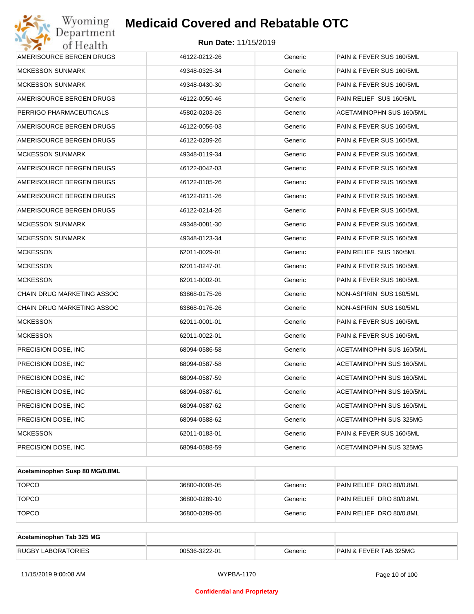

| AMERISOURCE BERGEN DRUGS          | 46122-0212-26 | Generic | PAIN & FEVER SUS 160/5ML |
|-----------------------------------|---------------|---------|--------------------------|
| <b>MCKESSON SUNMARK</b>           | 49348-0325-34 | Generic | PAIN & FEVER SUS 160/5ML |
| <b>MCKESSON SUNMARK</b>           | 49348-0430-30 | Generic | PAIN & FEVER SUS 160/5ML |
| AMERISOURCE BERGEN DRUGS          | 46122-0050-46 | Generic | PAIN RELIEF SUS 160/5ML  |
| PERRIGO PHARMACEUTICALS           | 45802-0203-26 | Generic | ACETAMINOPHN SUS 160/5ML |
| AMERISOURCE BERGEN DRUGS          | 46122-0056-03 | Generic | PAIN & FEVER SUS 160/5ML |
| AMERISOURCE BERGEN DRUGS          | 46122-0209-26 | Generic | PAIN & FEVER SUS 160/5ML |
| <b>MCKESSON SUNMARK</b>           | 49348-0119-34 | Generic | PAIN & FEVER SUS 160/5ML |
| AMERISOURCE BERGEN DRUGS          | 46122-0042-03 | Generic | PAIN & FEVER SUS 160/5ML |
| AMERISOURCE BERGEN DRUGS          | 46122-0105-26 | Generic | PAIN & FEVER SUS 160/5ML |
| AMERISOURCE BERGEN DRUGS          | 46122-0211-26 | Generic | PAIN & FEVER SUS 160/5ML |
| AMERISOURCE BERGEN DRUGS          | 46122-0214-26 | Generic | PAIN & FEVER SUS 160/5ML |
| <b>MCKESSON SUNMARK</b>           | 49348-0081-30 | Generic | PAIN & FEVER SUS 160/5ML |
| <b>MCKESSON SUNMARK</b>           | 49348-0123-34 | Generic | PAIN & FEVER SUS 160/5ML |
| <b>MCKESSON</b>                   | 62011-0029-01 | Generic | PAIN RELIEF SUS 160/5ML  |
| <b>MCKESSON</b>                   | 62011-0247-01 | Generic | PAIN & FEVER SUS 160/5ML |
| <b>MCKESSON</b>                   | 62011-0002-01 | Generic | PAIN & FEVER SUS 160/5ML |
| CHAIN DRUG MARKETING ASSOC        | 63868-0175-26 | Generic | NON-ASPIRIN SUS 160/5ML  |
| <b>CHAIN DRUG MARKETING ASSOC</b> | 63868-0176-26 | Generic | NON-ASPIRIN SUS 160/5ML  |
| <b>MCKESSON</b>                   | 62011-0001-01 | Generic | PAIN & FEVER SUS 160/5ML |
| <b>MCKESSON</b>                   | 62011-0022-01 | Generic | PAIN & FEVER SUS 160/5ML |
| PRECISION DOSE, INC.              | 68094-0586-58 | Generic | ACETAMINOPHN SUS 160/5ML |
| PRECISION DOSE, INC               | 68094-0587-58 | Generic | ACETAMINOPHN SUS 160/5ML |
| PRECISION DOSE, INC               | 68094-0587-59 | Generic | ACETAMINOPHN SUS 160/5ML |
| PRECISION DOSE, INC.              | 68094-0587-61 | Generic | ACETAMINOPHN SUS 160/5ML |
| PRECISION DOSE, INC               | 68094-0587-62 | Generic | ACETAMINOPHN SUS 160/5ML |
| PRECISION DOSE, INC.              | 68094-0588-62 | Generic | ACETAMINOPHN SUS 325MG   |
| <b>MCKESSON</b>                   | 62011-0183-01 | Generic | PAIN & FEVER SUS 160/5ML |
| PRECISION DOSE, INC               | 68094-0588-59 | Generic | ACETAMINOPHN SUS 325MG   |

| Acetaminophen Susp 80 MG/0.8ML |               |         |                          |
|--------------------------------|---------------|---------|--------------------------|
| <b>TOPCO</b>                   | 36800-0008-05 | Generic | PAIN RELIEF DRO 80/0.8ML |
| <b>TOPCO</b>                   | 36800-0289-10 | Generic | PAIN RELIEF DRO 80/0.8ML |
| <b>TOPCO</b>                   | 36800-0289-05 | Generic | PAIN RELIEF DRO 80/0.8ML |

| Acetaminophen Tab 325 MG  |               |         |                                   |
|---------------------------|---------------|---------|-----------------------------------|
| <b>RUGBY LABORATORIES</b> | 00536-3222-01 | Generic | <b>PAIN &amp; FEVER TAB 325MG</b> |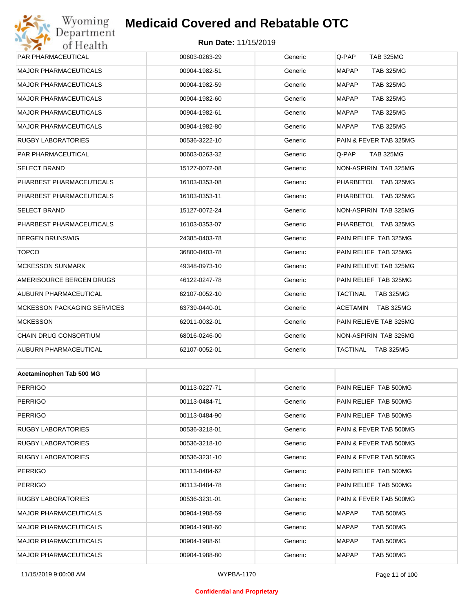## Wyoming<br>Department<br>of Health **Medicaid Covered and Rebatable OTC**

#### **Run Date:** 11/15/2019

| 0110011                            |               |         |                                  |  |  |
|------------------------------------|---------------|---------|----------------------------------|--|--|
| PAR PHARMACEUTICAL                 | 00603-0263-29 | Generic | Q-PAP<br><b>TAB 325MG</b>        |  |  |
| <b>MAJOR PHARMACEUTICALS</b>       | 00904-1982-51 | Generic | <b>MAPAP</b><br><b>TAB 325MG</b> |  |  |
| <b>MAJOR PHARMACEUTICALS</b>       | 00904-1982-59 | Generic | <b>MAPAP</b><br><b>TAB 325MG</b> |  |  |
| <b>MAJOR PHARMACEUTICALS</b>       | 00904-1982-60 | Generic | <b>MAPAP</b><br><b>TAB 325MG</b> |  |  |
| <b>MAJOR PHARMACEUTICALS</b>       | 00904-1982-61 | Generic | <b>MAPAP</b><br><b>TAB 325MG</b> |  |  |
| <b>MAJOR PHARMACEUTICALS</b>       | 00904-1982-80 | Generic | <b>MAPAP</b><br><b>TAB 325MG</b> |  |  |
| <b>RUGBY LABORATORIES</b>          | 00536-3222-10 | Generic | PAIN & FEVER TAB 325MG           |  |  |
| PAR PHARMACEUTICAL                 | 00603-0263-32 | Generic | Q-PAP<br><b>TAB 325MG</b>        |  |  |
| <b>SELECT BRAND</b>                | 15127-0072-08 | Generic | NON-ASPIRIN TAB 325MG            |  |  |
| PHARBEST PHARMACEUTICALS           | 16103-0353-08 | Generic | PHARBETOL TAB 325MG              |  |  |
| PHARBEST PHARMACEUTICALS           | 16103-0353-11 | Generic | PHARBETOL TAB 325MG              |  |  |
| <b>SELECT BRAND</b>                | 15127-0072-24 | Generic | NON-ASPIRIN TAB 325MG            |  |  |
| PHARBEST PHARMACEUTICALS           | 16103-0353-07 | Generic | PHARBETOL TAB 325MG              |  |  |
| <b>BERGEN BRUNSWIG</b>             | 24385-0403-78 | Generic | PAIN RELIEF TAB 325MG            |  |  |
| <b>TOPCO</b>                       | 36800-0403-78 | Generic | PAIN RELIEF TAB 325MG            |  |  |
| <b>MCKESSON SUNMARK</b>            | 49348-0973-10 | Generic | PAIN RELIEVE TAB 325MG           |  |  |
| AMERISOURCE BERGEN DRUGS           | 46122-0247-78 | Generic | PAIN RELIEF TAB 325MG            |  |  |
| AUBURN PHARMACEUTICAL              | 62107-0052-10 | Generic | TACTINAL<br>TAB 325MG            |  |  |
| <b>MCKESSON PACKAGING SERVICES</b> | 63739-0440-01 | Generic | ACETAMIN<br>TAB 325MG            |  |  |
| <b>MCKESSON</b>                    | 62011-0032-01 | Generic | PAIN RELIEVE TAB 325MG           |  |  |
| CHAIN DRUG CONSORTIUM              | 68016-0246-00 | Generic | NON-ASPIRIN TAB 325MG            |  |  |
| AUBURN PHARMACEUTICAL              | 62107-0052-01 | Generic | TACTINAL<br>TAB 325MG            |  |  |
|                                    |               |         |                                  |  |  |
| Acetaminophen Tab 500 MG           |               |         |                                  |  |  |
| <b>PERRIGO</b>                     | 00113-0227-71 | Generic | PAIN RELIEF TAB 500MG            |  |  |
| <b>PERRIGO</b>                     | 00113-0484-71 | Generic | PAIN RELIEF TAB 500MG            |  |  |
| <b>PERRIGO</b>                     | 00113-0484-90 | Generic | PAIN RELIEF TAB 500MG            |  |  |
| RUGBY LABORATORIES                 | 00536-3218-01 | Generic | PAIN & FEVER TAB 500MG           |  |  |
| RUGBY LABORATORIES                 | 00536-3218-10 | Generic | PAIN & FEVER TAB 500MG           |  |  |
| RUGBY LABORATORIES                 | 00536-3231-10 | Generic | PAIN & FEVER TAB 500MG           |  |  |
| <b>PERRIGO</b>                     | 00113-0484-62 | Generic | PAIN RELIEF TAB 500MG            |  |  |
| <b>PERRIGO</b>                     | 00113-0484-78 | Generic | PAIN RELIEF TAB 500MG            |  |  |
| RUGBY LABORATORIES                 | 00536-3231-01 | Generic | PAIN & FEVER TAB 500MG           |  |  |
| MAJOR PHARMACEUTICALS              | 00904-1988-59 | Generic | <b>MAPAP</b><br>TAB 500MG        |  |  |

MAJOR PHARMACEUTICALS 
and the composition of the composition of the composition of the component of the component of the component of the component of the component of the component of the component of the component of th MAJOR PHARMACEUTICALS 00904-1988-61 Generic MAPAP TAB 500MG MAJOR PHARMACEUTICALS 00904-1988-80 Generic MAPAP TAB 500MG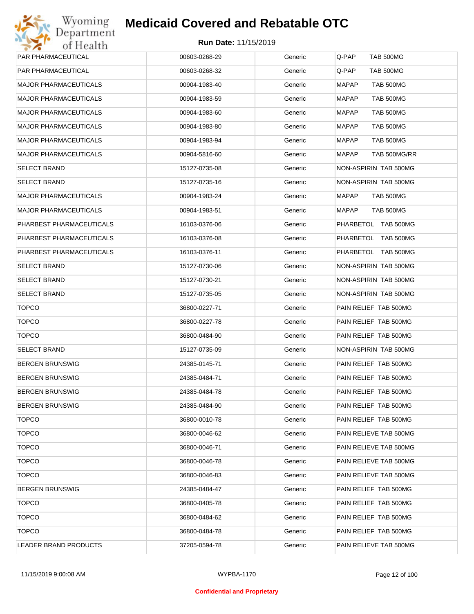

| PAR PHARMACEUTICAL           | 00603-0268-29 | Generic | Q-PAP<br><b>TAB 500MG</b> |
|------------------------------|---------------|---------|---------------------------|
| PAR PHARMACEUTICAL           | 00603-0268-32 | Generic | Q-PAP<br>TAB 500MG        |
| MAJOR PHARMACEUTICALS        | 00904-1983-40 | Generic | <b>MAPAP</b><br>TAB 500MG |
| <b>MAJOR PHARMACEUTICALS</b> | 00904-1983-59 | Generic | MAPAP<br>TAB 500MG        |
| MAJOR PHARMACEUTICALS        | 00904-1983-60 | Generic | MAPAP<br>TAB 500MG        |
| <b>MAJOR PHARMACEUTICALS</b> | 00904-1983-80 | Generic | MAPAP<br>TAB 500MG        |
| MAJOR PHARMACEUTICALS        | 00904-1983-94 | Generic | MAPAP<br>TAB 500MG        |
| <b>MAJOR PHARMACEUTICALS</b> | 00904-5816-60 | Generic | MAPAP<br>TAB 500MG/RR     |
| SELECT BRAND                 | 15127-0735-08 | Generic | NON-ASPIRIN TAB 500MG     |
| SELECT BRAND                 | 15127-0735-16 | Generic | NON-ASPIRIN TAB 500MG     |
| MAJOR PHARMACEUTICALS        | 00904-1983-24 | Generic | MAPAP<br>TAB 500MG        |
| MAJOR PHARMACEUTICALS        | 00904-1983-51 | Generic | MAPAP<br>TAB 500MG        |
| PHARBEST PHARMACEUTICALS     | 16103-0376-06 | Generic | PHARBETOL TAB 500MG       |
| PHARBEST PHARMACEUTICALS     | 16103-0376-08 | Generic | PHARBETOL TAB 500MG       |
| PHARBEST PHARMACEUTICALS     | 16103-0376-11 | Generic | PHARBETOL TAB 500MG       |
| SELECT BRAND                 | 15127-0730-06 | Generic | NON-ASPIRIN TAB 500MG     |
| SELECT BRAND                 | 15127-0730-21 | Generic | NON-ASPIRIN TAB 500MG     |
| SELECT BRAND                 | 15127-0735-05 | Generic | NON-ASPIRIN TAB 500MG     |
| <b>TOPCO</b>                 | 36800-0227-71 | Generic | PAIN RELIEF TAB 500MG     |
| <b>TOPCO</b>                 | 36800-0227-78 | Generic | PAIN RELIEF TAB 500MG     |
| <b>TOPCO</b>                 | 36800-0484-90 | Generic | PAIN RELIEF TAB 500MG     |
| SELECT BRAND                 | 15127-0735-09 | Generic | NON-ASPIRIN TAB 500MG     |
| BERGEN BRUNSWIG              | 24385-0145-71 | Generic | PAIN RELIEF TAB 500MG     |
| BERGEN BRUNSWIG              | 24385-0484-71 | Generic | PAIN RELIEF TAB 500MG     |
| BERGEN BRUNSWIG              | 24385-0484-78 | Generic | PAIN RELIEF TAB 500MG     |
| BERGEN BRUNSWIG              | 24385-0484-90 | Generic | PAIN RELIEF TAB 500MG     |
| <b>TOPCO</b>                 | 36800-0010-78 | Generic | PAIN RELIEF TAB 500MG     |
| <b>TOPCO</b>                 | 36800-0046-62 | Generic | PAIN RELIEVE TAB 500MG    |
| <b>TOPCO</b>                 | 36800-0046-71 | Generic | PAIN RELIEVE TAB 500MG    |
| <b>TOPCO</b>                 | 36800-0046-78 | Generic | PAIN RELIEVE TAB 500MG    |
| <b>TOPCO</b>                 | 36800-0046-83 | Generic | PAIN RELIEVE TAB 500MG    |
| BERGEN BRUNSWIG              | 24385-0484-47 | Generic | PAIN RELIEF TAB 500MG     |
| <b>TOPCO</b>                 | 36800-0405-78 | Generic | PAIN RELIEF TAB 500MG     |
| <b>TOPCO</b>                 | 36800-0484-62 | Generic | PAIN RELIEF TAB 500MG     |
| <b>TOPCO</b>                 | 36800-0484-78 | Generic | PAIN RELIEF TAB 500MG     |
| LEADER BRAND PRODUCTS        | 37205-0594-78 | Generic | PAIN RELIEVE TAB 500MG    |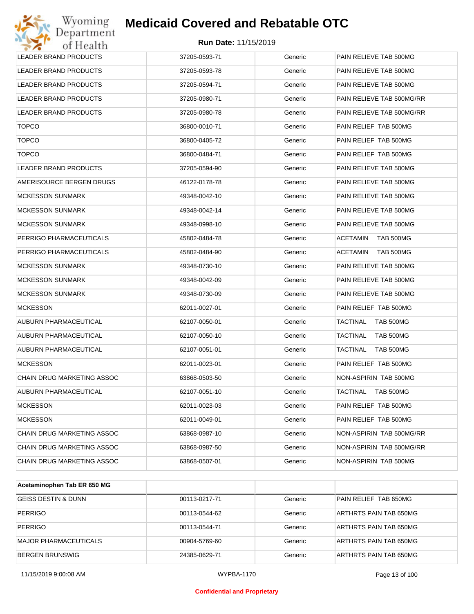| Wyoming<br>Department             | <b>Medicaid Covered and Rebatable OTC</b> |         |                              |
|-----------------------------------|-------------------------------------------|---------|------------------------------|
| of Health                         | <b>Run Date: 11/15/2019</b>               |         |                              |
| LEADER BRAND PRODUCTS             | 37205-0593-71                             | Generic | PAIN RELIEVE TAB 500MG       |
| LEADER BRAND PRODUCTS             | 37205-0593-78                             | Generic | PAIN RELIEVE TAB 500MG       |
| LEADER BRAND PRODUCTS             | 37205-0594-71                             | Generic | PAIN RELIEVE TAB 500MG       |
| LEADER BRAND PRODUCTS             | 37205-0980-71                             | Generic | PAIN RELIEVE TAB 500MG/RR    |
| LEADER BRAND PRODUCTS             | 37205-0980-78                             | Generic | PAIN RELIEVE TAB 500MG/RR    |
| <b>TOPCO</b>                      | 36800-0010-71                             | Generic | PAIN RELIEF TAB 500MG        |
| <b>TOPCO</b>                      | 36800-0405-72                             | Generic | PAIN RELIEF TAB 500MG        |
| <b>TOPCO</b>                      | 36800-0484-71                             | Generic | PAIN RELIEF TAB 500MG        |
| <b>LEADER BRAND PRODUCTS</b>      | 37205-0594-90                             | Generic | PAIN RELIEVE TAB 500MG       |
| AMERISOURCE BERGEN DRUGS          | 46122-0178-78                             | Generic | PAIN RELIEVE TAB 500MG       |
| <b>MCKESSON SUNMARK</b>           | 49348-0042-10                             | Generic | PAIN RELIEVE TAB 500MG       |
| <b>MCKESSON SUNMARK</b>           | 49348-0042-14                             | Generic | PAIN RELIEVE TAB 500MG       |
| <b>MCKESSON SUNMARK</b>           | 49348-0998-10                             | Generic | PAIN RELIEVE TAB 500MG       |
| PERRIGO PHARMACEUTICALS           | 45802-0484-78                             | Generic | <b>ACETAMIN</b><br>TAB 500MG |
| PERRIGO PHARMACEUTICALS           | 45802-0484-90                             | Generic | <b>ACETAMIN</b><br>TAB 500MG |
| <b>MCKESSON SUNMARK</b>           | 49348-0730-10                             | Generic | PAIN RELIEVE TAB 500MG       |
| <b>MCKESSON SUNMARK</b>           | 49348-0042-09                             | Generic | PAIN RELIEVE TAB 500MG       |
| <b>MCKESSON SUNMARK</b>           | 49348-0730-09                             | Generic | PAIN RELIEVE TAB 500MG       |
| <b>MCKESSON</b>                   | 62011-0027-01                             | Generic | PAIN RELIEF TAB 500MG        |
| AUBURN PHARMACEUTICAL             | 62107-0050-01                             | Generic | <b>TACTINAL</b><br>TAB 500MG |
| AUBURN PHARMACEUTICAL             | 62107-0050-10                             | Generic | <b>TACTINAL</b><br>TAB 500MG |
| AUBURN PHARMACEUTICAL             | 62107-0051-01                             | Generic | TACTINAL<br>TAB 500MG        |
| <b>MCKESSON</b>                   | 62011-0023-01                             | Generic | PAIN RELIEF TAB 500MG        |
| CHAIN DRUG MARKETING ASSOC        | 63868-0503-50                             | Generic | NON-ASPIRIN TAB 500MG        |
| AUBURN PHARMACEUTICAL             | 62107-0051-10                             | Generic | TACTINAL<br>TAB 500MG        |
| <b>MCKESSON</b>                   | 62011-0023-03                             | Generic | PAIN RELIEF TAB 500MG        |
| MCKESSON                          | 62011-0049-01                             | Generic | PAIN RELIEF TAB 500MG        |
| <b>CHAIN DRUG MARKETING ASSOC</b> | 63868-0987-10                             | Generic | NON-ASPIRIN TAB 500MG/RR     |
| CHAIN DRUG MARKETING ASSOC        | 63868-0987-50                             | Generic | NON-ASPIRIN TAB 500MG/RR     |
| CHAIN DRUG MARKETING ASSOC        | 63868-0507-01                             | Generic | NON-ASPIRIN TAB 500MG        |

| Acetaminophen Tab ER 650 MG  |               |         |                        |
|------------------------------|---------------|---------|------------------------|
| GEISS DESTIN & DUNN          | 00113-0217-71 | Generic | PAIN RELIEF TAB 650MG  |
| <b>PERRIGO</b>               | 00113-0544-62 | Generic | ARTHRTS PAIN TAB 650MG |
| <b>PERRIGO</b>               | 00113-0544-71 | Generic | ARTHRTS PAIN TAB 650MG |
| <b>MAJOR PHARMACEUTICALS</b> | 00904-5769-60 | Generic | ARTHRTS PAIN TAB 650MG |
| <b>BERGEN BRUNSWIG</b>       | 24385-0629-71 | Generic | ARTHRTS PAIN TAB 650MG |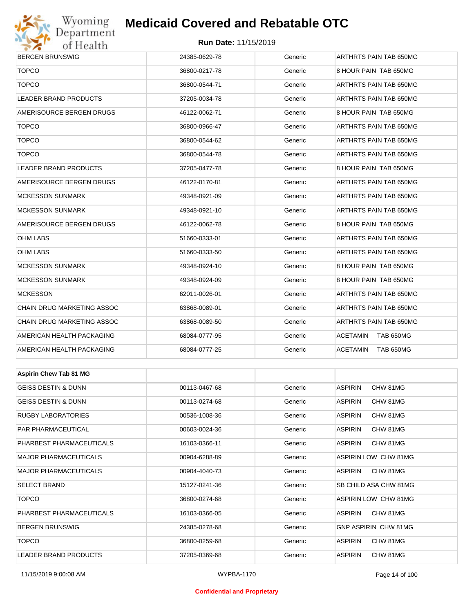# Wyoming<br>Department<br>of Health

### **Medicaid Covered and Rebatable OTC**

#### **Run Date:** 11/15/2019

| <b>BERGEN BRUNSWIG</b>         | 24385-0629-78 | Generic | ARTHRTS PAIN TAB 650MG       |  |  |
|--------------------------------|---------------|---------|------------------------------|--|--|
| <b>TOPCO</b>                   | 36800-0217-78 | Generic | 8 HOUR PAIN TAB 650MG        |  |  |
| <b>TOPCO</b>                   | 36800-0544-71 | Generic | ARTHRTS PAIN TAB 650MG       |  |  |
| <b>LEADER BRAND PRODUCTS</b>   | 37205-0034-78 | Generic | ARTHRTS PAIN TAB 650MG       |  |  |
| AMERISOURCE BERGEN DRUGS       | 46122-0062-71 | Generic | 8 HOUR PAIN TAB 650MG        |  |  |
| <b>TOPCO</b>                   | 36800-0966-47 | Generic | ARTHRTS PAIN TAB 650MG       |  |  |
| <b>TOPCO</b>                   | 36800-0544-62 | Generic | ARTHRTS PAIN TAB 650MG       |  |  |
| <b>TOPCO</b>                   | 36800-0544-78 | Generic | ARTHRTS PAIN TAB 650MG       |  |  |
| <b>LEADER BRAND PRODUCTS</b>   | 37205-0477-78 | Generic | 8 HOUR PAIN TAB 650MG        |  |  |
| AMERISOURCE BERGEN DRUGS       | 46122-0170-81 | Generic | ARTHRTS PAIN TAB 650MG       |  |  |
| <b>MCKESSON SUNMARK</b>        | 49348-0921-09 | Generic | ARTHRTS PAIN TAB 650MG       |  |  |
| <b>MCKESSON SUNMARK</b>        | 49348-0921-10 | Generic | ARTHRTS PAIN TAB 650MG       |  |  |
| AMERISOURCE BERGEN DRUGS       | 46122-0062-78 | Generic | 8 HOUR PAIN TAB 650MG        |  |  |
| <b>OHM LABS</b>                | 51660-0333-01 | Generic | ARTHRTS PAIN TAB 650MG       |  |  |
| <b>OHM LABS</b>                | 51660-0333-50 | Generic | ARTHRTS PAIN TAB 650MG       |  |  |
| <b>MCKESSON SUNMARK</b>        | 49348-0924-10 | Generic | 8 HOUR PAIN TAB 650MG        |  |  |
| <b>MCKESSON SUNMARK</b>        | 49348-0924-09 | Generic | 8 HOUR PAIN TAB 650MG        |  |  |
| <b>MCKESSON</b>                | 62011-0026-01 | Generic | ARTHRTS PAIN TAB 650MG       |  |  |
| CHAIN DRUG MARKETING ASSOC     | 63868-0089-01 | Generic | ARTHRTS PAIN TAB 650MG       |  |  |
| CHAIN DRUG MARKETING ASSOC     | 63868-0089-50 | Generic | ARTHRTS PAIN TAB 650MG       |  |  |
| AMERICAN HEALTH PACKAGING      | 68084-0777-95 | Generic | ACETAMIN<br>TAB 650MG        |  |  |
| AMERICAN HEALTH PACKAGING      | 68084-0777-25 | Generic | <b>TAB 650MG</b><br>ACETAMIN |  |  |
|                                |               |         |                              |  |  |
| <b>Aspirin Chew Tab 81 MG</b>  |               |         |                              |  |  |
| <b>GEISS DESTIN &amp; DUNN</b> | 00113-0467-68 | Generic | <b>ASPIRIN</b><br>CHW 81MG   |  |  |
| <b>GEISS DESTIN &amp; DUNN</b> | 00113-0274-68 | Generic | <b>ASPIRIN</b><br>CHW 81MG   |  |  |
| <b>RUGBY LABORATORIES</b>      | 00536-1008-36 | Generic | <b>ASPIRIN</b><br>CHW 81MG   |  |  |
| PAR PHARMACEUTICAL             | 00603-0024-36 | Generic | ASPIRIN<br>CHW 81MG          |  |  |
| PHARBEST PHARMACEUTICALS       | 16103-0366-11 | Generic | <b>ASPIRIN</b><br>CHW 81MG   |  |  |
| <b>MAJOR PHARMACEUTICALS</b>   | 00904-6288-89 | Generic | ASPIRIN LOW CHW 81MG         |  |  |
| <b>MAJOR PHARMACEUTICALS</b>   | 00904-4040-73 | Generic | CHW 81MG<br><b>ASPIRIN</b>   |  |  |
| <b>SELECT BRAND</b>            | 15127-0241-36 | Generic | SB CHILD ASA CHW 81MG        |  |  |
| <b>TOPCO</b>                   | 36800-0274-68 | Generic | <b>ASPIRIN LOW CHW 81MG</b>  |  |  |
| PHARBEST PHARMACEUTICALS       | 16103-0366-05 | Generic | CHW 81MG<br>ASPIRIN          |  |  |
| <b>BERGEN BRUNSWIG</b>         | 24385-0278-68 | Generic | <b>GNP ASPIRIN CHW 81MG</b>  |  |  |

TOPCO 36800-0259-68 Generic ASPIRIN CHW 81MG LEADER BRAND PRODUCTS 37205-0369-68 Generic ASPIRIN CHW 81MG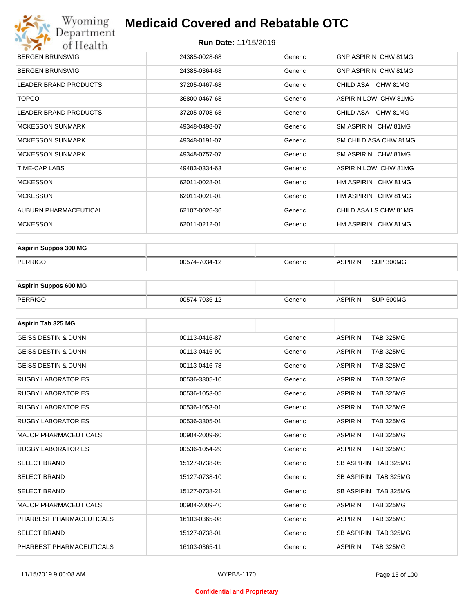# Wyoming<br>Department<br>of Health **Medicaid Covered and Rebatable OTC**

#### **Run Date:** 11/15/2019

| <b>BERGEN BRUNSWIG</b>       | 24385-0028-68 | Generic | GNP ASPIRIN CHW 81MG        |
|------------------------------|---------------|---------|-----------------------------|
| <b>BERGEN BRUNSWIG</b>       | 24385-0364-68 | Generic | GNP ASPIRIN CHW 81MG        |
| LEADER BRAND PRODUCTS        | 37205-0467-68 | Generic | CHILD ASA CHW 81MG          |
| <b>TOPCO</b>                 | 36800-0467-68 | Generic | ASPIRIN LOW CHW 81MG        |
| <b>LEADER BRAND PRODUCTS</b> | 37205-0708-68 | Generic | CHILD ASA CHW 81MG          |
| <b>MCKESSON SUNMARK</b>      | 49348-0498-07 | Generic | SM ASPIRIN CHW 81MG         |
| <b>MCKESSON SUNMARK</b>      | 49348-0191-07 | Generic | SM CHILD ASA CHW 81MG       |
| <b>MCKESSON SUNMARK</b>      | 49348-0757-07 | Generic | SM ASPIRIN CHW 81MG         |
| TIME-CAP LABS                | 49483-0334-63 | Generic | <b>ASPIRIN LOW CHW 81MG</b> |
| <b>MCKESSON</b>              | 62011-0028-01 | Generic | HM ASPIRIN CHW 81MG         |
| <b>MCKESSON</b>              | 62011-0021-01 | Generic | HM ASPIRIN CHW 81MG         |
| AUBURN PHARMACEUTICAL        | 62107-0026-36 | Generic | CHILD ASA LS CHW 81MG       |
| <b>MCKESSON</b>              | 62011-0212-01 | Generic | HM ASPIRIN CHW 81MG         |

| <b>Aspirin Suppos 300 MG</b> |               |         |                |           |
|------------------------------|---------------|---------|----------------|-----------|
| PERRIGO                      | 00574-7034-12 | Generic | <b>ASPIRIN</b> | SUP 300MG |

| <b>Aspirin Suppos 600 MG</b> |               |         |                |           |
|------------------------------|---------------|---------|----------------|-----------|
| PERRIGO                      | 00574-7036-12 | Generic | <b>ASPIRIN</b> | SUP 600MG |

| Aspirin Tab 325 MG             |               |         |                                    |
|--------------------------------|---------------|---------|------------------------------------|
| <b>GEISS DESTIN &amp; DUNN</b> | 00113-0416-87 | Generic | <b>ASPIRIN</b><br><b>TAB 325MG</b> |
| <b>GEISS DESTIN &amp; DUNN</b> | 00113-0416-90 | Generic | <b>ASPIRIN</b><br><b>TAB 325MG</b> |
| <b>GEISS DESTIN &amp; DUNN</b> | 00113-0416-78 | Generic | <b>ASPIRIN</b><br><b>TAB 325MG</b> |
| <b>RUGBY LABORATORIES</b>      | 00536-3305-10 | Generic | <b>ASPIRIN</b><br><b>TAB 325MG</b> |
| <b>RUGBY LABORATORIES</b>      | 00536-1053-05 | Generic | <b>ASPIRIN</b><br><b>TAB 325MG</b> |
| <b>RUGBY LABORATORIES</b>      | 00536-1053-01 | Generic | <b>ASPIRIN</b><br><b>TAB 325MG</b> |
| <b>RUGBY LABORATORIES</b>      | 00536-3305-01 | Generic | <b>ASPIRIN</b><br><b>TAB 325MG</b> |
| <b>MAJOR PHARMACEUTICALS</b>   | 00904-2009-60 | Generic | <b>ASPIRIN</b><br><b>TAB 325MG</b> |
| <b>RUGBY LABORATORIES</b>      | 00536-1054-29 | Generic | <b>TAB 325MG</b><br><b>ASPIRIN</b> |
| <b>SELECT BRAND</b>            | 15127-0738-05 | Generic | SB ASPIRIN TAB 325MG               |
| <b>SELECT BRAND</b>            | 15127-0738-10 | Generic | SB ASPIRIN TAB 325MG               |
| <b>SELECT BRAND</b>            | 15127-0738-21 | Generic | SB ASPIRIN TAB 325MG               |
| <b>MAJOR PHARMACEUTICALS</b>   | 00904-2009-40 | Generic | <b>ASPIRIN</b><br><b>TAB 325MG</b> |
| PHARBEST PHARMACEUTICALS       | 16103-0365-08 | Generic | <b>ASPIRIN</b><br><b>TAB 325MG</b> |
| <b>SELECT BRAND</b>            | 15127-0738-01 | Generic | SB ASPIRIN TAB 325MG               |
| PHARBEST PHARMACEUTICALS       | 16103-0365-11 | Generic | <b>ASPIRIN</b><br><b>TAB 325MG</b> |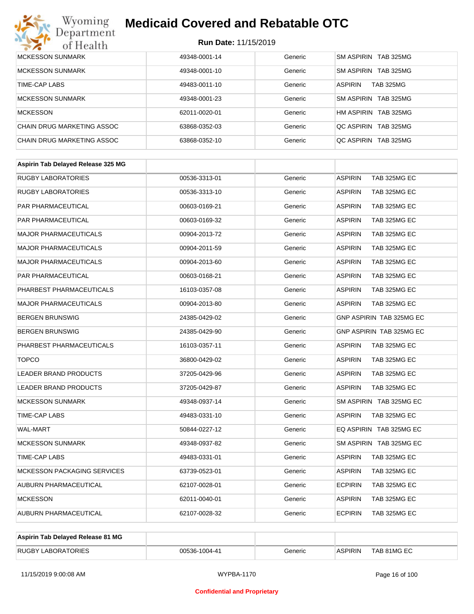

| <b>MCKESSON SUNMARK</b>    | 49348-0001-14 | Generic | SM ASPIRIN TAB 325MG               |
|----------------------------|---------------|---------|------------------------------------|
| <b>MCKESSON SUNMARK</b>    | 49348-0001-10 | Generic | SM ASPIRIN TAB 325MG               |
| TIME-CAP LABS              | 49483-0011-10 | Generic | <b>ASPIRIN</b><br><b>TAB 325MG</b> |
| <b>MCKESSON SUNMARK</b>    | 49348-0001-23 | Generic | SM ASPIRIN TAB 325MG               |
| <b>MCKESSON</b>            | 62011-0020-01 | Generic | HM ASPIRIN TAB 325MG               |
| CHAIN DRUG MARKETING ASSOC | 63868-0352-03 | Generic | OC ASPIRIN TAB 325MG               |
| CHAIN DRUG MARKETING ASSOC | 63868-0352-10 | Generic | OC ASPIRIN TAB 325MG               |

| Aspirin Tab Delayed Release 325 MG |               |         |                                |
|------------------------------------|---------------|---------|--------------------------------|
| <b>RUGBY LABORATORIES</b>          | 00536-3313-01 | Generic | TAB 325MG EC<br><b>ASPIRIN</b> |
| <b>RUGBY LABORATORIES</b>          | 00536-3313-10 | Generic | <b>ASPIRIN</b><br>TAB 325MG EC |
| PAR PHARMACEUTICAL                 | 00603-0169-21 | Generic | <b>ASPIRIN</b><br>TAB 325MG EC |
| <b>PAR PHARMACEUTICAL</b>          | 00603-0169-32 | Generic | <b>ASPIRIN</b><br>TAB 325MG EC |
| <b>MAJOR PHARMACEUTICALS</b>       | 00904-2013-72 | Generic | <b>ASPIRIN</b><br>TAB 325MG EC |
| <b>MAJOR PHARMACEUTICALS</b>       | 00904-2011-59 | Generic | <b>ASPIRIN</b><br>TAB 325MG EC |
| <b>MAJOR PHARMACEUTICALS</b>       | 00904-2013-60 | Generic | <b>ASPIRIN</b><br>TAB 325MG EC |
| PAR PHARMACEUTICAL                 | 00603-0168-21 | Generic | <b>ASPIRIN</b><br>TAB 325MG EC |
| PHARBEST PHARMACEUTICALS           | 16103-0357-08 | Generic | <b>ASPIRIN</b><br>TAB 325MG EC |
| <b>MAJOR PHARMACEUTICALS</b>       | 00904-2013-80 | Generic | TAB 325MG EC<br><b>ASPIRIN</b> |
| <b>BERGEN BRUNSWIG</b>             | 24385-0429-02 | Generic | GNP ASPIRIN TAB 325MG EC       |
| <b>BERGEN BRUNSWIG</b>             | 24385-0429-90 | Generic | GNP ASPIRIN TAB 325MG EC       |
| PHARBEST PHARMACEUTICALS           | 16103-0357-11 | Generic | <b>ASPIRIN</b><br>TAB 325MG EC |
| <b>TOPCO</b>                       | 36800-0429-02 | Generic | <b>ASPIRIN</b><br>TAB 325MG EC |
| <b>LEADER BRAND PRODUCTS</b>       | 37205-0429-96 | Generic | <b>ASPIRIN</b><br>TAB 325MG EC |
| <b>LEADER BRAND PRODUCTS</b>       | 37205-0429-87 | Generic | <b>ASPIRIN</b><br>TAB 325MG EC |
| <b>MCKESSON SUNMARK</b>            | 49348-0937-14 | Generic | SM ASPIRIN TAB 325MG EC        |
| <b>TIME-CAP LABS</b>               | 49483-0331-10 | Generic | <b>ASPIRIN</b><br>TAB 325MG EC |
| <b>WAL-MART</b>                    | 50844-0227-12 | Generic | EQ ASPIRIN TAB 325MG EC        |
| <b>MCKESSON SUNMARK</b>            | 49348-0937-82 | Generic | SM ASPIRIN TAB 325MG EC        |
| TIME-CAP LABS                      | 49483-0331-01 | Generic | <b>ASPIRIN</b><br>TAB 325MG EC |
| MCKESSON PACKAGING SERVICES        | 63739-0523-01 | Generic | <b>ASPIRIN</b><br>TAB 325MG EC |
| AUBURN PHARMACEUTICAL              | 62107-0028-01 | Generic | <b>ECPIRIN</b><br>TAB 325MG EC |
| <b>MCKESSON</b>                    | 62011-0040-01 | Generic | <b>ASPIRIN</b><br>TAB 325MG EC |
| AUBURN PHARMACEUTICAL              | 62107-0028-32 | Generic | <b>ECPIRIN</b><br>TAB 325MG EC |
|                                    |               |         |                                |

| Aspirin Tab Delayed Release 81 MG |               |         |                |             |
|-----------------------------------|---------------|---------|----------------|-------------|
| <b>RUGBY LABORATORIES</b>         | 00536-1004-41 | Generic | <b>ASPIRIN</b> | TAB 81MG EC |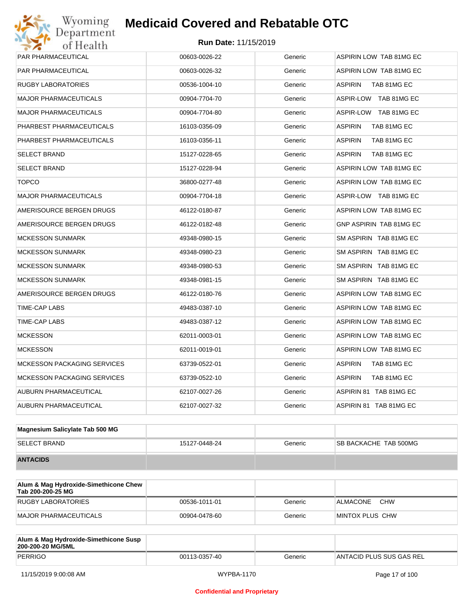#### Wyoming<br>Department<br>of Health **Medicaid Covered and Rebatable OTCRun Date:** 11/15/2019

| PAR PHARMACEUTICAL                 | 00603-0026-22 | Generic | ASPIRIN LOW TAB 81MG EC       |
|------------------------------------|---------------|---------|-------------------------------|
| PAR PHARMACEUTICAL                 | 00603-0026-32 | Generic | ASPIRIN LOW TAB 81MG EC       |
| RUGBY LABORATORIES                 | 00536-1004-10 | Generic | ASPIRIN TAB 81MG EC           |
| <b>MAJOR PHARMACEUTICALS</b>       | 00904-7704-70 | Generic | ASPIR-LOW TAB 81MG EC         |
| <b>MAJOR PHARMACEUTICALS</b>       | 00904-7704-80 | Generic | ASPIR-LOW TAB 81MG EC         |
| PHARBEST PHARMACEUTICALS           | 16103-0356-09 | Generic | ASPIRIN<br>TAB 81MG EC        |
| PHARBEST PHARMACEUTICALS           | 16103-0356-11 | Generic | <b>ASPIRIN</b><br>TAB 81MG EC |
| <b>SELECT BRAND</b>                | 15127-0228-65 | Generic | ASPIRIN<br>TAB 81MG EC        |
| <b>SELECT BRAND</b>                | 15127-0228-94 | Generic | ASPIRIN LOW TAB 81MG EC       |
| <b>TOPCO</b>                       | 36800-0277-48 | Generic | ASPIRIN LOW TAB 81MG EC       |
| <b>MAJOR PHARMACEUTICALS</b>       | 00904-7704-18 | Generic | ASPIR-LOW TAB 81MG EC         |
| AMERISOURCE BERGEN DRUGS           | 46122-0180-87 | Generic | ASPIRIN LOW TAB 81MG EC       |
| AMERISOURCE BERGEN DRUGS           | 46122-0182-48 | Generic | GNP ASPIRIN TAB 81MG EC       |
| <b>MCKESSON SUNMARK</b>            | 49348-0980-15 | Generic | SM ASPIRIN TAB 81MG EC        |
| <b>MCKESSON SUNMARK</b>            | 49348-0980-23 | Generic | SM ASPIRIN TAB 81MG EC        |
| <b>MCKESSON SUNMARK</b>            | 49348-0980-53 | Generic | SM ASPIRIN TAB 81MG EC        |
| <b>MCKESSON SUNMARK</b>            | 49348-0981-15 | Generic | SM ASPIRIN TAB 81MG EC        |
| AMERISOURCE BERGEN DRUGS           | 46122-0180-76 | Generic | ASPIRIN LOW TAB 81MG EC       |
| TIME-CAP LABS                      | 49483-0387-10 | Generic | ASPIRIN LOW TAB 81MG EC       |
| TIME-CAP LABS                      | 49483-0387-12 | Generic | ASPIRIN LOW TAB 81MG EC       |
| <b>MCKESSON</b>                    | 62011-0003-01 | Generic | ASPIRIN LOW TAB 81MG EC       |
| <b>MCKESSON</b>                    | 62011-0019-01 | Generic | ASPIRIN LOW TAB 81MG EC       |
| <b>MCKESSON PACKAGING SERVICES</b> | 63739-0522-01 | Generic | ASPIRIN<br>TAB 81MG EC        |
| <b>MCKESSON PACKAGING SERVICES</b> | 63739-0522-10 | Generic | ASPIRIN<br>TAB 81MG EC        |
| AUBURN PHARMACEUTICAL              | 62107-0027-26 | Generic | ASPIRIN 81 TAB 81MG EC        |
| AUBURN PHARMACEUTICAL              | 62107-0027-32 | Generic | ASPIRIN 81 TAB 81MG EC        |

| Magnesium Salicylate Tab 500 MG |               |         |                              |
|---------------------------------|---------------|---------|------------------------------|
| <b>SELECT BRAND</b>             | 15127-0448-24 | Generic | <b>SB BACKACHE TAB 500MG</b> |
| <b>ANTACIDS</b>                 |               |         |                              |

| Alum & Mag Hydroxide-Simethicone Chew<br>Tab 200-200-25 MG |               |         |                        |
|------------------------------------------------------------|---------------|---------|------------------------|
| RUGBY LABORATORIES                                         | 00536-1011-01 | Generic | <b>CHW</b><br>ALMACONE |
| MAJOR PHARMACEUTICALS                                      | 00904-0478-60 | Generic | MINTOX PLUS CHW        |

| Alum & Mag Hydroxide-Simethicone Susp<br>200-200-20 MG/5ML |               |         |                          |
|------------------------------------------------------------|---------------|---------|--------------------------|
| PERRIGO                                                    | 00113-0357-40 | Generic | ANTACID PLUS SUS GAS REL |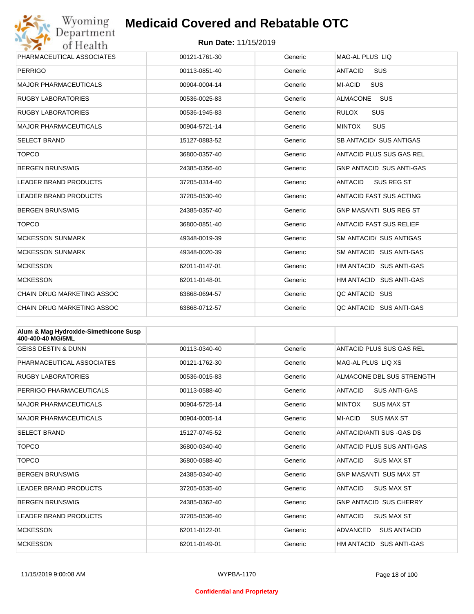

| PHARMACEUTICAL ASSOCIATES         | 00121-1761-30 | Generic | MAG-AL PLUS LIO                 |
|-----------------------------------|---------------|---------|---------------------------------|
| <b>PERRIGO</b>                    | 00113-0851-40 | Generic | SUS<br><b>ANTACID</b>           |
| <b>MAJOR PHARMACEUTICALS</b>      | 00904-0004-14 | Generic | MI-ACID<br><b>SUS</b>           |
| <b>RUGBY LABORATORIES</b>         | 00536-0025-83 | Generic | <b>SUS</b><br><b>ALMACONE</b>   |
| <b>RUGBY LABORATORIES</b>         | 00536-1945-83 | Generic | <b>SUS</b><br><b>RULOX</b>      |
| <b>MAJOR PHARMACEUTICALS</b>      | 00904-5721-14 | Generic | <b>SUS</b><br><b>MINTOX</b>     |
| <b>SELECT BRAND</b>               | 15127-0883-52 | Generic | SB ANTACID/ SUS ANTIGAS         |
| <b>TOPCO</b>                      | 36800-0357-40 | Generic | ANTACID PLUS SUS GAS REL        |
| <b>BERGEN BRUNSWIG</b>            | 24385-0356-40 | Generic | <b>GNP ANTACID SUS ANTI-GAS</b> |
| <b>LEADER BRAND PRODUCTS</b>      | 37205-0314-40 | Generic | <b>ANTACID</b><br>SUS REG ST    |
| <b>LEADER BRAND PRODUCTS</b>      | 37205-0530-40 | Generic | <b>ANTACID FAST SUS ACTING</b>  |
| <b>BERGEN BRUNSWIG</b>            | 24385-0357-40 | Generic | <b>GNP MASANTI SUS REG ST</b>   |
| <b>TOPCO</b>                      | 36800-0851-40 | Generic | <b>ANTACID FAST SUS RELIEF</b>  |
| <b>MCKESSON SUNMARK</b>           | 49348-0019-39 | Generic | <b>SM ANTACID/ SUS ANTIGAS</b>  |
| <b>MCKESSON SUNMARK</b>           | 49348-0020-39 | Generic | SM ANTACID SUS ANTI-GAS         |
| <b>MCKESSON</b>                   | 62011-0147-01 | Generic | HM ANTACID SUS ANTI-GAS         |
| <b>MCKESSON</b>                   | 62011-0148-01 | Generic | HM ANTACID SUS ANTI-GAS         |
| <b>CHAIN DRUG MARKETING ASSOC</b> | 63868-0694-57 | Generic | QC ANTACID SUS                  |
| <b>CHAIN DRUG MARKETING ASSOC</b> | 63868-0712-57 | Generic | QC ANTACID SUS ANTI-GAS         |

| Alum & Mag Hydroxide-Simethicone Susp<br>400-400-40 MG/5ML |               |         |                                       |
|------------------------------------------------------------|---------------|---------|---------------------------------------|
| <b>GEISS DESTIN &amp; DUNN</b>                             | 00113-0340-40 | Generic | ANTACID PLUS SUS GAS REL              |
| PHARMACEUTICAL ASSOCIATES                                  | 00121-1762-30 | Generic | MAG-AL PLUS LIO XS                    |
| <b>RUGBY LABORATORIES</b>                                  | 00536-0015-83 | Generic | ALMACONE DBL SUS STRENGTH             |
| PERRIGO PHARMACEUTICALS                                    | 00113-0588-40 | Generic | <b>ANTACID</b><br><b>SUS ANTI-GAS</b> |
| <b>MAJOR PHARMACEUTICALS</b>                               | 00904-5725-14 | Generic | <b>MINTOX</b><br><b>SUS MAX ST</b>    |
| <b>MAJOR PHARMACEUTICALS</b>                               | 00904-0005-14 | Generic | <b>MI-ACID</b><br><b>SUS MAX ST</b>   |
| <b>SELECT BRAND</b>                                        | 15127-0745-52 | Generic | ANTACID/ANTI SUS-GAS DS               |
| <b>TOPCO</b>                                               | 36800-0340-40 | Generic | ANTACID PLUS SUS ANTI-GAS             |
| <b>TOPCO</b>                                               | 36800-0588-40 | Generic | <b>SUS MAX ST</b><br><b>ANTACID</b>   |
| <b>BERGEN BRUNSWIG</b>                                     | 24385-0340-40 | Generic | <b>GNP MASANTI SUS MAX ST</b>         |
| <b>LEADER BRAND PRODUCTS</b>                               | 37205-0535-40 | Generic | <b>ANTACID</b><br><b>SUS MAX ST</b>   |
| <b>BERGEN BRUNSWIG</b>                                     | 24385-0362-40 | Generic | <b>GNP ANTACID SUS CHERRY</b>         |
| <b>LEADER BRAND PRODUCTS</b>                               | 37205-0536-40 | Generic | <b>ANTACID</b><br><b>SUS MAX ST</b>   |
| <b>MCKESSON</b>                                            | 62011-0122-01 | Generic | ADVANCED<br><b>SUS ANTACID</b>        |
| <b>MCKESSON</b>                                            | 62011-0149-01 | Generic | HM ANTACID SUS ANTI-GAS               |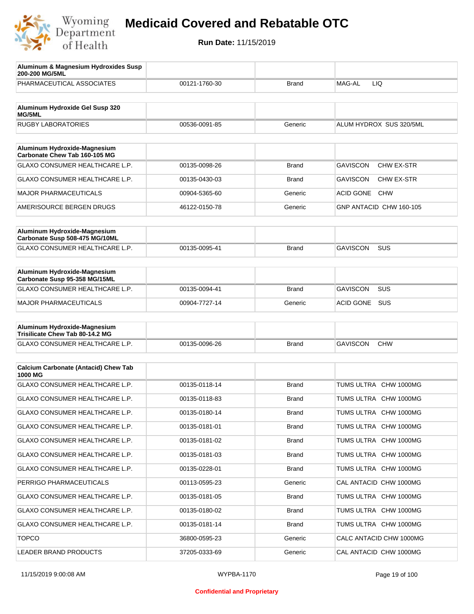

| Aluminum & Magnesium Hydroxides Susp<br>200-200 MG/5ML          |               |              |                                      |
|-----------------------------------------------------------------|---------------|--------------|--------------------------------------|
| PHARMACEUTICAL ASSOCIATES                                       | 00121-1760-30 | Brand        | MAG-AL<br>LIQ                        |
| Aluminum Hydroxide Gel Susp 320<br>MG/5ML                       |               |              |                                      |
| <b>RUGBY LABORATORIES</b>                                       | 00536-0091-85 | Generic      | ALUM HYDROX SUS 320/5ML              |
| Aluminum Hydroxide-Magnesium                                    |               |              |                                      |
| Carbonate Chew Tab 160-105 MG                                   |               |              |                                      |
| <b>GLAXO CONSUMER HEALTHCARE L.P.</b>                           | 00135-0098-26 | <b>Brand</b> | <b>GAVISCON</b><br><b>CHW EX-STR</b> |
| <b>GLAXO CONSUMER HEALTHCARE L.P.</b>                           | 00135-0430-03 | Brand        | <b>GAVISCON</b><br>CHW EX-STR        |
| <b>MAJOR PHARMACEUTICALS</b>                                    | 00904-5365-60 | Generic      | <b>ACID GONE</b><br><b>CHW</b>       |
| AMERISOURCE BERGEN DRUGS                                        | 46122-0150-78 | Generic      | GNP ANTACID CHW 160-105              |
| Aluminum Hydroxide-Magnesium                                    |               |              |                                      |
| Carbonate Susp 508-475 MG/10ML                                  |               |              |                                      |
| <b>GLAXO CONSUMER HEALTHCARE L.P.</b>                           | 00135-0095-41 | <b>Brand</b> | <b>GAVISCON</b><br><b>SUS</b>        |
| Aluminum Hydroxide-Magnesium<br>Carbonate Susp 95-358 MG/15ML   |               |              |                                      |
| GLAXO CONSUMER HEALTHCARE L.P.                                  | 00135-0094-41 | Brand        | <b>GAVISCON</b><br><b>SUS</b>        |
| <b>MAJOR PHARMACEUTICALS</b>                                    | 00904-7727-14 | Generic      | SUS<br><b>ACID GONE</b>              |
| Aluminum Hydroxide-Magnesium<br>Trisilicate Chew Tab 80-14.2 MG |               |              |                                      |
| GLAXO CONSUMER HEALTHCARE L.P.                                  | 00135-0096-26 | Brand        | <b>GAVISCON</b><br><b>CHW</b>        |
|                                                                 |               |              |                                      |
| <b>Calcium Carbonate (Antacid) Chew Tab</b><br>1000 MG          |               |              |                                      |
| GLAXO CONSUMER HEALTHCARE L.P.                                  | 00135-0118-14 | <b>Brand</b> | TUMS ULTRA CHW 1000MG                |
| GLAXO CONSUMER HEALTHCARE L.P.                                  | 00135-0118-83 | Brand        | TUMS ULTRA CHW 1000MG                |
| GLAXO CONSUMER HEALTHCARE L.P.                                  | 00135-0180-14 | Brand        | TUMS ULTRA CHW 1000MG                |
| <b>GLAXO CONSUMER HEALTHCARE L.P.</b>                           | 00135-0181-01 | <b>Brand</b> | TUMS ULTRA CHW 1000MG                |
| GLAXO CONSUMER HEALTHCARE L.P.                                  | 00135-0181-02 | <b>Brand</b> | TUMS ULTRA CHW 1000MG                |
| GLAXO CONSUMER HEALTHCARE L.P.                                  | 00135-0181-03 | <b>Brand</b> | TUMS ULTRA CHW 1000MG                |
| GLAXO CONSUMER HEALTHCARE L.P.                                  | 00135-0228-01 | <b>Brand</b> | TUMS ULTRA CHW 1000MG                |
| PERRIGO PHARMACEUTICALS                                         | 00113-0595-23 | Generic      | CAL ANTACID CHW 1000MG               |
| GLAXO CONSUMER HEALTHCARE L.P.                                  | 00135-0181-05 | <b>Brand</b> | TUMS ULTRA CHW 1000MG                |
| GLAXO CONSUMER HEALTHCARE L.P.                                  | 00135-0180-02 | <b>Brand</b> | TUMS ULTRA CHW 1000MG                |
| GLAXO CONSUMER HEALTHCARE L.P.                                  | 00135-0181-14 | <b>Brand</b> | TUMS ULTRA CHW 1000MG                |
| <b>TOPCO</b>                                                    | 36800-0595-23 | Generic      | CALC ANTACID CHW 1000MG              |
| LEADER BRAND PRODUCTS                                           | 37205-0333-69 | Generic      | CAL ANTACID CHW 1000MG               |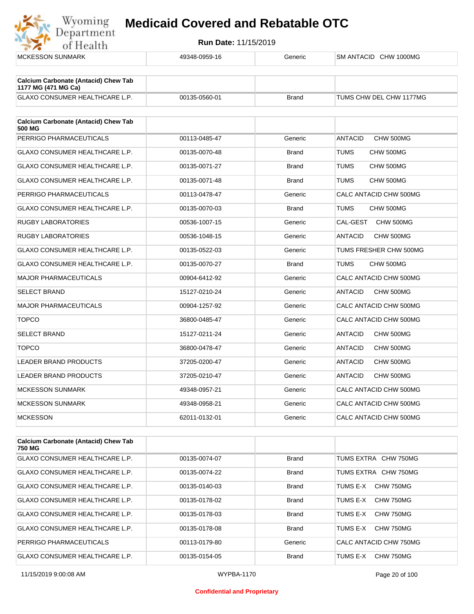

| <b>MCKESSON SUNMARK</b>                                            | 49348-0959-16 | Generic      | SM ANTACID CHW 1000MG       |
|--------------------------------------------------------------------|---------------|--------------|-----------------------------|
| <b>Calcium Carbonate (Antacid) Chew Tab</b><br>1177 MG (471 MG Ca) |               |              |                             |
| GLAXO CONSUMER HEALTHCARE L.P.                                     | 00135-0560-01 | <b>Brand</b> | TUMS CHW DEL CHW 1177MG     |
| <b>Calcium Carbonate (Antacid) Chew Tab</b><br>500 MG              |               |              |                             |
| PERRIGO PHARMACEUTICALS                                            | 00113-0485-47 | Generic      | <b>ANTACID</b><br>CHW 500MG |
| GLAXO CONSUMER HEALTHCARE L.P.                                     | 00135-0070-48 | <b>Brand</b> | TUMS<br>CHW 500MG           |
| GLAXO CONSUMER HEALTHCARE L.P.                                     | 00135-0071-27 | <b>Brand</b> | <b>TUMS</b><br>CHW 500MG    |
| GLAXO CONSUMER HEALTHCARE L.P.                                     | 00135-0071-48 | <b>Brand</b> | TUMS<br>CHW 500MG           |
| PERRIGO PHARMACEUTICALS                                            | 00113-0478-47 | Generic      | CALC ANTACID CHW 500MG      |
| GLAXO CONSUMER HEALTHCARE L.P.                                     | 00135-0070-03 | <b>Brand</b> | TUMS<br>CHW 500MG           |
| RUGBY LABORATORIES                                                 | 00536-1007-15 | Generic      | CAL-GEST<br>CHW 500MG       |
| <b>RUGBY LABORATORIES</b>                                          | 00536-1048-15 | Generic      | <b>ANTACID</b><br>CHW 500MG |
| GLAXO CONSUMER HEALTHCARE L.P.                                     | 00135-0522-03 | Generic      | TUMS FRESHER CHW 500MG      |
| <b>GLAXO CONSUMER HEALTHCARE L.P.</b>                              | 00135-0070-27 | <b>Brand</b> | <b>TUMS</b><br>CHW 500MG    |
| <b>MAJOR PHARMACEUTICALS</b>                                       | 00904-6412-92 | Generic      | CALC ANTACID CHW 500MG      |
| <b>SELECT BRAND</b>                                                | 15127-0210-24 | Generic      | ANTACID<br>CHW 500MG        |
| <b>MAJOR PHARMACEUTICALS</b>                                       | 00904-1257-92 | Generic      | CALC ANTACID CHW 500MG      |
| <b>TOPCO</b>                                                       | 36800-0485-47 | Generic      | CALC ANTACID CHW 500MG      |
| <b>SELECT BRAND</b>                                                | 15127-0211-24 | Generic      | <b>ANTACID</b><br>CHW 500MG |
| <b>TOPCO</b>                                                       | 36800-0478-47 | Generic      | ANTACID<br>CHW 500MG        |
| <b>LEADER BRAND PRODUCTS</b>                                       | 37205-0200-47 | Generic      | ANTACID<br>CHW 500MG        |
| LEADER BRAND PRODUCTS                                              | 37205-0210-47 | Generic      | <b>ANTACID</b><br>CHW 500MG |
| <b>MCKESSON SUNMARK</b>                                            | 49348-0957-21 | Generic      | CALC ANTACID CHW 500MG      |
| <b>MCKESSON SUNMARK</b>                                            | 49348-0958-21 | Generic      | CALC ANTACID CHW 500MG      |
| <b>MCKESSON</b>                                                    | 62011-0132-01 | Generic      | CALC ANTACID CHW 500MG      |
| <b>Calcium Carbonate (Antacid) Chew Tab</b>                        |               |              |                             |

| <b>Calcium Carbonate (Antacid) Chew Tab</b><br>750 MG |               |              |                        |
|-------------------------------------------------------|---------------|--------------|------------------------|
| <b>GLAXO CONSUMER HEALTHCARE L.P.</b>                 | 00135-0074-07 | <b>Brand</b> | TUMS EXTRA CHW 750MG   |
| <b>GLAXO CONSUMER HEALTHCARE L.P.</b>                 | 00135-0074-22 | <b>Brand</b> | TUMS EXTRA CHW 750MG   |
| <b>GLAXO CONSUMER HEALTHCARE L.P.</b>                 | 00135-0140-03 | <b>Brand</b> | CHW 750MG<br>TUMS E-X  |
| <b>GLAXO CONSUMER HEALTHCARE L.P.</b>                 | 00135-0178-02 | <b>Brand</b> | CHW 750MG<br>TUMS F-X  |
| <b>GLAXO CONSUMER HEALTHCARE L.P.</b>                 | 00135-0178-03 | <b>Brand</b> | CHW 750MG<br>TUMS E-X  |
| <b>GLAXO CONSUMER HEALTHCARE L.P.</b>                 | 00135-0178-08 | <b>Brand</b> | TUMS E-X<br>CHW 750MG  |
| PERRIGO PHARMACEUTICALS                               | 00113-0179-80 | Generic      | CALC ANTACID CHW 750MG |
| <b>GLAXO CONSUMER HEALTHCARE L.P.</b>                 | 00135-0154-05 | <b>Brand</b> | CHW 750MG<br>TUMS E-X  |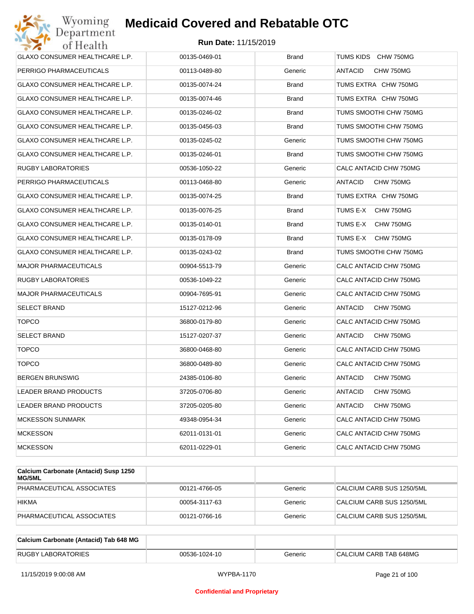

| GLAXO CONSUMER HEALTHCARE L.P. | 00135-0469-01 | <b>Brand</b> | TUMS KIDS CHW 750MG         |
|--------------------------------|---------------|--------------|-----------------------------|
| PERRIGO PHARMACEUTICALS        | 00113-0489-80 | Generic      | ANTACID<br>CHW 750MG        |
| GLAXO CONSUMER HEALTHCARE L.P. | 00135-0074-24 | <b>Brand</b> | TUMS EXTRA CHW 750MG        |
| GLAXO CONSUMER HEALTHCARE L.P. | 00135-0074-46 | <b>Brand</b> | TUMS EXTRA CHW 750MG        |
| GLAXO CONSUMER HEALTHCARE L.P. | 00135-0246-02 | <b>Brand</b> | TUMS SMOOTHI CHW 750MG      |
| GLAXO CONSUMER HEALTHCARE L.P. | 00135-0456-03 | <b>Brand</b> | TUMS SMOOTHI CHW 750MG      |
| GLAXO CONSUMER HEALTHCARE L.P. | 00135-0245-02 | Generic      | TUMS SMOOTHI CHW 750MG      |
| GLAXO CONSUMER HEALTHCARE L.P. | 00135-0246-01 | <b>Brand</b> | TUMS SMOOTHI CHW 750MG      |
| RUGBY LABORATORIES             | 00536-1050-22 | Generic      | CALC ANTACID CHW 750MG      |
| PERRIGO PHARMACEUTICALS        | 00113-0468-80 | Generic      | ANTACID<br>CHW 750MG        |
| GLAXO CONSUMER HEALTHCARE L.P. | 00135-0074-25 | <b>Brand</b> | TUMS EXTRA CHW 750MG        |
| GLAXO CONSUMER HEALTHCARE L.P. | 00135-0076-25 | <b>Brand</b> | TUMS E-X<br>CHW 750MG       |
| GLAXO CONSUMER HEALTHCARE L.P. | 00135-0140-01 | <b>Brand</b> | TUMS E-X<br>CHW 750MG       |
| GLAXO CONSUMER HEALTHCARE L.P. | 00135-0178-09 | <b>Brand</b> | TUMS E-X<br>CHW 750MG       |
| GLAXO CONSUMER HEALTHCARE L.P. | 00135-0243-02 | <b>Brand</b> | TUMS SMOOTHI CHW 750MG      |
| <b>MAJOR PHARMACEUTICALS</b>   | 00904-5513-79 | Generic      | CALC ANTACID CHW 750MG      |
| RUGBY LABORATORIES             | 00536-1049-22 | Generic      | CALC ANTACID CHW 750MG      |
| <b>MAJOR PHARMACEUTICALS</b>   | 00904-7695-91 | Generic      | CALC ANTACID CHW 750MG      |
| <b>SELECT BRAND</b>            | 15127-0212-96 | Generic      | ANTACID<br>CHW 750MG        |
| <b>TOPCO</b>                   | 36800-0179-80 | Generic      | CALC ANTACID CHW 750MG      |
| <b>SELECT BRAND</b>            | 15127-0207-37 | Generic      | ANTACID<br>CHW 750MG        |
| <b>TOPCO</b>                   | 36800-0468-80 | Generic      | CALC ANTACID CHW 750MG      |
| <b>TOPCO</b>                   | 36800-0489-80 | Generic      | CALC ANTACID CHW 750MG      |
| <b>BERGEN BRUNSWIG</b>         | 24385-0106-80 | Generic      | ANTACID<br>CHW 750MG        |
| LEADER BRAND PRODUCTS          | 37205-0706-80 | Generic      | ANTACID<br>CHW 750MG        |
| LEADER BRAND PRODUCTS          | 37205-0205-80 | Generic      | <b>ANTACID</b><br>CHW 750MG |
| <b>MCKESSON SUNMARK</b>        | 49348-0954-34 | Generic      | CALC ANTACID CHW 750MG      |
| <b>MCKESSON</b>                | 62011-0131-01 | Generic      | CALC ANTACID CHW 750MG      |
| <b>MCKESSON</b>                | 62011-0229-01 | Generic      | CALC ANTACID CHW 750MG      |

| Calcium Carbonate (Antacid) Susp 1250<br><b>MG/5ML</b> |               |         |                           |
|--------------------------------------------------------|---------------|---------|---------------------------|
| PHARMACEUTICAL ASSOCIATES                              | 00121-4766-05 | Generic | CALCIUM CARB SUS 1250/5ML |
| <b>HIKMA</b>                                           | 00054-3117-63 | Generic | CALCIUM CARB SUS 1250/5ML |
| PHARMACEUTICAL ASSOCIATES                              | 00121-0766-16 | Generic | CALCIUM CARB SUS 1250/5ML |

| Calcium Carbonate (Antacid) Tab 648 MG |               |         |                        |
|----------------------------------------|---------------|---------|------------------------|
| <b>RUGBY LABORATORIES</b>              | 00536-1024-10 | Generic | CALCIUM CARB TAB 648MG |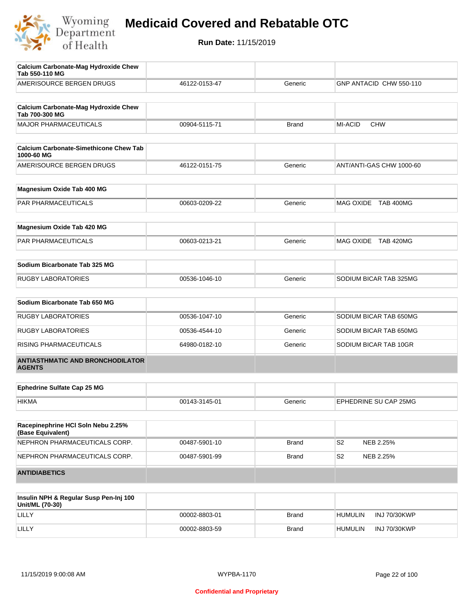

| <b>Calcium Carbonate-Mag Hydroxide Chew</b><br>Tab 550-110 MG |               |              |                             |
|---------------------------------------------------------------|---------------|--------------|-----------------------------|
| AMERISOURCE BERGEN DRUGS                                      | 46122-0153-47 | Generic      | GNP ANTACID CHW 550-110     |
|                                                               |               |              |                             |
| <b>Calcium Carbonate-Mag Hydroxide Chew</b><br>Tab 700-300 MG |               |              |                             |
| <b>MAJOR PHARMACEUTICALS</b>                                  | 00904-5115-71 | Brand        | MI-ACID<br><b>CHW</b>       |
|                                                               |               |              |                             |
| <b>Calcium Carbonate-Simethicone Chew Tab</b><br>1000-60 MG   |               |              |                             |
| AMERISOURCE BERGEN DRUGS                                      | 46122-0151-75 | Generic      | ANT/ANTI-GAS CHW 1000-60    |
| Magnesium Oxide Tab 400 MG                                    |               |              |                             |
|                                                               |               |              |                             |
| PAR PHARMACEUTICALS                                           | 00603-0209-22 | Generic      | MAG OXIDE TAB 400MG         |
| Magnesium Oxide Tab 420 MG                                    |               |              |                             |
| PAR PHARMACEUTICALS                                           | 00603-0213-21 | Generic      | MAG OXIDE TAB 420MG         |
|                                                               |               |              |                             |
| Sodium Bicarbonate Tab 325 MG                                 |               |              |                             |
| <b>RUGBY LABORATORIES</b>                                     | 00536-1046-10 | Generic      | SODIUM BICAR TAB 325MG      |
| Sodium Bicarbonate Tab 650 MG                                 |               |              |                             |
|                                                               |               |              |                             |
| <b>RUGBY LABORATORIES</b>                                     | 00536-1047-10 | Generic      | SODIUM BICAR TAB 650MG      |
| <b>RUGBY LABORATORIES</b>                                     | 00536-4544-10 | Generic      | SODIUM BICAR TAB 650MG      |
| RISING PHARMACEUTICALS                                        | 64980-0182-10 | Generic      | SODIUM BICAR TAB 10GR       |
| <b>ANTIASTHMATIC AND BRONCHODILATOR</b><br><b>AGENTS</b>      |               |              |                             |
|                                                               |               |              |                             |
| <b>Ephedrine Sulfate Cap 25 MG</b>                            |               |              |                             |
| <b>HIKMA</b>                                                  | 00143-3145-01 | Generic      | EPHEDRINE SU CAP 25MG       |
| Racepinephrine HCI Soln Nebu 2.25%                            |               |              |                             |
| (Base Equivalent)                                             |               |              |                             |
| NEPHRON PHARMACEUTICALS CORP.                                 | 00487-5901-10 | <b>Brand</b> | S <sub>2</sub><br>NEB 2.25% |
| NEPHRON PHARMACEUTICALS CORP.                                 | 00487-5901-99 | <b>Brand</b> | S <sub>2</sub><br>NEB 2.25% |
| <b>ANTIDIABETICS</b>                                          |               |              |                             |
|                                                               |               |              |                             |

| Insulin NPH & Regular Susp Pen-Inj 100<br>Unit/ML (70-30) |               |              |                |                     |
|-----------------------------------------------------------|---------------|--------------|----------------|---------------------|
| LILLY                                                     | 00002-8803-01 | Brand        | <b>HUMULIN</b> | <b>INJ 70/30KWP</b> |
| LILLY                                                     | 00002-8803-59 | <b>Brand</b> | <b>HUMULIN</b> | <b>INJ 70/30KWP</b> |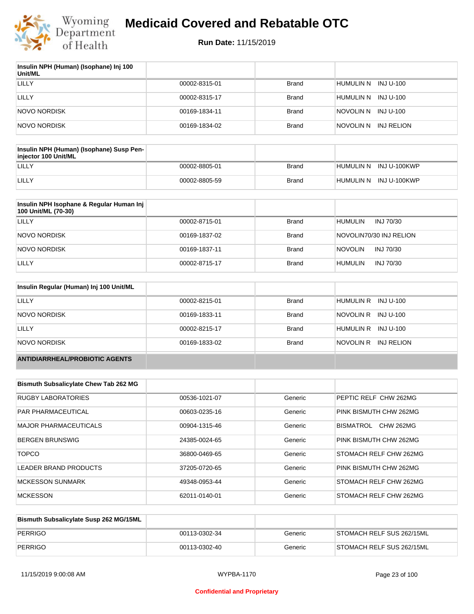

| Insulin NPH (Human) (Isophane) Inj 100<br>Unit/ML |               |              |                         |
|---------------------------------------------------|---------------|--------------|-------------------------|
| LILLY                                             | 00002-8315-01 | Brand        | HUMULIN N INJ U-100     |
| LILLY                                             | 00002-8315-17 | Brand        | HUMULIN N<br>INJ U-100  |
| NOVO NORDISK                                      | 00169-1834-11 | Brand        | NOVOLIN N INJ U-100     |
| <b>NOVO NORDISK</b>                               | 00169-1834-02 | <b>Brand</b> | NOVOLIN N<br>INJ RELION |

| Insulin NPH (Human) (Isophane) Susp Pen-<br>injector 100 Unit/ML |               |       |                        |
|------------------------------------------------------------------|---------------|-------|------------------------|
| LILLY                                                            | 00002-8805-01 | Brand | HUMULIN N INJ U-100KWP |
| LILLY                                                            | 00002-8805-59 | Brand | HUMULIN N INJ U-100KWP |

| Insulin NPH Isophane & Regular Human Inj<br>100 Unit/ML (70-30) |               |              |                             |
|-----------------------------------------------------------------|---------------|--------------|-----------------------------|
| LILLY                                                           | 00002-8715-01 | <b>Brand</b> | <b>HUMULIN</b><br>INJ 70/30 |
| NOVO NORDISK                                                    | 00169-1837-02 | <b>Brand</b> | NOVOLIN70/30 INJ RELION     |
| NOVO NORDISK                                                    | 00169-1837-11 | <b>Brand</b> | <b>NOVOLIN</b><br>INJ 70/30 |
| LILLY                                                           | 00002-8715-17 | <b>Brand</b> | INJ 70/30<br><b>HUMULIN</b> |

| Insulin Regular (Human) Inj 100 Unit/ML |               |              |                         |
|-----------------------------------------|---------------|--------------|-------------------------|
| LILLY                                   | 00002-8215-01 | <b>Brand</b> | HUMULIN R INJ U-100     |
| NOVO NORDISK                            | 00169-1833-11 | <b>Brand</b> | INJ U-100<br>NOVOLIN R  |
| LILLY                                   | 00002-8215-17 | <b>Brand</b> | HUMULIN R INJ U-100     |
| NOVO NORDISK                            | 00169-1833-02 | <b>Brand</b> | NOVOLIN R<br>INJ RELION |
| <b>ANTIDIARRHEAL/PROBIOTIC AGENTS</b>   |               |              |                         |

| <b>Bismuth Subsalicylate Chew Tab 262 MG</b> |               |         |                               |
|----------------------------------------------|---------------|---------|-------------------------------|
| <b>RUGBY LABORATORIES</b>                    | 00536-1021-07 | Generic | PEPTIC RELF CHW 262MG         |
| <b>PAR PHARMACEUTICAL</b>                    | 00603-0235-16 | Generic | PINK BISMUTH CHW 262MG        |
| <b>MAJOR PHARMACEUTICALS</b>                 | 00904-1315-46 | Generic | <b>CHW 262MG</b><br>BISMATROL |
| <b>BERGEN BRUNSWIG</b>                       | 24385-0024-65 | Generic | PINK BISMUTH CHW 262MG        |
| <b>TOPCO</b>                                 | 36800-0469-65 | Generic | STOMACH RELF CHW 262MG        |
| LEADER BRAND PRODUCTS                        | 37205-0720-65 | Generic | PINK BISMUTH CHW 262MG        |
| <b>MCKESSON SUNMARK</b>                      | 49348-0953-44 | Generic | STOMACH RELF CHW 262MG        |
| <b>MCKESSON</b>                              | 62011-0140-01 | Generic | STOMACH RELF CHW 262MG        |

| Bismuth Subsalicylate Susp 262 MG/15ML |               |         |                           |
|----------------------------------------|---------------|---------|---------------------------|
| PERRIGO                                | 00113-0302-34 | Generic | STOMACH RELF SUS 262/15ML |
| PERRIGO                                | 00113-0302-40 | Generic | STOMACH RELF SUS 262/15ML |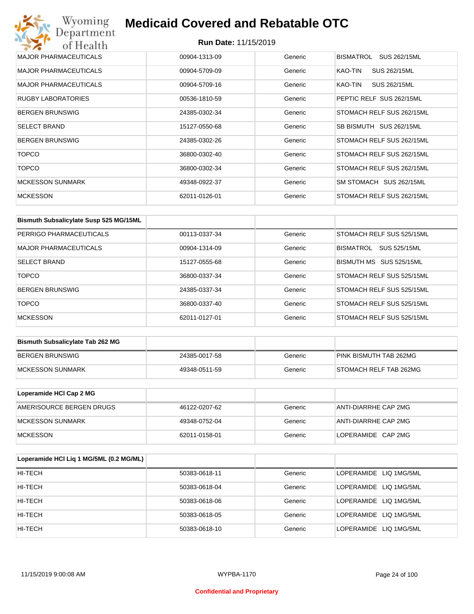# Wyoming<br>Department<br>of Health **Medicaid Covered and Rebatable OTC**

| <b>MAJOR PHARMACEUTICALS</b> | 00904-1313-09 | Generic | <b>BISMATROL</b><br>SUS 262/15ML |
|------------------------------|---------------|---------|----------------------------------|
| <b>MAJOR PHARMACEUTICALS</b> | 00904-5709-09 | Generic | KAO-TIN<br>SUS 262/15ML          |
| <b>MAJOR PHARMACEUTICALS</b> | 00904-5709-16 | Generic | SUS 262/15ML<br>KAO-TIN          |
| <b>RUGBY LABORATORIES</b>    | 00536-1810-59 | Generic | PEPTIC RELF SUS 262/15ML         |
| <b>BERGEN BRUNSWIG</b>       | 24385-0302-34 | Generic | STOMACH RELF SUS 262/15ML        |
| <b>SELECT BRAND</b>          | 15127-0550-68 | Generic | SB BISMUTH SUS 262/15ML          |
| <b>BERGEN BRUNSWIG</b>       | 24385-0302-26 | Generic | STOMACH RELF SUS 262/15ML        |
| <b>TOPCO</b>                 | 36800-0302-40 | Generic | STOMACH RELF SUS 262/15ML        |
| <b>TOPCO</b>                 | 36800-0302-34 | Generic | STOMACH RELF SUS 262/15ML        |
| <b>MCKESSON SUNMARK</b>      | 49348-0922-37 | Generic | SM STOMACH SUS 262/15ML          |
| <b>MCKESSON</b>              | 62011-0126-01 | Generic | STOMACH RELF SUS 262/15ML        |

| Bismuth Subsalicylate Susp 525 MG/15ML |               |         |                                  |
|----------------------------------------|---------------|---------|----------------------------------|
| PERRIGO PHARMACEUTICALS                | 00113-0337-34 | Generic | STOMACH RELF SUS 525/15ML        |
| <b>MAJOR PHARMACEUTICALS</b>           | 00904-1314-09 | Generic | SUS 525/15ML<br><b>BISMATROL</b> |
| <b>SELECT BRAND</b>                    | 15127-0555-68 | Generic | BISMUTH MS SUS 525/15ML          |
| <b>TOPCO</b>                           | 36800-0337-34 | Generic | STOMACH RELF SUS 525/15ML        |
| <b>BERGEN BRUNSWIG</b>                 | 24385-0337-34 | Generic | STOMACH RELF SUS 525/15ML        |
| <b>TOPCO</b>                           | 36800-0337-40 | Generic | STOMACH RELF SUS 525/15ML        |
| <b>MCKESSON</b>                        | 62011-0127-01 | Generic | STOMACH RELF SUS 525/15ML        |

| <b>Bismuth Subsalicylate Tab 262 MG</b> |               |         |                        |
|-----------------------------------------|---------------|---------|------------------------|
| BERGEN BRUNSWIG                         | 24385-0017-58 | Generic | PINK BISMUTH TAB 262MG |
| <b>IMCKESSON SUNMARK</b>                | 49348-0511-59 | Generic | STOMACH RELF TAB 262MG |

| Loperamide HCI Cap 2 MG  |               |         |                      |
|--------------------------|---------------|---------|----------------------|
| AMERISOURCE BERGEN DRUGS | 46122-0207-62 | Generic | ANTI-DIARRHE CAP 2MG |
| IMCKESSON SUNMARK        | 49348-0752-04 | Generic | ANTI-DIARRHE CAP 2MG |
| <b>IMCKESSON</b>         | 62011-0158-01 | Generic | LOPERAMIDE CAP 2MG   |

| Loperamide HCI Liq 1 MG/5ML (0.2 MG/ML) |               |         |                        |
|-----------------------------------------|---------------|---------|------------------------|
| HI-TECH                                 | 50383-0618-11 | Generic | LOPERAMIDE LIQ 1MG/5ML |
| HI-TECH                                 | 50383-0618-04 | Generic | LOPERAMIDE LIQ 1MG/5ML |
| HI-TECH                                 | 50383-0618-06 | Generic | LOPERAMIDE LIQ 1MG/5ML |
| HI-TECH                                 | 50383-0618-05 | Generic | LOPERAMIDE LIQ 1MG/5ML |
| HI-TECH                                 | 50383-0618-10 | Generic | LOPERAMIDE LIQ 1MG/5ML |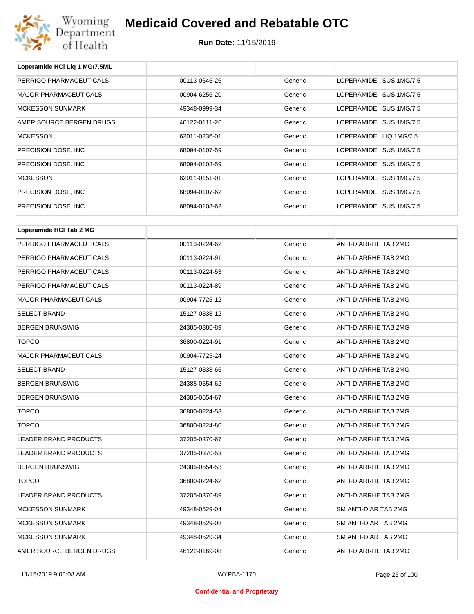

**Loperamide HCl Liq 1 MG/7.5ML**

### **Medicaid Covered and Rebatable OTC**

| PERRIGO PHARMACEUTICALS      | 00113-0645-26 | Generic | LOPERAMIDE SUS 1MG/7.5 |  |
|------------------------------|---------------|---------|------------------------|--|
| <b>MAJOR PHARMACEUTICALS</b> | 00904-6256-20 | Generic | LOPERAMIDE SUS 1MG/7.5 |  |
| <b>MCKESSON SUNMARK</b>      | 49348-0999-34 | Generic | LOPERAMIDE SUS 1MG/7.5 |  |
| AMERISOURCE BERGEN DRUGS     | 46122-0111-26 | Generic | LOPERAMIDE SUS 1MG/7.5 |  |
| <b>MCKESSON</b>              | 62011-0236-01 | Generic | LOPERAMIDE LIQ 1MG/7.5 |  |
| PRECISION DOSE, INC          | 68094-0107-59 | Generic | LOPERAMIDE SUS 1MG/7.5 |  |
| PRECISION DOSE, INC          | 68094-0108-59 | Generic | LOPERAMIDE SUS 1MG/7.5 |  |
| <b>MCKESSON</b>              | 62011-0151-01 | Generic | LOPERAMIDE SUS 1MG/7.5 |  |
| PRECISION DOSE, INC          | 68094-0107-62 | Generic | LOPERAMIDE SUS 1MG/7.5 |  |
| PRECISION DOSE, INC          | 68094-0108-62 | Generic | LOPERAMIDE SUS 1MG/7.5 |  |
|                              |               |         |                        |  |
| Loperamide HCI Tab 2 MG      |               |         |                        |  |
| PERRIGO PHARMACEUTICALS      | 00113-0224-62 | Generic | ANTI-DIARRHE TAB 2MG   |  |
| PERRIGO PHARMACEUTICALS      | 00113-0224-91 | Generic | ANTI-DIARRHE TAB 2MG   |  |
| PERRIGO PHARMACEUTICALS      | 00113-0224-53 | Generic | ANTI-DIARRHE TAB 2MG   |  |
| PERRIGO PHARMACEUTICALS      | 00113-0224-89 | Generic | ANTI-DIARRHE TAB 2MG   |  |
| <b>MAJOR PHARMACEUTICALS</b> | 00904-7725-12 | Generic | ANTI-DIARRHE TAB 2MG   |  |
| <b>SELECT BRAND</b>          | 15127-0338-12 | Generic | ANTI-DIARRHE TAB 2MG   |  |
| <b>BERGEN BRUNSWIG</b>       | 24385-0386-89 | Generic | ANTI-DIARRHE TAB 2MG   |  |
| <b>TOPCO</b>                 | 36800-0224-91 | Generic | ANTI-DIARRHE TAB 2MG   |  |
| <b>MAJOR PHARMACEUTICALS</b> | 00904-7725-24 | Generic | ANTI-DIARRHE TAB 2MG   |  |
| <b>SELECT BRAND</b>          | 15127-0338-66 | Generic | ANTI-DIARRHE TAB 2MG   |  |
| <b>BERGEN BRUNSWIG</b>       | 24385-0554-62 | Generic | ANTI-DIARRHE TAB 2MG   |  |
| <b>BERGEN BRUNSWIG</b>       | 24385-0554-67 | Generic | ANTI-DIARRHE TAB 2MG   |  |
| <b>TOPCO</b>                 | 36800-0224-53 | Generic | ANTI-DIARRHE TAB 2MG   |  |
| TOPCO                        | 36800-0224-80 | Generic | ANTI-DIARRHE TAB 2MG   |  |
| LEADER BRAND PRODUCTS        | 37205-0370-67 | Generic | ANTI-DIARRHE TAB 2MG   |  |
| LEADER BRAND PRODUCTS        | 37205-0370-53 | Generic | ANTI-DIARRHE TAB 2MG   |  |
| <b>BERGEN BRUNSWIG</b>       | 24385-0554-53 | Generic | ANTI-DIARRHE TAB 2MG   |  |
| <b>TOPCO</b>                 | 36800-0224-62 | Generic | ANTI-DIARRHE TAB 2MG   |  |
| LEADER BRAND PRODUCTS        | 37205-0370-89 | Generic | ANTI-DIARRHE TAB 2MG   |  |
| <b>MCKESSON SUNMARK</b>      | 49348-0529-04 | Generic | SM ANTI-DIAR TAB 2MG   |  |
| <b>MCKESSON SUNMARK</b>      | 49348-0529-08 | Generic | SM ANTI-DIAR TAB 2MG   |  |
| <b>MCKESSON SUNMARK</b>      | 49348-0529-34 | Generic | SM ANTI-DIAR TAB 2MG   |  |
| AMERISOURCE BERGEN DRUGS     | 46122-0169-08 | Generic | ANTI-DIARRHE TAB 2MG   |  |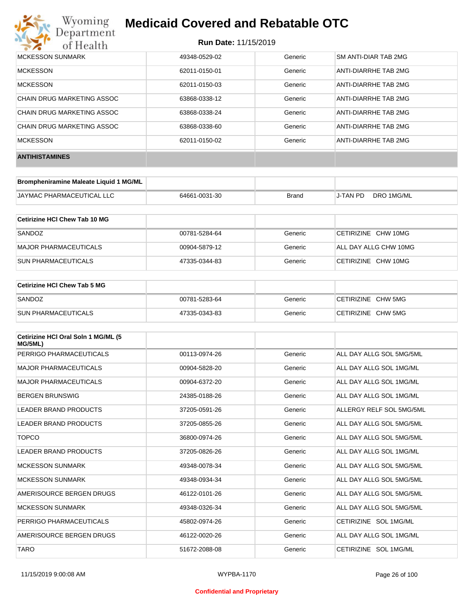

#### **Run Date:** 11/15/2019

| MCKESSON SUNMARK           | 49348-0529-02 | Generic | SM ANTI-DIAR TAB 2MG |
|----------------------------|---------------|---------|----------------------|
| <b>MCKESSON</b>            | 62011-0150-01 | Generic | ANTI-DIARRHE TAB 2MG |
| <b>MCKESSON</b>            | 62011-0150-03 | Generic | ANTI-DIARRHE TAB 2MG |
| CHAIN DRUG MARKETING ASSOC | 63868-0338-12 | Generic | ANTI-DIARRHE TAB 2MG |
| CHAIN DRUG MARKETING ASSOC | 63868-0338-24 | Generic | ANTI-DIARRHE TAB 2MG |
| CHAIN DRUG MARKETING ASSOC | 63868-0338-60 | Generic | ANTI-DIARRHE TAB 2MG |
| <b>MCKESSON</b>            | 62011-0150-02 | Generic | ANTI-DIARRHE TAB 2MG |
| <b>ANTIHISTAMINES</b>      |               |         |                      |

| Brompheniramine Maleate Liquid 1 MG/ML |               |              |          |            |
|----------------------------------------|---------------|--------------|----------|------------|
| <b>JAYMAC PHARMACEUTICAL LLC</b>       | 64661-0031-30 | <b>Brand</b> | J-TAN PD | DRO 1MG/ML |

| Cetirizine HCI Chew Tab 10 MG |               |         |                       |
|-------------------------------|---------------|---------|-----------------------|
| SANDOZ                        | 00781-5284-64 | Generic | CETIRIZINE CHW 10MG   |
| MAJOR PHARMACEUTICALS         | 00904-5879-12 | Generic | ALL DAY ALLG CHW 10MG |
| ISUN PHARMACEUTICALS          | 47335-0344-83 | Generic | CETIRIZINE CHW 10MG   |

| <b>Cetirizine HCI Chew Tab 5 MG</b> |               |         |                    |
|-------------------------------------|---------------|---------|--------------------|
| SANDOZ                              | 00781-5283-64 | Generic | CETIRIZINE CHW 5MG |
| <b>SUN PHARMACEUTICALS</b>          | 47335-0343-83 | Generic | CETIRIZINE CHW 5MG |

| Cetirizine HCI Oral Soln 1 MG/ML (5<br>MG/5ML) |               |         |                          |
|------------------------------------------------|---------------|---------|--------------------------|
| PERRIGO PHARMACEUTICALS                        | 00113-0974-26 | Generic | ALL DAY ALLG SOL 5MG/5ML |
| <b>MAJOR PHARMACEUTICALS</b>                   | 00904-5828-20 | Generic | ALL DAY ALLG SOL 1MG/ML  |
| <b>MAJOR PHARMACEUTICALS</b>                   | 00904-6372-20 | Generic | ALL DAY ALLG SOL 1MG/ML  |
| <b>BERGEN BRUNSWIG</b>                         | 24385-0188-26 | Generic | ALL DAY ALLG SOL 1MG/ML  |
| <b>LEADER BRAND PRODUCTS</b>                   | 37205-0591-26 | Generic | ALLERGY RELF SOL 5MG/5ML |
| <b>LEADER BRAND PRODUCTS</b>                   | 37205-0855-26 | Generic | ALL DAY ALLG SOL 5MG/5ML |
| <b>TOPCO</b>                                   | 36800-0974-26 | Generic | ALL DAY ALLG SOL 5MG/5ML |
| <b>LEADER BRAND PRODUCTS</b>                   | 37205-0826-26 | Generic | ALL DAY ALLG SOL 1MG/ML  |
| <b>MCKESSON SUNMARK</b>                        | 49348-0078-34 | Generic | ALL DAY ALLG SOL 5MG/5ML |
| <b>MCKESSON SUNMARK</b>                        | 49348-0934-34 | Generic | ALL DAY ALLG SOL 5MG/5ML |
| AMERISOURCE BERGEN DRUGS                       | 46122-0101-26 | Generic | ALL DAY ALLG SOL 5MG/5ML |
| <b>MCKESSON SUNMARK</b>                        | 49348-0326-34 | Generic | ALL DAY ALLG SOL 5MG/5ML |
| PERRIGO PHARMACEUTICALS                        | 45802-0974-26 | Generic | CETIRIZINE SOL 1MG/ML    |
| AMERISOURCE BERGEN DRUGS                       | 46122-0020-26 | Generic | ALL DAY ALLG SOL 1MG/ML  |
| <b>TARO</b>                                    | 51672-2088-08 | Generic | CETIRIZINE SOL 1MG/ML    |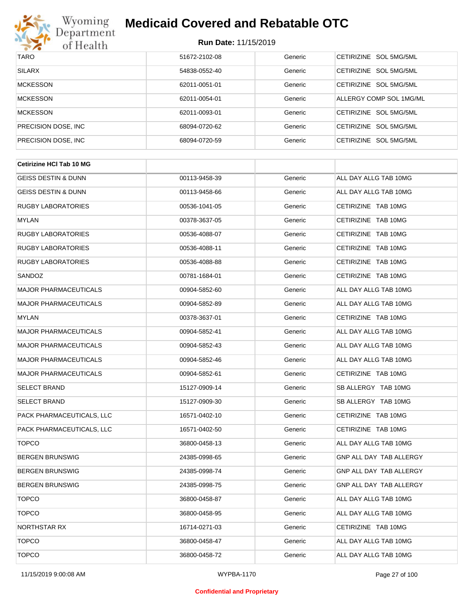

| <b>TARO</b>          | 51672-2102-08 | Generic | CETIRIZINE SOL 5MG/5ML  |
|----------------------|---------------|---------|-------------------------|
| <b>SILARX</b>        | 54838-0552-40 | Generic | CETIRIZINE SOL 5MG/5ML  |
| <b>MCKESSON</b>      | 62011-0051-01 | Generic | CETIRIZINE SOL 5MG/5ML  |
| <b>MCKESSON</b>      | 62011-0054-01 | Generic | ALLERGY COMP SOL 1MG/ML |
| <b>MCKESSON</b>      | 62011-0093-01 | Generic | CETIRIZINE SOL 5MG/5ML  |
| PRECISION DOSE, INC. | 68094-0720-62 | Generic | CETIRIZINE SOL 5MG/5ML  |
| PRECISION DOSE, INC. | 68094-0720-59 | Generic | CETIRIZINE SOL 5MG/5ML  |

| <b>Cetirizine HCI Tab 10 MG</b> |               |         |                         |
|---------------------------------|---------------|---------|-------------------------|
| <b>GEISS DESTIN &amp; DUNN</b>  | 00113-9458-39 | Generic | ALL DAY ALLG TAB 10MG   |
| <b>GEISS DESTIN &amp; DUNN</b>  | 00113-9458-66 | Generic | ALL DAY ALLG TAB 10MG   |
| <b>RUGBY LABORATORIES</b>       | 00536-1041-05 | Generic | CETIRIZINE TAB 10MG     |
| <b>MYLAN</b>                    | 00378-3637-05 | Generic | CETIRIZINE TAB 10MG     |
| <b>RUGBY LABORATORIES</b>       | 00536-4088-07 | Generic | CETIRIZINE TAB 10MG     |
| <b>RUGBY LABORATORIES</b>       | 00536-4088-11 | Generic | CETIRIZINE TAB 10MG     |
| <b>RUGBY LABORATORIES</b>       | 00536-4088-88 | Generic | CETIRIZINE TAB 10MG     |
| SANDOZ                          | 00781-1684-01 | Generic | CETIRIZINE TAB 10MG     |
| <b>MAJOR PHARMACEUTICALS</b>    | 00904-5852-60 | Generic | ALL DAY ALLG TAB 10MG   |
| <b>MAJOR PHARMACEUTICALS</b>    | 00904-5852-89 | Generic | ALL DAY ALLG TAB 10MG   |
| <b>MYLAN</b>                    | 00378-3637-01 | Generic | CETIRIZINE TAB 10MG     |
| <b>MAJOR PHARMACEUTICALS</b>    | 00904-5852-41 | Generic | ALL DAY ALLG TAB 10MG   |
| <b>MAJOR PHARMACEUTICALS</b>    | 00904-5852-43 | Generic | ALL DAY ALLG TAB 10MG   |
| <b>MAJOR PHARMACEUTICALS</b>    | 00904-5852-46 | Generic | ALL DAY ALLG TAB 10MG   |
| <b>MAJOR PHARMACEUTICALS</b>    | 00904-5852-61 | Generic | CETIRIZINE TAB 10MG     |
| <b>SELECT BRAND</b>             | 15127-0909-14 | Generic | SB ALLERGY TAB 10MG     |
| <b>SELECT BRAND</b>             | 15127-0909-30 | Generic | SB ALLERGY TAB 10MG     |
| PACK PHARMACEUTICALS, LLC       | 16571-0402-10 | Generic | CETIRIZINE TAB 10MG     |
| PACK PHARMACEUTICALS, LLC       | 16571-0402-50 | Generic | CETIRIZINE TAB 10MG     |
| <b>TOPCO</b>                    | 36800-0458-13 | Generic | ALL DAY ALLG TAB 10MG   |
| <b>BERGEN BRUNSWIG</b>          | 24385-0998-65 | Generic | GNP ALL DAY TAB ALLERGY |
| <b>BERGEN BRUNSWIG</b>          | 24385-0998-74 | Generic | GNP ALL DAY TAB ALLERGY |
| <b>BERGEN BRUNSWIG</b>          | 24385-0998-75 | Generic | GNP ALL DAY TAB ALLERGY |
| <b>TOPCO</b>                    | 36800-0458-87 | Generic | ALL DAY ALLG TAB 10MG   |
| <b>TOPCO</b>                    | 36800-0458-95 | Generic | ALL DAY ALLG TAB 10MG   |
| NORTHSTAR RX                    | 16714-0271-03 | Generic | CETIRIZINE TAB 10MG     |
| <b>TOPCO</b>                    | 36800-0458-47 | Generic | ALL DAY ALLG TAB 10MG   |
| <b>TOPCO</b>                    | 36800-0458-72 | Generic | ALL DAY ALLG TAB 10MG   |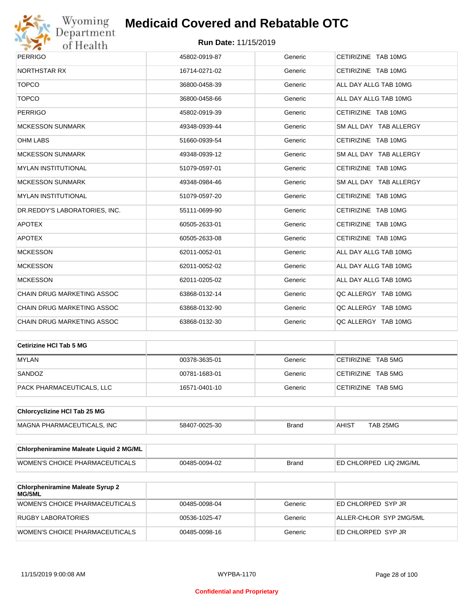

| <b>PERRIGO</b>                    | 45802-0919-87 | Generic | CETIRIZINE TAB 10MG    |
|-----------------------------------|---------------|---------|------------------------|
| <b>NORTHSTAR RX</b>               | 16714-0271-02 | Generic | CETIRIZINE TAB 10MG    |
| <b>TOPCO</b>                      | 36800-0458-39 | Generic | ALL DAY ALLG TAB 10MG  |
| <b>TOPCO</b>                      | 36800-0458-66 | Generic | ALL DAY ALLG TAB 10MG  |
| <b>PERRIGO</b>                    | 45802-0919-39 | Generic | CETIRIZINE TAB 10MG    |
| <b>MCKESSON SUNMARK</b>           | 49348-0939-44 | Generic | SM ALL DAY TAB ALLERGY |
| <b>OHM LABS</b>                   | 51660-0939-54 | Generic | CETIRIZINE TAB 10MG    |
| <b>MCKESSON SUNMARK</b>           | 49348-0939-12 | Generic | SM ALL DAY TAB ALLERGY |
| <b>MYLAN INSTITUTIONAL</b>        | 51079-0597-01 | Generic | CETIRIZINE TAB 10MG    |
| <b>MCKESSON SUNMARK</b>           | 49348-0984-46 | Generic | SM ALL DAY TAB ALLERGY |
| <b>MYLAN INSTITUTIONAL</b>        | 51079-0597-20 | Generic | CETIRIZINE TAB 10MG    |
| DR.REDDY'S LABORATORIES, INC.     | 55111-0699-90 | Generic | CETIRIZINE TAB 10MG    |
| <b>APOTEX</b>                     | 60505-2633-01 | Generic | CETIRIZINE TAB 10MG    |
| <b>APOTEX</b>                     | 60505-2633-08 | Generic | CETIRIZINE TAB 10MG    |
| <b>MCKESSON</b>                   | 62011-0052-01 | Generic | ALL DAY ALLG TAB 10MG  |
| <b>MCKESSON</b>                   | 62011-0052-02 | Generic | ALL DAY ALLG TAB 10MG  |
| <b>MCKESSON</b>                   | 62011-0205-02 | Generic | ALL DAY ALLG TAB 10MG  |
| CHAIN DRUG MARKETING ASSOC        | 63868-0132-14 | Generic | QC ALLERGY TAB 10MG    |
| <b>CHAIN DRUG MARKETING ASSOC</b> | 63868-0132-90 | Generic | QC ALLERGY TAB 10MG    |
| <b>CHAIN DRUG MARKETING ASSOC</b> | 63868-0132-30 | Generic | QC ALLERGY TAB 10MG    |

| ∣Cetirizine HCl Tab 5 MG  |               |         |                    |
|---------------------------|---------------|---------|--------------------|
| <b>MYLAN</b>              | 00378-3635-01 | Generic | CETIRIZINE TAB 5MG |
| SANDOZ                    | 00781-1683-01 | Generic | CETIRIZINE TAB 5MG |
| PACK PHARMACEUTICALS, LLC | 16571-0401-10 | Generic | CETIRIZINE TAB 5MG |

| <b>Chlorcyclizine HCI Tab 25 MG</b> |               |       |       |          |
|-------------------------------------|---------------|-------|-------|----------|
| MAGNA PHARMACEUTICALS. INC          | 58407-0025-30 | Brand | AHIST | TAB 25MG |

| <b>Chlorpheniramine Maleate Liquid 2 MG/ML</b> |               |              |                                |
|------------------------------------------------|---------------|--------------|--------------------------------|
| <b>WOMEN'S CHOICE PHARMACEUTICALS</b>          | 00485-0094-02 | <b>Brand</b> | <b>LED CHLORPED LIQ 2MG/ML</b> |

| <b>Chlorpheniramine Maleate Syrup 2</b><br>MG/5ML |               |         |                         |
|---------------------------------------------------|---------------|---------|-------------------------|
| WOMEN'S CHOICE PHARMACEUTICALS                    | 00485-0098-04 | Generic | ED CHLORPED SYP JR      |
| RUGBY LABORATORIES                                | 00536-1025-47 | Generic | ALLER-CHLOR SYP 2MG/5ML |
| <b>WOMEN'S CHOICE PHARMACEUTICALS</b>             | 00485-0098-16 | Generic | ED CHLORPED SYP JR      |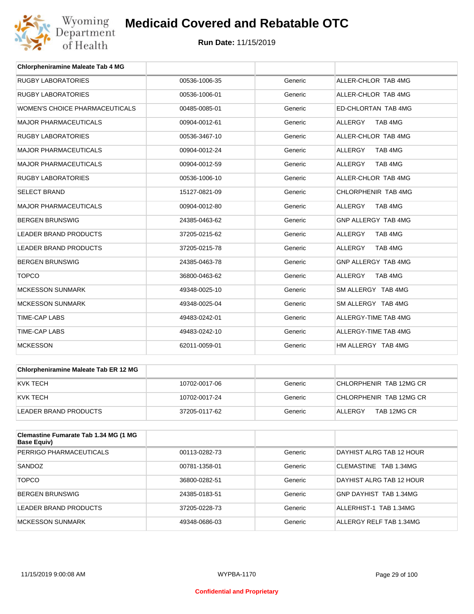

| <b>Chlorpheniramine Maleate Tab 4 MG</b> |               |         |                           |
|------------------------------------------|---------------|---------|---------------------------|
| <b>RUGBY LABORATORIES</b>                | 00536-1006-35 | Generic | ALLER-CHLOR TAB 4MG       |
| <b>RUGBY LABORATORIES</b>                | 00536-1006-01 | Generic | ALLER-CHLOR TAB 4MG       |
| WOMEN'S CHOICE PHARMACEUTICALS           | 00485-0085-01 | Generic | ED-CHLORTAN TAB 4MG       |
| <b>MAJOR PHARMACEUTICALS</b>             | 00904-0012-61 | Generic | <b>ALLERGY</b><br>TAB 4MG |
| <b>RUGBY LABORATORIES</b>                | 00536-3467-10 | Generic | ALLER-CHLOR TAB 4MG       |
| <b>MAJOR PHARMACEUTICALS</b>             | 00904-0012-24 | Generic | <b>ALLERGY</b><br>TAB 4MG |
| <b>MAJOR PHARMACEUTICALS</b>             | 00904-0012-59 | Generic | <b>ALLERGY</b><br>TAB 4MG |
| <b>RUGBY LABORATORIES</b>                | 00536-1006-10 | Generic | ALLER-CHLOR TAB 4MG       |
| <b>SELECT BRAND</b>                      | 15127-0821-09 | Generic | CHLORPHENIR TAB 4MG       |
| <b>MAJOR PHARMACEUTICALS</b>             | 00904-0012-80 | Generic | TAB 4MG<br><b>ALLERGY</b> |
| <b>BERGEN BRUNSWIG</b>                   | 24385-0463-62 | Generic | GNP ALLERGY TAB 4MG       |
| <b>LEADER BRAND PRODUCTS</b>             | 37205-0215-62 | Generic | <b>ALLERGY</b><br>TAB 4MG |
| <b>LEADER BRAND PRODUCTS</b>             | 37205-0215-78 | Generic | <b>ALLERGY</b><br>TAB 4MG |
| <b>BERGEN BRUNSWIG</b>                   | 24385-0463-78 | Generic | GNP ALLERGY TAB 4MG       |
| <b>TOPCO</b>                             | 36800-0463-62 | Generic | TAB 4MG<br><b>ALLERGY</b> |
| <b>MCKESSON SUNMARK</b>                  | 49348-0025-10 | Generic | SM ALLERGY TAB 4MG        |
| <b>MCKESSON SUNMARK</b>                  | 49348-0025-04 | Generic | SM ALLERGY TAB 4MG        |
| <b>TIME-CAP LABS</b>                     | 49483-0242-01 | Generic | ALLERGY-TIME TAB 4MG      |
| <b>TIME-CAP LABS</b>                     | 49483-0242-10 | Generic | ALLERGY-TIME TAB 4MG      |
| <b>MCKESSON</b>                          | 62011-0059-01 | Generic | HM ALLERGY TAB 4MG        |

| Chlorpheniramine Maleate Tab ER 12 MG |               |         |                         |
|---------------------------------------|---------------|---------|-------------------------|
| IKVK TECH                             | 10702-0017-06 | Generic | CHLORPHENIR TAB 12MG CR |
| IKVK TECH                             | 10702-0017-24 | Generic | CHLORPHENIR TAB 12MG CR |
| LEADER BRAND PRODUCTS                 | 37205-0117-62 | Generic | TAB 12MG CR<br>ALLERGY  |

| <b>Clemastine Fumarate Tab 1.34 MG (1 MG</b><br>Base Equiv) |               |         |                          |
|-------------------------------------------------------------|---------------|---------|--------------------------|
| PERRIGO PHARMACEUTICALS                                     | 00113-0282-73 | Generic | DAYHIST ALRG TAB 12 HOUR |
| SANDOZ                                                      | 00781-1358-01 | Generic | CLEMASTINE TAB 1.34MG    |
| <b>TOPCO</b>                                                | 36800-0282-51 | Generic | DAYHIST ALRG TAB 12 HOUR |
| BERGEN BRUNSWIG                                             | 24385-0183-51 | Generic | GNP DAYHIST TAB 1.34MG   |
| LEADER BRAND PRODUCTS                                       | 37205-0228-73 | Generic | ALLERHIST-1 TAB 1.34MG   |
| MCKESSON SUNMARK                                            | 49348-0686-03 | Generic | ALLERGY RELF TAB 1.34MG  |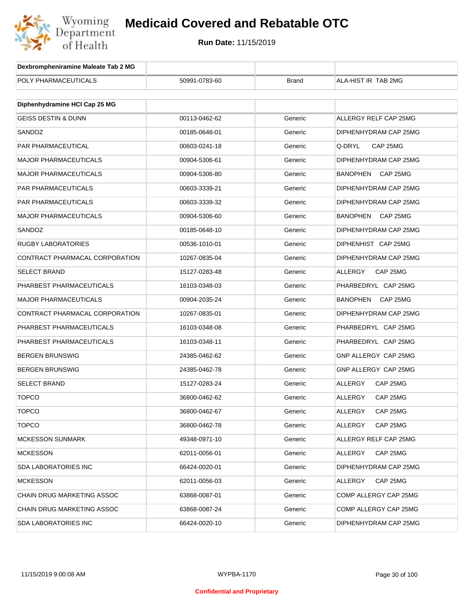

| Dexbrompheniramine Maleate Tab 2 MG |               |              |                            |
|-------------------------------------|---------------|--------------|----------------------------|
| POLY PHARMACEUTICALS                | 50991-0783-60 | <b>Brand</b> | ALA-HIST IR TAB 2MG        |
|                                     |               |              |                            |
| Diphenhydramine HCI Cap 25 MG       |               |              |                            |
| <b>GEISS DESTIN &amp; DUNN</b>      | 00113-0462-62 | Generic      | ALLERGY RELF CAP 25MG      |
| SANDOZ                              | 00185-0648-01 | Generic      | DIPHENHYDRAM CAP 25MG      |
| <b>PAR PHARMACEUTICAL</b>           | 00603-0241-18 | Generic      | CAP 25MG<br>Q-DRYL         |
| <b>MAJOR PHARMACEUTICALS</b>        | 00904-5306-61 | Generic      | DIPHENHYDRAM CAP 25MG      |
| <b>MAJOR PHARMACEUTICALS</b>        | 00904-5306-80 | Generic      | BANOPHEN<br>CAP 25MG       |
| PAR PHARMACEUTICALS                 | 00603-3339-21 | Generic      | DIPHENHYDRAM CAP 25MG      |
| PAR PHARMACEUTICALS                 | 00603-3339-32 | Generic      | DIPHENHYDRAM CAP 25MG      |
| <b>MAJOR PHARMACEUTICALS</b>        | 00904-5306-60 | Generic      | BANOPHEN CAP 25MG          |
| SANDOZ                              | 00185-0648-10 | Generic      | DIPHENHYDRAM CAP 25MG      |
| <b>RUGBY LABORATORIES</b>           | 00536-1010-01 | Generic      | DIPHENHIST CAP 25MG        |
| CONTRACT PHARMACAL CORPORATION      | 10267-0835-04 | Generic      | DIPHENHYDRAM CAP 25MG      |
| <b>SELECT BRAND</b>                 | 15127-0283-48 | Generic      | ALLERGY<br>CAP 25MG        |
| PHARBEST PHARMACEUTICALS            | 16103-0348-03 | Generic      | PHARBEDRYL CAP 25MG        |
| <b>MAJOR PHARMACEUTICALS</b>        | 00904-2035-24 | Generic      | BANOPHEN<br>CAP 25MG       |
| CONTRACT PHARMACAL CORPORATION      | 10267-0835-01 | Generic      | DIPHENHYDRAM CAP 25MG      |
| PHARBEST PHARMACEUTICALS            | 16103-0348-08 | Generic      | PHARBEDRYL CAP 25MG        |
| PHARBEST PHARMACEUTICALS            | 16103-0348-11 | Generic      | PHARBEDRYL CAP 25MG        |
| <b>BERGEN BRUNSWIG</b>              | 24385-0462-62 | Generic      | GNP ALLERGY CAP 25MG       |
| <b>BERGEN BRUNSWIG</b>              | 24385-0462-78 | Generic      | GNP ALLERGY CAP 25MG       |
| <b>SELECT BRAND</b>                 | 15127-0283-24 | Generic      | ALLERGY<br>CAP 25MG        |
| <b>TOPCO</b>                        | 36800-0462-62 | Generic      | ALLERGY<br>CAP 25MG        |
| <b>TOPCO</b>                        | 36800-0462-67 | Generic      | <b>ALLERGY</b><br>CAP 25MG |
| <b>TOPCO</b>                        | 36800-0462-78 | Generic      | <b>ALLERGY</b><br>CAP 25MG |
| <b>MCKESSON SUNMARK</b>             | 49348-0971-10 | Generic      | ALLERGY RELF CAP 25MG      |
| <b>MCKESSON</b>                     | 62011-0056-01 | Generic      | ALLERGY<br>CAP 25MG        |
| SDA LABORATORIES INC                | 66424-0020-01 | Generic      | DIPHENHYDRAM CAP 25MG      |
| <b>MCKESSON</b>                     | 62011-0056-03 | Generic      | CAP 25MG<br>ALLERGY        |
| CHAIN DRUG MARKETING ASSOC          | 63868-0087-01 | Generic      | COMP ALLERGY CAP 25MG      |
| CHAIN DRUG MARKETING ASSOC          | 63868-0087-24 | Generic      | COMP ALLERGY CAP 25MG      |
| <b>SDA LABORATORIES INC</b>         | 66424-0020-10 | Generic      | DIPHENHYDRAM CAP 25MG      |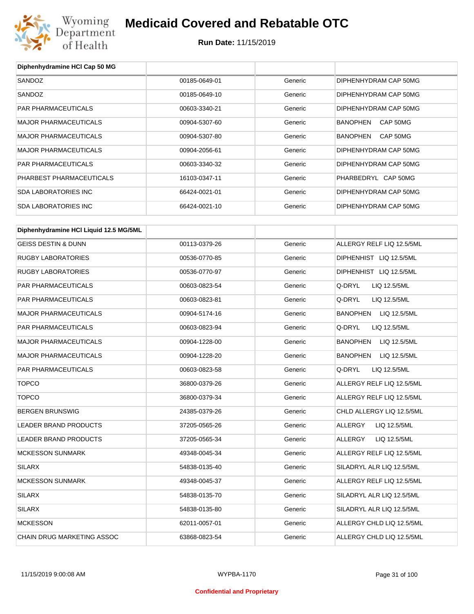

| Diphenhydramine HCI Cap 50 MG          |               |         |                                 |
|----------------------------------------|---------------|---------|---------------------------------|
| SANDOZ                                 | 00185-0649-01 | Generic | DIPHENHYDRAM CAP 50MG           |
| SANDOZ                                 | 00185-0649-10 | Generic | DIPHENHYDRAM CAP 50MG           |
| <b>PAR PHARMACEUTICALS</b>             | 00603-3340-21 | Generic | DIPHENHYDRAM CAP 50MG           |
| <b>MAJOR PHARMACEUTICALS</b>           | 00904-5307-60 | Generic | BANOPHEN<br>CAP 50MG            |
| MAJOR PHARMACEUTICALS                  | 00904-5307-80 | Generic | <b>BANOPHEN</b><br>CAP 50MG     |
| <b>MAJOR PHARMACEUTICALS</b>           | 00904-2056-61 | Generic | DIPHENHYDRAM CAP 50MG           |
| PAR PHARMACEUTICALS                    | 00603-3340-32 | Generic | DIPHENHYDRAM CAP 50MG           |
| PHARBEST PHARMACEUTICALS               | 16103-0347-11 | Generic | PHARBEDRYL CAP 50MG             |
| <b>SDA LABORATORIES INC</b>            | 66424-0021-01 | Generic | DIPHENHYDRAM CAP 50MG           |
| <b>SDA LABORATORIES INC</b>            | 66424-0021-10 | Generic | DIPHENHYDRAM CAP 50MG           |
| Diphenhydramine HCI Liquid 12.5 MG/5ML |               |         |                                 |
| <b>GEISS DESTIN &amp; DUNN</b>         | 00113-0379-26 | Generic | ALLERGY RELF LIQ 12.5/5ML       |
| <b>RUGBY LABORATORIES</b>              | 00536-0770-85 | Generic | DIPHENHIST LIQ 12.5/5ML         |
| <b>RUGBY LABORATORIES</b>              |               |         | DIPHENHIST LIQ 12.5/5ML         |
|                                        | 00536-0770-97 | Generic | Q-DRYL                          |
| PAR PHARMACEUTICALS                    | 00603-0823-54 | Generic | LIQ 12.5/5ML                    |
| PAR PHARMACEUTICALS                    | 00603-0823-81 | Generic | Q-DRYL<br>LIQ 12.5/5ML          |
| <b>MAJOR PHARMACEUTICALS</b>           | 00904-5174-16 | Generic | BANOPHEN<br>LIQ 12.5/5ML        |
| PAR PHARMACEUTICALS                    | 00603-0823-94 | Generic | Q-DRYL<br>LIQ 12.5/5ML          |
| MAJOR PHARMACEUTICALS                  | 00904-1228-00 | Generic | <b>BANOPHEN</b><br>LIQ 12.5/5ML |
| MAJOR PHARMACEUTICALS                  | 00904-1228-20 | Generic | LIQ 12.5/5ML<br>BANOPHEN        |
| <b>PAR PHARMACEUTICALS</b>             | 00603-0823-58 | Generic | Q-DRYL<br>LIQ 12.5/5ML          |
| <b>TOPCO</b>                           | 36800-0379-26 | Generic | ALLERGY RELF LIQ 12.5/5ML       |
| <b>TOPCO</b>                           | 36800-0379-34 | Generic | ALLERGY RELF LIQ 12.5/5ML       |
| <b>BERGEN BRUNSWIG</b>                 | 24385-0379-26 | Generic | CHLD ALLERGY LIQ 12.5/5ML       |
| LEADER BRAND PRODUCTS                  | 37205-0565-26 | Generic | ALLERGY<br>LIQ 12.5/5ML         |
| LEADER BRAND PRODUCTS                  | 37205-0565-34 | Generic | LIQ 12.5/5ML<br>ALLERGY         |
| <b>MCKESSON SUNMARK</b>                | 49348-0045-34 | Generic | ALLERGY RELF LIQ 12.5/5ML       |
| <b>SILARX</b>                          | 54838-0135-40 | Generic | SILADRYL ALR LIQ 12.5/5ML       |
| <b>MCKESSON SUNMARK</b>                | 49348-0045-37 | Generic | ALLERGY RELF LIQ 12.5/5ML       |
| SILARX                                 | 54838-0135-70 | Generic | SILADRYL ALR LIQ 12.5/5ML       |
| <b>SILARX</b>                          | 54838-0135-80 | Generic | SILADRYL ALR LIQ 12.5/5ML       |
| <b>MCKESSON</b>                        | 62011-0057-01 | Generic | ALLERGY CHLD LIQ 12.5/5ML       |
| CHAIN DRUG MARKETING ASSOC             | 63868-0823-54 | Generic | ALLERGY CHLD LIQ 12.5/5ML       |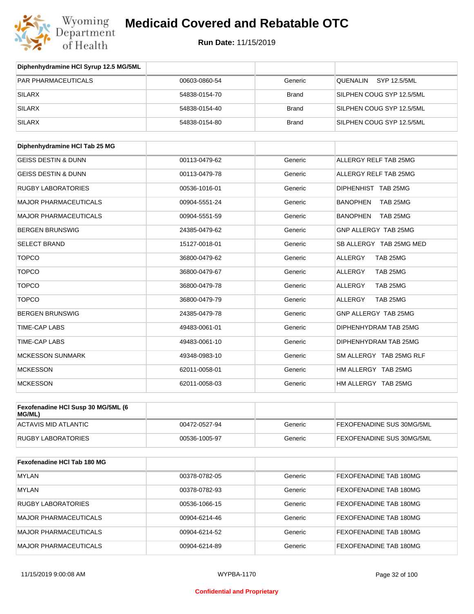

| Diphenhydramine HCI Syrup 12.5 MG/5ML |               |              |                                 |
|---------------------------------------|---------------|--------------|---------------------------------|
| <b>PAR PHARMACEUTICALS</b>            | 00603-0860-54 | Generic      | <b>QUENALIN</b><br>SYP 12.5/5ML |
| <b>SILARX</b>                         | 54838-0154-70 | <b>Brand</b> | SILPHEN COUG SYP 12.5/5ML       |
| <b>SILARX</b>                         | 54838-0154-40 | <b>Brand</b> | SILPHEN COUG SYP 12.5/5ML       |
| <b>SILARX</b>                         | 54838-0154-80 | <b>Brand</b> | SILPHEN COUG SYP 12.5/5ML       |
| Diphenhydramine HCI Tab 25 MG         |               |              |                                 |
| <b>GEISS DESTIN &amp; DUNN</b>        | 00113-0479-62 | Generic      | ALLERGY RELF TAB 25MG           |
| <b>GEISS DESTIN &amp; DUNN</b>        | 00113-0479-78 | Generic      | ALLERGY RELF TAB 25MG           |
| <b>RUGBY LABORATORIES</b>             | 00536-1016-01 | Generic      | DIPHENHIST TAB 25MG             |
| <b>MAJOR PHARMACEUTICALS</b>          | 00904-5551-24 | Generic      | <b>BANOPHEN</b><br>TAB 25MG     |
| <b>MAJOR PHARMACEUTICALS</b>          | 00904-5551-59 | Generic      | <b>BANOPHEN</b><br>TAB 25MG     |
| <b>BERGEN BRUNSWIG</b>                | 24385-0479-62 | Generic      | GNP ALLERGY TAB 25MG            |
| <b>SELECT BRAND</b>                   | 15127-0018-01 | Generic      | SB ALLERGY TAB 25MG MED         |
| <b>TOPCO</b>                          | 36800-0479-62 | Generic      | <b>ALLERGY</b><br>TAB 25MG      |
| <b>TOPCO</b>                          | 36800-0479-67 | Generic      | TAB 25MG<br><b>ALLERGY</b>      |
| <b>TOPCO</b>                          | 36800-0479-78 | Generic      | TAB 25MG<br>ALLERGY             |
| <b>TOPCO</b>                          | 36800-0479-79 | Generic      | TAB 25MG<br>ALLERGY             |
| <b>BERGEN BRUNSWIG</b>                | 24385-0479-78 | Generic      | GNP ALLERGY TAB 25MG            |
| TIME-CAP LABS                         | 49483-0061-01 | Generic      | DIPHENHYDRAM TAB 25MG           |
| <b>TIME-CAP LABS</b>                  | 49483-0061-10 | Generic      | DIPHENHYDRAM TAB 25MG           |
| <b>MCKESSON SUNMARK</b>               | 49348-0983-10 | Generic      | SM ALLERGY TAB 25MG RLF         |
| <b>MCKESSON</b>                       | 62011-0058-01 | Generic      | HM ALLERGY TAB 25MG             |
| <b>MCKESSON</b>                       | 62011-0058-03 | Generic      | HM ALLERGY TAB 25MG             |
| Fexofenadine HCI Susp 30 MG/5ML (6    |               |              |                                 |
| MG/ML)                                |               |              |                                 |
| <b>ACTAVIS MID ATLANTIC</b>           | 00472-0527-94 | Generic      | FEXOFENADINE SUS 30MG/5ML       |
| <b>RUGBY LABORATORIES</b>             | 00536-1005-97 | Generic      | FEXOFENADINE SUS 30MG/5ML       |
| Fexofenadine HCI Tab 180 MG           |               |              |                                 |
| <b>MYLAN</b>                          | 00378-0782-05 | Generic      | FEXOFENADINE TAB 180MG          |
| <b>MYLAN</b>                          | 00378-0782-93 | Generic      | FEXOFENADINE TAB 180MG          |
| <b>RUGBY LABORATORIES</b>             | 00536-1066-15 | Generic      | FEXOFENADINE TAB 180MG          |
| <b>MAJOR PHARMACEUTICALS</b>          | 00904-6214-46 | Generic      | FEXOFENADINE TAB 180MG          |
| <b>MAJOR PHARMACEUTICALS</b>          | 00904-6214-52 | Generic      | FEXOFENADINE TAB 180MG          |
| <b>MAJOR PHARMACEUTICALS</b>          | 00904-6214-89 | Generic      | FEXOFENADINE TAB 180MG          |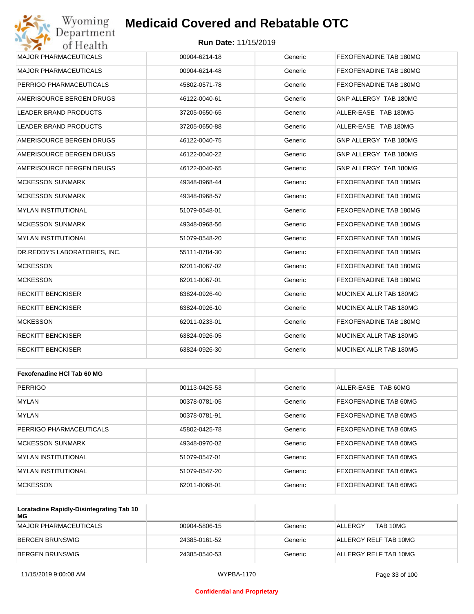

| Wyoming<br>Department         | <b>Medicaid Covered and Rebatable OTC</b> |         |                        |
|-------------------------------|-------------------------------------------|---------|------------------------|
| of Health                     | <b>Run Date: 11/15/2019</b>               |         |                        |
| <b>MAJOR PHARMACEUTICALS</b>  | 00904-6214-18                             | Generic | FEXOFENADINE TAB 180MG |
| <b>MAJOR PHARMACEUTICALS</b>  | 00904-6214-48                             | Generic | FEXOFENADINE TAB 180MG |
| PERRIGO PHARMACEUTICALS       | 45802-0571-78                             | Generic | FEXOFENADINE TAB 180MG |
| AMERISOURCE BERGEN DRUGS      | 46122-0040-61                             | Generic | GNP ALLERGY TAB 180MG  |
| <b>LEADER BRAND PRODUCTS</b>  | 37205-0650-65                             | Generic | ALLER-EASE TAB 180MG   |
| <b>LEADER BRAND PRODUCTS</b>  | 37205-0650-88                             | Generic | ALLER-EASE TAB 180MG   |
| AMERISOURCE BERGEN DRUGS      | 46122-0040-75                             | Generic | GNP ALLERGY TAB 180MG  |
| AMERISOURCE BERGEN DRUGS      | 46122-0040-22                             | Generic | GNP ALLERGY TAB 180MG  |
| AMERISOURCE BERGEN DRUGS      | 46122-0040-65                             | Generic | GNP ALLERGY TAB 180MG  |
| <b>MCKESSON SUNMARK</b>       | 49348-0968-44                             | Generic | FEXOFENADINE TAB 180MG |
| <b>MCKESSON SUNMARK</b>       | 49348-0968-57                             | Generic | FEXOFENADINE TAB 180MG |
| <b>MYLAN INSTITUTIONAL</b>    | 51079-0548-01                             | Generic | FEXOFENADINE TAB 180MG |
| <b>MCKESSON SUNMARK</b>       | 49348-0968-56                             | Generic | FEXOFENADINE TAB 180MG |
| <b>MYLAN INSTITUTIONAL</b>    | 51079-0548-20                             | Generic | FEXOFENADINE TAB 180MG |
| DR.REDDY'S LABORATORIES, INC. | 55111-0784-30                             | Generic | FEXOFENADINE TAB 180MG |
| <b>MCKESSON</b>               | 62011-0067-02                             | Generic | FEXOFENADINE TAB 180MG |
| <b>MCKESSON</b>               | 62011-0067-01                             | Generic | FEXOFENADINE TAB 180MG |
| <b>RECKITT BENCKISER</b>      | 63824-0926-40                             | Generic | MUCINEX ALLR TAB 180MG |
| RECKITT BENCKISER             | 63824-0926-10                             | Generic | MUCINEX ALLR TAB 180MG |
| <b>MCKESSON</b>               | 62011-0233-01                             | Generic | FEXOFENADINE TAB 180MG |
| RECKITT BENCKISER             | 63824-0926-05                             | Generic | MUCINEX ALLR TAB 180MG |
| RECKITT BENCKISER             | 63824-0926-30                             | Generic | MUCINEX ALLR TAB 180MG |
|                               |                                           |         |                        |
| Fexofenadine HCI Tab 60 MG    |                                           |         |                        |
| <b>PERRIGO</b>                | 00113-0425-53                             | Generic | ALLER-EASE TAB 60MG    |
| <b>MYLAN</b>                  | 00378-0781-05                             | Generic | FEXOFENADINE TAB 60MG  |
|                               |                                           |         |                        |

| <b>MYLAN</b>            | 00378-0781-91 | Generic | FEXOFENADINE TAB 60MG |
|-------------------------|---------------|---------|-----------------------|
| PERRIGO PHARMACEUTICALS | 45802-0425-78 | Generic | FEXOFENADINE TAB 60MG |
| MCKESSON SUNMARK        | 49348-0970-02 | Generic | FEXOFENADINE TAB 60MG |
| IMYLAN INSTITUTIONAL    | 51079-0547-01 | Generic | FEXOFENADINE TAB 60MG |
| IMYLAN INSTITUTIONAL    | 51079-0547-20 | Generic | FEXOFENADINE TAB 60MG |
| <b>MCKESSON</b>         | 62011-0068-01 | Generic | FEXOFENADINE TAB 60MG |

| Loratadine Rapidly-Disintegrating Tab 10<br>МG |               |         |                       |
|------------------------------------------------|---------------|---------|-----------------------|
| MAJOR PHARMACEUTICALS                          | 00904-5806-15 | Generic | TAB 10MG<br>ALLERGY   |
| BERGEN BRUNSWIG                                | 24385-0161-52 | Generic | ALLERGY RELF TAB 10MG |
| BERGEN BRUNSWIG                                | 24385-0540-53 | Generic | ALLERGY RELF TAB 10MG |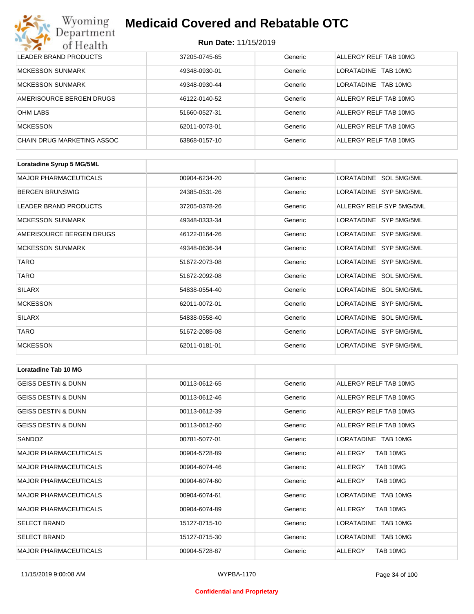#### **Run Date:** 11/15/2019

| Wyoming<br><b>Medicaid Covered and Rebatable OTC</b><br>Department |                             |         |                        |  |  |
|--------------------------------------------------------------------|-----------------------------|---------|------------------------|--|--|
| of Health                                                          | <b>Run Date: 11/15/2019</b> |         |                        |  |  |
| <b>LEADER BRAND PRODUCTS</b>                                       | 37205-0745-65               | Generic | ALLERGY RELF TAB 10MG  |  |  |
| <b>MCKESSON SUNMARK</b>                                            | 49348-0930-01               | Generic | LORATADINE<br>TAB 10MG |  |  |
| <b>MCKESSON SUNMARK</b>                                            | 49348-0930-44               | Generic | LORATADINE<br>TAB 10MG |  |  |
| AMERISOURCE BERGEN DRUGS                                           | 46122-0140-52               | Generic | ALLERGY RELF TAB 10MG  |  |  |
| <b>OHM LABS</b>                                                    | 51660-0527-31               | Generic | ALLERGY RELF TAB 10MG  |  |  |
| <b>MCKESSON</b>                                                    | 62011-0073-01               | Generic | ALLERGY RELF TAB 10MG  |  |  |
| CHAIN DRUG MARKETING ASSOC                                         | 63868-0157-10               | Generic | ALLERGY RELF TAB 10MG  |  |  |

| Loratadine Syrup 5 MG/5ML    |               |         |                          |
|------------------------------|---------------|---------|--------------------------|
| <b>MAJOR PHARMACEUTICALS</b> | 00904-6234-20 | Generic | LORATADINE SOL 5MG/5ML   |
| <b>BERGEN BRUNSWIG</b>       | 24385-0531-26 | Generic | LORATADINE SYP 5MG/5ML   |
| <b>LEADER BRAND PRODUCTS</b> | 37205-0378-26 | Generic | ALLERGY RELF SYP 5MG/5ML |
| <b>MCKESSON SUNMARK</b>      | 49348-0333-34 | Generic | LORATADINE SYP 5MG/5ML   |
| AMERISOURCE BERGEN DRUGS     | 46122-0164-26 | Generic | LORATADINE SYP 5MG/5ML   |
| <b>MCKESSON SUNMARK</b>      | 49348-0636-34 | Generic | LORATADINE SYP 5MG/5ML   |
| <b>TARO</b>                  | 51672-2073-08 | Generic | LORATADINE SYP 5MG/5ML   |
| <b>TARO</b>                  | 51672-2092-08 | Generic | LORATADINE SOL 5MG/5ML   |
| <b>SILARX</b>                | 54838-0554-40 | Generic | LORATADINE SOL 5MG/5ML   |
| <b>MCKESSON</b>              | 62011-0072-01 | Generic | LORATADINE SYP 5MG/5ML   |
| <b>SILARX</b>                | 54838-0558-40 | Generic | LORATADINE SOL 5MG/5ML   |
| <b>TARO</b>                  | 51672-2085-08 | Generic | LORATADINE SYP 5MG/5ML   |
| <b>MCKESSON</b>              | 62011-0181-01 | Generic | LORATADINE SYP 5MG/5ML   |

| <b>Loratadine Tab 10 MG</b>    |               |         |                       |
|--------------------------------|---------------|---------|-----------------------|
| <b>GEISS DESTIN &amp; DUNN</b> | 00113-0612-65 | Generic | ALLERGY RELF TAB 10MG |
| <b>GEISS DESTIN &amp; DUNN</b> | 00113-0612-46 | Generic | ALLERGY RELF TAB 10MG |
| <b>GEISS DESTIN &amp; DUNN</b> | 00113-0612-39 | Generic | ALLERGY RELF TAB 10MG |
| <b>GEISS DESTIN &amp; DUNN</b> | 00113-0612-60 | Generic | ALLERGY RELF TAB 10MG |
| SANDOZ                         | 00781-5077-01 | Generic | LORATADINE TAB 10MG   |
| <b>MAJOR PHARMACEUTICALS</b>   | 00904-5728-89 | Generic | TAB 10MG<br>ALLERGY   |
| <b>MAJOR PHARMACEUTICALS</b>   | 00904-6074-46 | Generic | ALLERGY<br>TAB 10MG   |
| <b>MAJOR PHARMACEUTICALS</b>   | 00904-6074-60 | Generic | ALLERGY<br>TAB 10MG   |
| <b>MAJOR PHARMACEUTICALS</b>   | 00904-6074-61 | Generic | LORATADINE TAB 10MG   |
| <b>MAJOR PHARMACEUTICALS</b>   | 00904-6074-89 | Generic | TAB 10MG<br>ALLERGY   |
| <b>SELECT BRAND</b>            | 15127-0715-10 | Generic | LORATADINE TAB 10MG   |
| <b>SELECT BRAND</b>            | 15127-0715-30 | Generic | LORATADINE TAB 10MG   |
| <b>MAJOR PHARMACEUTICALS</b>   | 00904-5728-87 | Generic | ALLERGY<br>TAB 10MG   |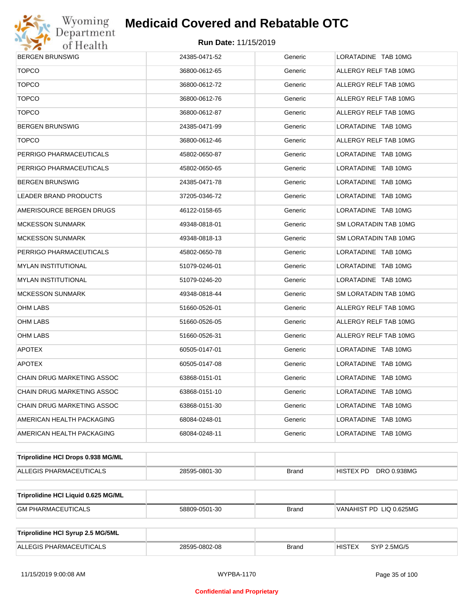

| <b>BERGEN BRUNSWIG</b>              | 24385-0471-52 | Generic      | LORATADINE TAB 10MG          |  |  |
|-------------------------------------|---------------|--------------|------------------------------|--|--|
| <b>TOPCO</b>                        | 36800-0612-65 | Generic      | ALLERGY RELF TAB 10MG        |  |  |
| <b>TOPCO</b>                        | 36800-0612-72 | Generic      | ALLERGY RELF TAB 10MG        |  |  |
| <b>TOPCO</b>                        | 36800-0612-76 | Generic      | ALLERGY RELF TAB 10MG        |  |  |
| <b>TOPCO</b>                        | 36800-0612-87 | Generic      | ALLERGY RELF TAB 10MG        |  |  |
| <b>BERGEN BRUNSWIG</b>              | 24385-0471-99 | Generic      | LORATADINE TAB 10MG          |  |  |
| <b>TOPCO</b>                        | 36800-0612-46 | Generic      | ALLERGY RELF TAB 10MG        |  |  |
| PERRIGO PHARMACEUTICALS             | 45802-0650-87 | Generic      | LORATADINE TAB 10MG          |  |  |
| PERRIGO PHARMACEUTICALS             | 45802-0650-65 | Generic      | LORATADINE TAB 10MG          |  |  |
| <b>BERGEN BRUNSWIG</b>              | 24385-0471-78 | Generic      | LORATADINE TAB 10MG          |  |  |
| LEADER BRAND PRODUCTS               | 37205-0346-72 | Generic      | LORATADINE TAB 10MG          |  |  |
| AMERISOURCE BERGEN DRUGS            | 46122-0158-65 | Generic      | LORATADINE TAB 10MG          |  |  |
| <b>MCKESSON SUNMARK</b>             | 49348-0818-01 | Generic      | SM LORATADIN TAB 10MG        |  |  |
| <b>MCKESSON SUNMARK</b>             | 49348-0818-13 | Generic      | SM LORATADIN TAB 10MG        |  |  |
| PERRIGO PHARMACEUTICALS             | 45802-0650-78 | Generic      | LORATADINE TAB 10MG          |  |  |
| <b>MYLAN INSTITUTIONAL</b>          | 51079-0246-01 | Generic      | LORATADINE TAB 10MG          |  |  |
| <b>MYLAN INSTITUTIONAL</b>          | 51079-0246-20 | Generic      | LORATADINE TAB 10MG          |  |  |
| <b>MCKESSON SUNMARK</b>             | 49348-0818-44 | Generic      | SM LORATADIN TAB 10MG        |  |  |
| OHM LABS                            | 51660-0526-01 | Generic      | ALLERGY RELF TAB 10MG        |  |  |
| OHM LABS                            | 51660-0526-05 | Generic      | ALLERGY RELF TAB 10MG        |  |  |
| OHM LABS                            | 51660-0526-31 | Generic      | ALLERGY RELF TAB 10MG        |  |  |
| <b>APOTEX</b>                       | 60505-0147-01 | Generic      | LORATADINE TAB 10MG          |  |  |
| <b>APOTEX</b>                       | 60505-0147-08 | Generic      | LORATADINE TAB 10MG          |  |  |
| <b>CHAIN DRUG MARKETING ASSOC</b>   | 63868-0151-01 | Generic      | LORATADINE TAB 10MG          |  |  |
| CHAIN DRUG MARKETING ASSOC          | 63868-0151-10 | Generic      | LORATADINE TAB 10MG          |  |  |
| CHAIN DRUG MARKETING ASSOC          | 63868-0151-30 | Generic      | LORATADINE TAB 10MG          |  |  |
| AMERICAN HEALTH PACKAGING           | 68084-0248-01 | Generic      | LORATADINE TAB 10MG          |  |  |
| AMERICAN HEALTH PACKAGING           | 68084-0248-11 | Generic      | LORATADINE TAB 10MG          |  |  |
| Triprolidine HCI Drops 0.938 MG/ML  |               |              |                              |  |  |
| ALLEGIS PHARMACEUTICALS             | 28595-0801-30 | <b>Brand</b> | DRO 0.938MG<br>HISTEX PD     |  |  |
|                                     |               |              |                              |  |  |
| Triprolidine HCI Liquid 0.625 MG/ML |               |              |                              |  |  |
| <b>GM PHARMACEUTICALS</b>           | 58809-0501-30 | <b>Brand</b> | VANAHIST PD LIQ 0.625MG      |  |  |
|                                     |               |              |                              |  |  |
| Triprolidine HCI Syrup 2.5 MG/5ML   |               |              |                              |  |  |
| ALLEGIS PHARMACEUTICALS             | 28595-0802-08 | <b>Brand</b> | <b>HISTEX</b><br>SYP 2.5MG/5 |  |  |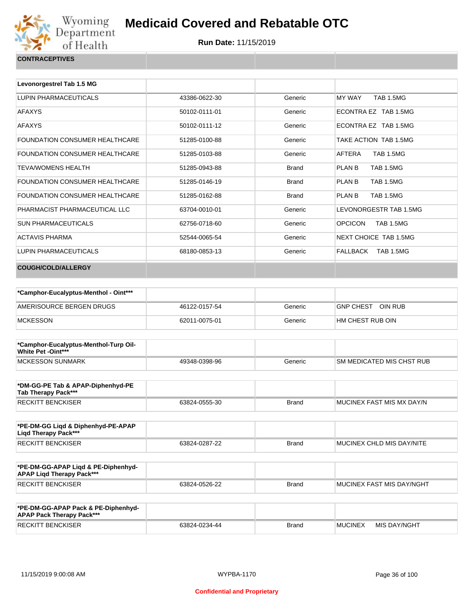

| Levonorgestrel Tab 1.5 MG             |               |              |                                   |
|---------------------------------------|---------------|--------------|-----------------------------------|
| LUPIN PHARMACEUTICALS                 | 43386-0622-30 | Generic      | <b>TAB 1.5MG</b><br>MY WAY        |
| <b>AFAXYS</b>                         | 50102-0111-01 | Generic      | ECONTRA EZ TAB 1.5MG              |
| <b>AFAXYS</b>                         | 50102-0111-12 | Generic      | ECONTRA EZ TAB 1.5MG              |
| <b>FOUNDATION CONSUMER HEALTHCARE</b> | 51285-0100-88 | Generic      | TAKE ACTION TAB 1.5MG             |
| <b>FOUNDATION CONSUMER HEALTHCARE</b> | 51285-0103-88 | Generic      | AFTERA<br><b>TAB 1.5MG</b>        |
| <b>TEVA/WOMENS HEALTH</b>             | 51285-0943-88 | <b>Brand</b> | <b>PLAN B</b><br><b>TAB 1.5MG</b> |
| <b>FOUNDATION CONSUMER HEALTHCARE</b> | 51285-0146-19 | <b>Brand</b> | <b>PLAN B</b><br><b>TAB 1.5MG</b> |
| <b>FOUNDATION CONSUMER HEALTHCARE</b> | 51285-0162-88 | <b>Brand</b> | <b>PLAN B</b><br><b>TAB 1.5MG</b> |
| PHARMACIST PHARMACEUTICAL LLC         | 63704-0010-01 | Generic      | LEVONORGESTR TAB 1.5MG            |
| <b>SUN PHARMACEUTICALS</b>            | 62756-0718-60 | Generic      | <b>OPCICON</b><br>TAB 1.5MG       |
| <b>ACTAVIS PHARMA</b>                 | 52544-0065-54 | Generic      | NEXT CHOICE TAB 1.5MG             |
| LUPIN PHARMACEUTICALS                 | 68180-0853-13 | Generic      | TAB 1.5MG<br>FALLBACK             |
| <b>COUGH/COLD/ALLERGY</b>             |               |              |                                   |

| *Camphor-Eucalyptus-Menthol - Oint*** |               |         |                             |
|---------------------------------------|---------------|---------|-----------------------------|
| AMERISOURCE BERGEN DRUGS              | 46122-0157-54 | Generic | OIN RUB<br><b>GNP CHEST</b> |
| <b>MCKESSON</b>                       | 62011-0075-01 | Generic | HM CHEST RUB OIN            |

| *Camphor-Eucalyptus-Menthol-Turp Oil-<br>White Pet -Oint*** |               |         |                           |
|-------------------------------------------------------------|---------------|---------|---------------------------|
| <b>IMCKESSON SUNMARK</b>                                    | 49348-0398-96 | Generic | SM MEDICATED MIS CHST RUB |

| *DM-GG-PE Tab & APAP-Diphenhyd-PE<br>Tab Therapy Pack*** |               |       |                            |
|----------------------------------------------------------|---------------|-------|----------------------------|
| RECKITT BENCKISER                                        | 63824-0555-30 | Brand | IMUCINEX FAST MIS MX DAY/N |

| *PE-DM-GG Ligd & Diphenhyd-PE-APAP<br>Ligd Therapy Pack*** |               |       |                           |
|------------------------------------------------------------|---------------|-------|---------------------------|
| <b>RECKITT BENCKISER</b>                                   | 63824-0287-22 | Brand | MUCINEX CHLD MIS DAY/NITE |

| *PE-DM-GG-APAP Ligd & PE-Diphenhyd-<br><b>APAP Ligd Therapy Pack***</b> |               |       |                                   |
|-------------------------------------------------------------------------|---------------|-------|-----------------------------------|
| RECKITT BENCKISER                                                       | 63824-0526-22 | Brand | <b>IMUCINEX FAST MIS DAY/NGHT</b> |

| *PE-DM-GG-APAP Pack & PE-Diphenhyd-<br><b>APAP Pack Therapy Pack***</b> |               |       |                |              |
|-------------------------------------------------------------------------|---------------|-------|----------------|--------------|
| <b>RECKITT BENCKISER</b>                                                | 63824-0234-44 | Brand | <b>MUCINEX</b> | MIS DAY/NGHT |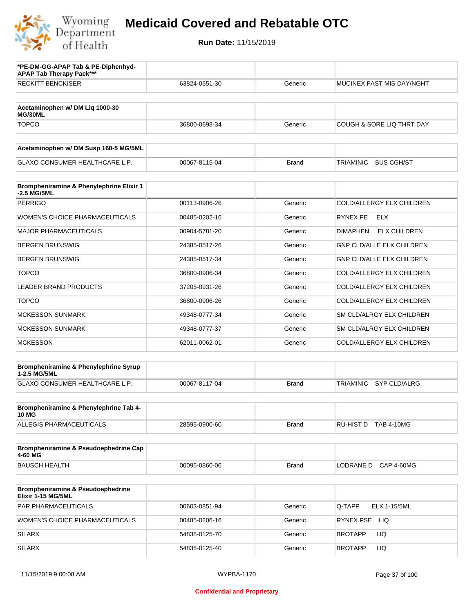

| *PE-DM-GG-APAP Tab & PE-Diphenhyd-<br><b>APAP Tab Therapy Pack***</b> |               |              |                                         |
|-----------------------------------------------------------------------|---------------|--------------|-----------------------------------------|
| <b>RECKITT BENCKISER</b>                                              | 63824-0551-30 | Generic      | MUCINEX FAST MIS DAY/NGHT               |
| Acetaminophen w/ DM Liq 1000-30<br>MG/30ML                            |               |              |                                         |
| <b>TOPCO</b>                                                          | 36800-0698-34 | Generic      | COUGH & SORE LIQ THRT DAY               |
| Acetaminophen w/ DM Susp 160-5 MG/5ML                                 |               |              |                                         |
| <b>GLAXO CONSUMER HEALTHCARE L.P.</b>                                 | 00067-8115-04 | <b>Brand</b> | <b>TRIAMINIC</b><br>SUS CGH/ST          |
| Brompheniramine & Phenylephrine Elixir 1<br>-2.5 MG/5ML               |               |              |                                         |
| <b>PERRIGO</b>                                                        | 00113-0906-26 | Generic      | COLD/ALLERGY ELX CHILDREN               |
| <b>WOMEN'S CHOICE PHARMACEUTICALS</b>                                 | 00485-0202-16 | Generic      | RYNEX PE<br>ELX                         |
| <b>MAJOR PHARMACEUTICALS</b>                                          | 00904-5781-20 | Generic      | <b>ELX CHILDREN</b><br><b>DIMAPHEN</b>  |
| <b>BERGEN BRUNSWIG</b>                                                | 24385-0517-26 | Generic      | <b>GNP CLD/ALLE ELX CHILDREN</b>        |
| <b>BERGEN BRUNSWIG</b>                                                | 24385-0517-34 | Generic      | <b>GNP CLD/ALLE ELX CHILDREN</b>        |
| <b>TOPCO</b>                                                          | 36800-0906-34 | Generic      | COLD/ALLERGY ELX CHILDREN               |
| <b>LEADER BRAND PRODUCTS</b>                                          | 37205-0931-26 | Generic      | COLD/ALLERGY ELX CHILDREN               |
| <b>TOPCO</b>                                                          | 36800-0906-26 | Generic      | COLD/ALLERGY ELX CHILDREN               |
| <b>MCKESSON SUNMARK</b>                                               | 49348-0777-34 | Generic      | SM CLD/ALRGY ELX CHILDREN               |
| <b>MCKESSON SUNMARK</b>                                               | 49348-0777-37 | Generic      | SM CLD/ALRGY ELX CHILDREN               |
| <b>MCKESSON</b>                                                       | 62011-0062-01 | Generic      | COLD/ALLERGY ELX CHILDREN               |
| Brompheniramine & Phenylephrine Syrup                                 |               |              |                                         |
| 1-2.5 MG/5ML<br><b>GLAXO CONSUMER HEALTHCARE L.P.</b>                 | 00067-8117-04 | <b>Brand</b> | <b>SYP CLD/ALRG</b><br><b>TRIAMINIC</b> |
|                                                                       |               |              |                                         |
| Brompheniramine & Phenylephrine Tab 4-<br><b>10 MG</b>                |               |              |                                         |
| ALLEGIS PHARMACEUTICALS                                               | 28595-0900-60 | <b>Brand</b> | RU-HIST D TAB 4-10MG                    |
| Brompheniramine & Pseudoephedrine Cap<br>4-60 MG                      |               |              |                                         |
| <b>BAUSCH HEALTH</b>                                                  | 00095-0860-06 | <b>Brand</b> | LODRANE D CAP 4-60MG                    |
| <b>Brompheniramine &amp; Pseudoephedrine</b><br>Elixir 1-15 MG/5ML    |               |              |                                         |
| PAR PHARMACEUTICALS                                                   | 00603-0851-94 | Generic      | ELX 1-15/5ML<br>Q-TAPP                  |
| WOMEN'S CHOICE PHARMACEUTICALS                                        | 00485-0206-16 | Generic      | RYNEX PSE<br>LIQ                        |
| <b>SILARX</b>                                                         | 54838-0125-70 | Generic      | <b>BROTAPP</b><br>LIQ.                  |
| <b>SILARX</b>                                                         | 54838-0125-40 | Generic      | LIQ<br><b>BROTAPP</b>                   |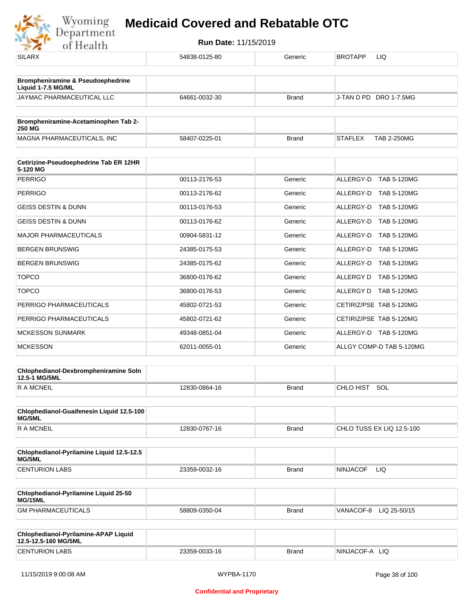

| <b>SILARX</b>                                                | 54838-0125-80 | Generic      | <b>BROTAPP</b><br>LIQ                |
|--------------------------------------------------------------|---------------|--------------|--------------------------------------|
| <b>Brompheniramine &amp; Pseudoephedrine</b>                 |               |              |                                      |
| Liquid 1-7.5 MG/ML                                           |               |              |                                      |
| JAYMAC PHARMACEUTICAL LLC                                    | 64661-0032-30 | <b>Brand</b> | J-TAN D PD DRO 1-7.5MG               |
| Brompheniramine-Acetaminophen Tab 2-<br>250 MG               |               |              |                                      |
| MAGNA PHARMACEUTICALS, INC                                   | 58407-0225-01 | <b>Brand</b> | <b>STAFLEX</b><br><b>TAB 2-250MG</b> |
| Cetirizine-Pseudoephedrine Tab ER 12HR                       |               |              |                                      |
| 5-120 MG<br><b>PERRIGO</b>                                   | 00113-2176-53 | Generic      | ALLERGY-D TAB 5-120MG                |
|                                                              |               |              |                                      |
| <b>PERRIGO</b>                                               | 00113-2176-62 | Generic      | ALLERGY-D TAB 5-120MG                |
| <b>GEISS DESTIN &amp; DUNN</b>                               | 00113-0176-53 | Generic      | ALLERGY-D TAB 5-120MG                |
| GEISS DESTIN & DUNN                                          | 00113-0176-62 | Generic      | ALLERGY-D TAB 5-120MG                |
| <b>MAJOR PHARMACEUTICALS</b>                                 | 00904-5831-12 | Generic      | ALLERGY-D TAB 5-120MG                |
| <b>BERGEN BRUNSWIG</b>                                       | 24385-0175-53 | Generic      | ALLERGY-D TAB 5-120MG                |
| <b>BERGEN BRUNSWIG</b>                                       | 24385-0175-62 | Generic      | ALLERGY-D TAB 5-120MG                |
| <b>TOPCO</b>                                                 | 36800-0176-62 | Generic      | ALLERGY D TAB 5-120MG                |
| <b>TOPCO</b>                                                 | 36800-0176-53 | Generic      | ALLERGY D<br>TAB 5-120MG             |
| PERRIGO PHARMACEUTICALS                                      | 45802-0721-53 | Generic      | CETIRIZ/PSE TAB 5-120MG              |
| PERRIGO PHARMACEUTICALS                                      | 45802-0721-62 | Generic      | CETIRIZ/PSE TAB 5-120MG              |
| <b>MCKESSON SUNMARK</b>                                      | 49348-0851-04 | Generic      | ALLERGY-D TAB 5-120MG                |
| <b>MCKESSON</b>                                              | 62011-0055-01 | Generic      | ALLGY COMP-D TAB 5-120MG             |
| Chlophedianol-Dexbrompheniramine Soln                        |               |              |                                      |
| 12.5-1 MG/5ML<br>R A MCNEIL                                  | 12830-0864-16 | <b>Brand</b> | CHLO HIST SOL                        |
|                                                              |               |              |                                      |
| Chlophedianol-Guaifenesin Liquid 12.5-100<br>MG/5ML          |               |              |                                      |
| <b>RAMCNEIL</b>                                              | 12830-0767-16 | <b>Brand</b> | CHLO TUSS EX LIQ 12.5-100            |
| Chlophedianol-Pyrilamine Liquid 12.5-12.5<br>MG/5ML          |               |              |                                      |
| <b>CENTURION LABS</b>                                        | 23359-0032-16 | <b>Brand</b> | <b>NINJACOF</b><br>LIQ.              |
| Chlophedianol-Pyrilamine Liquid 25-50                        |               |              |                                      |
| MG/15ML<br><b>GM PHARMACEUTICALS</b>                         | 58809-0350-04 | <b>Brand</b> | VANACOF-8<br>LIQ 25-50/15            |
|                                                              |               |              |                                      |
| Chlophedianol-Pyrilamine-APAP Liquid<br>12.5-12.5-160 MG/5ML |               |              |                                      |
| <b>CENTURION LABS</b>                                        | 23359-0033-16 | <b>Brand</b> | NINJACOF-A LIQ                       |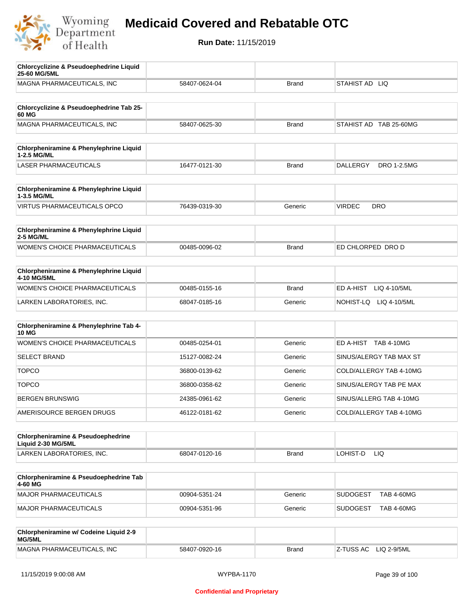

| <b>Chlorcyclizine &amp; Pseudoephedrine Liquid</b><br>25-60 MG/5ML  |               |              |                                       |
|---------------------------------------------------------------------|---------------|--------------|---------------------------------------|
| MAGNA PHARMACEUTICALS, INC                                          | 58407-0624-04 | <b>Brand</b> | STAHIST AD LIQ                        |
|                                                                     |               |              |                                       |
| Chlorcyclizine & Pseudoephedrine Tab 25-<br>60 MG                   |               |              |                                       |
| MAGNA PHARMACEUTICALS, INC                                          | 58407-0625-30 | <b>Brand</b> | STAHIST AD TAB 25-60MG                |
| Chlorpheniramine & Phenylephrine Liquid<br>1-2.5 MG/ML              |               |              |                                       |
| LASER PHARMACEUTICALS                                               | 16477-0121-30 | <b>Brand</b> | <b>DALLERGY</b><br><b>DRO 1-2.5MG</b> |
| Chlorpheniramine & Phenylephrine Liquid<br>1-3.5 MG/ML              |               |              |                                       |
| <b>VIRTUS PHARMACEUTICALS OPCO</b>                                  | 76439-0319-30 | Generic      | <b>VIRDEC</b><br><b>DRO</b>           |
| Chlorpheniramine & Phenylephrine Liquid<br>2-5 MG/ML                |               |              |                                       |
| <b>WOMEN'S CHOICE PHARMACEUTICALS</b>                               | 00485-0096-02 | <b>Brand</b> | ED CHLORPED DRO D                     |
| Chlorpheniramine & Phenylephrine Liquid<br>4-10 MG/5ML              |               |              |                                       |
| WOMEN'S CHOICE PHARMACEUTICALS                                      | 00485-0155-16 | <b>Brand</b> | ED A-HIST<br>LIQ 4-10/5ML             |
| LARKEN LABORATORIES, INC.                                           | 68047-0185-16 | Generic      | NOHIST-LQ<br>LIQ 4-10/5ML             |
| Chlorpheniramine & Phenylephrine Tab 4-<br><b>10 MG</b>             |               |              |                                       |
| <b>WOMEN'S CHOICE PHARMACEUTICALS</b>                               | 00485-0254-01 | Generic      | ED A-HIST TAB 4-10MG                  |
| <b>SELECT BRAND</b>                                                 | 15127-0082-24 | Generic      | SINUS/ALERGY TAB MAX ST               |
| <b>TOPCO</b>                                                        | 36800-0139-62 | Generic      | COLD/ALLERGY TAB 4-10MG               |
| <b>TOPCO</b>                                                        | 36800-0358-62 | Generic      | SINUS/ALERGY TAB PE MAX               |
| <b>BERGEN BRUNSWIG</b>                                              | 24385-0961-62 | Generic      | SINUS/ALLERG TAB 4-10MG               |
| AMERISOURCE BERGEN DRUGS                                            | 46122-0181-62 | Generic      | COLD/ALLERGY TAB 4-10MG               |
| <b>Chlorpheniramine &amp; Pseudoephedrine</b><br>Liquid 2-30 MG/5ML |               |              |                                       |
| LARKEN LABORATORIES, INC.                                           | 68047-0120-16 | <b>Brand</b> | LOHIST-D<br>LIQ                       |
| Chlorpheniramine & Pseudoephedrine Tab<br>4-60 MG                   |               |              |                                       |
| <b>MAJOR PHARMACEUTICALS</b>                                        | 00904-5351-24 | Generic      | <b>SUDOGEST</b><br><b>TAB 4-60MG</b>  |
| <b>MAJOR PHARMACEUTICALS</b>                                        | 00904-5351-96 | Generic      | <b>SUDOGEST</b><br><b>TAB 4-60MG</b>  |
| Chlorpheniramine w/ Codeine Liquid 2-9<br>MG/5ML                    |               |              |                                       |
| MAGNA PHARMACEUTICALS, INC                                          | 58407-0920-16 | <b>Brand</b> | Z-TUSS AC<br>LIQ 2-9/5ML              |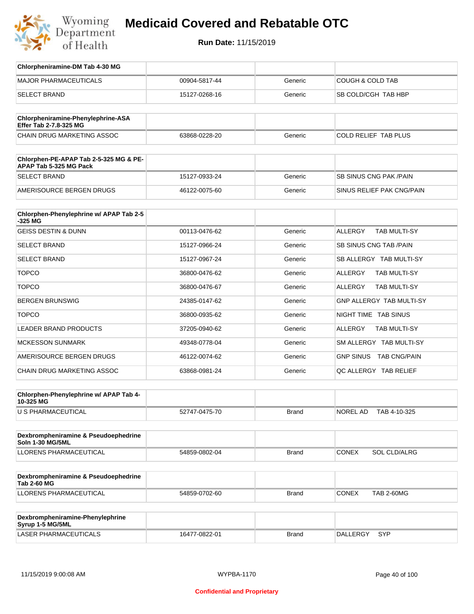

| Chlorpheniramine-DM Tab 4-30 MG                                  |               |              |                                |
|------------------------------------------------------------------|---------------|--------------|--------------------------------|
| <b>MAJOR PHARMACEUTICALS</b>                                     | 00904-5817-44 | Generic      | COUGH & COLD TAB               |
| <b>SELECT BRAND</b>                                              | 15127-0268-16 | Generic      | SB COLD/CGH TAB HBP            |
| Chlorpheniramine-Phenylephrine-ASA<br>Effer Tab 2-7.8-325 MG     |               |              |                                |
| CHAIN DRUG MARKETING ASSOC                                       | 63868-0228-20 | Generic      | COLD RELIEF TAB PLUS           |
| Chlorphen-PE-APAP Tab 2-5-325 MG & PE-<br>APAP Tab 5-325 MG Pack |               |              |                                |
| <b>SELECT BRAND</b>                                              | 15127-0933-24 | Generic      | SB SINUS CNG PAK / PAIN        |
| AMERISOURCE BERGEN DRUGS                                         | 46122-0075-60 | Generic      | SINUS RELIEF PAK CNG/PAIN      |
| Chlorphen-Phenylephrine w/ APAP Tab 2-5<br>-325 MG               |               |              |                                |
| <b>GEISS DESTIN &amp; DUNN</b>                                   | 00113-0476-62 | Generic      | <b>ALLERGY</b><br>TAB MULTI-SY |
| <b>SELECT BRAND</b>                                              | 15127-0966-24 | Generic      | SB SINUS CNG TAB / PAIN        |
| <b>SELECT BRAND</b>                                              | 15127-0967-24 | Generic      | SB ALLERGY TAB MULTI-SY        |
| <b>TOPCO</b>                                                     | 36800-0476-62 | Generic      | ALLERGY<br>TAB MULTI-SY        |
| <b>TOPCO</b>                                                     | 36800-0476-67 | Generic      | ALLERGY<br>TAB MULTI-SY        |
| <b>BERGEN BRUNSWIG</b>                                           | 24385-0147-62 | Generic      | GNP ALLERGY TAB MULTI-SY       |
| <b>TOPCO</b>                                                     | 36800-0935-62 | Generic      | NIGHT TIME TAB SINUS           |
| LEADER BRAND PRODUCTS                                            | 37205-0940-62 | Generic      | ALLERGY<br>TAB MULTI-SY        |
| <b>MCKESSON SUNMARK</b>                                          | 49348-0778-04 | Generic      | SM ALLERGY TAB MULTI-SY        |
| AMERISOURCE BERGEN DRUGS                                         | 46122-0074-62 | Generic      | GNP SINUS TAB CNG/PAIN         |
| CHAIN DRUG MARKETING ASSOC                                       | 63868-0981-24 | Generic      | QC ALLERGY TAB RELIEF          |
| Chlorphen-Phenylephrine w/ APAP Tab 4-<br>10-325 MG              |               |              |                                |
| U S PHARMACEUTICAL                                               | 52747-0475-70 | <b>Brand</b> | NOREL AD<br>TAB 4-10-325       |
| Dexbrompheniramine & Pseudoephedrine<br><b>Soln 1-30 MG/5ML</b>  |               |              |                                |
| <b>LLORENS PHARMACEUTICAL</b>                                    | 54859-0802-04 | Brand        | <b>CONEX</b><br>SOL CLD/ALRG   |
| Dexbrompheniramine & Pseudoephedrine<br><b>Tab 2-60 MG</b>       |               |              |                                |
| LLORENS PHARMACEUTICAL                                           | 54859-0702-60 | <b>Brand</b> | CONEX<br><b>TAB 2-60MG</b>     |
| Dexbrompheniramine-Phenylephrine<br>Syrup 1-5 MG/5ML             |               |              |                                |
| LASER PHARMACEUTICALS                                            | 16477-0822-01 | <b>Brand</b> | DALLERGY SYP                   |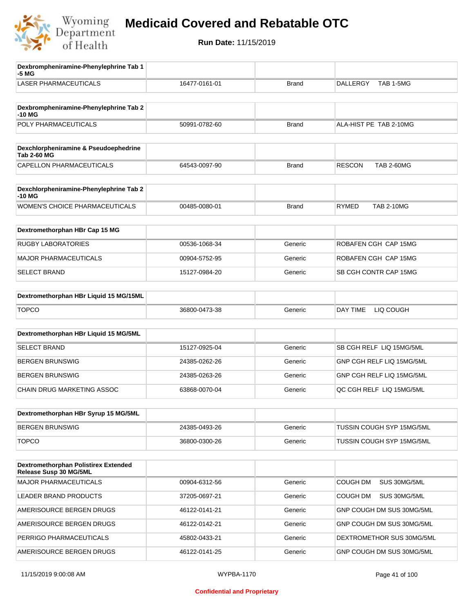

| Dexbrompheniramine-Phenylephrine Tab 1<br>-5 MG                |               |              |                                    |
|----------------------------------------------------------------|---------------|--------------|------------------------------------|
| <b>LASER PHARMACEUTICALS</b>                                   | 16477-0161-01 | <b>Brand</b> | <b>DALLERGY</b><br>TAB 1-5MG       |
| Dexbrompheniramine-Phenylephrine Tab 2<br>$-10M$               |               |              |                                    |
| POLY PHARMACEUTICALS                                           | 50991-0782-60 | <b>Brand</b> | ALA-HIST PE TAB 2-10MG             |
|                                                                |               |              |                                    |
| Dexchlorpheniramine & Pseudoephedrine<br><b>Tab 2-60 MG</b>    |               |              |                                    |
| CAPELLON PHARMACEUTICALS                                       | 64543-0097-90 | Brand        | <b>RESCON</b><br><b>TAB 2-60MG</b> |
| Dexchlorpheniramine-Phenylephrine Tab 2<br>-10 MG              |               |              |                                    |
| WOMEN'S CHOICE PHARMACEUTICALS                                 | 00485-0080-01 | <b>Brand</b> | <b>RYMED</b><br><b>TAB 2-10MG</b>  |
| Dextromethorphan HBr Cap 15 MG                                 |               |              |                                    |
| <b>RUGBY LABORATORIES</b>                                      | 00536-1068-34 | Generic      | ROBAFEN CGH CAP 15MG               |
| <b>MAJOR PHARMACEUTICALS</b>                                   | 00904-5752-95 | Generic      | ROBAFEN CGH CAP 15MG               |
| <b>SELECT BRAND</b>                                            | 15127-0984-20 | Generic      | SB CGH CONTR CAP 15MG              |
| Dextromethorphan HBr Liquid 15 MG/15ML                         |               |              |                                    |
| <b>TOPCO</b>                                                   | 36800-0473-38 | Generic      | DAY TIME<br>LIQ COUGH              |
| Dextromethorphan HBr Liquid 15 MG/5ML                          |               |              |                                    |
|                                                                |               |              |                                    |
| <b>SELECT BRAND</b>                                            | 15127-0925-04 | Generic      | SB CGH RELF LIQ 15MG/5ML           |
| <b>BERGEN BRUNSWIG</b>                                         | 24385-0262-26 | Generic      | GNP CGH RELF LIQ 15MG/5ML          |
| <b>BERGEN BRUNSWIG</b>                                         | 24385-0263-26 | Generic      | GNP CGH RELF LIQ 15MG/5ML          |
| CHAIN DRUG MARKETING ASSOC                                     | 63868-0070-04 | Generic      | QC CGH RELF LIQ 15MG/5ML           |
| Dextromethorphan HBr Syrup 15 MG/5ML                           |               |              |                                    |
| <b>BERGEN BRUNSWIG</b>                                         | 24385-0493-26 | Generic      | TUSSIN COUGH SYP 15MG/5ML          |
| <b>TOPCO</b>                                                   | 36800-0300-26 | Generic      | TUSSIN COUGH SYP 15MG/5ML          |
| Dextromethorphan Polistirex Extended<br>Release Susp 30 MG/5ML |               |              |                                    |
| <b>MAJOR PHARMACEUTICALS</b>                                   | 00904-6312-56 | Generic      | COUGH DM<br>SUS 30MG/5ML           |
| LEADER BRAND PRODUCTS                                          | 37205-0697-21 | Generic      | COUGH DM<br>SUS 30MG/5ML           |
| AMERISOURCE BERGEN DRUGS                                       | 46122-0141-21 | Generic      | GNP COUGH DM SUS 30MG/5ML          |
| AMERISOURCE BERGEN DRUGS                                       | 46122-0142-21 | Generic      | GNP COUGH DM SUS 30MG/5ML          |
| PERRIGO PHARMACEUTICALS                                        | 45802-0433-21 | Generic      | DEXTROMETHOR SUS 30MG/5ML          |
| AMERISOURCE BERGEN DRUGS                                       | 46122-0141-25 | Generic      | GNP COUGH DM SUS 30MG/5ML          |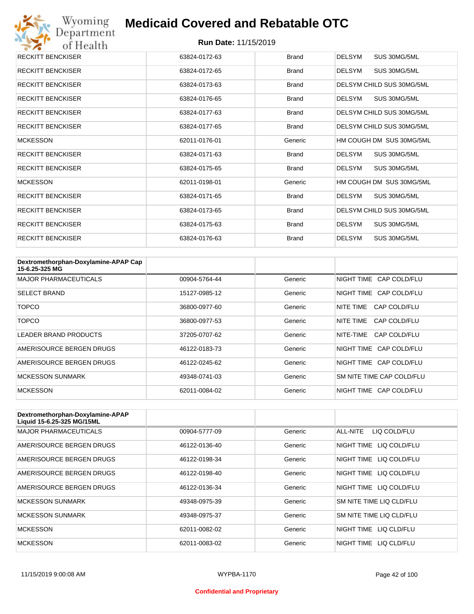

| <b>RECKITT BENCKISER</b> | 63824-0172-63 | <b>Brand</b> | <b>DELSYM</b><br>SUS 30MG/5ML |
|--------------------------|---------------|--------------|-------------------------------|
| <b>RECKITT BENCKISER</b> | 63824-0172-65 | <b>Brand</b> | SUS 30MG/5ML<br>DELSYM        |
| <b>RECKITT BENCKISER</b> | 63824-0173-63 | <b>Brand</b> | DELSYM CHILD SUS 30MG/5ML     |
| <b>RECKITT BENCKISER</b> | 63824-0176-65 | <b>Brand</b> | DELSYM<br>SUS 30MG/5ML        |
| <b>RECKITT BENCKISER</b> | 63824-0177-63 | <b>Brand</b> | DELSYM CHILD SUS 30MG/5ML     |
| <b>RECKITT BENCKISER</b> | 63824-0177-65 | <b>Brand</b> | DELSYM CHILD SUS 30MG/5ML     |
| <b>MCKESSON</b>          | 62011-0176-01 | Generic      | HM COUGH DM SUS 30MG/5ML      |
| <b>RECKITT BENCKISER</b> | 63824-0171-63 | <b>Brand</b> | <b>DELSYM</b><br>SUS 30MG/5ML |
| <b>RECKITT BENCKISER</b> | 63824-0175-65 | <b>Brand</b> | <b>DELSYM</b><br>SUS 30MG/5ML |
| <b>MCKESSON</b>          | 62011-0198-01 | Generic      | HM COUGH DM SUS 30MG/5ML      |
| <b>RECKITT BENCKISER</b> | 63824-0171-65 | <b>Brand</b> | DELSYM<br>SUS 30MG/5ML        |
| <b>RECKITT BENCKISER</b> | 63824-0173-65 | <b>Brand</b> | DELSYM CHILD SUS 30MG/5ML     |
| <b>RECKITT BENCKISER</b> | 63824-0175-63 | <b>Brand</b> | <b>DELSYM</b><br>SUS 30MG/5ML |
| <b>RECKITT BENCKISER</b> | 63824-0176-63 | <b>Brand</b> | <b>DELSYM</b><br>SUS 30MG/5ML |

| Dextromethorphan-Doxylamine-APAP Cap<br>15-6.25-325 MG |               |         |                           |
|--------------------------------------------------------|---------------|---------|---------------------------|
| <b>MAJOR PHARMACEUTICALS</b>                           | 00904-5764-44 | Generic | NIGHT TIME CAP COLD/FLU   |
| <b>SELECT BRAND</b>                                    | 15127-0985-12 | Generic | NIGHT TIME CAP COLD/FLU   |
| TOPCO                                                  | 36800-0977-60 | Generic | NITE TIME<br>CAP COLD/FLU |
| TOPCO                                                  | 36800-0977-53 | Generic | NITE TIME<br>CAP COLD/FLU |
| <b>LEADER BRAND PRODUCTS</b>                           | 37205-0707-62 | Generic | NITE-TIME<br>CAP COLD/FLU |
| AMERISOURCE BERGEN DRUGS                               | 46122-0183-73 | Generic | NIGHT TIME CAP COLD/FLU   |
| AMERISOURCE BERGEN DRUGS                               | 46122-0245-62 | Generic | NIGHT TIME CAP COLD/FLU   |
| <b>MCKESSON SUNMARK</b>                                | 49348-0741-03 | Generic | SM NITE TIME CAP COLD/FLU |
| <b>MCKESSON</b>                                        | 62011-0084-02 | Generic | NIGHT TIME CAP COLD/FLU   |

| Dextromethorphan-Doxylamine-APAP<br>Liquid 15-6.25-325 MG/15ML |               |         |                            |
|----------------------------------------------------------------|---------------|---------|----------------------------|
| <b>MAJOR PHARMACEUTICALS</b>                                   | 00904-5777-09 | Generic | ALL-NITE<br>LIQ COLD/FLU   |
| AMERISOURCE BERGEN DRUGS                                       | 46122-0136-40 | Generic | LIQ COLD/FLU<br>NIGHT TIME |
| AMERISOURCE BERGEN DRUGS                                       | 46122-0198-34 | Generic | NIGHT TIME<br>LIQ COLD/FLU |
| AMERISOURCE BERGEN DRUGS                                       | 46122-0198-40 | Generic | NIGHT TIME<br>LIQ COLD/FLU |
| AMERISOURCE BERGEN DRUGS                                       | 46122-0136-34 | Generic | NIGHT TIME LIQ COLD/FLU    |
| <b>MCKESSON SUNMARK</b>                                        | 49348-0975-39 | Generic | SM NITE TIME LIQ CLD/FLU   |
| <b>MCKESSON SUNMARK</b>                                        | 49348-0975-37 | Generic | SM NITE TIME LIQ CLD/FLU   |
| <b>MCKESSON</b>                                                | 62011-0082-02 | Generic | NIGHT TIME LIQ CLD/FLU     |
| <b>MCKESSON</b>                                                | 62011-0083-02 | Generic | NIGHT TIME<br>LIO CLD/FLU  |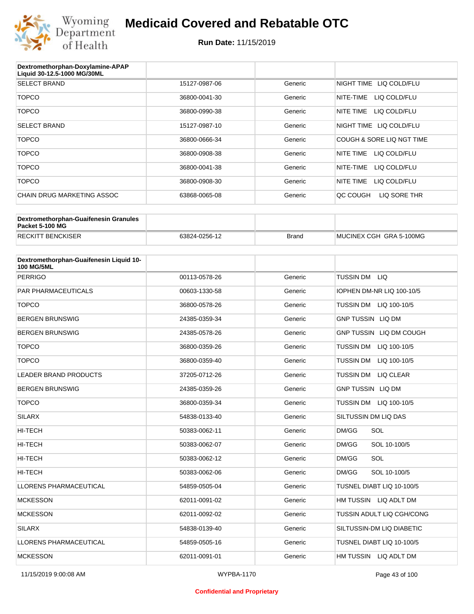

#### **Run Date:** 11/15/2019

| Dextromethorphan-Doxylamine-APAP<br>Liquid 30-12.5-1000 MG/30ML |               |         |                           |
|-----------------------------------------------------------------|---------------|---------|---------------------------|
| <b>SELECT BRAND</b>                                             | 15127-0987-06 | Generic | NIGHT TIME LIQ COLD/FLU   |
| <b>TOPCO</b>                                                    | 36800-0041-30 | Generic | NITE-TIME<br>LIQ COLD/FLU |
| <b>TOPCO</b>                                                    | 36800-0990-38 | Generic | LIQ COLD/FLU<br>NITE TIME |
| <b>SELECT BRAND</b>                                             | 15127-0987-10 | Generic | NIGHT TIME LIQ COLD/FLU   |
| <b>TOPCO</b>                                                    | 36800-0666-34 | Generic | COUGH & SORE LIQ NGT TIME |
| <b>TOPCO</b>                                                    | 36800-0908-38 | Generic | LIQ COLD/FLU<br>NITE TIME |
| <b>TOPCO</b>                                                    | 36800-0041-38 | Generic | NITE-TIME<br>LIQ COLD/FLU |
| <b>TOPCO</b>                                                    | 36800-0908-30 | Generic | NITE TIME<br>LIQ COLD/FLU |
| CHAIN DRUG MARKETING ASSOC                                      | 63868-0065-08 | Generic | LIQ SORE THR<br>OC COUGH  |

| Dextromethorphan-Guaifenesin Granules<br>Packet 5-100 MG |               |       |                         |
|----------------------------------------------------------|---------------|-------|-------------------------|
| <b>RECKITT BENCKISER</b>                                 | 63824-0256-12 | Brand | MUCINEX CGH GRA 5-100MG |

| Dextromethorphan-Guaifenesin Liquid 10-<br><b>100 MG/5ML</b> |               |         |                                  |
|--------------------------------------------------------------|---------------|---------|----------------------------------|
| <b>PERRIGO</b>                                               | 00113-0578-26 | Generic | <b>TUSSIN DM</b><br>LIQ.         |
| <b>PAR PHARMACEUTICALS</b>                                   | 00603-1330-58 | Generic | IOPHEN DM-NR LIQ 100-10/5        |
| <b>TOPCO</b>                                                 | 36800-0578-26 | Generic | <b>TUSSIN DM</b><br>LIQ 100-10/5 |
| <b>BERGEN BRUNSWIG</b>                                       | 24385-0359-34 | Generic | <b>GNP TUSSIN LIQ DM</b>         |
| <b>BERGEN BRUNSWIG</b>                                       | 24385-0578-26 | Generic | GNP TUSSIN LIQ DM COUGH          |
| <b>TOPCO</b>                                                 | 36800-0359-26 | Generic | <b>TUSSIN DM</b><br>LIQ 100-10/5 |
| <b>TOPCO</b>                                                 | 36800-0359-40 | Generic | <b>TUSSIN DM</b><br>LIQ 100-10/5 |
| <b>LEADER BRAND PRODUCTS</b>                                 | 37205-0712-26 | Generic | TUSSIN DM LIQ CLEAR              |
| <b>BERGEN BRUNSWIG</b>                                       | 24385-0359-26 | Generic | <b>GNP TUSSIN LIQ DM</b>         |
| <b>TOPCO</b>                                                 | 36800-0359-34 | Generic | <b>TUSSIN DM</b><br>LIQ 100-10/5 |
| <b>SILARX</b>                                                | 54838-0133-40 | Generic | SILTUSSIN DM LIQ DAS             |
| <b>HI-TECH</b>                                               | 50383-0062-11 | Generic | SOL<br>DM/GG                     |
| <b>HI-TECH</b>                                               | 50383-0062-07 | Generic | SOL 10-100/5<br>DM/GG            |
| <b>HI-TECH</b>                                               | 50383-0062-12 | Generic | DM/GG<br>SOL                     |
| <b>HI-TECH</b>                                               | 50383-0062-06 | Generic | DM/GG<br>SOL 10-100/5            |
| <b>LLORENS PHARMACEUTICAL</b>                                | 54859-0505-04 | Generic | TUSNEL DIABT LIQ 10-100/5        |
| <b>MCKESSON</b>                                              | 62011-0091-02 | Generic | HM TUSSIN LIQ ADLT DM            |
| <b>MCKESSON</b>                                              | 62011-0092-02 | Generic | TUSSIN ADULT LIQ CGH/CONG        |
| <b>SILARX</b>                                                | 54838-0139-40 | Generic | SILTUSSIN-DM LIQ DIABETIC        |
| <b>LLORENS PHARMACEUTICAL</b>                                | 54859-0505-16 | Generic | TUSNEL DIABT LIQ 10-100/5        |
| <b>MCKESSON</b>                                              | 62011-0091-01 | Generic | HM TUSSIN LIQ ADLT DM            |

#### **Confidential and Proprietary**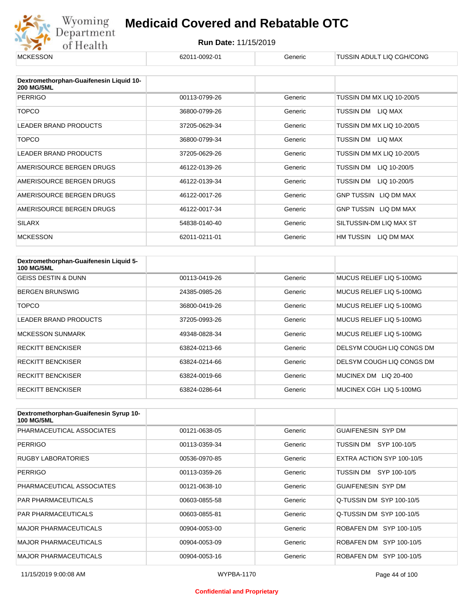

| <b>MCKESSON</b>                                              | 62011-0092-01 | Generic | TUSSIN ADULT LIQ CGH/CONG    |
|--------------------------------------------------------------|---------------|---------|------------------------------|
|                                                              |               |         |                              |
| Dextromethorphan-Guaifenesin Liquid 10-<br><b>200 MG/5ML</b> |               |         |                              |
| <b>PERRIGO</b>                                               | 00113-0799-26 | Generic | TUSSIN DM MX LIQ 10-200/5    |
| <b>TOPCO</b>                                                 | 36800-0799-26 | Generic | TUSSIN DM LIQ MAX            |
| <b>LEADER BRAND PRODUCTS</b>                                 | 37205-0629-34 | Generic | TUSSIN DM MX LIQ 10-200/5    |
| <b>TOPCO</b>                                                 | 36800-0799-34 | Generic | TUSSIN DM LIQ MAX            |
| <b>LEADER BRAND PRODUCTS</b>                                 | 37205-0629-26 | Generic | TUSSIN DM MX LIQ 10-200/5    |
| AMERISOURCE BERGEN DRUGS                                     | 46122-0139-26 | Generic | TUSSIN DM<br>LIQ 10-200/5    |
| AMERISOURCE BERGEN DRUGS                                     | 46122-0139-34 | Generic | TUSSIN DM<br>LIQ 10-200/5    |
| AMERISOURCE BERGEN DRUGS                                     | 46122-0017-26 | Generic | GNP TUSSIN LIQ DM MAX        |
| AMERISOURCE BERGEN DRUGS                                     | 46122-0017-34 | Generic | <b>GNP TUSSIN LIQ DM MAX</b> |
| <b>SILARX</b>                                                | 54838-0140-40 | Generic | SILTUSSIN-DM LIQ MAX ST      |
| <b>MCKESSON</b>                                              | 62011-0211-01 | Generic | HM TUSSIN LIQ DM MAX         |

| Dextromethorphan-Guaifenesin Liquid 5-<br><b>100 MG/5ML</b> |               |         |                           |
|-------------------------------------------------------------|---------------|---------|---------------------------|
| <b>GEISS DESTIN &amp; DUNN</b>                              | 00113-0419-26 | Generic | MUCUS RELIEF LIQ 5-100MG  |
| <b>BERGEN BRUNSWIG</b>                                      | 24385-0985-26 | Generic | MUCUS RELIEF LIQ 5-100MG  |
| TOPCO                                                       | 36800-0419-26 | Generic | MUCUS RELIEF LIQ 5-100MG  |
| LEADER BRAND PRODUCTS                                       | 37205-0993-26 | Generic | MUCUS RELIEF LIQ 5-100MG  |
| <b>MCKESSON SUNMARK</b>                                     | 49348-0828-34 | Generic | MUCUS RELIEF LIQ 5-100MG  |
| <b>RECKITT BENCKISER</b>                                    | 63824-0213-66 | Generic | DELSYM COUGH LIQ CONGS DM |
| <b>RECKITT BENCKISER</b>                                    | 63824-0214-66 | Generic | DELSYM COUGH LIQ CONGS DM |
| <b>RECKITT BENCKISER</b>                                    | 63824-0019-66 | Generic | MUCINEX DM LIQ 20-400     |
| <b>RECKITT BENCKISER</b>                                    | 63824-0286-64 | Generic | MUCINEX CGH LIQ 5-100MG   |

| Dextromethorphan-Guaifenesin Syrup 10-<br><b>100 MG/5ML</b> |               |         |                           |
|-------------------------------------------------------------|---------------|---------|---------------------------|
| PHARMACEUTICAL ASSOCIATES                                   | 00121-0638-05 | Generic | <b>GUAIFENESIN SYP DM</b> |
| <b>PERRIGO</b>                                              | 00113-0359-34 | Generic | TUSSIN DM SYP 100-10/5    |
| <b>RUGBY LABORATORIES</b>                                   | 00536-0970-85 | Generic | EXTRA ACTION SYP 100-10/5 |
| <b>PERRIGO</b>                                              | 00113-0359-26 | Generic | TUSSIN DM SYP 100-10/5    |
| PHARMACEUTICAL ASSOCIATES                                   | 00121-0638-10 | Generic | <b>GUAIFENESIN SYP DM</b> |
| <b>PAR PHARMACEUTICALS</b>                                  | 00603-0855-58 | Generic | Q-TUSSIN DM SYP 100-10/5  |
| <b>PAR PHARMACEUTICALS</b>                                  | 00603-0855-81 | Generic | Q-TUSSIN DM SYP 100-10/5  |
| <b>MAJOR PHARMACEUTICALS</b>                                | 00904-0053-00 | Generic | ROBAFEN DM SYP 100-10/5   |
| <b>MAJOR PHARMACEUTICALS</b>                                | 00904-0053-09 | Generic | ROBAFEN DM SYP 100-10/5   |
| <b>MAJOR PHARMACEUTICALS</b>                                | 00904-0053-16 | Generic | ROBAFEN DM SYP 100-10/5   |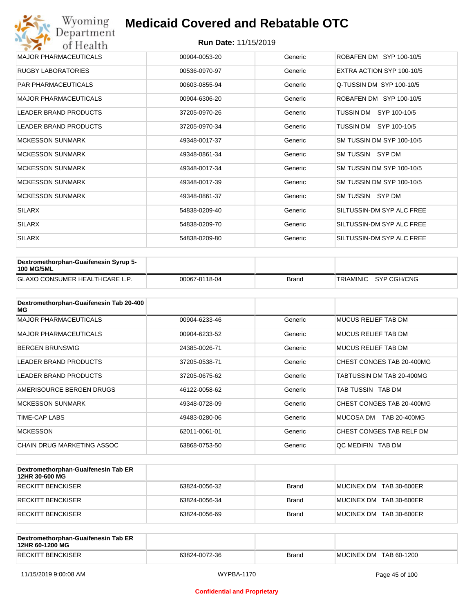| Wyoming<br>Department        | <b>Medicaid Covered and Rebatable OTC</b> |         |                           |
|------------------------------|-------------------------------------------|---------|---------------------------|
| of Health                    | <b>Run Date: 11/15/2019</b>               |         |                           |
| <b>MAJOR PHARMACEUTICALS</b> | 00904-0053-20                             | Generic | ROBAFEN DM SYP 100-10/5   |
| <b>RUGBY LABORATORIES</b>    | 00536-0970-97                             | Generic | EXTRA ACTION SYP 100-10/5 |
| <b>PAR PHARMACEUTICALS</b>   | 00603-0855-94                             | Generic | Q-TUSSIN DM SYP 100-10/5  |
| <b>MAJOR PHARMACEUTICALS</b> | 00904-6306-20                             | Generic | ROBAFEN DM SYP 100-10/5   |
| <b>LEADER BRAND PRODUCTS</b> | 37205-0970-26                             | Generic | TUSSIN DM<br>SYP 100-10/5 |
| <b>LEADER BRAND PRODUCTS</b> | 37205-0970-34                             | Generic | TUSSIN DM<br>SYP 100-10/5 |
| <b>MCKESSON SUNMARK</b>      | 49348-0017-37                             | Generic | SM TUSSIN DM SYP 100-10/5 |
| <b>MCKESSON SUNMARK</b>      | 49348-0861-34                             | Generic | SM TUSSIN SYP DM          |
| <b>MCKESSON SUNMARK</b>      | 49348-0017-34                             | Generic | SM TUSSIN DM SYP 100-10/5 |
| <b>MCKESSON SUNMARK</b>      | 49348-0017-39                             | Generic | SM TUSSIN DM SYP 100-10/5 |
| <b>MCKESSON SUNMARK</b>      | 49348-0861-37                             | Generic | SM TUSSIN SYP DM          |
| <b>SILARX</b>                | 54838-0209-40                             | Generic | SILTUSSIN-DM SYP ALC FREE |
| <b>SILARX</b>                | 54838-0209-70                             | Generic | SILTUSSIN-DM SYP ALC FREE |
| <b>SILARX</b>                | 54838-0209-80                             | Generic | SILTUSSIN-DM SYP ALC FREE |

| <b>Dextromethorphan-Guaifenesin Syrup 5-</b><br>100 MG/5ML |               |       |                       |
|------------------------------------------------------------|---------------|-------|-----------------------|
| <b>GLAXO CONSUMER HEALTHCARE L.P.</b>                      | 00067-8118-04 | Brand | TRIAMINIC SYP CGH/CNG |

| Dextromethorphan-Guaifenesin Tab 20-400<br>MG |               |         |                            |
|-----------------------------------------------|---------------|---------|----------------------------|
| <b>MAJOR PHARMACEUTICALS</b>                  | 00904-6233-46 | Generic | <b>MUCUS RELIEF TAB DM</b> |
| <b>MAJOR PHARMACEUTICALS</b>                  | 00904-6233-52 | Generic | MUCUS RELIEF TAB DM        |
| <b>BERGEN BRUNSWIG</b>                        | 24385-0026-71 | Generic | MUCUS RELIEF TAB DM        |
| LEADER BRAND PRODUCTS                         | 37205-0538-71 | Generic | CHEST CONGES TAB 20-400MG  |
| LEADER BRAND PRODUCTS                         | 37205-0675-62 | Generic | TABTUSSIN DM TAB 20-400MG  |
| AMERISOURCE BERGEN DRUGS                      | 46122-0058-62 | Generic | TAB TUSSIN TAB DM          |
| <b>MCKESSON SUNMARK</b>                       | 49348-0728-09 | Generic | CHEST CONGES TAB 20-400MG  |
| TIME-CAP LABS                                 | 49483-0280-06 | Generic | MUCOSA DM<br>TAB 20-400MG  |
| <b>MCKESSON</b>                               | 62011-0061-01 | Generic | CHEST CONGES TAB RELF DM   |
| CHAIN DRUG MARKETING ASSOC                    | 63868-0753-50 | Generic | OC MEDIFIN TAB DM          |

| Dextromethorphan-Guaifenesin Tab ER<br>12HR 30-600 MG |               |              |                         |
|-------------------------------------------------------|---------------|--------------|-------------------------|
| RECKITT BENCKISER                                     | 63824-0056-32 | <b>Brand</b> | MUCINEX DM TAB 30-600ER |
| <b>IRECKITT BENCKISER</b>                             | 63824-0056-34 | <b>Brand</b> | MUCINEX DM TAB 30-600ER |
| <b>RECKITT BENCKISER</b>                              | 63824-0056-69 | <b>Brand</b> | MUCINEX DM TAB 30-600ER |

| Dextromethorphan-Guaifenesin Tab ER<br>12HR 60-1200 MG |               |       |                        |
|--------------------------------------------------------|---------------|-------|------------------------|
| <b>RECKITT BENCKISER</b>                               | 63824-0072-36 | Brand | MUCINEX DM TAB 60-1200 |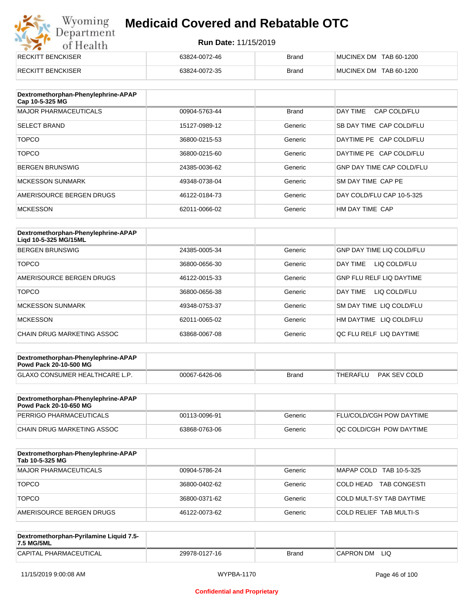# Wyoming<br>Department<br>of Health

# **Medicaid Covered and Rebatable OTC**

| <b>RECKITT BENCKISER</b> | 63824-0072-46 | <b>Brand</b> | MUCINEX DM TAB 60-1200 |
|--------------------------|---------------|--------------|------------------------|
| <b>RECKITT BENCKISER</b> | 63824-0072-35 | <b>Brand</b> | MUCINEX DM TAB 60-1200 |

| Dextromethorphan-Phenylephrine-APAP<br>Cap 10-5-325 MG |               |              |                                  |
|--------------------------------------------------------|---------------|--------------|----------------------------------|
| <b>MAJOR PHARMACEUTICALS</b>                           | 00904-5763-44 | <b>Brand</b> | DAY TIME<br>CAP COLD/FLU         |
| <b>SELECT BRAND</b>                                    | 15127-0989-12 | Generic      | SB DAY TIME CAP COLD/FLU         |
| <b>TOPCO</b>                                           | 36800-0215-53 | Generic      | DAYTIME PE CAP COLD/FLU          |
| <b>TOPCO</b>                                           | 36800-0215-60 | Generic      | DAYTIME PE CAP COLD/FLU          |
| <b>BERGEN BRUNSWIG</b>                                 | 24385-0036-62 | Generic      | <b>GNP DAY TIME CAP COLD/FLU</b> |
| <b>MCKESSON SUNMARK</b>                                | 49348-0738-04 | Generic      | SM DAY TIME CAP PE               |
| AMERISOURCE BERGEN DRUGS                               | 46122-0184-73 | Generic      | DAY COLD/FLU CAP 10-5-325        |
| <b>MCKESSON</b>                                        | 62011-0066-02 | Generic      | HM DAY TIME CAP                  |

| Dextromethorphan-Phenylephrine-APAP<br>Ligd 10-5-325 MG/15ML |               |         |                                 |
|--------------------------------------------------------------|---------------|---------|---------------------------------|
| <b>BERGEN BRUNSWIG</b>                                       | 24385-0005-34 | Generic | GNP DAY TIME LIQ COLD/FLU       |
| <b>TOPCO</b>                                                 | 36800-0656-30 | Generic | LIQ COLD/FLU<br>DAY TIME        |
| AMERISOURCE BERGEN DRUGS                                     | 46122-0015-33 | Generic | <b>GNP FLU RELF LIQ DAYTIME</b> |
| <b>TOPCO</b>                                                 | 36800-0656-38 | Generic | LIQ COLD/FLU<br>DAY TIME        |
| <b>MCKESSON SUNMARK</b>                                      | 49348-0753-37 | Generic | <b>SM DAY TIME LIQ COLD/FLU</b> |
| <b>MCKESSON</b>                                              | 62011-0065-02 | Generic | HM DAYTIME LIQ COLD/FLU         |
| CHAIN DRUG MARKETING ASSOC                                   | 63868-0067-08 | Generic | OC FLU RELF LIO DAYTIME         |

| Dextromethorphan-Phenylephrine-APAP<br><b>Powd Pack 20-10-500 MG</b> |               |       |                          |
|----------------------------------------------------------------------|---------------|-------|--------------------------|
| <b>GLAXO CONSUMER HEALTHCARE L.P.</b>                                | 00067-6426-06 | Brand | PAK SEV COLD<br>THERAFLU |
|                                                                      |               |       |                          |

| Dextromethorphan-Phenylephrine-APAP<br><b>Powd Pack 20-10-650 MG</b> |               |         |                                 |
|----------------------------------------------------------------------|---------------|---------|---------------------------------|
| PERRIGO PHARMACEUTICALS                                              | 00113-0096-91 | Generic | <b>FLU/COLD/CGH POW DAYTIME</b> |
| CHAIN DRUG MARKETING ASSOC                                           | 63868-0763-06 | Generic | IQC COLD/CGH POW DAYTIME        |

| Dextromethorphan-Phenylephrine-APAP<br>Tab 10-5-325 MG |               |         |                                  |
|--------------------------------------------------------|---------------|---------|----------------------------------|
| MAJOR PHARMACEUTICALS                                  | 00904-5786-24 | Generic | MAPAP COLD TAB 10-5-325          |
| <b>TOPCO</b>                                           | 36800-0402-62 | Generic | <b>TAB CONGESTI</b><br>COLD HEAD |
| <b>TOPCO</b>                                           | 36800-0371-62 | Generic | COLD MULT-SY TAB DAYTIME         |
| AMERISOURCE BERGEN DRUGS                               | 46122-0073-62 | Generic | <b>COLD RELIEF TAB MULTI-S</b>   |

| Dextromethorphan-Pyrilamine Liquid 7.5-<br>7.5 MG/5ML |               |       |                  |
|-------------------------------------------------------|---------------|-------|------------------|
| CAPITAL PHARMACEUTICAL                                | 29978-0127-16 | Brand | LIQ<br>CAPRON DM |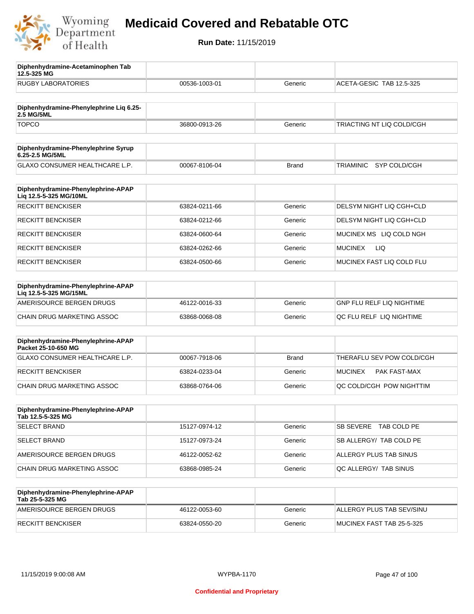

**12.5-325 MG**

**Diphenhydramine-Acetaminophen Tab** 

# **Medicaid Covered and Rebatable OTC**

| <b>RUGBY LABORATORIES</b>                                 | 00536-1003-01 | Generic      | ACETA-GESIC TAB 12.5-325         |
|-----------------------------------------------------------|---------------|--------------|----------------------------------|
|                                                           |               |              |                                  |
| Diphenhydramine-Phenylephrine Liq 6.25-<br>2.5 MG/5ML     |               |              |                                  |
| <b>TOPCO</b>                                              | 36800-0913-26 | Generic      | TRIACTING NT LIQ COLD/CGH        |
| Diphenhydramine-Phenylephrine Syrup                       |               |              |                                  |
| 6.25-2.5 MG/5ML                                           |               |              |                                  |
| GLAXO CONSUMER HEALTHCARE L.P.                            | 00067-8106-04 | <b>Brand</b> | <b>TRIAMINIC</b><br>SYP COLD/CGH |
| Diphenhydramine-Phenylephrine-APAP                        |               |              |                                  |
| Liq 12.5-5-325 MG/10ML                                    |               |              |                                  |
| <b>RECKITT BENCKISER</b>                                  | 63824-0211-66 | Generic      | DELSYM NIGHT LIQ CGH+CLD         |
| <b>RECKITT BENCKISER</b>                                  | 63824-0212-66 | Generic      | DELSYM NIGHT LIQ CGH+CLD         |
| <b>RECKITT BENCKISER</b>                                  | 63824-0600-64 | Generic      | MUCINEX MS LIQ COLD NGH          |
| <b>RECKITT BENCKISER</b>                                  | 63824-0262-66 | Generic      | LIQ<br><b>MUCINEX</b>            |
| <b>RECKITT BENCKISER</b>                                  | 63824-0500-66 | Generic      | MUCINEX FAST LIQ COLD FLU        |
| Diphenhydramine-Phenylephrine-APAP                        |               |              |                                  |
| Liq 12.5-5-325 MG/15ML                                    |               |              |                                  |
| AMERISOURCE BERGEN DRUGS                                  | 46122-0016-33 | Generic      | <b>GNP FLU RELF LIQ NIGHTIME</b> |
| CHAIN DRUG MARKETING ASSOC                                | 63868-0068-08 | Generic      | QC FLU RELF LIQ NIGHTIME         |
|                                                           |               |              |                                  |
| Diphenhydramine-Phenylephrine-APAP<br>Packet 25-10-650 MG |               |              |                                  |
| GLAXO CONSUMER HEALTHCARE L.P.                            | 00067-7918-06 | <b>Brand</b> | THERAFLU SEV POW COLD/CGH        |
| <b>RECKITT BENCKISER</b>                                  | 63824-0233-04 | Generic      | <b>MUCINEX</b><br>PAK FAST-MAX   |
| CHAIN DRUG MARKETING ASSOC                                | 63868-0764-06 | Generic      | QC COLD/CGH POW NIGHTTIM         |
|                                                           |               |              |                                  |
| Diphenhydramine-Phenylephrine-APAP<br>Tab 12.5-5-325 MG   |               |              |                                  |
| <b>SELECT BRAND</b>                                       | 15127-0974-12 | Generic      | <b>SB SEVERE</b><br>TAB COLD PE  |
| <b>SELECT BRAND</b>                                       | 15127-0973-24 | Generic      | SB ALLERGY/ TAB COLD PE          |
| AMERISOURCE BERGEN DRUGS                                  | 46122-0052-62 | Generic      | ALLERGY PLUS TAB SINUS           |
| CHAIN DRUG MARKETING ASSOC                                | 63868-0985-24 | Generic      | QC ALLERGY/ TAB SINUS            |
| Diphenhydramine-Phenylephrine-APAP                        |               |              |                                  |
| Tab 25-5-325 MG                                           |               |              |                                  |
| AMERISOURCE BERGEN DRUGS                                  | 46122-0053-60 | Generic      | ALLERGY PLUS TAB SEV/SINU        |
| <b>RECKITT BENCKISER</b>                                  | 63824-0550-20 | Generic      | MUCINEX FAST TAB 25-5-325        |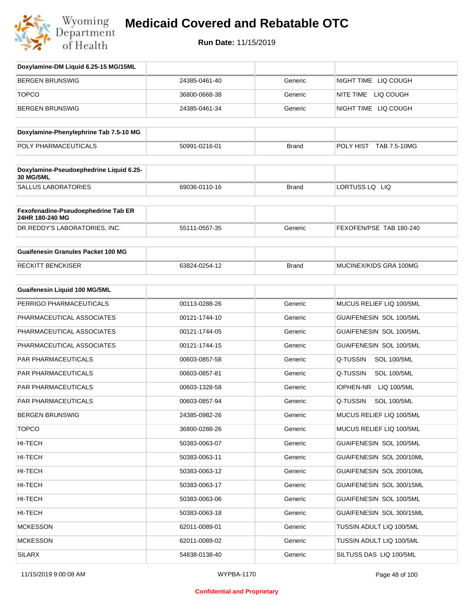

| Doxylamine-DM Liquid 6.25-15 MG/15ML                   |               |              |                                |
|--------------------------------------------------------|---------------|--------------|--------------------------------|
| <b>BERGEN BRUNSWIG</b>                                 | 24385-0461-40 | Generic      | NIGHT TIME LIQ COUGH           |
| <b>TOPCO</b>                                           | 36800-0668-38 | Generic      | NITE TIME LIQ COUGH            |
| BERGEN BRUNSWIG                                        | 24385-0461-34 | Generic      | NIGHT TIME LIQ COUGH           |
| Doxylamine-Phenylephrine Tab 7.5-10 MG                 |               |              |                                |
| POLY PHARMACEUTICALS                                   | 50991-0216-01 | <b>Brand</b> | POLY HIST TAB 7.5-10MG         |
| Doxylamine-Pseudoephedrine Liquid 6.25-<br>30 MG/5ML   |               |              |                                |
| <b>SALLUS LABORATORIES</b>                             | 69036-0110-16 | <b>Brand</b> | LORTUSS LQ LIQ                 |
| Fexofenadine-Pseudoephedrine Tab ER<br>24HR 180-240 MG |               |              |                                |
| DR.REDDY'S LABORATORIES, INC.                          | 55111-0557-35 | Generic      | FEXOFEN/PSE TAB 180-240        |
| <b>Guaifenesin Granules Packet 100 MG</b>              |               |              |                                |
| <b>RECKITT BENCKISER</b>                               | 63824-0254-12 | <b>Brand</b> | MUCINEX/KIDS GRA 100MG         |
| <b>Guaifenesin Liquid 100 MG/5ML</b>                   |               |              |                                |
| PERRIGO PHARMACEUTICALS                                | 00113-0288-26 | Generic      | MUCUS RELIEF LIQ 100/5ML       |
| PHARMACEUTICAL ASSOCIATES                              | 00121-1744-10 | Generic      | GUAIFENESIN SOL 100/5ML        |
| PHARMACEUTICAL ASSOCIATES                              | 00121-1744-05 | Generic      | GUAIFENESIN SOL 100/5ML        |
| PHARMACEUTICAL ASSOCIATES                              | 00121-1744-15 | Generic      | GUAIFENESIN SOL 100/5ML        |
| PAR PHARMACEUTICALS                                    | 00603-0857-58 | Generic      | Q-TUSSIN<br><b>SOL 100/5ML</b> |
| PAR PHARMACEUTICALS                                    | 00603-0857-81 | Generic      | Q-TUSSIN<br><b>SOL 100/5ML</b> |
| PAR PHARMACEUTICALS                                    | 00603-1328-58 | Generic      | IOPHEN-NR<br>LIQ 100/5ML       |
| PAR PHARMACEUTICALS                                    | 00603-0857-94 | Generic      | Q-TUSSIN<br><b>SOL 100/5ML</b> |
| BERGEN BRUNSWIG                                        | 24385-0982-26 | Generic      | MUCUS RELIEF LIQ 100/5ML       |
| <b>TOPCO</b>                                           | 36800-0288-26 | Generic      | MUCUS RELIEF LIQ 100/5ML       |
| HI-TECH                                                | 50383-0063-07 | Generic      | GUAIFENESIN SOL 100/5ML        |
| HI-TECH                                                | 50383-0063-11 | Generic      | GUAIFENESIN SOL 200/10ML       |
| HI-TECH                                                | 50383-0063-12 | Generic      | GUAIFENESIN SOL 200/10ML       |
| HI-TECH                                                | 50383-0063-17 | Generic      | GUAIFENESIN SOL 300/15ML       |
| HI-TECH                                                | 50383-0063-06 | Generic      | GUAIFENESIN SOL 100/5ML        |
| HI-TECH                                                | 50383-0063-18 | Generic      | GUAIFENESIN SOL 300/15ML       |
| <b>MCKESSON</b>                                        | 62011-0089-01 | Generic      | TUSSIN ADULT LIQ 100/5ML       |
| <b>MCKESSON</b>                                        | 62011-0089-02 | Generic      | TUSSIN ADULT LIQ 100/5ML       |
| <b>SILARX</b>                                          | 54838-0138-40 | Generic      | SILTUSS DAS LIQ 100/5ML        |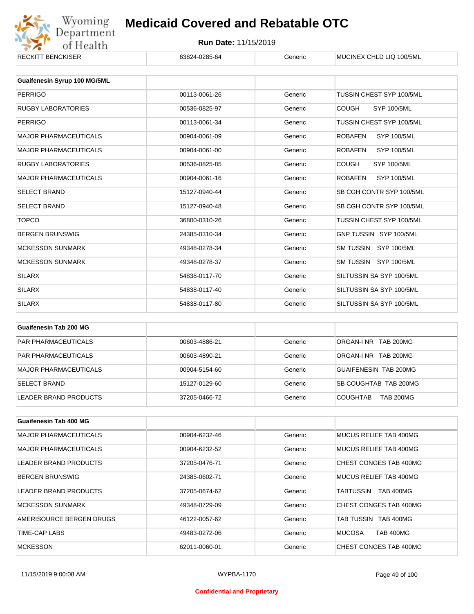

| UJUZT-UZUJ-U <del>T</del> | טווסווט | <b>MOONVEA OF ILD LIGHT TOO SIVIL</b> |
|---------------------------|---------|---------------------------------------|
|                           |         |                                       |
|                           |         |                                       |
| 00113-0061-26             | Generic | TUSSIN CHEST SYP 100/5ML              |
| 00536-0825-97             | Generic | <b>SYP 100/5ML</b><br><b>COUGH</b>    |
| 00113-0061-34             | Generic | TUSSIN CHEST SYP 100/5ML              |
| 00904-0061-09             | Generic | <b>ROBAFEN</b><br><b>SYP 100/5ML</b>  |
| 00904-0061-00             | Generic | <b>SYP 100/5ML</b><br><b>ROBAFEN</b>  |
| 00536-0825-85             | Generic | <b>COUGH</b><br><b>SYP 100/5ML</b>    |
| 00904-0061-16             | Generic | SYP 100/5ML<br><b>ROBAFEN</b>         |
| 15127-0940-44             | Generic | SB CGH CONTR SYP 100/5ML              |
| 15127-0940-48             | Generic | SB CGH CONTR SYP 100/5ML              |
| 36800-0310-26             | Generic | TUSSIN CHEST SYP 100/5ML              |
| 24385-0310-34             | Generic | GNP TUSSIN SYP 100/5ML                |
| 49348-0278-34             | Generic | SM TUSSIN SYP 100/5ML                 |
| 49348-0278-37             | Generic | SM TUSSIN SYP 100/5ML                 |
| 54838-0117-70             | Generic | SILTUSSIN SA SYP 100/5ML              |
| 54838-0117-40             | Generic | SILTUSSIN SA SYP 100/5ML              |
| 54838-0117-80             | Generic | SILTUSSIN SA SYP 100/5ML              |
|                           |         |                                       |

| Guaifenesin Tab 200 MG     |               |         |                                     |
|----------------------------|---------------|---------|-------------------------------------|
| <b>PAR PHARMACEUTICALS</b> | 00603-4886-21 | Generic | ORGAN-INR TAB 200MG                 |
| <b>PAR PHARMACEUTICALS</b> | 00603-4890-21 | Generic | ORGAN-INR TAB 200MG                 |
| MAJOR PHARMACEUTICALS      | 00904-5154-60 | Generic | GUAIFENESIN TAB 200MG               |
| <b>SELECT BRAND</b>        | 15127-0129-60 | Generic | SB COUGHTAB TAB 200MG               |
| LEADER BRAND PRODUCTS      | 37205-0466-72 | Generic | <b>TAB 200MG</b><br><b>COUGHTAB</b> |

| Guaifenesin Tab 400 MG       |               |         |                                   |
|------------------------------|---------------|---------|-----------------------------------|
| <b>MAJOR PHARMACEUTICALS</b> | 00904-6232-46 | Generic | MUCUS RELIEF TAB 400MG            |
| <b>MAJOR PHARMACEUTICALS</b> | 00904-6232-52 | Generic | MUCUS RELIEF TAB 400MG            |
| LEADER BRAND PRODUCTS        | 37205-0476-71 | Generic | CHEST CONGES TAB 400MG            |
| <b>BERGEN BRUNSWIG</b>       | 24385-0602-71 | Generic | MUCUS RELIEF TAB 400MG            |
| LEADER BRAND PRODUCTS        | 37205-0674-62 | Generic | TABTUSSIN<br><b>TAB 400MG</b>     |
| <b>MCKESSON SUNMARK</b>      | 49348-0729-09 | Generic | CHEST CONGES TAB 400MG            |
| AMERISOURCE BERGEN DRUGS     | 46122-0057-62 | Generic | TAB TUSSIN TAB 400MG              |
| TIME-CAP LABS                | 49483-0272-06 | Generic | <b>MUCOSA</b><br><b>TAB 400MG</b> |
| <b>MCKESSON</b>              | 62011-0060-01 | Generic | CHEST CONGES TAB 400MG            |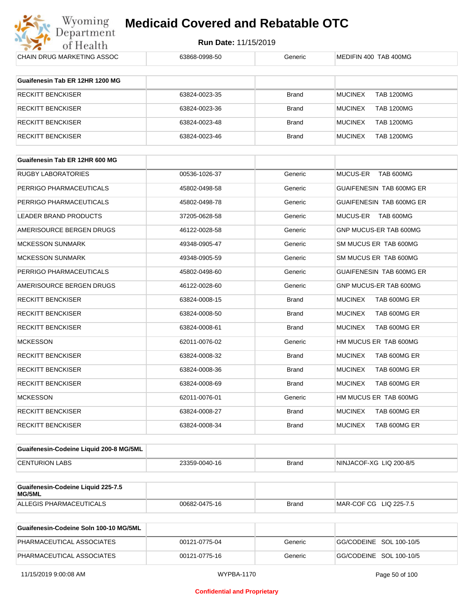

| CHAIN DRUG MARKETING ASSOC              | 63868-0998-50 | Generic      | MEDIFIN 400 TAB 400MG               |
|-----------------------------------------|---------------|--------------|-------------------------------------|
| Guaifenesin Tab ER 12HR 1200 MG         |               |              |                                     |
|                                         |               |              |                                     |
| <b>RECKITT BENCKISER</b>                | 63824-0023-35 | Brand        | <b>TAB 1200MG</b><br><b>MUCINEX</b> |
| RECKITT BENCKISER                       | 63824-0023-36 | <b>Brand</b> | <b>MUCINEX</b><br><b>TAB 1200MG</b> |
| <b>RECKITT BENCKISER</b>                | 63824-0023-48 | <b>Brand</b> | <b>MUCINEX</b><br><b>TAB 1200MG</b> |
| <b>RECKITT BENCKISER</b>                | 63824-0023-46 | <b>Brand</b> | <b>MUCINEX</b><br><b>TAB 1200MG</b> |
| Guaifenesin Tab ER 12HR 600 MG          |               |              |                                     |
| <b>RUGBY LABORATORIES</b>               | 00536-1026-37 | Generic      | <b>MUCUS-ER</b><br>TAB 600MG        |
| PERRIGO PHARMACEUTICALS                 | 45802-0498-58 | Generic      | GUAIFENESIN TAB 600MG ER            |
| PERRIGO PHARMACEUTICALS                 | 45802-0498-78 | Generic      | GUAIFENESIN TAB 600MG ER            |
| <b>LEADER BRAND PRODUCTS</b>            | 37205-0628-58 | Generic      | MUCUS-ER TAB 600MG                  |
| AMERISOURCE BERGEN DRUGS                | 46122-0028-58 | Generic      | GNP MUCUS-ER TAB 600MG              |
| <b>MCKESSON SUNMARK</b>                 | 49348-0905-47 | Generic      | SM MUCUS ER TAB 600MG               |
| <b>MCKESSON SUNMARK</b>                 | 49348-0905-59 | Generic      | SM MUCUS ER TAB 600MG               |
| PERRIGO PHARMACEUTICALS                 | 45802-0498-60 | Generic      | GUAIFENESIN TAB 600MG ER            |
| AMERISOURCE BERGEN DRUGS                | 46122-0028-60 | Generic      | GNP MUCUS-ER TAB 600MG              |
| RECKITT BENCKISER                       | 63824-0008-15 | Brand        | <b>MUCINEX</b><br>TAB 600MG ER      |
| <b>RECKITT BENCKISER</b>                | 63824-0008-50 | <b>Brand</b> | <b>MUCINEX</b><br>TAB 600MG ER      |
| <b>RECKITT BENCKISER</b>                | 63824-0008-61 | Brand        | <b>MUCINEX</b><br>TAB 600MG ER      |
| <b>MCKESSON</b>                         | 62011-0076-02 | Generic      | HM MUCUS ER TAB 600MG               |
| <b>RECKITT BENCKISER</b>                | 63824-0008-32 | Brand        | <b>MUCINEX</b><br>TAB 600MG ER      |
| RECKITT BENCKISER                       | 63824-0008-36 | <b>Brand</b> | <b>MUCINEX</b><br>TAB 600MG ER      |
| RECKITT BENCKISER                       | 63824-0008-69 | Brand        | <b>MUCINEX</b><br>TAB 600MG ER      |
| <b>MCKESSON</b>                         | 62011-0076-01 | Generic      | HM MUCUS ER TAB 600MG               |
| <b>RECKITT BENCKISER</b>                | 63824-0008-27 | Brand        | <b>MUCINEX</b><br>TAB 600MG ER      |
| <b>RECKITT BENCKISER</b>                | 63824-0008-34 | Brand        | <b>MUCINEX</b><br>TAB 600MG ER      |
|                                         |               |              |                                     |
| Guaifenesin-Codeine Liquid 200-8 MG/5ML |               |              |                                     |
| <b>CENTURION LABS</b>                   | 23359-0040-16 | <b>Brand</b> | NINJACOF-XG LIQ 200-8/5             |
| Guaifenesin-Codeine Liquid 225-7.5      |               |              |                                     |
| MG/5ML                                  |               |              |                                     |
| ALLEGIS PHARMACEUTICALS                 | 00682-0475-16 | Brand        | MAR-COF CG LIQ 225-7.5              |

| Guaifenesin-Codeine Soln 100-10 MG/5ML |               |         |                         |
|----------------------------------------|---------------|---------|-------------------------|
| PHARMACEUTICAL ASSOCIATES              | 00121-0775-04 | Generic | GG/CODEINE SOL 100-10/5 |
| PHARMACEUTICAL ASSOCIATES              | 00121-0775-16 | Generic | GG/CODEINE SOL 100-10/5 |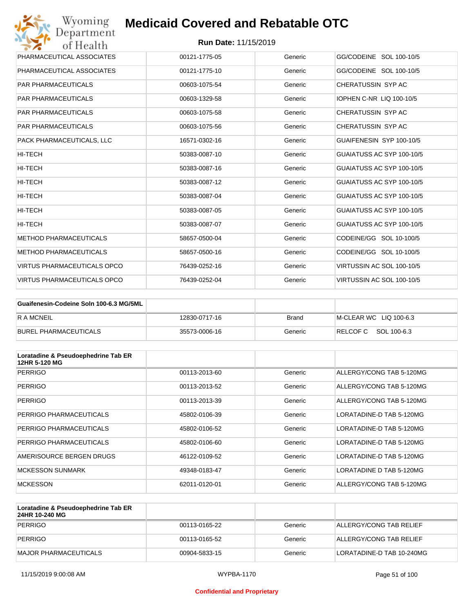| Wyoming<br><b>Medicaid Covered and Rebatable OTC</b><br>Department |                             |         |                           |
|--------------------------------------------------------------------|-----------------------------|---------|---------------------------|
| of Health                                                          | <b>Run Date: 11/15/2019</b> |         |                           |
| PHARMACEUTICAL ASSOCIATES                                          | 00121-1775-05               | Generic | GG/CODEINE SOL 100-10/5   |
| PHARMACEUTICAL ASSOCIATES                                          | 00121-1775-10               | Generic | GG/CODEINE SOL 100-10/5   |
| <b>PAR PHARMACEUTICALS</b>                                         | 00603-1075-54               | Generic | CHERATUSSIN SYP AC        |
| <b>PAR PHARMACEUTICALS</b>                                         | 00603-1329-58               | Generic | IOPHEN C-NR LIQ 100-10/5  |
| <b>PAR PHARMACEUTICALS</b>                                         | 00603-1075-58               | Generic | CHERATUSSIN SYP AC        |
| <b>PAR PHARMACEUTICALS</b>                                         | 00603-1075-56               | Generic | CHERATUSSIN SYP AC        |
| PACK PHARMACEUTICALS, LLC                                          | 16571-0302-16               | Generic | GUAIFENESIN SYP 100-10/5  |
| <b>HI-TECH</b>                                                     | 50383-0087-10               | Generic | GUAIATUSS AC SYP 100-10/5 |
| HI-TECH                                                            | 50383-0087-16               | Generic | GUAIATUSS AC SYP 100-10/5 |
| HI-TECH                                                            | 50383-0087-12               | Generic | GUAIATUSS AC SYP 100-10/5 |
| HI-TECH                                                            | 50383-0087-04               | Generic | GUAIATUSS AC SYP 100-10/5 |
| <b>HI-TECH</b>                                                     | 50383-0087-05               | Generic | GUAIATUSS AC SYP 100-10/5 |
| HI-TECH                                                            | 50383-0087-07               | Generic | GUAIATUSS AC SYP 100-10/5 |
| <b>METHOD PHARMACEUTICALS</b>                                      | 58657-0500-04               | Generic | CODEINE/GG SOL 10-100/5   |
| <b>METHOD PHARMACEUTICALS</b>                                      | 58657-0500-16               | Generic | CODEINE/GG SOL 10-100/5   |
| <b>VIRTUS PHARMACEUTICALS OPCO</b>                                 | 76439-0252-16               | Generic | VIRTUSSIN AC SOL 100-10/5 |
| <b>VIRTUS PHARMACEUTICALS OPCO</b>                                 | 76439-0252-04               | Generic | VIRTUSSIN AC SOL 100-10/5 |

| Guaifenesin-Codeine Soln 100-6.3 MG/5ML |               |         |                        |
|-----------------------------------------|---------------|---------|------------------------|
| <b>RAMCNEIL</b>                         | 12830-0717-16 | Brand   | M-CLEAR WC LIQ 100-6.3 |
| BUREL PHARMACEUTICALS                   | 35573-0006-16 | Generic | RELCOFC SOL 100-6.3    |

| Loratadine & Pseudoephedrine Tab ER<br>12HR 5-120 MG |               |         |                          |
|------------------------------------------------------|---------------|---------|--------------------------|
| <b>PERRIGO</b>                                       | 00113-2013-60 | Generic | ALLERGY/CONG TAB 5-120MG |
| <b>PERRIGO</b>                                       | 00113-2013-52 | Generic | ALLERGY/CONG TAB 5-120MG |
| <b>PERRIGO</b>                                       | 00113-2013-39 | Generic | ALLERGY/CONG TAB 5-120MG |
| PERRIGO PHARMACEUTICALS                              | 45802-0106-39 | Generic | LORATADINE-D TAB 5-120MG |
| PERRIGO PHARMACEUTICALS                              | 45802-0106-52 | Generic | LORATADINE-D TAB 5-120MG |
| PERRIGO PHARMACEUTICALS                              | 45802-0106-60 | Generic | LORATADINE-D TAB 5-120MG |
| AMERISOURCE BERGEN DRUGS                             | 46122-0109-52 | Generic | LORATADINE-D TAB 5-120MG |
| <b>MCKESSON SUNMARK</b>                              | 49348-0183-47 | Generic | LORATADINE D TAB 5-120MG |
| <b>MCKESSON</b>                                      | 62011-0120-01 | Generic | ALLERGY/CONG TAB 5-120MG |

| Loratadine & Pseudoephedrine Tab ER<br>24HR 10-240 MG |               |         |                           |
|-------------------------------------------------------|---------------|---------|---------------------------|
| PERRIGO                                               | 00113-0165-22 | Generic | ALLERGY/CONG TAB RELIEF   |
| PERRIGO                                               | 00113-0165-52 | Generic | ALLERGY/CONG TAB RELIEF   |
| IMAJOR PHARMACEUTICALS                                | 00904-5833-15 | Generic | LORATADINE-D TAB 10-240MG |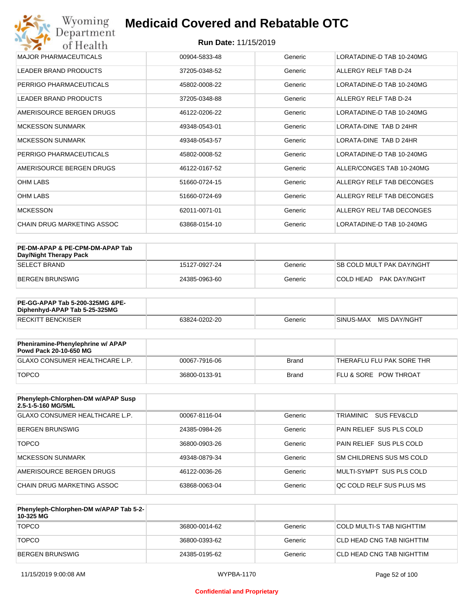| Wyoming<br>Department        | <b>Medicaid Covered and Rebatable OTC</b> |         |                               |  |  |
|------------------------------|-------------------------------------------|---------|-------------------------------|--|--|
| of Health                    | <b>Run Date: 11/15/2019</b>               |         |                               |  |  |
| <b>MAJOR PHARMACEUTICALS</b> | 00904-5833-48                             | Generic | LORATADINE-D TAB 10-240MG     |  |  |
| <b>LEADER BRAND PRODUCTS</b> | 37205-0348-52                             | Generic | ALLERGY RELF TAB D-24         |  |  |
| PERRIGO PHARMACEUTICALS      | 45802-0008-22                             | Generic | LORATADINE-D TAB 10-240MG     |  |  |
| <b>LEADER BRAND PRODUCTS</b> | 37205-0348-88                             | Generic | ALLERGY RELF TAB D-24         |  |  |
| AMERISOURCE BERGEN DRUGS     | 46122-0206-22                             | Generic | LORATADINE-D TAB 10-240MG     |  |  |
| <b>MCKESSON SUNMARK</b>      | 49348-0543-01                             | Generic | <b>LORATA-DINE TAB D 24HR</b> |  |  |
| MCKESSON SUNMARK             | 49348-0543-57                             | Generic | LORATA-DINE TAB D 24HR        |  |  |
| PERRIGO PHARMACEUTICALS      | 45802-0008-52                             | Generic | LORATADINE-D TAB 10-240MG     |  |  |
| AMERISOURCE BERGEN DRUGS     | 46122-0167-52                             | Generic | ALLER/CONGES TAB 10-240MG     |  |  |
| <b>OHM LABS</b>              | 51660-0724-15                             | Generic | ALLERGY RELF TAB DECONGES     |  |  |
| <b>OHM LABS</b>              | 51660-0724-69                             | Generic | ALLERGY RELF TAB DECONGES     |  |  |
| <b>MCKESSON</b>              | 62011-0071-01                             | Generic | ALLERGY REL/ TAB DECONGES     |  |  |
| CHAIN DRUG MARKETING ASSOC   | 63868-0154-10                             | Generic | LORATADINE-D TAB 10-240MG     |  |  |

| PE-DM-APAP & PE-CPM-DM-APAP Tab<br>Day/Night Therapy Pack |               |         |                            |
|-----------------------------------------------------------|---------------|---------|----------------------------|
| ISELECT BRAND                                             | 15127-0927-24 | Generic | ISB COLD MULT PAK DAY/NGHT |
| BERGEN BRUNSWIG                                           | 24385-0963-60 | Generic | COLD HEAD PAK DAY/NGHT     |

| PE-GG-APAP Tab 5-200-325MG &PE-<br>Diphenhyd-APAP Tab 5-25-325MG |               |         |                           |
|------------------------------------------------------------------|---------------|---------|---------------------------|
| <b>RECKITT BENCKISER</b>                                         | 63824-0202-20 | Generic | MIS DAY/NGHT<br>SINUS-MAX |

| Pheniramine-Phenylephrine w/ APAP<br>Powd Pack 20-10-650 MG |               |       |                                  |
|-------------------------------------------------------------|---------------|-------|----------------------------------|
| GLAXO CONSUMER HEALTHCARE L.P.                              | 00067-7916-06 | Brand | 'THERAFLU FLU PAK SORE THR       |
| <b>TOPCO</b>                                                | 36800-0133-91 | Brand | <b>FLU &amp; SORE POW THROAT</b> |

| Phenyleph-Chlorphen-DM w/APAP Susp<br>2.5-1-5-160 MG/5ML |               |         |                          |
|----------------------------------------------------------|---------------|---------|--------------------------|
| GLAXO CONSUMER HEALTHCARE L.P.                           | 00067-8116-04 | Generic | TRIAMINIC<br>SUS FEV&CLD |
| BERGEN BRUNSWIG                                          | 24385-0984-26 | Generic | PAIN RELIEF SUS PLS COLD |
| <b>TOPCO</b>                                             | 36800-0903-26 | Generic | PAIN RELIEF SUS PLS COLD |
| MCKESSON SUNMARK                                         | 49348-0879-34 | Generic | SM CHILDRENS SUS MS COLD |
| AMERISOURCE BERGEN DRUGS                                 | 46122-0036-26 | Generic | MULTI-SYMPT SUS PLS COLD |
| CHAIN DRUG MARKETING ASSOC                               | 63868-0063-04 | Generic | OC COLD RELF SUS PLUS MS |

| Phenyleph-Chlorphen-DM w/APAP Tab 5-2-<br>10-325 MG |               |         |                           |
|-----------------------------------------------------|---------------|---------|---------------------------|
| <b>TOPCO</b>                                        | 36800-0014-62 | Generic | COLD MULTI-S TAB NIGHTTIM |
| <b>TOPCO</b>                                        | 36800-0393-62 | Generic | CLD HEAD CNG TAB NIGHTTIM |
| <b>BERGEN BRUNSWIG</b>                              | 24385-0195-62 | Generic | CLD HEAD CNG TAB NIGHTTIM |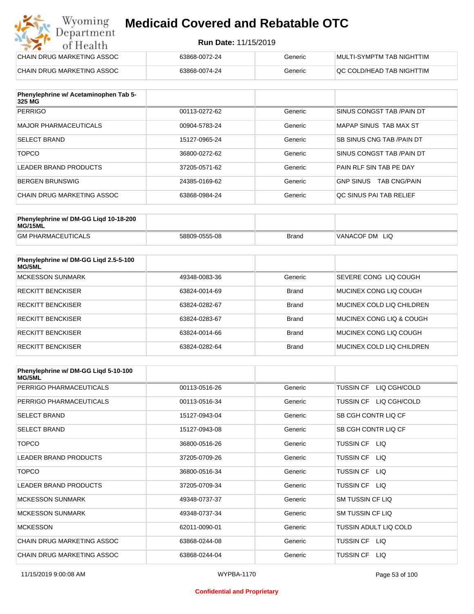#### **Run Date:** 11/15/2019

| Wyoming<br><b>Medicaid Covered and Rebatable OTC</b><br>Department |                             |         |                           |
|--------------------------------------------------------------------|-----------------------------|---------|---------------------------|
| of Health                                                          | <b>Run Date: 11/15/2019</b> |         |                           |
| CHAIN DRUG MARKETING ASSOC                                         | 63868-0072-24               | Generic | MULTI-SYMPTM TAB NIGHTTIM |
| CHAIN DRUG MARKETING ASSOC                                         | 63868-0074-24               | Generic | QC COLD/HEAD TAB NIGHTTIM |

| Phenylephrine w/ Acetaminophen Tab 5-<br>325 MG |               |         |                                         |
|-------------------------------------------------|---------------|---------|-----------------------------------------|
| <b>PERRIGO</b>                                  | 00113-0272-62 | Generic | SINUS CONGST TAB /PAIN DT               |
| MAJOR PHARMACEUTICALS                           | 00904-5783-24 | Generic | MAPAP SINUS TAB MAX ST                  |
| <b>SELECT BRAND</b>                             | 15127-0965-24 | Generic | SB SINUS CNG TAB / PAIN DT              |
| <b>TOPCO</b>                                    | 36800-0272-62 | Generic | SINUS CONGST TAB /PAIN DT               |
| LEADER BRAND PRODUCTS                           | 37205-0571-62 | Generic | PAIN RLF SIN TAB PE DAY                 |
| BERGEN BRUNSWIG                                 | 24385-0169-62 | Generic | <b>TAB CNG/PAIN</b><br><b>GNP SINUS</b> |
| CHAIN DRUG MARKETING ASSOC                      | 63868-0984-24 | Generic | QC SINUS PAI TAB RELIEF                 |

| Phenylephrine w/ DM-GG Ligd 10-18-200<br>MG/15ML |               |              |                   |
|--------------------------------------------------|---------------|--------------|-------------------|
| <b>GM PHARMACEUTICALS</b>                        | 58809-0555-08 | <b>Brand</b> | VANACOF DM<br>LIQ |

| Phenylephrine w/ DM-GG Liqd 2.5-5-100<br>MG/5ML |               |              |                           |
|-------------------------------------------------|---------------|--------------|---------------------------|
| <b>MCKESSON SUNMARK</b>                         | 49348-0083-36 | Generic      | SEVERE CONG LIQ COUGH     |
| <b>RECKITT BENCKISER</b>                        | 63824-0014-69 | <b>Brand</b> | MUCINEX CONG LIO COUGH    |
| <b>RECKITT BENCKISER</b>                        | 63824-0282-67 | <b>Brand</b> | MUCINEX COLD LIQ CHILDREN |
| <b>RECKITT BENCKISER</b>                        | 63824-0283-67 | <b>Brand</b> | MUCINEX CONG LIO & COUGH  |
| <b>RECKITT BENCKISER</b>                        | 63824-0014-66 | <b>Brand</b> | MUCINEX CONG LIO COUGH    |
| <b>RECKITT BENCKISER</b>                        | 63824-0282-64 | <b>Brand</b> | MUCINEX COLD LIQ CHILDREN |

| Phenylephrine w/ DM-GG Ligd 5-10-100<br><b>MG/5ML</b> |               |         |                                  |
|-------------------------------------------------------|---------------|---------|----------------------------------|
| PERRIGO PHARMACEUTICALS                               | 00113-0516-26 | Generic | LIQ CGH/COLD<br><b>TUSSIN CF</b> |
| PERRIGO PHARMACEUTICALS                               | 00113-0516-34 | Generic | LIQ CGH/COLD<br><b>TUSSIN CF</b> |
| <b>SELECT BRAND</b>                                   | 15127-0943-04 | Generic | SB CGH CONTR LIQ CF              |
| <b>SELECT BRAND</b>                                   | 15127-0943-08 | Generic | SB CGH CONTR LIQ CF              |
| <b>TOPCO</b>                                          | 36800-0516-26 | Generic | TUSSIN CF LIQ                    |
| <b>LEADER BRAND PRODUCTS</b>                          | 37205-0709-26 | Generic | <b>TUSSIN CF</b><br>LIQ.         |
| <b>TOPCO</b>                                          | 36800-0516-34 | Generic | <b>TUSSIN CF</b><br>LIQ.         |
| <b>LEADER BRAND PRODUCTS</b>                          | 37205-0709-34 | Generic | <b>TUSSIN CF</b><br>LIQ          |
| <b>MCKESSON SUNMARK</b>                               | 49348-0737-37 | Generic | <b>SM TUSSIN CF LIQ</b>          |
| <b>MCKESSON SUNMARK</b>                               | 49348-0737-34 | Generic | SM TUSSIN CF LIQ                 |
| <b>MCKESSON</b>                                       | 62011-0090-01 | Generic | TUSSIN ADULT LIQ COLD            |
| CHAIN DRUG MARKETING ASSOC                            | 63868-0244-08 | Generic | TUSSIN CF LIQ                    |
| CHAIN DRUG MARKETING ASSOC                            | 63868-0244-04 | Generic | <b>TUSSIN CF</b><br>LIQ.         |

#### **Confidential and Proprietary**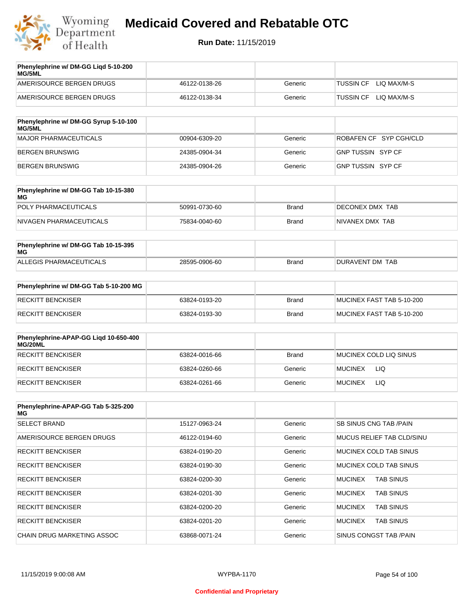

| Phenylephrine w/ DM-GG Ligd 5-10-200<br>MG/5ML |               |         |                                 |
|------------------------------------------------|---------------|---------|---------------------------------|
| AMERISOURCE BERGEN DRUGS                       | 46122-0138-26 | Generic | LIQ MAX/M-S<br><b>TUSSIN CF</b> |
| AMERISOURCE BERGEN DRUGS                       | 46122-0138-34 | Generic | LIO MAX/M-S<br><b>TUSSIN CF</b> |
|                                                |               |         |                                 |

| Phenylephrine w/ DM-GG Syrup 5-10-100<br>MG/5ML |               |         |                          |
|-------------------------------------------------|---------------|---------|--------------------------|
| MAJOR PHARMACEUTICALS                           | 00904-6309-20 | Generic | ROBAFEN CF SYP CGH/CLD   |
| BERGEN BRUNSWIG                                 | 24385-0904-34 | Generic | <b>GNP TUSSIN SYP CF</b> |
| BERGEN BRUNSWIG                                 | 24385-0904-26 | Generic | GNP TUSSIN SYP CF        |

| Phenylephrine w/ DM-GG Tab 10-15-380<br>MG |               |       |                 |
|--------------------------------------------|---------------|-------|-----------------|
| POLY PHARMACEUTICALS                       | 50991-0730-60 | Brand | DECONEX DMX TAB |
| NIVAGEN PHARMACEUTICALS                    | 75834-0040-60 | Brand | NIVANEX DMX TAB |

| Phenylephrine w/ DM-GG Tab 10-15-395<br>MG |               |       |                 |
|--------------------------------------------|---------------|-------|-----------------|
| ALLEGIS PHARMACEUTICALS                    | 28595-0906-60 | Brand | DURAVENT DM TAB |

| Phenylephrine w/ DM-GG Tab 5-10-200 MG |               |       |                           |
|----------------------------------------|---------------|-------|---------------------------|
| RECKITT BENCKISER                      | 63824-0193-20 | Brand | MUCINEX FAST TAB 5-10-200 |
| RECKITT BENCKISER                      | 63824-0193-30 | Brand | MUCINEX FAST TAB 5-10-200 |

| Phenylephrine-APAP-GG Ligd 10-650-400<br>MG/20ML |               |              |                        |
|--------------------------------------------------|---------------|--------------|------------------------|
| RECKITT BENCKISER                                | 63824-0016-66 | <b>Brand</b> | MUCINEX COLD LIQ SINUS |
| RECKITT BENCKISER                                | 63824-0260-66 | Generic      | <b>MUCINEX</b><br>LIQ  |
| RECKITT BENCKISER                                | 63824-0261-66 | Generic      | LIQ<br><b>MUCINEX</b>  |

| Phenylephrine-APAP-GG Tab 5-325-200<br>MG |               |         |                                    |
|-------------------------------------------|---------------|---------|------------------------------------|
| <b>SELECT BRAND</b>                       | 15127-0963-24 | Generic | <b>SB SINUS CNG TAB /PAIN</b>      |
| AMERISOURCE BERGEN DRUGS                  | 46122-0194-60 | Generic | MUCUS RELIEF TAB CLD/SINU          |
| <b>RECKITT BENCKISER</b>                  | 63824-0190-20 | Generic | MUCINEX COLD TAB SINUS             |
| <b>RECKITT BENCKISER</b>                  | 63824-0190-30 | Generic | MUCINEX COLD TAB SINUS             |
| <b>RECKITT BENCKISER</b>                  | 63824-0200-30 | Generic | <b>TAB SINUS</b><br><b>MUCINEX</b> |
| <b>RECKITT BENCKISER</b>                  | 63824-0201-30 | Generic | <b>MUCINEX</b><br><b>TAB SINUS</b> |
| <b>RECKITT BENCKISER</b>                  | 63824-0200-20 | Generic | <b>MUCINEX</b><br><b>TAB SINUS</b> |
| <b>RECKITT BENCKISER</b>                  | 63824-0201-20 | Generic | <b>MUCINEX</b><br><b>TAB SINUS</b> |
| CHAIN DRUG MARKETING ASSOC                | 63868-0071-24 | Generic | SINUS CONGST TAB /PAIN             |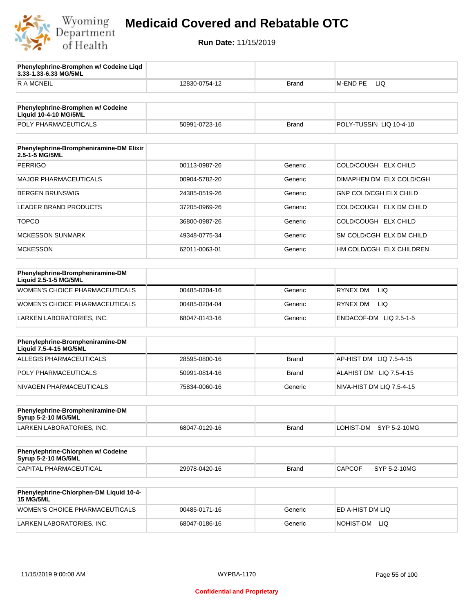

**3.33-1.33-6.33 MG/5ML**

**Phenylephrine-Bromphen w/ Codeine Liqd** 

# **Medicaid Covered and Rebatable OTC**

| R A MCNEIL                                                        | 12830-0754-12 | <b>Brand</b> | M-END PE<br>LIQ               |
|-------------------------------------------------------------------|---------------|--------------|-------------------------------|
|                                                                   |               |              |                               |
| Phenylephrine-Bromphen w/ Codeine<br><b>Liquid 10-4-10 MG/5ML</b> |               |              |                               |
| POLY PHARMACEUTICALS                                              | 50991-0723-16 | <b>Brand</b> | POLY-TUSSIN LIQ 10-4-10       |
| Phenylephrine-Brompheniramine-DM Elixir<br>2.5-1-5 MG/5ML         |               |              |                               |
| <b>PERRIGO</b>                                                    | 00113-0987-26 | Generic      | COLD/COUGH ELX CHILD          |
| <b>MAJOR PHARMACEUTICALS</b>                                      | 00904-5782-20 | Generic      | DIMAPHEN DM ELX COLD/CGH      |
| <b>BERGEN BRUNSWIG</b>                                            | 24385-0519-26 | Generic      | GNP COLD/CGH ELX CHILD        |
| LEADER BRAND PRODUCTS                                             | 37205-0969-26 | Generic      | COLD/COUGH ELX DM CHILD       |
| <b>TOPCO</b>                                                      | 36800-0987-26 | Generic      | COLD/COUGH ELX CHILD          |
| <b>MCKESSON SUNMARK</b>                                           | 49348-0775-34 | Generic      | SM COLD/CGH ELX DM CHILD      |
| <b>MCKESSON</b>                                                   | 62011-0063-01 | Generic      | HM COLD/CGH ELX CHILDREN      |
|                                                                   |               |              |                               |
| Phenylephrine-Brompheniramine-DM<br>Liquid 2.5-1-5 MG/5ML         |               |              |                               |
| WOMEN'S CHOICE PHARMACEUTICALS                                    | 00485-0204-16 | Generic      | <b>RYNEX DM</b><br>LIQ.       |
| <b>WOMEN'S CHOICE PHARMACEUTICALS</b>                             | 00485-0204-04 | Generic      | <b>RYNEX DM</b><br>LIQ.       |
| LARKEN LABORATORIES, INC.                                         | 68047-0143-16 | Generic      | ENDACOF-DM LIQ 2.5-1-5        |
|                                                                   |               |              |                               |
| Phenylephrine-Brompheniramine-DM<br>Liquid 7.5-4-15 MG/5ML        |               |              |                               |
| ALLEGIS PHARMACEUTICALS                                           | 28595-0800-16 | <b>Brand</b> | AP-HIST DM LIQ 7.5-4-15       |
| POLY PHARMACEUTICALS                                              | 50991-0814-16 | <b>Brand</b> | ALAHIST DM LIQ 7.5-4-15       |
| NIVAGEN PHARMACEUTICALS                                           | 75834-0060-16 | Generic      | NIVA-HIST DM LIQ 7.5-4-15     |
|                                                                   |               |              |                               |
| Phenylephrine-Brompheniramine-DM<br>Syrup 5-2-10 MG/5ML           |               |              |                               |
| LARKEN LABORATORIES, INC.                                         | 68047-0129-16 | <b>Brand</b> | LOHIST-DM<br>SYP 5-2-10MG     |
| Phenylephrine-Chlorphen w/ Codeine                                |               |              |                               |
| Syrup 5-2-10 MG/5ML                                               |               |              |                               |
| CAPITAL PHARMACEUTICAL                                            | 29978-0420-16 | <b>Brand</b> | <b>CAPCOF</b><br>SYP 5-2-10MG |
| Phenylephrine-Chlorphen-DM Liquid 10-4-<br><b>15 MG/5ML</b>       |               |              |                               |
| WOMEN'S CHOICE PHARMACEUTICALS                                    | 00485-0171-16 | Generic      | ED A-HIST DM LIQ              |
| LARKEN LABORATORIES, INC.                                         | 68047-0186-16 | Generic      | NOHIST-DM LIQ                 |
|                                                                   |               |              |                               |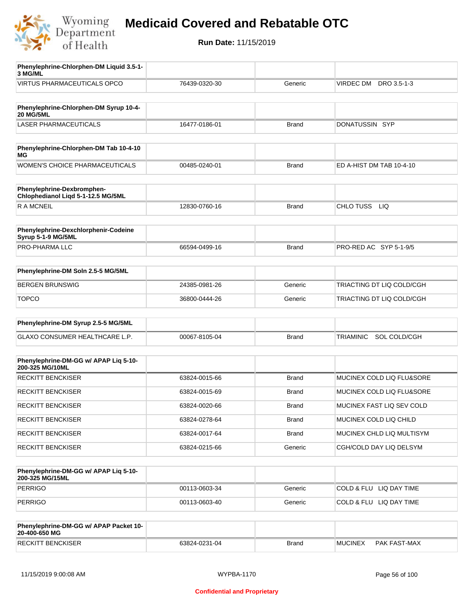

| Phenylephrine-Chlorphen-DM Liquid 3.5-1-<br>3 MG/ML              |               |              |                                |
|------------------------------------------------------------------|---------------|--------------|--------------------------------|
| <b>VIRTUS PHARMACEUTICALS OPCO</b>                               | 76439-0320-30 | Generic      | VIRDEC DM<br>DRO 3.5-1-3       |
|                                                                  |               |              |                                |
| Phenylephrine-Chlorphen-DM Syrup 10-4-<br><b>20 MG/5ML</b>       |               |              |                                |
| <b>LASER PHARMACEUTICALS</b>                                     | 16477-0186-01 | <b>Brand</b> | DONATUSSIN SYP                 |
|                                                                  |               |              |                                |
| Phenylephrine-Chlorphen-DM Tab 10-4-10<br>МG                     |               |              |                                |
| <b>WOMEN'S CHOICE PHARMACEUTICALS</b>                            | 00485-0240-01 | Brand        | ED A-HIST DM TAB 10-4-10       |
|                                                                  |               |              |                                |
| Phenylephrine-Dexbromphen-<br>Chlophedianol Liqd 5-1-12.5 MG/5ML |               |              |                                |
| <b>RAMCNEIL</b>                                                  | 12830-0760-16 | <b>Brand</b> | CHLO TUSS<br><b>LIQ</b>        |
|                                                                  |               |              |                                |
| Phenylephrine-Dexchlorphenir-Codeine<br>Syrup 5-1-9 MG/5ML       |               |              |                                |
| <b>PRO-PHARMA LLC</b>                                            | 66594-0499-16 | <b>Brand</b> | PRO-RED AC SYP 5-1-9/5         |
|                                                                  |               |              |                                |
| Phenylephrine-DM Soln 2.5-5 MG/5ML                               |               |              |                                |
| <b>BERGEN BRUNSWIG</b>                                           | 24385-0981-26 | Generic      | TRIACTING DT LIQ COLD/CGH      |
| <b>TOPCO</b>                                                     | 36800-0444-26 | Generic      | TRIACTING DT LIQ COLD/CGH      |
|                                                                  |               |              |                                |
| Phenylephrine-DM Syrup 2.5-5 MG/5ML                              |               |              |                                |
| GLAXO CONSUMER HEALTHCARE L.P.                                   | 00067-8105-04 | <b>Brand</b> | SOL COLD/CGH<br>TRIAMINIC      |
|                                                                  |               |              |                                |
| Phenylephrine-DM-GG w/ APAP Lig 5-10-<br>200-325 MG/10ML         |               |              |                                |
| <b>RECKITT BENCKISER</b>                                         | 63824-0015-66 | <b>Brand</b> | MUCINEX COLD LIQ FLU&SORE      |
| <b>RECKITT BENCKISER</b>                                         | 63824-0015-69 | <b>Brand</b> | MUCINEX COLD LIQ FLU&SORE      |
| <b>RECKITT BENCKISER</b>                                         | 63824-0020-66 | Brand        | MUCINEX FAST LIQ SEV COLD      |
| <b>RECKITT BENCKISER</b>                                         | 63824-0278-64 | Brand        | MUCINEX COLD LIQ CHILD         |
| <b>RECKITT BENCKISER</b>                                         | 63824-0017-64 | Brand        | MUCINEX CHLD LIQ MULTISYM      |
| <b>RECKITT BENCKISER</b>                                         | 63824-0215-66 | Generic      | CGH/COLD DAY LIQ DELSYM        |
|                                                                  |               |              |                                |
| Phenylephrine-DM-GG w/ APAP Liq 5-10-<br>200-325 MG/15ML         |               |              |                                |
| <b>PERRIGO</b>                                                   | 00113-0603-34 | Generic      | COLD & FLU LIQ DAY TIME        |
| <b>PERRIGO</b>                                                   | 00113-0603-40 | Generic      | COLD & FLU LIQ DAY TIME        |
|                                                                  |               |              |                                |
| Phenylephrine-DM-GG w/ APAP Packet 10-<br>20-400-650 MG          |               |              |                                |
| <b>RECKITT BENCKISER</b>                                         | 63824-0231-04 | <b>Brand</b> | <b>MUCINEX</b><br>PAK FAST-MAX |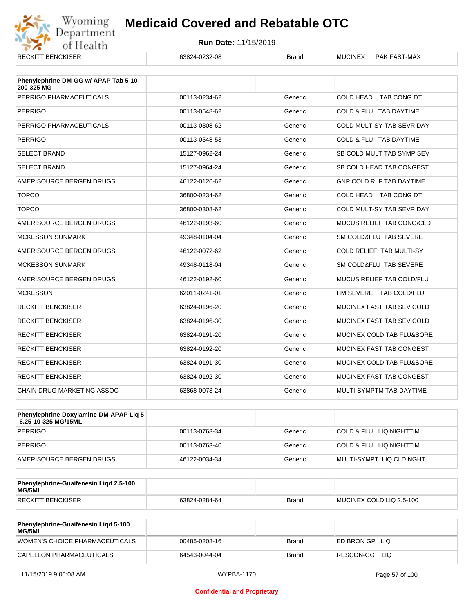

| <b>RECKITT BENCKISER</b>                            | 63824-0232-08 | <b>Brand</b> | <b>MUCINEX</b><br>PAK FAST-MAX  |
|-----------------------------------------------------|---------------|--------------|---------------------------------|
| Phenylephrine-DM-GG w/ APAP Tab 5-10-<br>200-325 MG |               |              |                                 |
| PERRIGO PHARMACEUTICALS                             | 00113-0234-62 | Generic      | COLD HEAD TAB CONG DT           |
| <b>PERRIGO</b>                                      | 00113-0548-62 | Generic      | COLD & FLU TAB DAYTIME          |
| PERRIGO PHARMACEUTICALS                             | 00113-0308-62 | Generic      | COLD MULT-SY TAB SEVR DAY       |
| <b>PERRIGO</b>                                      | 00113-0548-53 | Generic      | COLD & FLU TAB DAYTIME          |
| <b>SELECT BRAND</b>                                 | 15127-0962-24 | Generic      | SB COLD MULT TAB SYMP SEV       |
| <b>SELECT BRAND</b>                                 | 15127-0964-24 | Generic      | SB COLD HEAD TAB CONGEST        |
| AMERISOURCE BERGEN DRUGS                            | 46122-0126-62 | Generic      | <b>GNP COLD RLF TAB DAYTIME</b> |
| <b>TOPCO</b>                                        | 36800-0234-62 | Generic      | COLD HEAD TAB CONG DT           |
| <b>TOPCO</b>                                        | 36800-0308-62 | Generic      | COLD MULT-SY TAB SEVR DAY       |
| AMERISOURCE BERGEN DRUGS                            | 46122-0193-60 | Generic      | MUCUS RELIEF TAB CONG/CLD       |
| <b>MCKESSON SUNMARK</b>                             | 49348-0104-04 | Generic      | SM COLD&FLU TAB SEVERE          |
| AMERISOURCE BERGEN DRUGS                            | 46122-0072-62 | Generic      | COLD RELIEF TAB MULTI-SY        |
| <b>MCKESSON SUNMARK</b>                             | 49348-0118-04 | Generic      | SM COLD&FLU TAB SEVERE          |
| AMERISOURCE BERGEN DRUGS                            | 46122-0192-60 | Generic      | MUCUS RELIEF TAB COLD/FLU       |
| <b>MCKESSON</b>                                     | 62011-0241-01 | Generic      | HM SEVERE TAB COLD/FLU          |
| <b>RECKITT BENCKISER</b>                            | 63824-0196-20 | Generic      | MUCINEX FAST TAB SEV COLD       |
| <b>RECKITT BENCKISER</b>                            | 63824-0196-30 | Generic      | MUCINEX FAST TAB SEV COLD       |
| <b>RECKITT BENCKISER</b>                            | 63824-0191-20 | Generic      | MUCINEX COLD TAB FLU&SORE       |
| <b>RECKITT BENCKISER</b>                            | 63824-0192-20 | Generic      | MUCINEX FAST TAB CONGEST        |
| <b>RECKITT BENCKISER</b>                            | 63824-0191-30 | Generic      | MUCINEX COLD TAB FLU&SORE       |
| <b>RECKITT BENCKISER</b>                            | 63824-0192-30 | Generic      | MUCINEX FAST TAB CONGEST        |
| CHAIN DRUG MARKETING ASSOC                          | 63868-0073-24 | Generic      | MULTI-SYMPTM TAB DAYTIME        |

| <b>Phenylephrine-Doxylamine-DM-APAP Liq 5</b><br>-6.25-10-325 MG/15ML |               |         |                          |
|-----------------------------------------------------------------------|---------------|---------|--------------------------|
| PERRIGO                                                               | 00113-0763-34 | Generic | COLD & FLU LIQ NIGHTTIM  |
| PERRIGO                                                               | 00113-0763-40 | Generic | COLD & FLU LIQ NIGHTTIM  |
| AMERISOURCE BERGEN DRUGS                                              | 46122-0034-34 | Generic | MULTI-SYMPT LIQ CLD NGHT |

| Phenylephrine-Guaifenesin Ligd 2.5-100<br>MG/5ML |               |              |                          |
|--------------------------------------------------|---------------|--------------|--------------------------|
| RECKITT BENCKISER                                | 63824-0284-64 | <b>Brand</b> | MUCINEX COLD LIQ 2.5-100 |

| <b>Phenylephrine-Guaifenesin Ligd 5-100</b><br><b>MG/5ML</b> |               |       |                    |
|--------------------------------------------------------------|---------------|-------|--------------------|
| WOMEN'S CHOICE PHARMACEUTICALS                               | 00485-0208-16 | Brand | ED BRON GPLIO      |
| CAPELLON PHARMACEUTICALS                                     | 64543-0044-04 | Brand | RESCON-GG<br>- LIQ |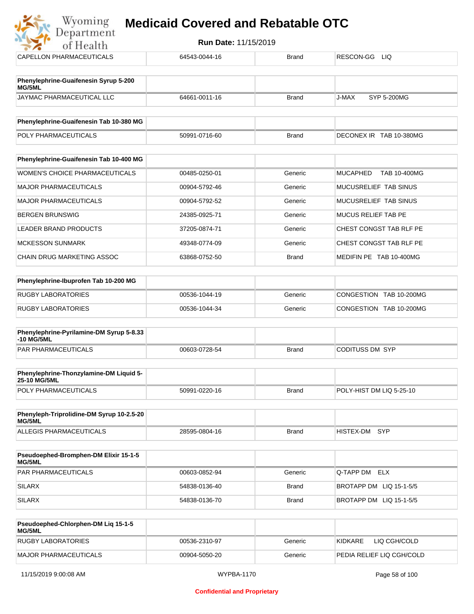

| CAPELLON PHARMACEUTICALS                               | 64543-0044-16 | <b>Brand</b> | RESCON-GG LIQ                          |
|--------------------------------------------------------|---------------|--------------|----------------------------------------|
| Phenylephrine-Guaifenesin Syrup 5-200                  |               |              |                                        |
| MG/5ML                                                 |               |              |                                        |
| JAYMAC PHARMACEUTICAL LLC                              | 64661-0011-16 | <b>Brand</b> | <b>J-MAX</b><br><b>SYP 5-200MG</b>     |
| Phenylephrine-Guaifenesin Tab 10-380 MG                |               |              |                                        |
| POLY PHARMACEUTICALS                                   | 50991-0716-60 | <b>Brand</b> | DECONEX IR TAB 10-380MG                |
|                                                        |               |              |                                        |
| Phenylephrine-Guaifenesin Tab 10-400 MG                |               |              |                                        |
| WOMEN'S CHOICE PHARMACEUTICALS                         | 00485-0250-01 | Generic      | <b>MUCAPHED</b><br><b>TAB 10-400MG</b> |
| <b>MAJOR PHARMACEUTICALS</b>                           | 00904-5792-46 | Generic      | MUCUSRELIEF TAB SINUS                  |
| <b>MAJOR PHARMACEUTICALS</b>                           | 00904-5792-52 | Generic      | MUCUSRELIEF TAB SINUS                  |
| <b>BERGEN BRUNSWIG</b>                                 | 24385-0925-71 | Generic      | MUCUS RELIEF TAB PE                    |
| <b>LEADER BRAND PRODUCTS</b>                           | 37205-0874-71 | Generic      | CHEST CONGST TAB RLF PE                |
| <b>MCKESSON SUNMARK</b>                                | 49348-0774-09 | Generic      | CHEST CONGST TAB RLF PE                |
| CHAIN DRUG MARKETING ASSOC                             | 63868-0752-50 | <b>Brand</b> | MEDIFIN PE TAB 10-400MG                |
| Phenylephrine-Ibuprofen Tab 10-200 MG                  |               |              |                                        |
| <b>RUGBY LABORATORIES</b>                              | 00536-1044-19 | Generic      | CONGESTION TAB 10-200MG                |
| <b>RUGBY LABORATORIES</b>                              | 00536-1044-34 | Generic      | CONGESTION TAB 10-200MG                |
|                                                        |               |              |                                        |
| Phenylephrine-Pyrilamine-DM Syrup 5-8.33<br>-10 MG/5ML |               |              |                                        |
| PAR PHARMACEUTICALS                                    | 00603-0728-54 | <b>Brand</b> | <b>CODITUSS DM SYP</b>                 |
| Phenylephrine-Thonzylamine-DM Liquid 5-                |               |              |                                        |
| 25-10 MG/5ML                                           |               |              |                                        |
| POLY PHARMACEUTICALS                                   | 50991-0220-16 | <b>Brand</b> | POLY-HIST DM LIQ 5-25-10               |
| Phenyleph-Triprolidine-DM Syrup 10-2.5-20<br>MG/5ML    |               |              |                                        |
| ALLEGIS PHARMACEUTICALS                                | 28595-0804-16 | <b>Brand</b> | HISTEX-DM SYP                          |
| Pseudoephed-Bromphen-DM Elixir 15-1-5                  |               |              |                                        |
| MG/5ML                                                 |               |              |                                        |
| PAR PHARMACEUTICALS                                    | 00603-0852-94 | Generic      | Q-TAPP DM ELX                          |
| <b>SILARX</b>                                          | 54838-0136-40 | <b>Brand</b> | BROTAPP DM LIQ 15-1-5/5                |
| <b>SILARX</b>                                          | 54838-0136-70 | <b>Brand</b> | BROTAPP DM LIQ 15-1-5/5                |
|                                                        |               |              |                                        |

| <b>Pseudoephed-Chlorphen-DM Lig 15-1-5</b><br>MG/5ML |               |         |                           |
|------------------------------------------------------|---------------|---------|---------------------------|
| <b>RUGBY LABORATORIES</b>                            | 00536-2310-97 | Generic | KIDKARE<br>LIQ CGH/COLD   |
| MAJOR PHARMACEUTICALS                                | 00904-5050-20 | Generic | PEDIA RELIEF LIQ CGH/COLD |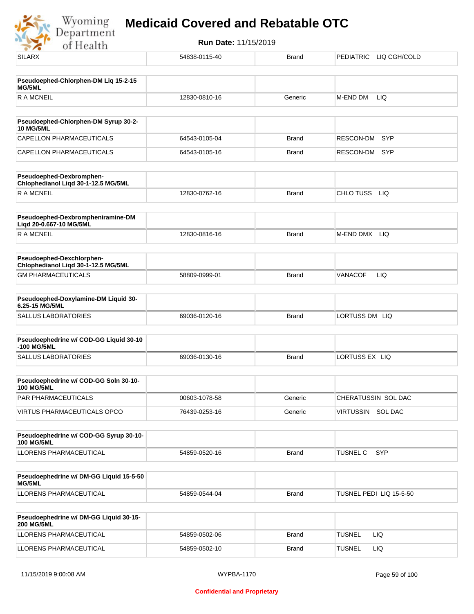Wyoming<br>Department<br>of Health

| <b>SILARX</b>                                                    | 54838-0115-40 | <b>Brand</b> | PEDIATRIC LIQ CGH/COLD        |
|------------------------------------------------------------------|---------------|--------------|-------------------------------|
| Pseudoephed-Chlorphen-DM Liq 15-2-15                             |               |              |                               |
| MG/5ML                                                           |               |              |                               |
| <b>RAMCNEIL</b>                                                  | 12830-0810-16 | Generic      | M-END DM<br>LIQ               |
| Pseudoephed-Chlorphen-DM Syrup 30-2-                             |               |              |                               |
| <b>10 MG/5ML</b>                                                 |               |              |                               |
| CAPELLON PHARMACEUTICALS                                         | 64543-0105-04 | <b>Brand</b> | RESCON-DM<br><b>SYP</b>       |
| CAPELLON PHARMACEUTICALS                                         | 64543-0105-16 | <b>Brand</b> | RESCON-DM<br>SYP              |
| Pseudoephed-Dexbromphen-<br>Chlophedianol Liqd 30-1-12.5 MG/5ML  |               |              |                               |
| <b>RAMCNEIL</b>                                                  | 12830-0762-16 | <b>Brand</b> | CHLO TUSS<br>LIQ              |
| Pseudoephed-Dexbrompheniramine-DM<br>Liqd 20-0.667-10 MG/5ML     |               |              |                               |
| <b>RAMCNEIL</b>                                                  | 12830-0816-16 | <b>Brand</b> | M-END DMX<br>LIQ              |
| Pseudoephed-Dexchlorphen-<br>Chlophedianol Liqd 30-1-12.5 MG/5ML |               |              |                               |
| <b>GM PHARMACEUTICALS</b>                                        | 58809-0999-01 | <b>Brand</b> | <b>VANACOF</b><br>LIQ         |
| Pseudoephed-Doxylamine-DM Liquid 30-<br>6.25-15 MG/5ML           |               |              |                               |
| SALLUS LABORATORIES                                              | 69036-0120-16 | <b>Brand</b> | LORTUSS DM LIQ                |
| Pseudoephedrine w/ COD-GG Liquid 30-10<br>-100 MG/5ML            |               |              |                               |
| <b>SALLUS LABORATORIES</b>                                       | 69036-0130-16 | <b>Brand</b> | LORTUSS EX LIQ                |
| Pseudoephedrine w/ COD-GG Soln 30-10-<br><b>100 MG/5ML</b>       |               |              |                               |
| PAR PHARMACEUTICALS                                              | 00603-1078-58 | Generic      | CHERATUSSIN SOL DAC           |
| VIRTUS PHARMACEUTICALS OPCO                                      | 76439-0253-16 | Generic      | VIRTUSSIN SOL DAC             |
| Pseudoephedrine w/ COD-GG Syrup 30-10-<br><b>100 MG/5ML</b>      |               |              |                               |
| LLORENS PHARMACEUTICAL                                           | 54859-0520-16 | <b>Brand</b> | <b>TUSNEL C</b><br><b>SYP</b> |
| Pseudoephedrine w/ DM-GG Liquid 15-5-50<br>MG/5ML                |               |              |                               |
| LLORENS PHARMACEUTICAL                                           | 54859-0544-04 | <b>Brand</b> | TUSNEL PEDI LIQ 15-5-50       |
| Pseudoephedrine w/ DM-GG Liquid 30-15-                           |               |              |                               |
| <b>200 MG/5ML</b><br>LLORENS PHARMACEUTICAL                      | 54859-0502-06 | <b>Brand</b> | <b>TUSNEL</b><br>LIQ.         |
| LLORENS PHARMACEUTICAL                                           | 54859-0502-10 | <b>Brand</b> | <b>TUSNEL</b><br>LIQ          |
|                                                                  |               |              |                               |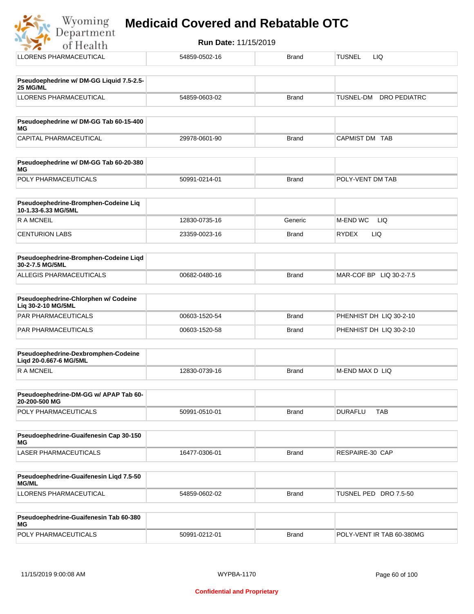| Run Date: 11/15/2019<br>of Health                           |               |              |                                         |  |
|-------------------------------------------------------------|---------------|--------------|-----------------------------------------|--|
| <b>LLORENS PHARMACEUTICAL</b>                               | 54859-0502-16 | <b>Brand</b> | <b>LIQ</b><br><b>TUSNEL</b>             |  |
| Pseudoephedrine w/ DM-GG Liquid 7.5-2.5-<br>25 MG/ML        |               |              |                                         |  |
| <b>LLORENS PHARMACEUTICAL</b>                               | 54859-0603-02 | <b>Brand</b> | <b>TUSNEL-DM</b><br><b>DRO PEDIATRC</b> |  |
| Pseudoephedrine w/ DM-GG Tab 60-15-400<br>МG                |               |              |                                         |  |
| CAPITAL PHARMACEUTICAL                                      | 29978-0601-90 | <b>Brand</b> | CAPMIST DM TAB                          |  |
| Pseudoephedrine w/ DM-GG Tab 60-20-380<br>МG                |               |              |                                         |  |
| POLY PHARMACEUTICALS                                        | 50991-0214-01 | <b>Brand</b> | POLY-VENT DM TAB                        |  |
| Pseudoephedrine-Bromphen-Codeine Lig<br>10-1.33-6.33 MG/5ML |               |              |                                         |  |
| <b>RAMCNEIL</b>                                             | 12830-0735-16 | Generic      | M-END WC<br><b>LIQ</b>                  |  |
| <b>CENTURION LABS</b>                                       | 23359-0023-16 | <b>Brand</b> | LIQ.<br><b>RYDEX</b>                    |  |
| Pseudoephedrine-Bromphen-Codeine Liqd<br>30-2-7.5 MG/5ML    |               |              |                                         |  |
| ALLEGIS PHARMACEUTICALS                                     | 00682-0480-16 | <b>Brand</b> | MAR-COF BP LIQ 30-2-7.5                 |  |
|                                                             |               |              |                                         |  |

| Pseudoephedrine-Chlorphen w/ Codeine<br>⊺Lia 30-2-10 MG/5ML |               |       |                         |
|-------------------------------------------------------------|---------------|-------|-------------------------|
| <b>PAR PHARMACEUTICALS</b>                                  | 00603-1520-54 | Brand | PHENHIST DH LIQ 30-2-10 |
| <b>PAR PHARMACEUTICALS</b>                                  | 00603-1520-58 | Brand | PHENHIST DH LIQ 30-2-10 |

| <b>Pseudoephedrine-Dexbromphen-Codeine</b><br>Ligd 20-0.667-6 MG/5ML |               |       |                  |
|----------------------------------------------------------------------|---------------|-------|------------------|
| R A MCNEIL                                                           | 12830-0739-16 | Brand | IM-END MAX D LIQ |

| <b>Pseudoephedrine-DM-GG w/ APAP Tab 60-</b><br>20-200-500 MG |               |       |                |     |
|---------------------------------------------------------------|---------------|-------|----------------|-----|
| <b>POLY PHARMACEUTICALS</b>                                   | 50991-0510-01 | Brand | <b>DURAFLU</b> | ТАВ |

| Pseudoephedrine-Guaifenesin Cap 30-150<br>MG |               |              |                 |
|----------------------------------------------|---------------|--------------|-----------------|
| LASER PHARMACEUTICALS                        | 16477-0306-01 | <b>Brand</b> | RESPAIRE-30 CAP |

| <b>Pseudoephedrine-Guaifenesin Ligd 7.5-50</b><br><b>MG/ML</b> |               |              |                       |
|----------------------------------------------------------------|---------------|--------------|-----------------------|
| LLORENS PHARMACEUTICAL                                         | 54859-0602-02 | <b>Brand</b> | TUSNEL PED DRO 7.5-50 |

| Pseudoephedrine-Guaifenesin Tab 60-380<br>MG |               |              |                           |
|----------------------------------------------|---------------|--------------|---------------------------|
| <b>POLY PHARMACEUTICALS</b>                  | 50991-0212-01 | <b>Brand</b> | POLY-VENT IR TAB 60-380MG |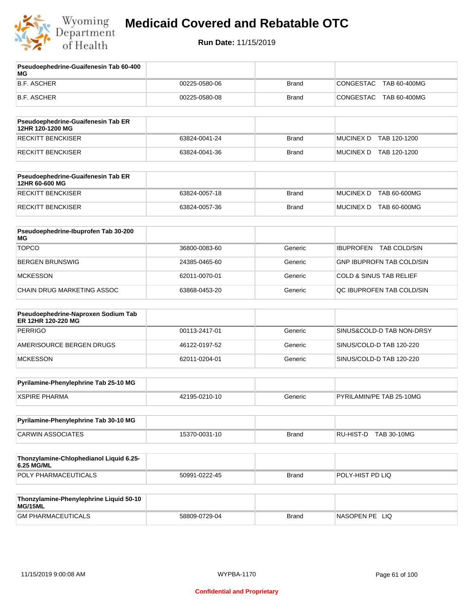

**Run Date:** 11/15/2019

T

| Pseudoephedrine-Guaifenesin Tab 60-400<br>МG              |               |              |                                    |
|-----------------------------------------------------------|---------------|--------------|------------------------------------|
| <b>B.F. ASCHER</b>                                        | 00225-0580-06 | <b>Brand</b> | CONGESTAC<br>TAB 60-400MG          |
| <b>B.F. ASCHER</b>                                        | 00225-0580-08 | <b>Brand</b> | CONGESTAC<br>TAB 60-400MG          |
| Pseudoephedrine-Guaifenesin Tab ER<br>12HR 120-1200 MG    |               |              |                                    |
| <b>RECKITT BENCKISER</b>                                  | 63824-0041-24 | <b>Brand</b> | <b>MUCINEX D</b><br>TAB 120-1200   |
| <b>RECKITT BENCKISER</b>                                  | 63824-0041-36 | Brand        | MUCINEX D TAB 120-1200             |
| Pseudoephedrine-Guaifenesin Tab ER<br>12HR 60-600 MG      |               |              |                                    |
| <b>RECKITT BENCKISER</b>                                  | 63824-0057-18 | <b>Brand</b> | <b>MUCINEX D</b><br>TAB 60-600MG   |
| <b>RECKITT BENCKISER</b>                                  | 63824-0057-36 | <b>Brand</b> | MUCINEX D TAB 60-600MG             |
| Pseudoephedrine-Ibuprofen Tab 30-200<br>МG                |               |              |                                    |
| <b>TOPCO</b>                                              | 36800-0083-60 | Generic      | IBUPROFEN TAB COLD/SIN             |
| <b>BERGEN BRUNSWIG</b>                                    | 24385-0465-60 | Generic      | <b>GNP IBUPROFN TAB COLD/SIN</b>   |
| <b>MCKESSON</b>                                           | 62011-0070-01 | Generic      | <b>COLD &amp; SINUS TAB RELIEF</b> |
| CHAIN DRUG MARKETING ASSOC                                | 63868-0453-20 | Generic      | QC IBUPROFEN TAB COLD/SIN          |
| Pseudoephedrine-Naproxen Sodium Tab<br>ER 12HR 120-220 MG |               |              |                                    |
| <b>PERRIGO</b>                                            | 00113-2417-01 | Generic      | SINUS&COLD-D TAB NON-DRSY          |
| AMERISOURCE BERGEN DRUGS                                  | 46122-0197-52 | Generic      | SINUS/COLD-D TAB 120-220           |
| <b>MCKESSON</b>                                           | 62011-0204-01 | Generic      | SINUS/COLD-D TAB 120-220           |
| Pyrilamine-Phenylephrine Tab 25-10 MG                     |               |              |                                    |
| <b>XSPIRE PHARMA</b>                                      | 42195-0210-10 | Generic      | PYRILAMIN/PE TAB 25-10MG           |
| Pyrilamine-Phenylephrine Tab 30-10 MG                     |               |              |                                    |
| <b>CARWIN ASSOCIATES</b>                                  | 15370-0031-10 | <b>Brand</b> | RU-HIST-D<br><b>TAB 30-10MG</b>    |
| Thonzylamine-Chlophedianol Liquid 6.25-<br>6.25 MG/ML     |               |              |                                    |
| POLY PHARMACEUTICALS                                      | 50991-0222-45 | <b>Brand</b> | POLY-HIST PD LIQ                   |
| Thonzylamine-Phenylephrine Liquid 50-10<br>MG/15ML        |               |              |                                    |
| <b>GM PHARMACEUTICALS</b>                                 | 58809-0729-04 | <b>Brand</b> | NASOPEN PE LIQ                     |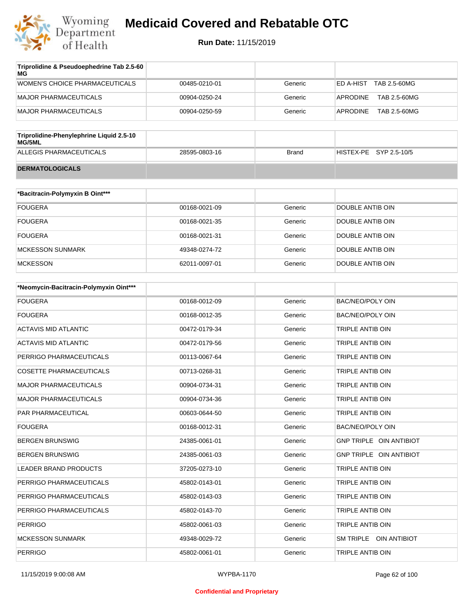

| Triprolidine & Pseudoephedrine Tab 2.5-60<br>MG |               |         |                           |
|-------------------------------------------------|---------------|---------|---------------------------|
| WOMEN'S CHOICE PHARMACEUTICALS                  | 00485-0210-01 | Generic | TAB 2.5-60MG<br>ED A-HIST |
| MAJOR PHARMACEUTICALS                           | 00904-0250-24 | Generic | TAB 2.5-60MG<br>APRODINE  |
| MAJOR PHARMACEUTICALS                           | 00904-0250-59 | Generic | TAB 2.5-60MG<br>APRODINE  |
|                                                 |               |         |                           |

| Triprolidine-Phenylephrine Liquid 2.5-10<br>MG/5ML |               |       |                        |
|----------------------------------------------------|---------------|-------|------------------------|
| ALLEGIS PHARMACEUTICALS                            | 28595-0803-16 | Brand | HISTEX-PE SYP 2.5-10/5 |
| <b>DERMATOLOGICALS</b>                             |               |       |                        |

| *Bacitracin-Polymyxin B Oint*** |               |         |                  |
|---------------------------------|---------------|---------|------------------|
| <b>FOUGERA</b>                  | 00168-0021-09 | Generic | DOUBLE ANTIB OIN |
| <b>FOUGERA</b>                  | 00168-0021-35 | Generic | DOUBLE ANTIB OIN |
| <b>FOUGERA</b>                  | 00168-0021-31 | Generic | DOUBLE ANTIB OIN |
| MCKESSON SUNMARK                | 49348-0274-72 | Generic | DOUBLE ANTIB OIN |
| <b>MCKESSON</b>                 | 62011-0097-01 | Generic | DOUBLE ANTIB OIN |

| *Neomycin-Bacitracin-Polymyxin Oint*** |               |         |                         |
|----------------------------------------|---------------|---------|-------------------------|
| <b>FOUGERA</b>                         | 00168-0012-09 | Generic | <b>BAC/NEO/POLY OIN</b> |
| <b>FOUGERA</b>                         | 00168-0012-35 | Generic | <b>BAC/NEO/POLY OIN</b> |
| <b>ACTAVIS MID ATLANTIC</b>            | 00472-0179-34 | Generic | TRIPLE ANTIB OIN        |
| <b>ACTAVIS MID ATLANTIC</b>            | 00472-0179-56 | Generic | TRIPLE ANTIB OIN        |
| PERRIGO PHARMACEUTICALS                | 00113-0067-64 | Generic | <b>TRIPLE ANTIB OIN</b> |
| <b>COSETTE PHARMACEUTICALS</b>         | 00713-0268-31 | Generic | <b>TRIPLE ANTIB OIN</b> |
| <b>MAJOR PHARMACEUTICALS</b>           | 00904-0734-31 | Generic | <b>TRIPLE ANTIB OIN</b> |
| <b>MAJOR PHARMACEUTICALS</b>           | 00904-0734-36 | Generic | <b>TRIPLE ANTIB OIN</b> |
| <b>PAR PHARMACEUTICAL</b>              | 00603-0644-50 | Generic | <b>TRIPLE ANTIB OIN</b> |
| <b>FOUGERA</b>                         | 00168-0012-31 | Generic | <b>BAC/NEO/POLY OIN</b> |
| <b>BERGEN BRUNSWIG</b>                 | 24385-0061-01 | Generic | GNP TRIPLE OIN ANTIBIOT |
| <b>BERGEN BRUNSWIG</b>                 | 24385-0061-03 | Generic | GNP TRIPLE OIN ANTIBIOT |
| <b>LEADER BRAND PRODUCTS</b>           | 37205-0273-10 | Generic | <b>TRIPLE ANTIB OIN</b> |
| PERRIGO PHARMACEUTICALS                | 45802-0143-01 | Generic | <b>TRIPLE ANTIB OIN</b> |
| PERRIGO PHARMACEUTICALS                | 45802-0143-03 | Generic | TRIPLE ANTIB OIN        |
| PERRIGO PHARMACEUTICALS                | 45802-0143-70 | Generic | TRIPLE ANTIB OIN        |
| <b>PERRIGO</b>                         | 45802-0061-03 | Generic | <b>TRIPLE ANTIB OIN</b> |
| <b>MCKESSON SUNMARK</b>                | 49348-0029-72 | Generic | SM TRIPLE OIN ANTIBIOT  |
| <b>PERRIGO</b>                         | 45802-0061-01 | Generic | <b>TRIPLE ANTIB OIN</b> |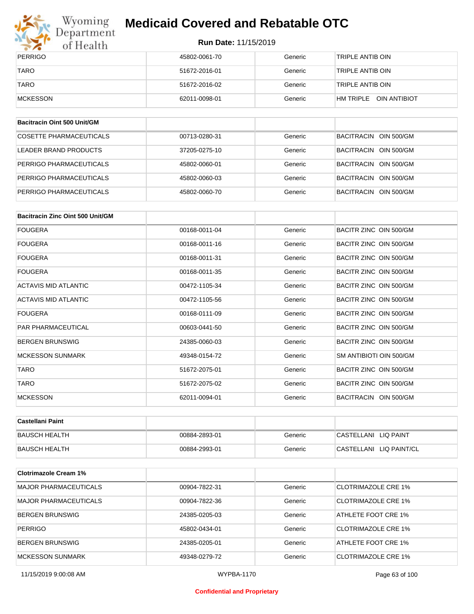

# Wyoming<br>Department<br>of Health

# **Medicaid Covered and Rebatable OTC**

**Run Date:** 11/15/2019

| PERRIGO     | 45802-0061-70 | Generic | TRIPLE ANTIB OIN          |
|-------------|---------------|---------|---------------------------|
| <b>TARO</b> | 51672-2016-01 | Generic | TRIPLE ANTIB OIN          |
| <b>TARO</b> | 51672-2016-02 | Generic | TRIPLE ANTIB OIN          |
| MCKESSON    | 62011-0098-01 | Generic | OIN ANTIBIOT<br>HM TRIPLE |

| Bacitracin Oint 500 Unit/GM |               |         |                       |
|-----------------------------|---------------|---------|-----------------------|
| COSETTE PHARMACEUTICALS     | 00713-0280-31 | Generic | BACITRACIN OIN 500/GM |
| LEADER BRAND PRODUCTS       | 37205-0275-10 | Generic | BACITRACIN OIN 500/GM |
| PERRIGO PHARMACEUTICALS     | 45802-0060-01 | Generic | BACITRACIN OIN 500/GM |
| PERRIGO PHARMACEUTICALS     | 45802-0060-03 | Generic | BACITRACIN OIN 500/GM |
| PERRIGO PHARMACEUTICALS     | 45802-0060-70 | Generic | BACITRACIN OIN 500/GM |

| Bacitracin Zinc Oint 500 Unit/GM |               |         |                         |
|----------------------------------|---------------|---------|-------------------------|
| <b>FOUGERA</b>                   | 00168-0011-04 | Generic | BACITR ZINC OIN 500/GM  |
| FOUGERA                          | 00168-0011-16 | Generic | BACITR ZINC OIN 500/GM  |
| <b>FOUGERA</b>                   | 00168-0011-31 | Generic | BACITR ZINC OIN 500/GM  |
| <b>FOUGERA</b>                   | 00168-0011-35 | Generic | BACITR ZINC OIN 500/GM  |
| <b>ACTAVIS MID ATLANTIC</b>      | 00472-1105-34 | Generic | BACITR ZINC OIN 500/GM  |
| <b>ACTAVIS MID ATLANTIC</b>      | 00472-1105-56 | Generic | BACITR ZINC OIN 500/GM  |
| <b>FOUGERA</b>                   | 00168-0111-09 | Generic | BACITR ZINC OIN 500/GM  |
| <b>PAR PHARMACEUTICAL</b>        | 00603-0441-50 | Generic | BACITR ZINC OIN 500/GM  |
| <b>BERGEN BRUNSWIG</b>           | 24385-0060-03 | Generic | BACITR ZINC OIN 500/GM  |
| <b>MCKESSON SUNMARK</b>          | 49348-0154-72 | Generic | SM ANTIBIOTI OIN 500/GM |
| <b>TARO</b>                      | 51672-2075-01 | Generic | BACITR ZINC OIN 500/GM  |
| <b>TARO</b>                      | 51672-2075-02 | Generic | BACITR ZINC OIN 500/GM  |
| <b>MCKESSON</b>                  | 62011-0094-01 | Generic | BACITRACIN OIN 500/GM   |

| ∣Castellani Paint    |               |         |                         |
|----------------------|---------------|---------|-------------------------|
| <b>BAUSCH HEALTH</b> | 00884-2893-01 | Generic | CASTELLANI LIQ PAINT    |
| <b>BAUSCH HEALTH</b> | 00884-2993-01 | Generic | CASTELLANI LIQ PAINT/CL |

| <b>Clotrimazole Cream 1%</b> |               |         |                     |
|------------------------------|---------------|---------|---------------------|
| MAJOR PHARMACEUTICALS        | 00904-7822-31 | Generic | CLOTRIMAZOLE CRE 1% |
| MAJOR PHARMACEUTICALS        | 00904-7822-36 | Generic | CLOTRIMAZOLE CRE 1% |
| <b>BERGEN BRUNSWIG</b>       | 24385-0205-03 | Generic | ATHLETE FOOT CRE 1% |
| <b>PERRIGO</b>               | 45802-0434-01 | Generic | CLOTRIMAZOLE CRE 1% |
| <b>BERGEN BRUNSWIG</b>       | 24385-0205-01 | Generic | ATHLETE FOOT CRE 1% |
| <b>MCKESSON SUNMARK</b>      | 49348-0279-72 | Generic | CLOTRIMAZOLE CRE 1% |

11/15/2019 9:00:08 AM WYPBA-1170 Page 63 of 100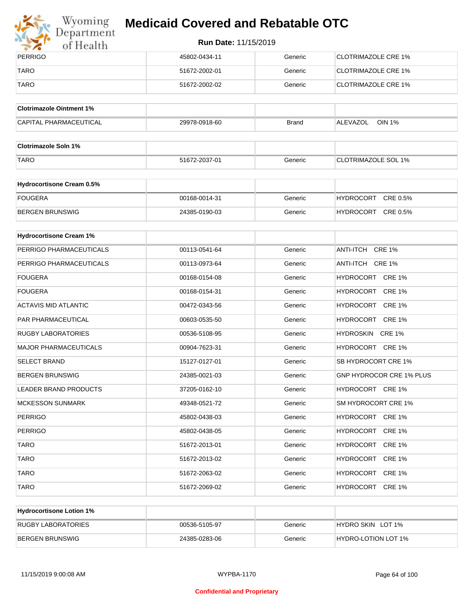

# Wyoming<br>Department<br>of Health

# **Medicaid Covered and Rebatable OTC**

| PERRIGO     | 45802-0434-11 | Generic | CLOTRIMAZOLE CRE 1%        |
|-------------|---------------|---------|----------------------------|
| <b>TARO</b> | 51672-2002-01 | Generic | CLOTRIMAZOLE CRE 1%        |
| <b>TARO</b> | 51672-2002-02 | Generic | <b>CLOTRIMAZOLE CRE 1%</b> |

| <b>Clotrimazole Ointment 1%</b> |               |              |                           |
|---------------------------------|---------------|--------------|---------------------------|
| <b>CAPITAL PHARMACEUTICAL</b>   | 29978-0918-60 | <b>Brand</b> | <b>OIN 1%</b><br>ALEVAZOL |

| <b>Clotrimazole Soln 1%</b> |               |         |                            |
|-----------------------------|---------------|---------|----------------------------|
| <b>TARO</b>                 | 51672-2037-01 | Generic | <b>CLOTRIMAZOLE SOL 1%</b> |

| <b>Hydrocortisone Cream 0.5%</b> |               |         |                              |
|----------------------------------|---------------|---------|------------------------------|
| FOUGERA                          | 00168-0014-31 | Generic | CRE 0.5%<br><b>HYDROCORT</b> |
| BERGEN BRUNSWIG                  | 24385-0190-03 | Generic | CRE 0.5%<br><b>HYDROCORT</b> |

| <b>Hydrocortisone Cream 1%</b> |               |         |                                   |
|--------------------------------|---------------|---------|-----------------------------------|
| PERRIGO PHARMACEUTICALS        | 00113-0541-64 | Generic | ANTI-ITCH CRE 1%                  |
| PERRIGO PHARMACEUTICALS        | 00113-0973-64 | Generic | ANTI-ITCH CRE 1%                  |
| <b>FOUGERA</b>                 | 00168-0154-08 | Generic | HYDROCORT CRE 1%                  |
| <b>FOUGERA</b>                 | 00168-0154-31 | Generic | HYDROCORT CRE 1%                  |
| <b>ACTAVIS MID ATLANTIC</b>    | 00472-0343-56 | Generic | HYDROCORT CRE 1%                  |
| <b>PAR PHARMACEUTICAL</b>      | 00603-0535-50 | Generic | HYDROCORT CRE 1%                  |
| <b>RUGBY LABORATORIES</b>      | 00536-5108-95 | Generic | HYDROSKIN CRE 1%                  |
| <b>MAJOR PHARMACEUTICALS</b>   | 00904-7623-31 | Generic | HYDROCORT CRE 1%                  |
| <b>SELECT BRAND</b>            | 15127-0127-01 | Generic | SB HYDROCORT CRE 1%               |
| <b>BERGEN BRUNSWIG</b>         | 24385-0021-03 | Generic | <b>GNP HYDROCOR CRE 1% PLUS</b>   |
| <b>LEADER BRAND PRODUCTS</b>   | 37205-0162-10 | Generic | HYDROCORT CRE 1%                  |
| <b>MCKESSON SUNMARK</b>        | 49348-0521-72 | Generic | SM HYDROCORT CRE 1%               |
| <b>PERRIGO</b>                 | 45802-0438-03 | Generic | HYDROCORT CRE 1%                  |
| <b>PERRIGO</b>                 | 45802-0438-05 | Generic | HYDROCORT CRE 1%                  |
| <b>TARO</b>                    | 51672-2013-01 | Generic | HYDROCORT CRE 1%                  |
| <b>TARO</b>                    | 51672-2013-02 | Generic | HYDROCORT CRE 1%                  |
| <b>TARO</b>                    | 51672-2063-02 | Generic | <b>HYDROCORT</b><br><b>CRE 1%</b> |
| <b>TARO</b>                    | 51672-2069-02 | Generic | HYDROCORT CRE 1%                  |

| <b>Hydrocortisone Lotion 1%</b> |               |         |                            |
|---------------------------------|---------------|---------|----------------------------|
| <b>RUGBY LABORATORIES</b>       | 00536-5105-97 | Generic | HYDRO SKIN LOT 1%          |
| <b>BERGEN BRUNSWIG</b>          | 24385-0283-06 | Generic | <b>HYDRO-LOTION LOT 1%</b> |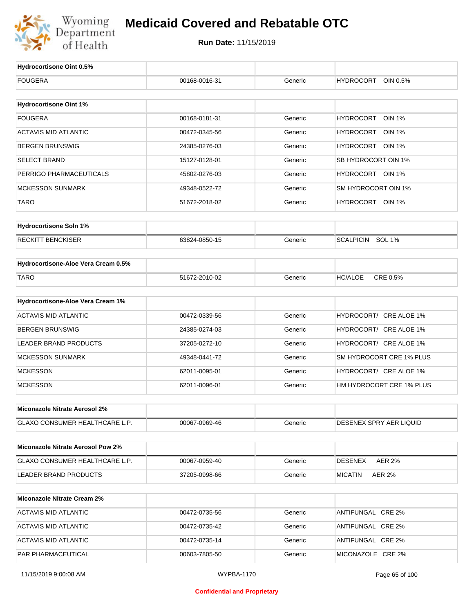

| Hydrocortisone Oint 0.5%                 |               |         |                                   |
|------------------------------------------|---------------|---------|-----------------------------------|
| <b>FOUGERA</b>                           | 00168-0016-31 | Generic | <b>HYDROCORT</b><br>OIN 0.5%      |
|                                          |               |         |                                   |
| <b>Hydrocortisone Oint 1%</b>            |               |         |                                   |
| <b>FOUGERA</b>                           | 00168-0181-31 | Generic | <b>HYDROCORT</b><br><b>OIN 1%</b> |
| <b>ACTAVIS MID ATLANTIC</b>              | 00472-0345-56 | Generic | HYDROCORT<br>OIN 1%               |
| <b>BERGEN BRUNSWIG</b>                   | 24385-0276-03 | Generic | HYDROCORT OIN 1%                  |
| <b>SELECT BRAND</b>                      | 15127-0128-01 | Generic | SB HYDROCORT OIN 1%               |
| PERRIGO PHARMACEUTICALS                  | 45802-0276-03 | Generic | HYDROCORT OIN 1%                  |
| <b>MCKESSON SUNMARK</b>                  | 49348-0522-72 | Generic | SM HYDROCORT OIN 1%               |
| TARO                                     | 51672-2018-02 | Generic | HYDROCORT OIN 1%                  |
|                                          |               |         |                                   |
| <b>Hydrocortisone Soln 1%</b>            |               |         |                                   |
| <b>RECKITT BENCKISER</b>                 | 63824-0850-15 | Generic | SCALPICIN SOL 1%                  |
| Hydrocortisone-Aloe Vera Cream 0.5%      |               |         |                                   |
| <b>TARO</b>                              | 51672-2010-02 | Generic | CRE 0.5%<br><b>HC/ALOE</b>        |
|                                          |               |         |                                   |
| Hydrocortisone-Aloe Vera Cream 1%        |               |         |                                   |
| <b>ACTAVIS MID ATLANTIC</b>              | 00472-0339-56 | Generic | HYDROCORT/ CRE ALOE 1%            |
| <b>BERGEN BRUNSWIG</b>                   | 24385-0274-03 | Generic | HYDROCORT/ CRE ALOE 1%            |
| <b>LEADER BRAND PRODUCTS</b>             | 37205-0272-10 | Generic | HYDROCORT/ CRE ALOE 1%            |
| <b>MCKESSON SUNMARK</b>                  | 49348-0441-72 | Generic | SM HYDROCORT CRE 1% PLUS          |
| <b>MCKESSON</b>                          | 62011-0095-01 | Generic | HYDROCORT/ CRE ALOE 1%            |
| <b>MCKESSON</b>                          | 62011-0096-01 | Generic | HM HYDROCORT CRE 1% PLUS          |
| Miconazole Nitrate Aerosol 2%            |               |         |                                   |
| <b>GLAXO CONSUMER HEALTHCARE L.P.</b>    |               | Generic | DESENEX SPRY AER LIQUID           |
|                                          | 00067-0969-46 |         |                                   |
| <b>Miconazole Nitrate Aerosol Pow 2%</b> |               |         |                                   |
| GLAXO CONSUMER HEALTHCARE L.P.           | 00067-0959-40 | Generic | <b>AER 2%</b><br><b>DESENEX</b>   |
| <b>LEADER BRAND PRODUCTS</b>             | 37205-0998-66 | Generic | <b>AER 2%</b><br><b>MICATIN</b>   |
| <b>Miconazole Nitrate Cream 2%</b>       |               |         |                                   |
|                                          |               |         |                                   |
| <b>ACTAVIS MID ATLANTIC</b>              | 00472-0735-56 | Generic | ANTIFUNGAL CRE 2%                 |
| <b>ACTAVIS MID ATLANTIC</b>              | 00472-0735-42 | Generic | ANTIFUNGAL CRE 2%                 |
| <b>ACTAVIS MID ATLANTIC</b>              | 00472-0735-14 | Generic | ANTIFUNGAL CRE 2%                 |
| PAR PHARMACEUTICAL                       | 00603-7805-50 | Generic | MICONAZOLE CRE 2%                 |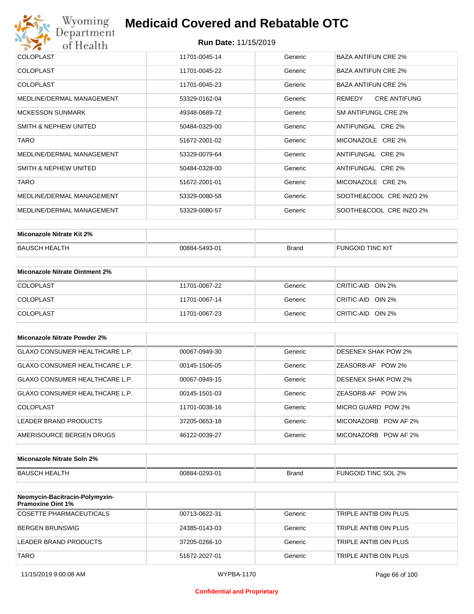

| 11701-0045-14 | Generic | <b>BAZA ANTIFUN CRE 2%</b>    |
|---------------|---------|-------------------------------|
| 11701-0045-22 | Generic | <b>BAZA ANTIFUN CRE 2%</b>    |
| 11701-0045-23 | Generic | <b>BAZA ANTIFUN CRE 2%</b>    |
| 53329-0162-04 | Generic | <b>CRE ANTIFUNG</b><br>REMEDY |
| 49348-0689-72 | Generic | SM ANTIFUNGL CRE 2%           |
| 50484-0329-00 | Generic | ANTIFUNGAL CRE 2%             |
| 51672-2001-02 | Generic | MICONAZOLE CRE 2%             |
| 53329-0079-64 | Generic | ANTIFUNGAL CRE 2%             |
| 50484-0328-00 | Generic | ANTIFUNGAL CRE 2%             |
| 51672-2001-01 | Generic | MICONAZOLE CRE 2%             |
| 53329-0080-58 | Generic | SOOTHE&COOL CRE INZO 2%       |
| 53329-0080-57 | Generic | SOOTHE&COOL CRE INZO 2%       |
|               |         |                               |

| Miconazole Nitrate Kit 2% |               |       |                         |
|---------------------------|---------------|-------|-------------------------|
| <b>BAUSCH HEALTH</b>      | 00884-5493-01 | Brand | <b>FUNGOID TINC KIT</b> |

| Miconazole Nitrate Ointment 2% |               |         |                   |
|--------------------------------|---------------|---------|-------------------|
| <b>COLOPLAST</b>               | 11701-0067-22 | Generic | CRITIC-AID OIN 2% |
| <b>COLOPLAST</b>               | 11701-0067-14 | Generic | CRITIC-AID OIN 2% |
| <b>COLOPLAST</b>               | 11701-0067-23 | Generic | CRITIC-AID OIN 2% |

| Miconazole Nitrate Powder 2%   |               |         |                      |
|--------------------------------|---------------|---------|----------------------|
| GLAXO CONSUMER HEALTHCARE L.P. | 00067-0949-30 | Generic | DESENEX SHAK POW 2%  |
| GLAXO CONSUMER HEALTHCARE L.P. | 00145-1506-05 | Generic | ZEASORB-AF POW 2%    |
| GLAXO CONSUMER HEALTHCARE L.P. | 00067-0949-15 | Generic | DESENEX SHAK POW 2%  |
| GLAXO CONSUMER HEALTHCARE L.P. | 00145-1501-03 | Generic | ZEASORB-AF POW 2%    |
| COLOPLAST                      | 11701-0038-16 | Generic | MICRO GUARD POW 2%   |
| LEADER BRAND PRODUCTS          | 37205-0653-18 | Generic | MICONAZORB POW AF 2% |
| AMERISOURCE BERGEN DRUGS       | 46122-0039-27 | Generic | MICONAZORB POW AF 2% |

| Miconazole Nitrate Soln 2% |               |       |                     |
|----------------------------|---------------|-------|---------------------|
| BAUSCH HEALTH              | 00884-0293-01 | Brand | FUNGOID TINC SOL 2% |

| Neomycin-Bacitracin-Polymyxin-<br><b>Pramoxine Oint 1%</b> |               |         |                       |
|------------------------------------------------------------|---------------|---------|-----------------------|
| COSETTE PHARMACEUTICALS                                    | 00713-0622-31 | Generic | TRIPLE ANTIB OIN PLUS |
| BERGEN BRUNSWIG                                            | 24385-0143-03 | Generic | TRIPLE ANTIB OIN PLUS |
| LEADER BRAND PRODUCTS                                      | 37205-0266-10 | Generic | TRIPLE ANTIB OIN PLUS |
| <b>TARO</b>                                                | 51672-2027-01 | Generic | TRIPLE ANTIB OIN PLUS |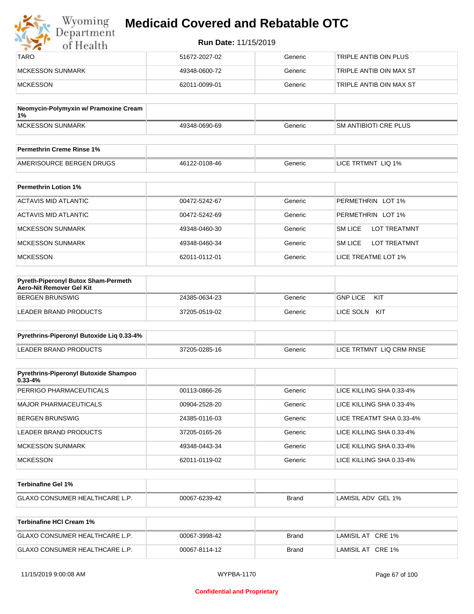| Wyoming<br>Department | <b>Medicaid Covered and Rebatable OTC</b> |         |                         |
|-----------------------|-------------------------------------------|---------|-------------------------|
| of Health             | <b>Run Date: 11/15/2019</b>               |         |                         |
| <b>TARO</b>           | 51672-2027-02                             | Generic | TRIPLE ANTIB OIN PLUS   |
| MCKESSON SUNMARK      | 49348-0600-72                             | Generic | TRIPLE ANTIB OIN MAX ST |
| <b>MCKESSON</b>       | 62011-0099-01                             | Generic | TRIPLE ANTIB OIN MAX ST |

| Neomycin-Polymyxin w/ Pramoxine Cream<br>∣1% |               |         |                               |
|----------------------------------------------|---------------|---------|-------------------------------|
| <b>IMCKESSON SUNMARK</b>                     | 49348-0690-69 | Generic | <b>ISM ANTIBIOTI CRE PLUS</b> |
|                                              |               |         |                               |
| <b>Permethrin Creme Rinse 1%</b>             |               |         |                               |

| <b>Permethrin Creme Rinse 1%</b> |               |         |                    |
|----------------------------------|---------------|---------|--------------------|
| AMERISOURCE BERGEN DRUGS         | 46122-0108-46 | Beneric | LICE TRTMNT LIQ 1% |

| <b>Permethrin Lotion 1%</b> |               |         |                                       |
|-----------------------------|---------------|---------|---------------------------------------|
| ACTAVIS MID ATLANTIC        | 00472-5242-67 | Generic | PERMETHRIN LOT 1%                     |
| ACTAVIS MID ATLANTIC        | 00472-5242-69 | Generic | PERMETHRIN LOT 1%                     |
| <b>MCKESSON SUNMARK</b>     | 49348-0460-30 | Generic | <b>LOT TREATMNT</b><br><b>SM LICE</b> |
| <b>MCKESSON SUNMARK</b>     | 49348-0460-34 | Generic | <b>SM LICE</b><br><b>LOT TREATMNT</b> |
| <b>MCKESSON</b>             | 62011-0112-01 | Generic | LICE TREATME LOT 1%                   |

| Pyreth-Piperonyl Butox Sham-Permeth<br>Aero-Nit Remover Gel Kit |               |         |                        |
|-----------------------------------------------------------------|---------------|---------|------------------------|
| BERGEN BRUNSWIG                                                 | 24385-0634-23 | Generic | KIT<br><b>GNP LICE</b> |
| LEADER BRAND PRODUCTS                                           | 37205-0519-02 | Generic | KIT<br>LICE SOLN       |

| Pyrethrins-Piperonyl Butoxide Lig 0.33-4% |               |         |                          |
|-------------------------------------------|---------------|---------|--------------------------|
| LEADER BRAND PRODUCTS                     | 37205-0285-16 | Generic | LICE TRTMNT LIQ CRM RNSE |

| <b>Pyrethrins-Piperonyl Butoxide Shampoo</b><br>$0.33 - 4%$ |               |         |                          |
|-------------------------------------------------------------|---------------|---------|--------------------------|
| PERRIGO PHARMACEUTICALS                                     | 00113-0866-26 | Generic | LICE KILLING SHA 0.33-4% |
| MAJOR PHARMACEUTICALS                                       | 00904-2528-20 | Generic | LICE KILLING SHA 0.33-4% |
| BERGEN BRUNSWIG                                             | 24385-0116-03 | Generic | LICE TREATMT SHA 0.33-4% |
| LEADER BRAND PRODUCTS                                       | 37205-0165-26 | Generic | LICE KILLING SHA 0.33-4% |
| <b>MCKESSON SUNMARK</b>                                     | 49348-0443-34 | Generic | LICE KILLING SHA 0.33-4% |
| <b>MCKESSON</b>                                             | 62011-0119-02 | Generic | LICE KILLING SHA 0.33-4% |

| Terbinafine Gel 1%          |               |              |                                              |
|-----------------------------|---------------|--------------|----------------------------------------------|
| GLAXO CONSUMER HEALTHCARE L | 00067-6239-42 | <b>Brand</b> | $\,$ lamisil adv $\,$ gel $^{\,\cdot}$<br>1% |

| Terbinafine HCI Cream 1%              |               |       |                   |
|---------------------------------------|---------------|-------|-------------------|
| <b>GLAXO CONSUMER HEALTHCARE L.P.</b> | 00067-3998-42 | Brand | LAMISIL AT CRE 1% |
| <b>GLAXO CONSUMER HEALTHCARE L.P.</b> | 00067-8114-12 | Brand | LAMISIL AT CRE 1% |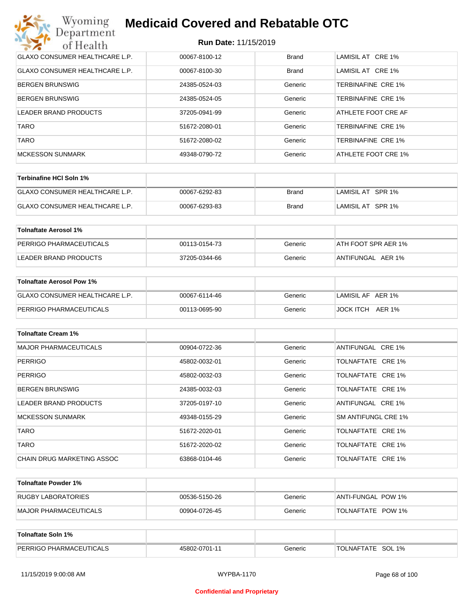| Wyoming<br><b>Medicaid Covered and Rebatable OTC</b><br>Department |                             |              |                     |  |  |
|--------------------------------------------------------------------|-----------------------------|--------------|---------------------|--|--|
| of Health                                                          | <b>Run Date: 11/15/2019</b> |              |                     |  |  |
| <b>GLAXO CONSUMER HEALTHCARE L.P.</b>                              | 00067-8100-12               | <b>Brand</b> | LAMISIL AT CRE 1%   |  |  |
| <b>GLAXO CONSUMER HEALTHCARE L.P.</b>                              | 00067-8100-30               | Brand        | LAMISIL AT CRE 1%   |  |  |
| BERGEN BRUNSWIG                                                    | 24385-0524-03               | Generic      | TERBINAFINE CRE 1%  |  |  |
| <b>BERGEN BRUNSWIG</b>                                             | 24385-0524-05               | Generic      | TERBINAFINE CRE 1%  |  |  |
| LEADER BRAND PRODUCTS                                              | 37205-0941-99               | Generic      | ATHLETE FOOT CRE AF |  |  |
| <b>TARO</b>                                                        | 51672-2080-01               | Generic      | TERBINAFINE CRE 1%  |  |  |
| <b>TARO</b>                                                        | 51672-2080-02               | Generic      | TERBINAFINE CRE 1%  |  |  |
| <b>MCKESSON SUNMARK</b>                                            | 49348-0790-72               | Generic      | ATHLETE FOOT CRE 1% |  |  |

| Terbinafine HCI Soln 1%               |               |       |                   |
|---------------------------------------|---------------|-------|-------------------|
| <b>GLAXO CONSUMER HEALTHCARE L.P.</b> | 00067-6292-83 | Brand | LAMISIL AT SPR 1% |
| <b>GLAXO CONSUMER HEALTHCARE L.P.</b> | 00067-6293-83 | Brand | LAMISIL AT SPR 1% |

| Tolnaftate Aerosol 1%   |               |         |                     |
|-------------------------|---------------|---------|---------------------|
| PERRIGO PHARMACEUTICALS | 00113-0154-73 | Generic | ATH FOOT SPR AER 1% |
| LEADER BRAND PRODUCTS   | 37205-0344-66 | Generic | ANTIFUNGAL AER 1%   |

| Tolnaftate Aerosol Pow 1%      |               |         |                     |
|--------------------------------|---------------|---------|---------------------|
| GLAXO CONSUMER HEALTHCARE L.P. | 00067-6114-46 | Generic | LAMISIL AF AER 1%   |
| PERRIGO PHARMACEUTICALS        | 00113-0695-90 | Generic | JOCK ITCH<br>AER 1% |

| <b>Tolnaftate Cream 1%</b>   |               |         |                     |
|------------------------------|---------------|---------|---------------------|
| <b>MAJOR PHARMACEUTICALS</b> | 00904-0722-36 | Generic | ANTIFUNGAL CRE 1%   |
| <b>PERRIGO</b>               | 45802-0032-01 | Generic | TOLNAFTATE CRE 1%   |
| <b>PERRIGO</b>               | 45802-0032-03 | Generic | TOLNAFTATE CRE 1%   |
| <b>BERGEN BRUNSWIG</b>       | 24385-0032-03 | Generic | TOLNAFTATE CRE 1%   |
| LEADER BRAND PRODUCTS        | 37205-0197-10 | Generic | ANTIFUNGAL CRE 1%   |
| <b>MCKESSON SUNMARK</b>      | 49348-0155-29 | Generic | SM ANTIFUNGL CRE 1% |
| <b>TARO</b>                  | 51672-2020-01 | Generic | TOLNAFTATE CRE 1%   |
| <b>TARO</b>                  | 51672-2020-02 | Generic | TOLNAFTATE CRE 1%   |
| CHAIN DRUG MARKETING ASSOC   | 63868-0104-46 | Generic | TOLNAFTATE CRE 1%   |

| Tolnaftate Powder 1%  |               |         |                     |
|-----------------------|---------------|---------|---------------------|
| RUGBY LABORATORIES    | 00536-5150-26 | Generic | IANTI-FUNGAL POW 1% |
| MAJOR PHARMACEUTICALS | 00904-0726-45 | Generic | TOLNAFTATE POW 1%   |

| Tolnaftate Soln 1%             |               |         |                      |
|--------------------------------|---------------|---------|----------------------|
| <b>PERRIGO PHARMACEUTICALS</b> | 45802-0701-11 | Generic | SOL 1%<br>TOLNAFTATE |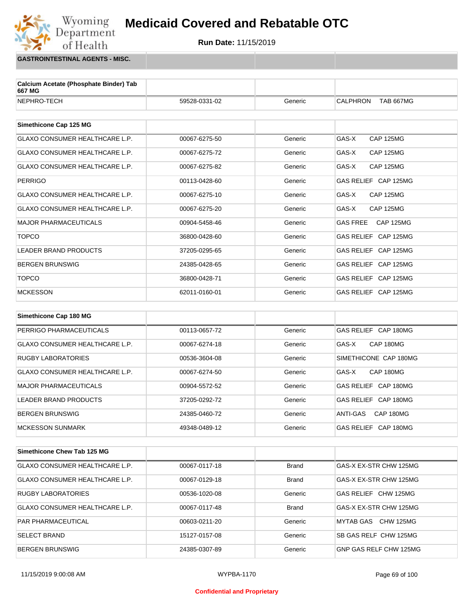#### Wyoming<br>Department **Medicaid Covered and Rebatable OTC**



**GASTROINTESTINAL AGENTS - MISC.**

of Health

| Calcium Acetate (Phosphate Binder) Tab<br>667 MG |                 |         |                                     |
|--------------------------------------------------|-----------------|---------|-------------------------------------|
| NEPHRO-TECH                                      | 59528-0331-02   | Generic | <b>CALPHRON</b><br><b>TAB 667MG</b> |
|                                                  |                 |         |                                     |
| Simethicone Cap 125 MG                           |                 |         |                                     |
| <b>GLAXO CONSUMER HEALTHCARE L.P.</b>            | 00067-6275-50   | Generic | GAS-X<br><b>CAP 125MG</b>           |
| <b>GLAXO CONSUMER HEALTHCARE L.P.</b>            | 00067-6275-72   | Generic | GAS-X<br><b>CAP 125MG</b>           |
| <b>GLAXO CONSUMER HEALTHCARE L.P.</b>            | 00067-6275-82   | Generic | GAS-X<br><b>CAP 125MG</b>           |
| <b>PERRIGO</b>                                   | 00113-0428-60   | Generic | GAS RELIEF CAP 125MG                |
| <b>GLAXO CONSUMER HEALTHCARE L.P.</b>            | 00067-6275-10   | Generic | GAS-X<br><b>CAP 125MG</b>           |
| <b>GLAXO CONSUMER HEALTHCARE L.P.</b>            | 00067-6275-20   | Generic | GAS-X<br><b>CAP 125MG</b>           |
| <b>MAJOR PHARMACEUTICALS</b>                     | 00904-5458-46   | Generic | <b>GAS FREE</b><br><b>CAP 125MG</b> |
| <b>TOPCO</b>                                     | 36800-0428-60   | Generic | GAS RELIEF CAP 125MG                |
| <b>LEADER BRAND PRODUCTS</b>                     | 37205-0295-65   | Generic | GAS RELIEF CAP 125MG                |
| <b>BERGEN BRUNSWIG</b>                           | 24385-0428-65   | Generic | GAS RELIEF CAP 125MG                |
| <b>TOPCO</b>                                     | 36800-0428-71   | Generic | GAS RELIEF CAP 125MG                |
| <b>MCKESSON</b>                                  | 62011-0160-01   | Generic | GAS RELIEF CAP 125MG                |
|                                                  |                 |         |                                     |
| Simethicone Cap 180 MG                           |                 |         |                                     |
| PERRIGO PHARMACEUTICALS                          | 00113-0657-72   | Generic | GAS RELIEF CAP 180MG                |
| <b>GLAXO CONSUMER HEALTHCARE L.P.</b>            | 00067-6274-18   | Generic | GAS-X<br>CAP 180MG                  |
| <b>RUGBY LABORATORIES</b>                        | 00536-3604-08   | Generic | SIMETHICONE CAP 180MG               |
| <b>GLAXO CONSUMER HEALTHCARE L.P.</b>            | 00067-6274-50   | Generic | GAS-X<br>CAP 180MG                  |
| MAIOD DHADMACELITICALS                           | $00004$ $55725$ | Conorio | CAS DELIEE CAD 190MC                |

| MAJOR PHARMACEUTICALS    | 00904-5572-52 | Generic | GAS RELIEF CAP 180MG  |
|--------------------------|---------------|---------|-----------------------|
| LEADER BRAND PRODUCTS    | 37205-0292-72 | Generic | GAS RELIEF CAP 180MG  |
| BERGEN BRUNSWIG          | 24385-0460-72 | Generic | CAP 180MG<br>ANTI-GAS |
| <b>IMCKESSON SUNMARK</b> | 49348-0489-12 | Generic | GAS RELIEF CAP 180MG  |

| Simethicone Chew Tab 125 MG           |               |              |                        |
|---------------------------------------|---------------|--------------|------------------------|
| <b>GLAXO CONSUMER HEALTHCARE L.P.</b> | 00067-0117-18 | <b>Brand</b> | GAS-X EX-STR CHW 125MG |
| <b>GLAXO CONSUMER HEALTHCARE L.P.</b> | 00067-0129-18 | <b>Brand</b> | GAS-X EX-STR CHW 125MG |
| <b>RUGBY LABORATORIES</b>             | 00536-1020-08 | Generic      | GAS RELIEF CHW 125MG   |
| <b>GLAXO CONSUMER HEALTHCARE L.P.</b> | 00067-0117-48 | <b>Brand</b> | GAS-X EX-STR CHW 125MG |
| <b>PAR PHARMACEUTICAL</b>             | 00603-0211-20 | Generic      | CHW 125MG<br>MYTAB GAS |
| <b>SELECT BRAND</b>                   | 15127-0157-08 | Generic      | SB GAS RELF CHW 125MG  |
| <b>BERGEN BRUNSWIG</b>                | 24385-0307-89 | Generic      | GNP GAS RELF CHW 125MG |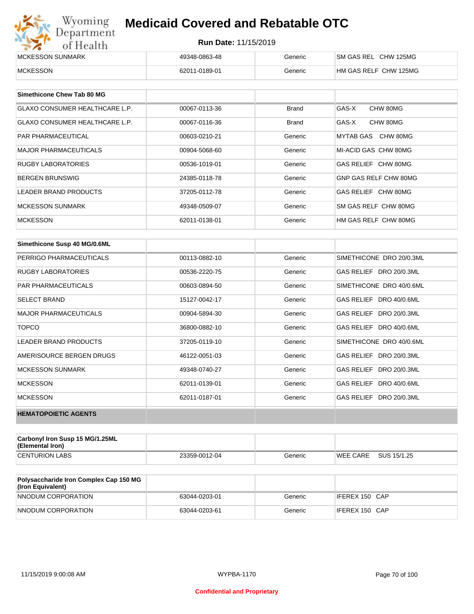| Wyoming<br>Department | <b>Medicaid Covered and Rebatable OTC</b> |         |                       |  |  |
|-----------------------|-------------------------------------------|---------|-----------------------|--|--|
| of Health             | <b>Run Date: 11/15/2019</b>               |         |                       |  |  |
| MCKESSON SUNMARK      | 49348-0863-48                             | Generic | SM GAS REL CHW 125MG  |  |  |
| <b>MCKESSON</b>       | 62011-0189-01                             | Generic | HM GAS RELF CHW 125MG |  |  |

| Simethicone Chew Tab 80 MG     |               |              |                       |
|--------------------------------|---------------|--------------|-----------------------|
| GLAXO CONSUMER HEALTHCARE L.P. | 00067-0113-36 | <b>Brand</b> | GAS-X<br>CHW 80MG     |
| GLAXO CONSUMER HEALTHCARE L.P. | 00067-0116-36 | <b>Brand</b> | GAS-X<br>CHW 80MG     |
| <b>PAR PHARMACEUTICAL</b>      | 00603-0210-21 | Generic      | MYTAB GAS CHW 80MG    |
| <b>MAJOR PHARMACEUTICALS</b>   | 00904-5068-60 | Generic      | MI-ACID GAS CHW 80MG  |
| <b>RUGBY LABORATORIES</b>      | 00536-1019-01 | Generic      | GAS RELIEF CHW 80MG   |
| <b>BERGEN BRUNSWIG</b>         | 24385-0118-78 | Generic      | GNP GAS RELF CHW 80MG |
| <b>LEADER BRAND PRODUCTS</b>   | 37205-0112-78 | Generic      | GAS RELIEF CHW 80MG   |
| MCKESSON SUNMARK               | 49348-0509-07 | Generic      | SM GAS RELF CHW 80MG  |
| <b>MCKESSON</b>                | 62011-0138-01 | Generic      | HM GAS RELF CHW 80MG  |

| Simethicone Susp 40 MG/0.6ML |               |         |                          |
|------------------------------|---------------|---------|--------------------------|
| PERRIGO PHARMACEUTICALS      | 00113-0882-10 | Generic | SIMETHICONE DRO 20/0.3ML |
| <b>RUGBY LABORATORIES</b>    | 00536-2220-75 | Generic | GAS RELIEF DRO 20/0.3ML  |
| <b>PAR PHARMACEUTICALS</b>   | 00603-0894-50 | Generic | SIMETHICONE DRO 40/0.6ML |
| <b>SELECT BRAND</b>          | 15127-0042-17 | Generic | GAS RELIEF DRO 40/0.6ML  |
| <b>MAJOR PHARMACEUTICALS</b> | 00904-5894-30 | Generic | GAS RELIEF DRO 20/0.3ML  |
| <b>TOPCO</b>                 | 36800-0882-10 | Generic | GAS RELIEF DRO 40/0.6ML  |
| <b>LEADER BRAND PRODUCTS</b> | 37205-0119-10 | Generic | SIMETHICONE DRO 40/0.6ML |
| AMERISOURCE BERGEN DRUGS     | 46122-0051-03 | Generic | GAS RELIEF DRO 20/0.3ML  |
| <b>MCKESSON SUNMARK</b>      | 49348-0740-27 | Generic | GAS RELIEF DRO 20/0.3ML  |
| <b>MCKESSON</b>              | 62011-0139-01 | Generic | GAS RELIEF DRO 40/0.6ML  |
| <b>MCKESSON</b>              | 62011-0187-01 | Generic | GAS RELIEF DRO 20/0.3ML  |
| <b>HEMATOPOIETIC AGENTS</b>  |               |         |                          |

| Carbonyl Iron Susp 15 MG/1.25ML<br>(Elemental Iron) |               |         |                 |             |
|-----------------------------------------------------|---------------|---------|-----------------|-------------|
| <b>CENTURION LABS</b>                               | 23359-0012-04 | Generic | <b>WEE CARE</b> | SUS 15/1.25 |

| <b>Polysaccharide Iron Complex Cap 150 MG</b><br>(Iron Equivalent) |               |         |                |
|--------------------------------------------------------------------|---------------|---------|----------------|
| NNODUM CORPORATION                                                 | 63044-0203-01 | Generic | IFEREX 150 CAP |
| NNODUM CORPORATION                                                 | 63044-0203-61 | Generic | IFEREX 150 CAP |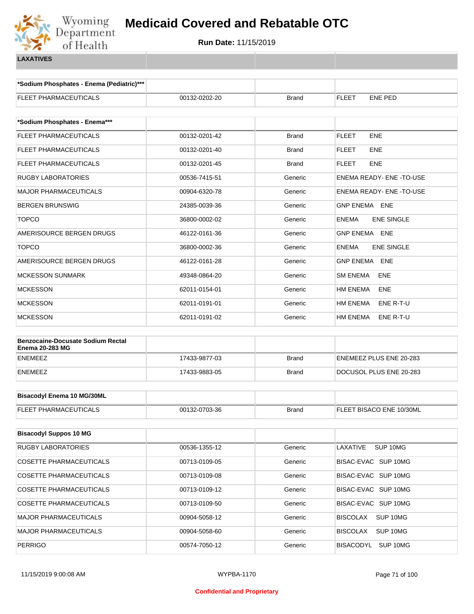

**\*Sodium Phosphates - Enema (Pediatric)\*\*\***

| FLEET PHARMACEUTICALS                                              | 00132-0202-20 | <b>Brand</b> | <b>FLEET</b><br><b>ENE PED</b>    |  |  |
|--------------------------------------------------------------------|---------------|--------------|-----------------------------------|--|--|
| *Sodium Phosphates - Enema***                                      |               |              |                                   |  |  |
| FLEET PHARMACEUTICALS                                              | 00132-0201-42 | <b>Brand</b> | <b>FLEET</b><br>ENE               |  |  |
| FLEET PHARMACEUTICALS                                              | 00132-0201-40 | Brand        | ENE<br>FLEET                      |  |  |
| FLEET PHARMACEUTICALS                                              | 00132-0201-45 | <b>Brand</b> | <b>FLEET</b><br>ENE               |  |  |
| <b>RUGBY LABORATORIES</b>                                          | 00536-7415-51 | Generic      | ENEMA READY- ENE - TO-USE         |  |  |
| MAJOR PHARMACEUTICALS                                              | 00904-6320-78 | Generic      | ENEMA READY- ENE -TO-USE          |  |  |
| <b>BERGEN BRUNSWIG</b>                                             | 24385-0039-36 | Generic      | GNP ENEMA ENE                     |  |  |
| <b>TOPCO</b>                                                       | 36800-0002-02 | Generic      | <b>ENE SINGLE</b><br><b>ENEMA</b> |  |  |
| AMERISOURCE BERGEN DRUGS                                           | 46122-0161-36 | Generic      | <b>GNP ENEMA ENE</b>              |  |  |
| <b>TOPCO</b>                                                       | 36800-0002-36 | Generic      | <b>ENE SINGLE</b><br><b>ENEMA</b> |  |  |
| AMERISOURCE BERGEN DRUGS                                           | 46122-0161-28 | Generic      | <b>GNP ENEMA</b><br><b>ENE</b>    |  |  |
| <b>MCKESSON SUNMARK</b>                                            | 49348-0864-20 | Generic      | <b>SM ENEMA</b><br>ENE            |  |  |
| <b>MCKESSON</b>                                                    | 62011-0154-01 | Generic      | HM ENEMA<br>ENE                   |  |  |
| MCKESSON                                                           | 62011-0191-01 | Generic      | <b>HM ENEMA</b><br>ENE R-T-U      |  |  |
| <b>MCKESSON</b>                                                    | 62011-0191-02 | Generic      | HM ENEMA<br>ENE R-T-U             |  |  |
| <b>Benzocaine-Docusate Sodium Rectal</b><br><b>Enema 20-283 MG</b> |               |              |                                   |  |  |
| <b>ENEMEEZ</b>                                                     | 17433-9877-03 | <b>Brand</b> | ENEMEEZ PLUS ENE 20-283           |  |  |
| <b>ENEMEEZ</b>                                                     | 17433-9883-05 | <b>Brand</b> | DOCUSOL PLUS ENE 20-283           |  |  |
|                                                                    |               |              |                                   |  |  |
| <b>Bisacodyl Enema 10 MG/30ML</b>                                  |               |              |                                   |  |  |
| FLEET PHARMACEUTICALS                                              | 00132-0703-36 | <b>Brand</b> | FLEET BISACO ENE 10/30ML          |  |  |
| <b>Bisacodyl Suppos 10 MG</b>                                      |               |              |                                   |  |  |
| RUGBY LABORATORIES                                                 | 00536-1355-12 | Generic      | LAXATIVE<br>SUP 10MG              |  |  |
| <b>COSETTE PHARMACEUTICALS</b>                                     | 00713-0109-05 | Generic      | BISAC-EVAC SUP 10MG               |  |  |
| <b>COSETTE PHARMACEUTICALS</b>                                     | 00713-0109-08 | Generic      | BISAC-EVAC SUP 10MG               |  |  |
| COSETTE PHARMACEUTICALS                                            | 00713-0109-12 | Generic      | BISAC-EVAC SUP 10MG               |  |  |
| <b>COSETTE PHARMACEUTICALS</b>                                     | 00713-0109-50 | Generic      | BISAC-EVAC SUP 10MG               |  |  |
| <b>MAJOR PHARMACEUTICALS</b>                                       | 00904-5058-12 | Generic      | <b>BISCOLAX</b><br>SUP 10MG       |  |  |
| MAJOR PHARMACEUTICALS                                              | 00904-5058-60 | Generic      | <b>BISCOLAX</b><br>SUP 10MG       |  |  |
| <b>PERRIGO</b>                                                     | 00574-7050-12 | Generic      | BISACODYL<br>SUP 10MG             |  |  |
|                                                                    |               |              |                                   |  |  |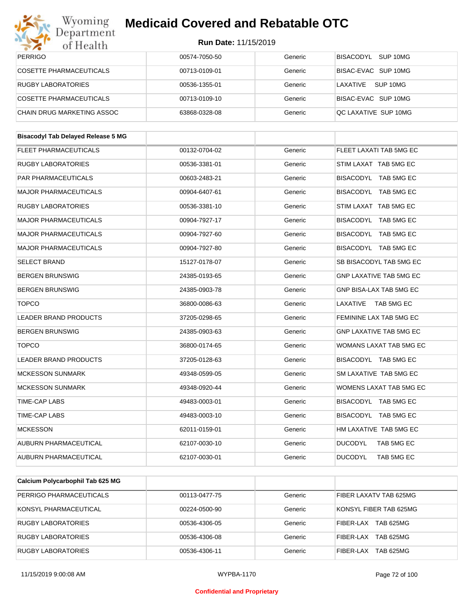

| Wyoming<br>Department                     | <b>Medicaid Covered and Rebatable OTC</b> |         |                                |
|-------------------------------------------|-------------------------------------------|---------|--------------------------------|
| of Health                                 | <b>Run Date: 11/15/2019</b>               |         |                                |
| <b>PERRIGO</b>                            | 00574-7050-50                             | Generic | BISACODYL SUP 10MG             |
| <b>COSETTE PHARMACEUTICALS</b>            | 00713-0109-01                             | Generic | BISAC-EVAC SUP 10MG            |
| <b>RUGBY LABORATORIES</b>                 | 00536-1355-01                             | Generic | LAXATIVE SUP 10MG              |
| <b>COSETTE PHARMACEUTICALS</b>            | 00713-0109-10                             | Generic | BISAC-EVAC SUP 10MG            |
| <b>CHAIN DRUG MARKETING ASSOC</b>         | 63868-0328-08                             | Generic | QC LAXATIVE SUP 10MG           |
| <b>Bisacodyl Tab Delayed Release 5 MG</b> |                                           |         |                                |
| <b>FLEET PHARMACEUTICALS</b>              | 00132-0704-02                             | Generic | FLEET LAXATI TAB 5MG EC        |
| <b>RUGBY LABORATORIES</b>                 | 00536-3381-01                             | Generic | STIM LAXAT TAB 5MG EC          |
| PAR PHARMACEUTICALS                       | 00603-2483-21                             | Generic | BISACODYL TAB 5MG EC           |
|                                           |                                           |         |                                |
| <b>MAJOR PHARMACEUTICALS</b>              | 00904-6407-61                             | Generic | BISACODYL TAB 5MG EC           |
| <b>RUGBY LABORATORIES</b>                 | 00536-3381-10                             | Generic | STIM LAXAT TAB 5MG EC          |
| <b>MAJOR PHARMACEUTICALS</b>              | 00904-7927-17                             | Generic | BISACODYL TAB 5MG EC           |
| <b>MAJOR PHARMACEUTICALS</b>              | 00904-7927-60                             | Generic | BISACODYL TAB 5MG EC           |
| <b>MAJOR PHARMACEUTICALS</b>              | 00904-7927-80                             | Generic | BISACODYL TAB 5MG EC           |
| <b>SELECT BRAND</b>                       | 15127-0178-07                             | Generic | SB BISACODYL TAB 5MG EC        |
| <b>BERGEN BRUNSWIG</b>                    | 24385-0193-65                             | Generic | <b>GNP LAXATIVE TAB 5MG EC</b> |
| <b>BERGEN BRUNSWIG</b>                    | 24385-0903-78                             | Generic | GNP BISA-LAX TAB 5MG EC        |
| <b>TOPCO</b>                              | 36800-0086-63                             | Generic | LAXATIVE<br>TAB 5MG EC         |
| <b>LEADER BRAND PRODUCTS</b>              | 37205-0298-65                             | Generic | FEMININE LAX TAB 5MG EC        |
| <b>BERGEN BRUNSWIG</b>                    | 24385-0903-63                             | Generic | <b>GNP LAXATIVE TAB 5MG EC</b> |
| <b>TOPCO</b>                              | 36800-0174-65                             | Generic | WOMANS LAXAT TAB 5MG EC        |
| LEADER BRAND PRODUCTS                     | 37205-0128-63                             | Generic | BISACODYL TAB 5MG EC           |
| <b>MCKESSON SUNMARK</b>                   | 49348-0599-05                             | Generic | SM LAXATIVE TAB 5MG EC         |
| <b>MCKESSON SUNMARK</b>                   | 49348-0920-44                             | Generic | WOMENS LAXAT TAB 5MG EC        |
| TIME-CAP LABS                             | 49483-0003-01                             | Generic | BISACODYL TAB 5MG EC           |
| TIME-CAP LABS                             | 49483-0003-10                             | Generic | BISACODYL TAB 5MG EC           |
| <b>MCKESSON</b>                           | 62011-0159-01                             | Generic | HM LAXATIVE TAB 5MG EC         |
| AUBURN PHARMACEUTICAL                     | 62107-0030-10                             | Generic | <b>DUCODYL</b><br>TAB 5MG EC   |
| AUBURN PHARMACEUTICAL                     | 62107-0030-01                             | Generic | <b>DUCODYL</b><br>TAB 5MG EC   |
|                                           |                                           |         |                                |
| Calcium Polycarbophil Tab 625 MG          |                                           |         |                                |
| PERRIGO PHARMACEUTICALS                   | 00113-0477-75                             | Generic | FIBER LAXATV TAB 625MG         |

| PERRIGO PHARMACEUTICALS   | 00113-0477-75 | Generic | FIBER LAXATV TAB 625MG |
|---------------------------|---------------|---------|------------------------|
| KONSYL PHARMACEUTICAL     | 00224-0500-90 | Generic | KONSYL FIBER TAB 625MG |
| <b>RUGBY LABORATORIES</b> | 00536-4306-05 | Generic | TAB 625MG<br>FIBER-LAX |
| <b>RUGBY LABORATORIES</b> | 00536-4306-08 | Generic | TAB 625MG<br>FIBER-LAX |
| <b>RUGBY LABORATORIES</b> | 00536-4306-11 | Generic | TAB 625MG<br>FIBER-LAX |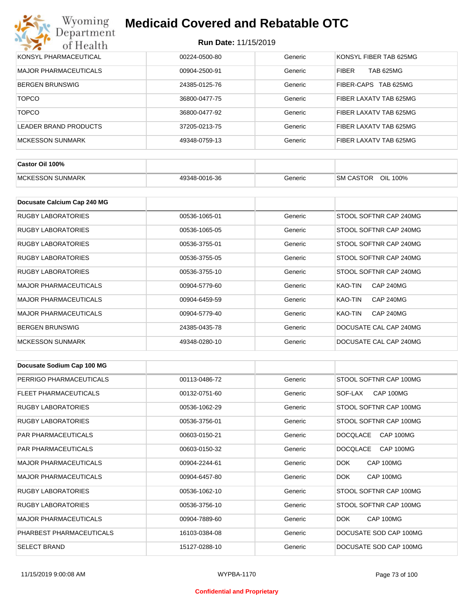| KONSYL PHARMACEUTICAL        | 00224-0500-80 | Generic | KONSYL FIBER TAB 625MG           |
|------------------------------|---------------|---------|----------------------------------|
| <b>MAJOR PHARMACEUTICALS</b> | 00904-2500-91 | Generic | <b>TAB 625MG</b><br><b>FIBER</b> |
| <b>BERGEN BRUNSWIG</b>       | 24385-0125-76 | Generic | FIBER-CAPS TAB 625MG             |
| <b>TOPCO</b>                 | 36800-0477-75 | Generic | FIBER LAXATV TAB 625MG           |
| <b>TOPCO</b>                 | 36800-0477-92 | Generic | FIBER LAXATV TAB 625MG           |
| LEADER BRAND PRODUCTS        | 37205-0213-75 | Generic | FIBER LAXATV TAB 625MG           |
| <b>MCKESSON SUNMARK</b>      | 49348-0759-13 | Generic | <b>FIBER LAXATV TAB 625MG</b>    |

| Castor Oil 100%         |               |         |                                 |
|-------------------------|---------------|---------|---------------------------------|
| <b>MCKESSON SUNMARK</b> | 49348-0016-36 | Beneric | OIL<br><b>SM CASTOR</b><br>100% |

| Docusate Calcium Cap 240 MG  |               |         |                             |
|------------------------------|---------------|---------|-----------------------------|
| <b>RUGBY LABORATORIES</b>    | 00536-1065-01 | Generic | STOOL SOFTNR CAP 240MG      |
| <b>RUGBY LABORATORIES</b>    | 00536-1065-05 | Generic | STOOL SOFTNR CAP 240MG      |
| RUGBY LABORATORIES           | 00536-3755-01 | Generic | STOOL SOFTNR CAP 240MG      |
| <b>RUGBY LABORATORIES</b>    | 00536-3755-05 | Generic | STOOL SOFTNR CAP 240MG      |
| <b>RUGBY LABORATORIES</b>    | 00536-3755-10 | Generic | STOOL SOFTNR CAP 240MG      |
| <b>MAJOR PHARMACEUTICALS</b> | 00904-5779-60 | Generic | <b>CAP 240MG</b><br>KAO-TIN |
| <b>MAJOR PHARMACEUTICALS</b> | 00904-6459-59 | Generic | <b>CAP 240MG</b><br>KAO-TIN |
| <b>MAJOR PHARMACEUTICALS</b> | 00904-5779-40 | Generic | <b>CAP 240MG</b><br>KAO-TIN |
| <b>BERGEN BRUNSWIG</b>       | 24385-0435-78 | Generic | DOCUSATE CAL CAP 240MG      |
| <b>MCKESSON SUNMARK</b>      | 49348-0280-10 | Generic | DOCUSATE CAL CAP 240MG      |

| Docusate Sodium Cap 100 MG   |               |         |                              |
|------------------------------|---------------|---------|------------------------------|
| PERRIGO PHARMACEUTICALS      | 00113-0486-72 | Generic | STOOL SOFTNR CAP 100MG       |
| FLEET PHARMACEUTICALS        | 00132-0751-60 | Generic | CAP 100MG<br>SOF-LAX         |
| <b>RUGBY LABORATORIES</b>    | 00536-1062-29 | Generic | STOOL SOFTNR CAP 100MG       |
| <b>RUGBY LABORATORIES</b>    | 00536-3756-01 | Generic | STOOL SOFTNR CAP 100MG       |
| <b>PAR PHARMACEUTICALS</b>   | 00603-0150-21 | Generic | <b>DOCQLACE</b><br>CAP 100MG |
| <b>PAR PHARMACEUTICALS</b>   | 00603-0150-32 | Generic | CAP 100MG<br><b>DOCQLACE</b> |
| <b>MAJOR PHARMACEUTICALS</b> | 00904-2244-61 | Generic | <b>DOK</b><br>CAP 100MG      |
| <b>MAJOR PHARMACEUTICALS</b> | 00904-6457-80 | Generic | DOK.<br>CAP 100MG            |
| <b>RUGBY LABORATORIES</b>    | 00536-1062-10 | Generic | STOOL SOFTNR CAP 100MG       |
| <b>RUGBY LABORATORIES</b>    | 00536-3756-10 | Generic | STOOL SOFTNR CAP 100MG       |
| <b>MAJOR PHARMACEUTICALS</b> | 00904-7889-60 | Generic | DOK.<br>CAP 100MG            |
| PHARBEST PHARMACEUTICALS     | 16103-0384-08 | Generic | DOCUSATE SOD CAP 100MG       |
| <b>SELECT BRAND</b>          | 15127-0288-10 | Generic | DOCUSATE SOD CAP 100MG       |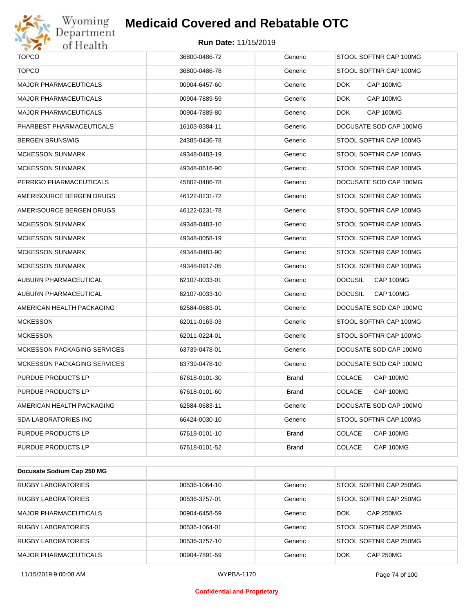

## Wyoming<br>Department<br>of Health

## **Medicaid Covered and Rebatable OTC**

| <b>TOPCO</b>                       | 36800-0486-72 | Generic      | STOOL SOFTNR CAP 100MG      |
|------------------------------------|---------------|--------------|-----------------------------|
| <b>TOPCO</b>                       | 36800-0486-78 | Generic      | STOOL SOFTNR CAP 100MG      |
| <b>MAJOR PHARMACEUTICALS</b>       | 00904-6457-60 | Generic      | <b>DOK</b><br>CAP 100MG     |
| <b>MAJOR PHARMACEUTICALS</b>       | 00904-7889-59 | Generic      | DOK.<br>CAP 100MG           |
| <b>MAJOR PHARMACEUTICALS</b>       | 00904-7889-80 | Generic      | DOK.<br>CAP 100MG           |
| PHARBEST PHARMACEUTICALS           | 16103-0384-11 | Generic      | DOCUSATE SOD CAP 100MG      |
| BERGEN BRUNSWIG                    | 24385-0436-78 | Generic      | STOOL SOFTNR CAP 100MG      |
| <b>MCKESSON SUNMARK</b>            | 49348-0483-19 | Generic      | STOOL SOFTNR CAP 100MG      |
| <b>MCKESSON SUNMARK</b>            | 49348-0616-90 | Generic      | STOOL SOFTNR CAP 100MG      |
| PERRIGO PHARMACEUTICALS            | 45802-0486-78 | Generic      | DOCUSATE SOD CAP 100MG      |
| AMERISOURCE BERGEN DRUGS           | 46122-0231-72 | Generic      | STOOL SOFTNR CAP 100MG      |
| AMERISOURCE BERGEN DRUGS           | 46122-0231-78 | Generic      | STOOL SOFTNR CAP 100MG      |
| <b>MCKESSON SUNMARK</b>            | 49348-0483-10 | Generic      | STOOL SOFTNR CAP 100MG      |
| <b>MCKESSON SUNMARK</b>            | 49348-0058-19 | Generic      | STOOL SOFTNR CAP 100MG      |
| <b>MCKESSON SUNMARK</b>            | 49348-0483-90 | Generic      | STOOL SOFTNR CAP 100MG      |
| <b>MCKESSON SUNMARK</b>            | 49348-0917-05 | Generic      | STOOL SOFTNR CAP 100MG      |
| AUBURN PHARMACEUTICAL              | 62107-0033-01 | Generic      | <b>DOCUSIL</b><br>CAP 100MG |
| AUBURN PHARMACEUTICAL              | 62107-0033-10 | Generic      | <b>DOCUSIL</b><br>CAP 100MG |
| AMERICAN HEALTH PACKAGING          | 62584-0683-01 | Generic      | DOCUSATE SOD CAP 100MG      |
| <b>MCKESSON</b>                    | 62011-0163-03 | Generic      | STOOL SOFTNR CAP 100MG      |
| <b>MCKESSON</b>                    | 62011-0224-01 | Generic      | STOOL SOFTNR CAP 100MG      |
| <b>MCKESSON PACKAGING SERVICES</b> | 63739-0478-01 | Generic      | DOCUSATE SOD CAP 100MG      |
| <b>MCKESSON PACKAGING SERVICES</b> | 63739-0478-10 | Generic      | DOCUSATE SOD CAP 100MG      |
| PURDUE PRODUCTS LP                 | 67618-0101-30 | <b>Brand</b> | <b>COLACE</b><br>CAP 100MG  |
| PURDUE PRODUCTS LP                 | 67618-0101-60 | Brand        | <b>COLACE</b><br>CAP 100MG  |
| AMERICAN HEALTH PACKAGING          | 62584-0683-11 | Generic      | DOCUSATE SOD CAP 100MG      |
| SDA LABORATORIES INC               | 66424-0030-10 | Generic      | STOOL SOFTNR CAP 100MG      |
| PURDUE PRODUCTS LP                 | 67618-0101-10 | Brand        | <b>COLACE</b><br>CAP 100MG  |
| PURDUE PRODUCTS LP                 | 67618-0101-52 | Brand        | <b>COLACE</b><br>CAP 100MG  |

| Docusate Sodium Cap 250 MG   |               |         |                                |
|------------------------------|---------------|---------|--------------------------------|
| <b>RUGBY LABORATORIES</b>    | 00536-1064-10 | Generic | STOOL SOFTNR CAP 250MG         |
| <b>RUGBY LABORATORIES</b>    | 00536-3757-01 | Generic | STOOL SOFTNR CAP 250MG         |
| <b>MAJOR PHARMACEUTICALS</b> | 00904-6458-59 | Generic | <b>DOK</b><br><b>CAP 250MG</b> |
| <b>RUGBY LABORATORIES</b>    | 00536-1064-01 | Generic | STOOL SOFTNR CAP 250MG         |
| <b>RUGBY LABORATORIES</b>    | 00536-3757-10 | Generic | STOOL SOFTNR CAP 250MG         |
| <b>MAJOR PHARMACEUTICALS</b> | 00904-7891-59 | Generic | <b>DOK</b><br><b>CAP 250MG</b> |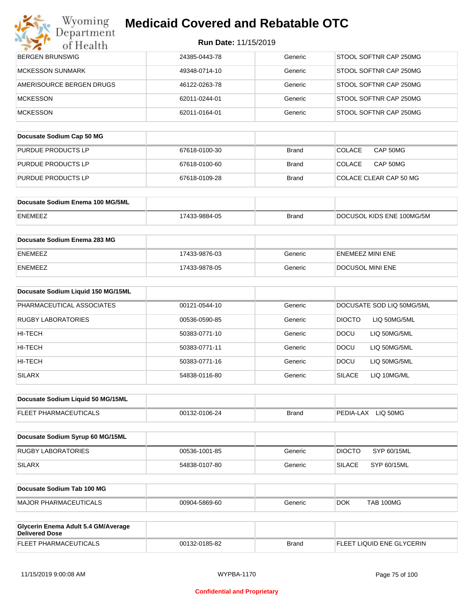### Wyoming<br>Department **Medicaid Covered and Rebatable OTC**

| $\sim$ 6<br>of Health                                        |               |              |                                |
|--------------------------------------------------------------|---------------|--------------|--------------------------------|
| <b>BERGEN BRUNSWIG</b>                                       | 24385-0443-78 | Generic      | STOOL SOFTNR CAP 250MG         |
| <b>MCKESSON SUNMARK</b>                                      | 49348-0714-10 | Generic      | STOOL SOFTNR CAP 250MG         |
| AMERISOURCE BERGEN DRUGS                                     | 46122-0263-78 | Generic      | STOOL SOFTNR CAP 250MG         |
| <b>MCKESSON</b>                                              | 62011-0244-01 | Generic      | STOOL SOFTNR CAP 250MG         |
| <b>MCKESSON</b>                                              | 62011-0164-01 | Generic      | STOOL SOFTNR CAP 250MG         |
| Docusate Sodium Cap 50 MG                                    |               |              |                                |
| PURDUE PRODUCTS LP                                           | 67618-0100-30 | <b>Brand</b> | <b>COLACE</b><br>CAP 50MG      |
| PURDUE PRODUCTS LP                                           | 67618-0100-60 | <b>Brand</b> | <b>COLACE</b><br>CAP 50MG      |
| PURDUE PRODUCTS LP                                           | 67618-0109-28 | <b>Brand</b> | COLACE CLEAR CAP 50 MG         |
|                                                              |               |              |                                |
| Docusate Sodium Enema 100 MG/5ML                             |               |              |                                |
| ENEMEEZ                                                      | 17433-9884-05 | <b>Brand</b> | DOCUSOL KIDS ENE 100MG/5M      |
| Docusate Sodium Enema 283 MG                                 |               |              |                                |
| ENEMEEZ                                                      | 17433-9876-03 | Generic      | <b>ENEMEEZ MINI ENE</b>        |
| <b>ENEMEEZ</b>                                               | 17433-9878-05 | Generic      | <b>DOCUSOL MINI ENE</b>        |
| Docusate Sodium Liquid 150 MG/15ML                           |               |              |                                |
| PHARMACEUTICAL ASSOCIATES                                    | 00121-0544-10 | Generic      | DOCUSATE SOD LIQ 50MG/5ML      |
| RUGBY LABORATORIES                                           | 00536-0590-85 | Generic      | <b>DIOCTO</b><br>LIQ 50MG/5ML  |
| HI-TECH                                                      | 50383-0771-10 | Generic      | DOCU<br>LIQ 50MG/5ML           |
| HI-TECH                                                      | 50383-0771-11 | Generic      | <b>DOCU</b><br>LIQ 50MG/5ML    |
| HI-TECH                                                      | 50383-0771-16 | Generic      | <b>DOCU</b><br>LIQ 50MG/5ML    |
| <b>SILARX</b>                                                | 54838-0116-80 | Generic      | <b>SILACE</b><br>LIQ 10MG/ML   |
|                                                              |               |              |                                |
| Docusate Sodium Liquid 50 MG/15ML                            |               |              |                                |
| FLEET PHARMACEUTICALS                                        | 00132-0106-24 | <b>Brand</b> | PEDIA-LAX LIQ 50MG             |
| Docusate Sodium Syrup 60 MG/15ML                             |               |              |                                |
| <b>RUGBY LABORATORIES</b>                                    | 00536-1001-85 | Generic      | <b>DIOCTO</b><br>SYP 60/15ML   |
| <b>SILARX</b>                                                | 54838-0107-80 | Generic      | <b>SILACE</b><br>SYP 60/15ML   |
|                                                              |               |              |                                |
| Docusate Sodium Tab 100 MG                                   |               |              |                                |
| <b>MAJOR PHARMACEUTICALS</b>                                 | 00904-5869-60 | Generic      | <b>TAB 100MG</b><br><b>DOK</b> |
|                                                              |               |              |                                |
| Glycerin Enema Adult 5.4 GM/Average<br><b>Delivered Dose</b> |               |              |                                |
| FLEET PHARMACEUTICALS                                        | 00132-0185-82 | <b>Brand</b> | FLEET LIQUID ENE GLYCERIN      |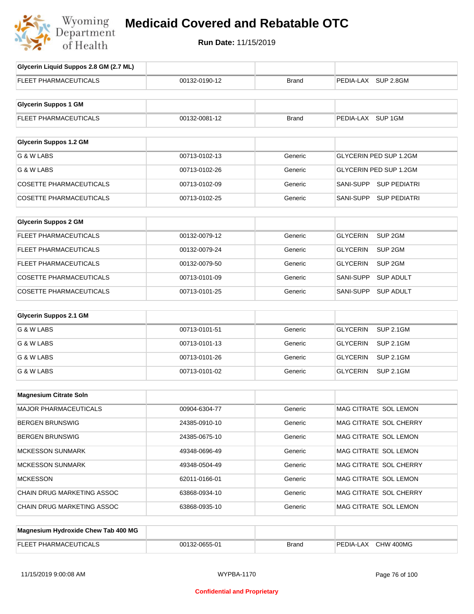

## **Medicaid Covered and Rebatable OTC**

| Glycerin Liquid Suppos 2.8 GM (2.7 ML) |               |              |                                       |
|----------------------------------------|---------------|--------------|---------------------------------------|
| FLEET PHARMACEUTICALS                  | 00132-0190-12 | <b>Brand</b> | PEDIA-LAX SUP 2.8GM                   |
| <b>Glycerin Suppos 1 GM</b>            |               |              |                                       |
|                                        |               |              |                                       |
| FLEET PHARMACEUTICALS                  | 00132-0081-12 | <b>Brand</b> | PEDIA-LAX SUP 1GM                     |
| <b>Glycerin Suppos 1.2 GM</b>          |               |              |                                       |
| G & W LABS                             | 00713-0102-13 | Generic      | <b>GLYCERIN PED SUP 1.2GM</b>         |
| G & W LABS                             | 00713-0102-26 | Generic      | GLYCERIN PED SUP 1.2GM                |
| <b>COSETTE PHARMACEUTICALS</b>         | 00713-0102-09 | Generic      | SANI-SUPP<br><b>SUP PEDIATRI</b>      |
| <b>COSETTE PHARMACEUTICALS</b>         | 00713-0102-25 | Generic      | <b>SUP PEDIATRI</b><br>SANI-SUPP      |
|                                        |               |              |                                       |
| <b>Glycerin Suppos 2 GM</b>            |               |              |                                       |
| FLEET PHARMACEUTICALS                  | 00132-0079-12 | Generic      | SUP <sub>2GM</sub><br><b>GLYCERIN</b> |
| FLEET PHARMACEUTICALS                  | 00132-0079-24 | Generic      | SUP <sub>2GM</sub><br><b>GLYCERIN</b> |
| FLEET PHARMACEUTICALS                  | 00132-0079-50 | Generic      | <b>GLYCERIN</b><br>SUP <sub>2GM</sub> |
| <b>COSETTE PHARMACEUTICALS</b>         | 00713-0101-09 | Generic      | <b>SANI-SUPP</b><br><b>SUP ADULT</b>  |
| <b>COSETTE PHARMACEUTICALS</b>         | 00713-0101-25 | Generic      | SANI-SUPP<br><b>SUP ADULT</b>         |
|                                        |               |              |                                       |
| <b>Glycerin Suppos 2.1 GM</b>          |               |              |                                       |
| G & W LABS                             | 00713-0101-51 | Generic      | <b>GLYCERIN</b><br><b>SUP 2.1GM</b>   |
| G & W LABS                             | 00713-0101-13 | Generic      | <b>GLYCERIN</b><br><b>SUP 2.1GM</b>   |
| G & W LABS                             | 00713-0101-26 | Generic      | <b>GLYCERIN</b><br><b>SUP 2.1GM</b>   |
| G & W LABS                             | 00713-0101-02 | Generic      | <b>GLYCERIN</b><br><b>SUP 2.1GM</b>   |
|                                        |               |              |                                       |
| <b>Magnesium Citrate Soln</b>          |               |              |                                       |
| MAJOR PHARMACEUTICALS                  | 00904-6304-77 | Generic      | MAG CITRATE SOL LEMON                 |
| <b>BERGEN BRUNSWIG</b>                 | 24385-0910-10 | Generic      | MAG CITRATE SOL CHERRY                |
| <b>BERGEN BRUNSWIG</b>                 | 24385-0675-10 | Generic      | MAG CITRATE SOL LEMON                 |
| <b>MCKESSON SUNMARK</b>                | 49348-0696-49 | Generic      | MAG CITRATE SOL LEMON                 |
| <b>MCKESSON SUNMARK</b>                | 49348-0504-49 | Generic      | MAG CITRATE SOL CHERRY                |
| <b>MCKESSON</b>                        | 62011-0166-01 | Generic      | MAG CITRATE SOL LEMON                 |
| CHAIN DRUG MARKETING ASSOC             | 63868-0934-10 | Generic      | MAG CITRATE SOL CHERRY                |
| CHAIN DRUG MARKETING ASSOC             | 63868-0935-10 | Generic      | MAG CITRATE SOL LEMON                 |
|                                        |               |              |                                       |
| Magnesium Hydroxide Chew Tab 400 MG    |               |              |                                       |

| EL EI<br>. UHAR<br>.kiviA'<br>AL.<br>$\sqrt{ }$<br>-- | nn·<br>0655-01 | <b>Brand</b> | CHW<br>400MC<br>∟AX<br>∈DIA-'<br>◡ |
|-------------------------------------------------------|----------------|--------------|------------------------------------|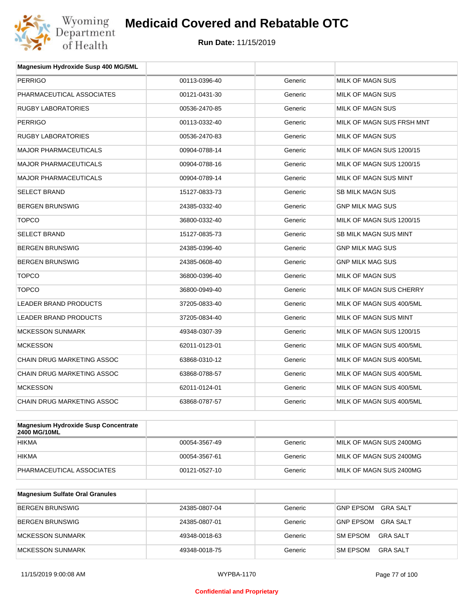

| Magnesium Hydroxide Susp 400 MG/5ML |               |         |                           |
|-------------------------------------|---------------|---------|---------------------------|
| <b>PERRIGO</b>                      | 00113-0396-40 | Generic | MILK OF MAGN SUS          |
| PHARMACEUTICAL ASSOCIATES           | 00121-0431-30 | Generic | MILK OF MAGN SUS          |
| <b>RUGBY LABORATORIES</b>           | 00536-2470-85 | Generic | MILK OF MAGN SUS          |
| <b>PERRIGO</b>                      | 00113-0332-40 | Generic | MILK OF MAGN SUS FRSH MNT |
| <b>RUGBY LABORATORIES</b>           | 00536-2470-83 | Generic | <b>MILK OF MAGN SUS</b>   |
| <b>MAJOR PHARMACEUTICALS</b>        | 00904-0788-14 | Generic | MILK OF MAGN SUS 1200/15  |
| <b>MAJOR PHARMACEUTICALS</b>        | 00904-0788-16 | Generic | MILK OF MAGN SUS 1200/15  |
| <b>MAJOR PHARMACEUTICALS</b>        | 00904-0789-14 | Generic | MILK OF MAGN SUS MINT     |
| <b>SELECT BRAND</b>                 | 15127-0833-73 | Generic | <b>SB MILK MAGN SUS</b>   |
| <b>BERGEN BRUNSWIG</b>              | 24385-0332-40 | Generic | <b>GNP MILK MAG SUS</b>   |
| <b>TOPCO</b>                        | 36800-0332-40 | Generic | MILK OF MAGN SUS 1200/15  |
| <b>SELECT BRAND</b>                 | 15127-0835-73 | Generic | SB MILK MAGN SUS MINT     |
| <b>BERGEN BRUNSWIG</b>              | 24385-0396-40 | Generic | <b>GNP MILK MAG SUS</b>   |
| <b>BERGEN BRUNSWIG</b>              | 24385-0608-40 | Generic | <b>GNP MILK MAG SUS</b>   |
| <b>TOPCO</b>                        | 36800-0396-40 | Generic | MILK OF MAGN SUS          |
| <b>TOPCO</b>                        | 36800-0949-40 | Generic | MILK OF MAGN SUS CHERRY   |
| <b>LEADER BRAND PRODUCTS</b>        | 37205-0833-40 | Generic | MILK OF MAGN SUS 400/5ML  |
| LEADER BRAND PRODUCTS               | 37205-0834-40 | Generic | MILK OF MAGN SUS MINT     |
| <b>MCKESSON SUNMARK</b>             | 49348-0307-39 | Generic | MILK OF MAGN SUS 1200/15  |
| <b>MCKESSON</b>                     | 62011-0123-01 | Generic | MILK OF MAGN SUS 400/5ML  |
| <b>CHAIN DRUG MARKETING ASSOC</b>   | 63868-0310-12 | Generic | MILK OF MAGN SUS 400/5ML  |
| CHAIN DRUG MARKETING ASSOC          | 63868-0788-57 | Generic | MILK OF MAGN SUS 400/5ML  |
| <b>MCKESSON</b>                     | 62011-0124-01 | Generic | MILK OF MAGN SUS 400/5ML  |
| CHAIN DRUG MARKETING ASSOC          | 63868-0787-57 | Generic | MILK OF MAGN SUS 400/5ML  |
|                                     |               |         |                           |

| Magnesium Hydroxide Susp Concentrate<br>2400 MG/10ML |               |         |                         |
|------------------------------------------------------|---------------|---------|-------------------------|
| <b>HIKMA</b>                                         | 00054-3567-49 | Generic | MILK OF MAGN SUS 2400MG |
| <b>HIKMA</b>                                         | 00054-3567-61 | Generic | MILK OF MAGN SUS 2400MG |
| PHARMACEUTICAL ASSOCIATES                            | 00121-0527-10 | Generic | MILK OF MAGN SUS 2400MG |

| <b>Magnesium Sulfate Oral Granules</b> |               |         |                              |
|----------------------------------------|---------------|---------|------------------------------|
| <b>BERGEN BRUNSWIG</b>                 | 24385-0807-04 | Generic | <b>GNP EPSOM</b><br>GRA SALT |
| BERGEN BRUNSWIG                        | 24385-0807-01 | Generic | <b>GRA SALT</b><br>GNP EPSOM |
| MCKESSON SUNMARK                       | 49348-0018-63 | Generic | <b>SM EPSOM</b><br>GRA SALT  |
| MCKESSON SUNMARK                       | 49348-0018-75 | Generic | <b>SM EPSOM</b><br>GRA SALT  |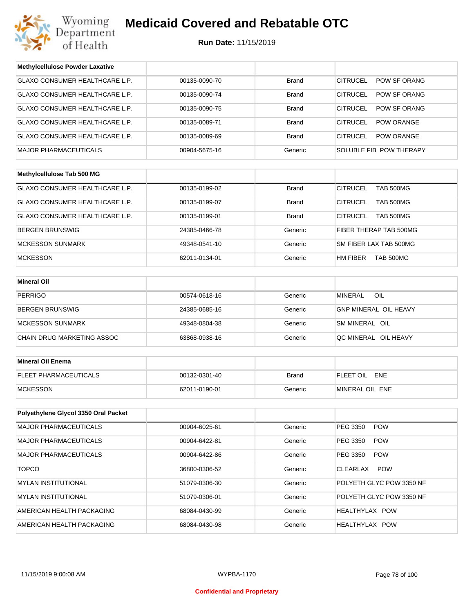

## **Medicaid Covered and Rebatable OTC**

**Run Date:** 11/15/2019

| <b>Methylcellulose Powder Laxative</b> |               |              |                                      |  |
|----------------------------------------|---------------|--------------|--------------------------------------|--|
| <b>GLAXO CONSUMER HEALTHCARE L.P.</b>  | 00135-0090-70 | <b>Brand</b> | <b>CITRUCEL</b><br>POW SF ORANG      |  |
| GLAXO CONSUMER HEALTHCARE L.P.         | 00135-0090-74 | <b>Brand</b> | <b>CITRUCEL</b><br>POW SF ORANG      |  |
| GLAXO CONSUMER HEALTHCARE L.P.         | 00135-0090-75 | <b>Brand</b> | <b>CITRUCEL</b><br>POW SF ORANG      |  |
| GLAXO CONSUMER HEALTHCARE L.P.         | 00135-0089-71 | <b>Brand</b> | <b>CITRUCEL</b><br><b>POW ORANGE</b> |  |
| GLAXO CONSUMER HEALTHCARE L.P.         | 00135-0089-69 | <b>Brand</b> | <b>CITRUCEL</b><br><b>POW ORANGE</b> |  |
| <b>MAJOR PHARMACEUTICALS</b>           | 00904-5675-16 | Generic      | SOLUBLE FIB POW THERAPY              |  |
|                                        |               |              |                                      |  |
| Methylcellulose Tab 500 MG             |               |              |                                      |  |
| GLAXO CONSUMER HEALTHCARE L.P.         | 00135-0199-02 | <b>Brand</b> | <b>CITRUCEL</b><br><b>TAB 500MG</b>  |  |
| GLAXO CONSUMER HEALTHCARE L.P.         | 00135-0199-07 | <b>Brand</b> | <b>CITRUCEL</b><br><b>TAB 500MG</b>  |  |
| GLAXO CONSUMER HEALTHCARE L.P.         | 00135-0199-01 | Brand        | <b>CITRUCEL</b><br>TAB 500MG         |  |
| <b>BERGEN BRUNSWIG</b>                 | 24385-0466-78 | Generic      | FIBER THERAP TAB 500MG               |  |
| <b>MCKESSON SUNMARK</b>                | 49348-0541-10 | Generic      | SM FIBER LAX TAB 500MG               |  |
| <b>MCKESSON</b>                        | 62011-0134-01 | Generic      | HM FIBER<br><b>TAB 500MG</b>         |  |
|                                        |               |              |                                      |  |
| <b>Mineral Oil</b>                     |               |              |                                      |  |
| <b>PERRIGO</b>                         | 00574-0618-16 | Generic      | <b>MINERAL</b><br>OIL                |  |
| <b>BERGEN BRUNSWIG</b>                 | 24385-0685-16 | Generic      | GNP MINERAL OIL HEAVY                |  |
| <b>MCKESSON SUNMARK</b>                | 49348-0804-38 | Generic      | SM MINERAL OIL                       |  |
| CHAIN DRUG MARKETING ASSOC             | 63868-0938-16 | Generic      | QC MINERAL OIL HEAVY                 |  |
|                                        |               |              |                                      |  |
| <b>Mineral Oil Enema</b>               |               |              |                                      |  |
| <b>FLEET PHARMACEUTICALS</b>           | 00132-0301-40 | <b>Brand</b> | FLEET OIL ENE                        |  |
| <b>MCKESSON</b>                        | 62011-0190-01 | Generic      | MINERAL OIL ENE                      |  |
|                                        |               |              |                                      |  |
| Polyethylene Glycol 3350 Oral Packet   |               |              |                                      |  |
| <b>MAJOR PHARMACEUTICALS</b>           | 00904-6025-61 | Generic      | PEG 3350<br><b>POW</b>               |  |
| <b>MAJOR PHARMACEUTICALS</b>           | 00904-6422-81 | Generic      | PEG 3350<br><b>POW</b>               |  |
| <b>MAJOR PHARMACEUTICALS</b>           | 00904-6422-86 | Generic      | PEG 3350<br><b>POW</b>               |  |
| <b>TOPCO</b>                           | 36800-0306-52 | Generic      | <b>CLEARLAX</b><br><b>POW</b>        |  |
| <b>MYLAN INSTITUTIONAL</b>             | 51079-0306-30 | Generic      | POLYETH GLYC POW 3350 NF             |  |
| <b>MYLAN INSTITUTIONAL</b>             | 51079-0306-01 | Generic      | POLYETH GLYC POW 3350 NF             |  |
| AMERICAN HEALTH PACKAGING              | 68084-0430-99 | Generic      | HEALTHYLAX POW                       |  |
| AMERICAN HEALTH PACKAGING              | 68084-0430-98 | Generic      | HEALTHYLAX POW                       |  |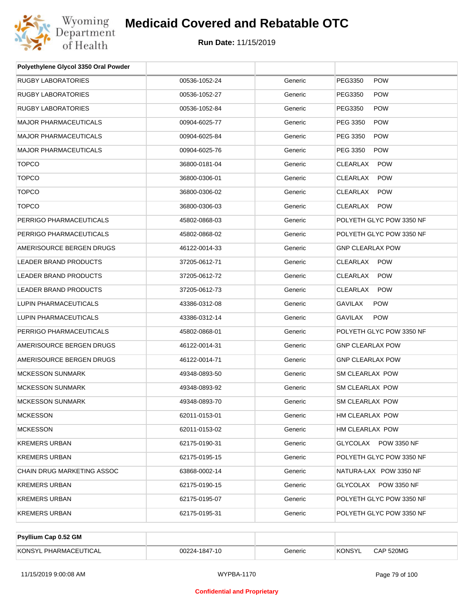

| Polyethylene Glycol 3350 Oral Powder |               |         |                               |
|--------------------------------------|---------------|---------|-------------------------------|
| <b>RUGBY LABORATORIES</b>            | 00536-1052-24 | Generic | PEG3350<br><b>POW</b>         |
| <b>RUGBY LABORATORIES</b>            | 00536-1052-27 | Generic | PEG3350<br><b>POW</b>         |
| RUGBY LABORATORIES                   | 00536-1052-84 | Generic | <b>POW</b><br>PEG3350         |
| <b>MAJOR PHARMACEUTICALS</b>         | 00904-6025-77 | Generic | PEG 3350<br><b>POW</b>        |
| <b>MAJOR PHARMACEUTICALS</b>         | 00904-6025-84 | Generic | PEG 3350<br><b>POW</b>        |
| <b>MAJOR PHARMACEUTICALS</b>         | 00904-6025-76 | Generic | PEG 3350<br><b>POW</b>        |
| <b>TOPCO</b>                         | 36800-0181-04 | Generic | CLEARLAX<br><b>POW</b>        |
| <b>TOPCO</b>                         | 36800-0306-01 | Generic | <b>CLEARLAX</b><br><b>POW</b> |
| <b>TOPCO</b>                         | 36800-0306-02 | Generic | CLEARLAX<br><b>POW</b>        |
| <b>TOPCO</b>                         | 36800-0306-03 | Generic | CLEARLAX POW                  |
| PERRIGO PHARMACEUTICALS              | 45802-0868-03 | Generic | POLYETH GLYC POW 3350 NF      |
| PERRIGO PHARMACEUTICALS              | 45802-0868-02 | Generic | POLYETH GLYC POW 3350 NF      |
| AMERISOURCE BERGEN DRUGS             | 46122-0014-33 | Generic | <b>GNP CLEARLAX POW</b>       |
| LEADER BRAND PRODUCTS                | 37205-0612-71 | Generic | CLEARLAX POW                  |
| LEADER BRAND PRODUCTS                | 37205-0612-72 | Generic | CLEARLAX<br><b>POW</b>        |
| LEADER BRAND PRODUCTS                | 37205-0612-73 | Generic | CLEARLAX<br><b>POW</b>        |
| LUPIN PHARMACEUTICALS                | 43386-0312-08 | Generic | GAVILAX<br><b>POW</b>         |
| LUPIN PHARMACEUTICALS                | 43386-0312-14 | Generic | <b>POW</b><br>GAVILAX         |
| PERRIGO PHARMACEUTICALS              | 45802-0868-01 | Generic | POLYETH GLYC POW 3350 NF      |
| AMERISOURCE BERGEN DRUGS             | 46122-0014-31 | Generic | <b>GNP CLEARLAX POW</b>       |
| AMERISOURCE BERGEN DRUGS             | 46122-0014-71 | Generic | <b>GNP CLEARLAX POW</b>       |
| <b>MCKESSON SUNMARK</b>              | 49348-0893-50 | Generic | SM CLEARLAX POW               |
| <b>MCKESSON SUNMARK</b>              | 49348-0893-92 | Generic | SM CLEARLAX POW               |
| <b>MCKESSON SUNMARK</b>              | 49348-0893-70 | Generic | SM CLEARLAX POW               |
| <b>MCKESSON</b>                      | 62011-0153-01 | Generic | HM CLEARLAX POW               |
| <b>MCKESSON</b>                      | 62011-0153-02 | Generic | HM CLEARLAX POW               |
| <b>KREMERS URBAN</b>                 | 62175-0190-31 | Generic | GLYCOLAX POW 3350 NF          |
| <b>KREMERS URBAN</b>                 | 62175-0195-15 | Generic | POLYETH GLYC POW 3350 NF      |
| CHAIN DRUG MARKETING ASSOC           | 63868-0002-14 | Generic | NATURA-LAX POW 3350 NF        |
| <b>KREMERS URBAN</b>                 | 62175-0190-15 | Generic | GLYCOLAX POW 3350 NF          |
| <b>KREMERS URBAN</b>                 | 62175-0195-07 | Generic | POLYETH GLYC POW 3350 NF      |
| <b>KREMERS URBAN</b>                 | 62175-0195-31 | Generic | POLYETH GLYC POW 3350 NF      |
|                                      |               |         |                               |

| <b>Psyllium Cap 0.52 GM</b> |               |         |               |           |
|-----------------------------|---------------|---------|---------------|-----------|
| KONSYL PHARMACEUTICAL       | 00224-1847-10 | Generic | <b>KONSYL</b> | CAP 520MG |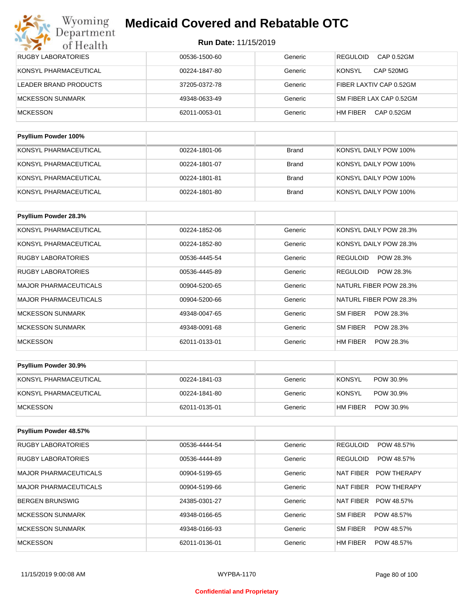| <b>RUGBY LABORATORIES</b>   | 00536-1500-60 | Generic | <b>REGULOID</b><br>CAP 0.52GM |
|-----------------------------|---------------|---------|-------------------------------|
| KONSYL PHARMACEUTICAL       | 00224-1847-80 | Generic | <b>KONSYL</b><br>CAP 520MG    |
| LEADER BRAND PRODUCTS       | 37205-0372-78 | Generic | FIBER LAXTIV CAP 0.52GM       |
| MCKESSON SUNMARK            | 49348-0633-49 | Generic | SM FIBER LAX CAP 0.52GM       |
| <b>MCKESSON</b>             | 62011-0053-01 | Generic | HM FIBER<br>CAP 0.52GM        |
|                             |               |         |                               |
| <b>Psyllium Powder 100%</b> |               |         |                               |

| KONSYL PHARMACEUTICAL | 00224-1801-06 | Brand | KONSYL DAILY POW 100% |
|-----------------------|---------------|-------|-----------------------|
| KONSYL PHARMACEUTICAL | 00224-1801-07 | Brand | KONSYL DAILY POW 100% |
| KONSYL PHARMACEUTICAL | 00224-1801-81 | Brand | KONSYL DAILY POW 100% |
| KONSYL PHARMACEUTICAL | 00224-1801-80 | Brand | KONSYL DAILY POW 100% |

| Psyllium Powder 28.3%        |               |         |                              |
|------------------------------|---------------|---------|------------------------------|
| KONSYL PHARMACEUTICAL        | 00224-1852-06 | Generic | KONSYL DAILY POW 28.3%       |
| KONSYL PHARMACEUTICAL        | 00224-1852-80 | Generic | KONSYL DAILY POW 28.3%       |
| RUGBY LABORATORIES           | 00536-4445-54 | Generic | <b>REGULOID</b><br>POW 28.3% |
| RUGBY LABORATORIES           | 00536-4445-89 | Generic | <b>REGULOID</b><br>POW 28.3% |
| <b>MAJOR PHARMACEUTICALS</b> | 00904-5200-65 | Generic | NATURL FIBER POW 28.3%       |
| <b>MAJOR PHARMACEUTICALS</b> | 00904-5200-66 | Generic | NATURL FIBER POW 28.3%       |
| <b>MCKESSON SUNMARK</b>      | 49348-0047-65 | Generic | SM FIBER<br>POW 28.3%        |
| <b>MCKESSON SUNMARK</b>      | 49348-0091-68 | Generic | SM FIBER<br>POW 28.3%        |
| <b>MCKESSON</b>              | 62011-0133-01 | Generic | HM FIBER<br>POW 28.3%        |

| <b>Psyllium Powder 30.9%</b> |               |         |                       |
|------------------------------|---------------|---------|-----------------------|
| KONSYL PHARMACEUTICAL        | 00224-1841-03 | Generic | KONSYL<br>POW 30.9%   |
| KONSYL PHARMACEUTICAL        | 00224-1841-80 | Generic | KONSYL<br>POW 30.9%   |
| MCKESSON                     | 62011-0135-01 | Generic | POW 30.9%<br>HM FIBER |

| Psyllium Powder 48.57%       |               |         |                                 |
|------------------------------|---------------|---------|---------------------------------|
| <b>RUGBY LABORATORIES</b>    | 00536-4444-54 | Generic | <b>REGULOID</b><br>POW 48.57%   |
| <b>RUGBY LABORATORIES</b>    | 00536-4444-89 | Generic | <b>REGULOID</b><br>POW 48.57%   |
| <b>MAJOR PHARMACEUTICALS</b> | 00904-5199-65 | Generic | <b>POW THERAPY</b><br>NAT FIBER |
| MAJOR PHARMACEUTICALS        | 00904-5199-66 | Generic | NAT FIBER<br><b>POW THERAPY</b> |
| BERGEN BRUNSWIG              | 24385-0301-27 | Generic | NAT FIBER<br>POW 48.57%         |
| MCKESSON SUNMARK             | 49348-0166-65 | Generic | SM FIBER<br>POW 48.57%          |
| MCKESSON SUNMARK             | 49348-0166-93 | Generic | SM FIBER<br>POW 48.57%          |
| <b>MCKESSON</b>              | 62011-0136-01 | Generic | HM FIBER<br>POW 48.57%          |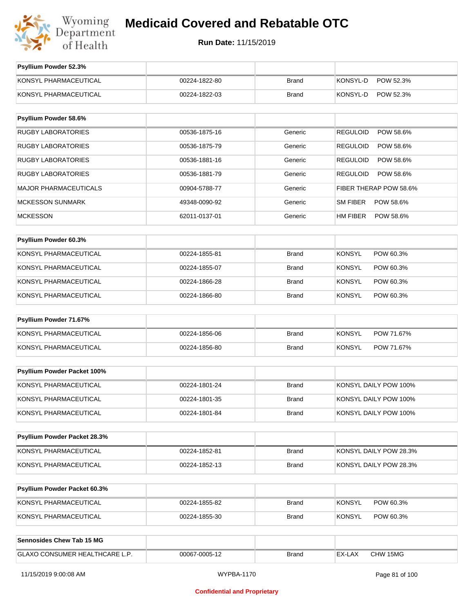

| Psyllium Powder 52.3%          |               |              |                              |
|--------------------------------|---------------|--------------|------------------------------|
| KONSYL PHARMACEUTICAL          | 00224-1822-80 | <b>Brand</b> | KONSYL-D<br>POW 52.3%        |
| KONSYL PHARMACEUTICAL          | 00224-1822-03 | <b>Brand</b> | KONSYL-D<br>POW 52.3%        |
| Psyllium Powder 58.6%          |               |              |                              |
| <b>RUGBY LABORATORIES</b>      | 00536-1875-16 | Generic      | <b>REGULOID</b><br>POW 58.6% |
| <b>RUGBY LABORATORIES</b>      | 00536-1875-79 | Generic      | <b>REGULOID</b><br>POW 58.6% |
| <b>RUGBY LABORATORIES</b>      | 00536-1881-16 | Generic      | <b>REGULOID</b><br>POW 58.6% |
| <b>RUGBY LABORATORIES</b>      | 00536-1881-79 | Generic      | <b>REGULOID</b><br>POW 58.6% |
| <b>MAJOR PHARMACEUTICALS</b>   | 00904-5788-77 | Generic      | FIBER THERAP POW 58.6%       |
| <b>MCKESSON SUNMARK</b>        | 49348-0090-92 | Generic      | SM FIBER<br>POW 58.6%        |
| <b>MCKESSON</b>                | 62011-0137-01 | Generic      | HM FIBER<br>POW 58.6%        |
|                                |               |              |                              |
| Psyllium Powder 60.3%          |               |              |                              |
| KONSYL PHARMACEUTICAL          | 00224-1855-81 | <b>Brand</b> | <b>KONSYL</b><br>POW 60.3%   |
| KONSYL PHARMACEUTICAL          | 00224-1855-07 | <b>Brand</b> | <b>KONSYL</b><br>POW 60.3%   |
| KONSYL PHARMACEUTICAL          | 00224-1866-28 | <b>Brand</b> | <b>KONSYL</b><br>POW 60.3%   |
| KONSYL PHARMACEUTICAL          | 00224-1866-80 | <b>Brand</b> | <b>KONSYL</b><br>POW 60.3%   |
| Psyllium Powder 71.67%         |               |              |                              |
| KONSYL PHARMACEUTICAL          | 00224-1856-06 | <b>Brand</b> | <b>KONSYL</b><br>POW 71.67%  |
| KONSYL PHARMACEUTICAL          | 00224-1856-80 | Brand        | <b>KONSYL</b><br>POW 71.67%  |
|                                |               |              |                              |
| Psyllium Powder Packet 100%    |               |              |                              |
| KONSYL PHARMACEUTICAL          | 00224-1801-24 | <b>Brand</b> | KONSYL DAILY POW 100%        |
| KONSYL PHARMACEUTICAL          | 00224-1801-35 | <b>Brand</b> | KONSYL DAILY POW 100%        |
| KONSYL PHARMACEUTICAL          | 00224-1801-84 | <b>Brand</b> | KONSYL DAILY POW 100%        |
| Psyllium Powder Packet 28.3%   |               |              |                              |
| KONSYL PHARMACEUTICAL          | 00224-1852-81 | <b>Brand</b> | KONSYL DAILY POW 28.3%       |
| KONSYL PHARMACEUTICAL          | 00224-1852-13 | Brand        | KONSYL DAILY POW 28.3%       |
|                                |               |              |                              |
| Psyllium Powder Packet 60.3%   |               |              |                              |
| KONSYL PHARMACEUTICAL          | 00224-1855-82 | <b>Brand</b> | <b>KONSYL</b><br>POW 60.3%   |
| KONSYL PHARMACEUTICAL          | 00224-1855-30 | <b>Brand</b> | <b>KONSYL</b><br>POW 60.3%   |
| Sennosides Chew Tab 15 MG      |               |              |                              |
| GLAXO CONSUMER HEALTHCARE L.P. | 00067-0005-12 | <b>Brand</b> | CHW 15MG<br>EX-LAX           |
|                                |               |              |                              |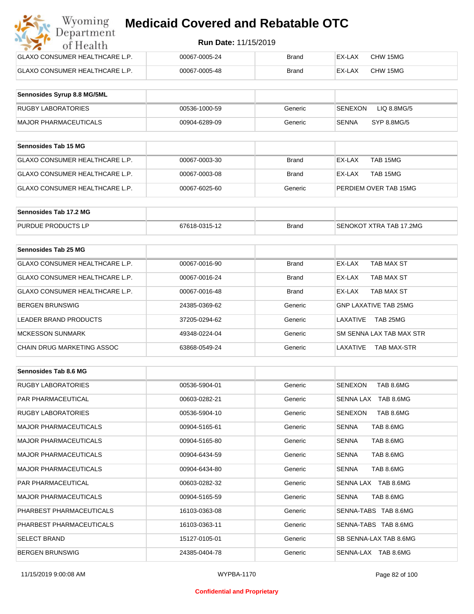| Wyoming<br><b>Medicaid Covered and Rebatable OTC</b><br>Department |                             |              |        |          |  |  |
|--------------------------------------------------------------------|-----------------------------|--------------|--------|----------|--|--|
| of Health                                                          | <b>Run Date: 11/15/2019</b> |              |        |          |  |  |
| <b>GLAXO CONSUMER HEALTHCARE L.P.</b>                              | 00067-0005-24               | <b>Brand</b> | EX-LAX | CHW 15MG |  |  |
| <b>GLAXO CONSUMER HEALTHCARE L.P.</b>                              | 00067-0005-48               | <b>Brand</b> | EX-LAX | CHW 15MG |  |  |

| Sennosides Syrup 8.8 MG/5ML |               |         |                        |
|-----------------------------|---------------|---------|------------------------|
| <b>RUGBY LABORATORIES</b>   | 00536-1000-59 | Generic | SENEXON<br>LIQ 8.8MG/5 |
| MAJOR PHARMACEUTICALS       | 00904-6289-09 | Generic | SYP 8.8MG/5<br>SENNA   |

| <b>Sennosides Tab 15 MG</b>    |               |         |                       |
|--------------------------------|---------------|---------|-----------------------|
| GLAXO CONSUMER HEALTHCARE L.P. | 00067-0003-30 | Brand   | EX-LAX<br>TAB 15MG    |
| GLAXO CONSUMER HEALTHCARE L.P. | 00067-0003-08 | Brand   | TAB 15MG<br>EX-LAX    |
| GLAXO CONSUMER HEALTHCARE L.P. | 00067-6025-60 | Generic | PERDIEM OVER TAB 15MG |

| Sennosides Tab 17.2 MG    |               |              |                         |
|---------------------------|---------------|--------------|-------------------------|
| <b>PURDUE PRODUCTS LP</b> | 67618-0315-12 | <b>Brand</b> | SENOKOT XTRA TAB 17.2MG |

| Sennosides Tab 25 MG           |               |              |                                |
|--------------------------------|---------------|--------------|--------------------------------|
| GLAXO CONSUMER HEALTHCARE L.P. | 00067-0016-90 | <b>Brand</b> | EX-LAX<br>TAB MAX ST           |
| GLAXO CONSUMER HEALTHCARE L.P. | 00067-0016-24 | <b>Brand</b> | TAB MAX ST<br>EX-LAX           |
| GLAXO CONSUMER HEALTHCARE L.P. | 00067-0016-48 | <b>Brand</b> | TAB MAX ST<br>EX-LAX           |
| <b>BERGEN BRUNSWIG</b>         | 24385-0369-62 | Generic      | <b>GNP LAXATIVE TAB 25MG</b>   |
| LEADER BRAND PRODUCTS          | 37205-0294-62 | Generic      | TAB 25MG<br>I AXATIVF          |
| <b>MCKESSON SUNMARK</b>        | 49348-0224-04 | Generic      | SM SENNA LAX TAB MAX STR       |
| CHAIN DRUG MARKETING ASSOC     | 63868-0549-24 | Generic      | LAXATIVE<br><b>TAB MAX-STR</b> |

| Sennosides Tab 8.6 MG        |               |         |                             |
|------------------------------|---------------|---------|-----------------------------|
| <b>RUGBY LABORATORIES</b>    | 00536-5904-01 | Generic | TAB 8.6MG<br>SENEXON        |
| <b>PAR PHARMACEUTICAL</b>    | 00603-0282-21 | Generic | SENNA LAX<br>TAB 8.6MG      |
| <b>RUGBY LABORATORIES</b>    | 00536-5904-10 | Generic | <b>SENEXON</b><br>TAB 8.6MG |
| <b>MAJOR PHARMACEUTICALS</b> | 00904-5165-61 | Generic | TAB 8.6MG<br><b>SENNA</b>   |
| <b>MAJOR PHARMACEUTICALS</b> | 00904-5165-80 | Generic | TAB 8.6MG<br><b>SENNA</b>   |
| <b>MAJOR PHARMACEUTICALS</b> | 00904-6434-59 | Generic | TAB 8.6MG<br><b>SENNA</b>   |
| <b>MAJOR PHARMACEUTICALS</b> | 00904-6434-80 | Generic | TAB 8.6MG<br><b>SENNA</b>   |
| <b>PAR PHARMACEUTICAL</b>    | 00603-0282-32 | Generic | SENNA LAX TAB 8.6MG         |
| <b>MAJOR PHARMACEUTICALS</b> | 00904-5165-59 | Generic | TAB 8.6MG<br><b>SENNA</b>   |
| PHARBEST PHARMACEUTICALS     | 16103-0363-08 | Generic | SENNA-TABS TAB 8.6MG        |
| PHARBEST PHARMACEUTICALS     | 16103-0363-11 | Generic | SENNA-TABS TAB 8.6MG        |
| <b>SELECT BRAND</b>          | 15127-0105-01 | Generic | SB SENNA-LAX TAB 8.6MG      |
| <b>BERGEN BRUNSWIG</b>       | 24385-0404-78 | Generic | SENNA-LAX TAB 8.6MG         |

#### **Confidential and Proprietary**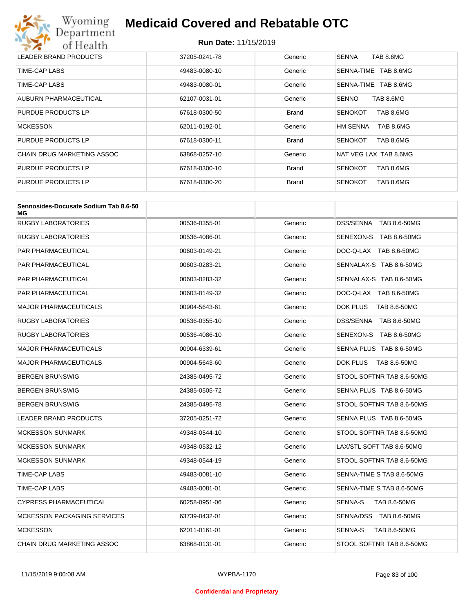## Wyoming<br>Department<br>of Health **Medicaid Covered and Rebatable OTC**

| LEADER BRAND PRODUCTS      | 37205-0241-78 | Generic      | TAB 8.6MG<br><b>SENNA</b>    |
|----------------------------|---------------|--------------|------------------------------|
| TIME-CAP LABS              | 49483-0080-10 | Generic      | TAB 8.6MG<br>SENNA-TIME      |
| TIME-CAP LABS              | 49483-0080-01 | Generic      | TAB 8.6MG<br>SENNA-TIME      |
| AUBURN PHARMACEUTICAL      | 62107-0031-01 | Generic      | <b>SENNO</b><br>TAB 8.6MG    |
| PURDUE PRODUCTS LP         | 67618-0300-50 | <b>Brand</b> | TAB 8.6MG<br><b>SENOKOT</b>  |
| <b>MCKESSON</b>            | 62011-0192-01 | Generic      | TAB 8.6MG<br><b>HM SENNA</b> |
| PURDUE PRODUCTS LP         | 67618-0300-11 | <b>Brand</b> | TAB 8.6MG<br><b>SENOKOT</b>  |
| CHAIN DRUG MARKETING ASSOC | 63868-0257-10 | Generic      | NAT VEG LAX TAB 8.6MG        |
| PURDUE PRODUCTS LP         | 67618-0300-10 | <b>Brand</b> | TAB 8.6MG<br><b>SENOKOT</b>  |
| PURDUE PRODUCTS LP         | 67618-0300-20 | <b>Brand</b> | <b>SENOKOT</b><br>TAB 8.6MG  |

| Sennosides-Docusate Sodium Tab 8.6-50<br>МG |               |         |                                |
|---------------------------------------------|---------------|---------|--------------------------------|
| RUGBY LABORATORIES                          | 00536-0355-01 | Generic | DSS/SENNA TAB 8.6-50MG         |
| RUGBY LABORATORIES                          | 00536-4086-01 | Generic | SENEXON-S TAB 8.6-50MG         |
| PAR PHARMACEUTICAL                          | 00603-0149-21 | Generic | DOC-Q-LAX TAB 8.6-50MG         |
| PAR PHARMACEUTICAL                          | 00603-0283-21 | Generic | SENNALAX-S TAB 8.6-50MG        |
| PAR PHARMACEUTICAL                          | 00603-0283-32 | Generic | SENNALAX-S TAB 8.6-50MG        |
| PAR PHARMACEUTICAL                          | 00603-0149-32 | Generic | DOC-Q-LAX TAB 8.6-50MG         |
| <b>MAJOR PHARMACEUTICALS</b>                | 00904-5643-61 | Generic | DOK PLUS<br>TAB 8.6-50MG       |
| <b>RUGBY LABORATORIES</b>                   | 00536-0355-10 | Generic | DSS/SENNA TAB 8.6-50MG         |
| <b>RUGBY LABORATORIES</b>                   | 00536-4086-10 | Generic | SENEXON-S TAB 8.6-50MG         |
| <b>MAJOR PHARMACEUTICALS</b>                | 00904-6339-61 | Generic | SENNA PLUS TAB 8.6-50MG        |
| <b>MAJOR PHARMACEUTICALS</b>                | 00904-5643-60 | Generic | DOK PLUS<br>TAB 8.6-50MG       |
| BERGEN BRUNSWIG                             | 24385-0495-72 | Generic | STOOL SOFTNR TAB 8.6-50MG      |
| BERGEN BRUNSWIG                             | 24385-0505-72 | Generic | SENNA PLUS TAB 8.6-50MG        |
| BERGEN BRUNSWIG                             | 24385-0495-78 | Generic | STOOL SOFTNR TAB 8.6-50MG      |
| <b>LEADER BRAND PRODUCTS</b>                | 37205-0251-72 | Generic | SENNA PLUS TAB 8.6-50MG        |
| <b>MCKESSON SUNMARK</b>                     | 49348-0544-10 | Generic | STOOL SOFTNR TAB 8.6-50MG      |
| <b>MCKESSON SUNMARK</b>                     | 49348-0532-12 | Generic | LAX/STL SOFT TAB 8.6-50MG      |
| <b>MCKESSON SUNMARK</b>                     | 49348-0544-19 | Generic | STOOL SOFTNR TAB 8.6-50MG      |
| TIME-CAP LABS                               | 49483-0081-10 | Generic | SENNA-TIME S TAB 8.6-50MG      |
| TIME-CAP LABS                               | 49483-0081-01 | Generic | SENNA-TIME S TAB 8.6-50MG      |
| <b>CYPRESS PHARMACEUTICAL</b>               | 60258-0951-06 | Generic | SENNA-S<br>TAB 8.6-50MG        |
| <b>MCKESSON PACKAGING SERVICES</b>          | 63739-0432-01 | Generic | SENNA/DSS TAB 8.6-50MG         |
| <b>MCKESSON</b>                             | 62011-0161-01 | Generic | <b>SENNA-S</b><br>TAB 8.6-50MG |
| CHAIN DRUG MARKETING ASSOC                  | 63868-0131-01 | Generic | STOOL SOFTNR TAB 8.6-50MG      |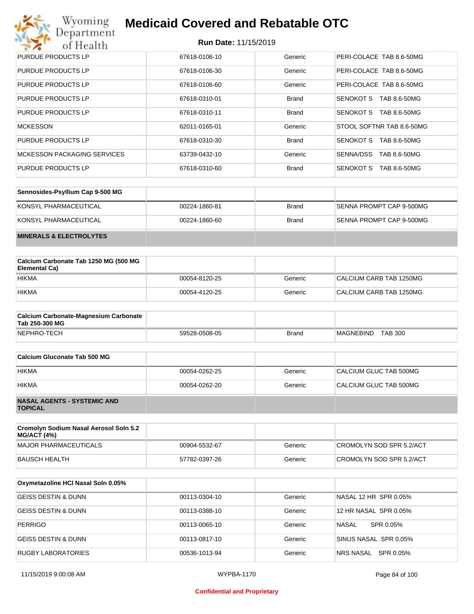## Wyoming<br>Department<br>of Health

## **Medicaid Covered and Rebatable OTC**

| PURDUE PRODUCTS LP                 | 67618-0106-10 | Generic      | PERI-COLACE TAB 8.6-50MG         |
|------------------------------------|---------------|--------------|----------------------------------|
| PURDUE PRODUCTS LP                 | 67618-0106-30 | Generic      | PERI-COLACE TAB 8.6-50MG         |
| PURDUE PRODUCTS LP                 | 67618-0106-60 | Generic      | PERI-COLACE TAB 8.6-50MG         |
| PURDUE PRODUCTS LP                 | 67618-0310-01 | <b>Brand</b> | SENOKOT S<br>TAB 8.6-50MG        |
| PURDUE PRODUCTS LP                 | 67618-0310-11 | <b>Brand</b> | SENOKOT S<br>TAB 8.6-50MG        |
| <b>MCKESSON</b>                    | 62011-0165-01 | Generic      | STOOL SOFTNR TAB 8.6-50MG        |
| PURDUE PRODUCTS LP                 | 67618-0310-30 | <b>Brand</b> | SENOKOT S<br>TAB 8.6-50MG        |
| <b>MCKESSON PACKAGING SERVICES</b> | 63739-0432-10 | Generic      | SENNA/DSS<br>TAB 8.6-50MG        |
| PURDUE PRODUCTS LP                 | 67618-0310-60 | <b>Brand</b> | <b>SENOKOT S</b><br>TAB 8.6-50MG |

| Sennosides-Psyllium Cap 9-500 MG   |               |              |                          |
|------------------------------------|---------------|--------------|--------------------------|
| KONSYL PHARMACEUTICAL              | 00224-1860-81 | <b>Brand</b> | SENNA PROMPT CAP 9-500MG |
| KONSYL PHARMACEUTICAL              | 00224-1860-60 | <b>Brand</b> | SENNA PROMPT CAP 9-500MG |
| <b>MINERALS &amp; ELECTROLYTES</b> |               |              |                          |

| Calcium Carbonate Tab 1250 MG (500 MG<br>Elemental Ca) |               |         |                         |
|--------------------------------------------------------|---------------|---------|-------------------------|
| <b>HIKMA</b>                                           | 00054-8120-25 | Generic | CALCIUM CARB TAB 1250MG |
| <b>HIKMA</b>                                           | 00054-4120-25 | Generic | CALCIUM CARB TAB 1250MG |

| <b>Calcium Carbonate-Magnesium Carbonate</b><br>Tab 250-300 MG |               |              |                             |
|----------------------------------------------------------------|---------------|--------------|-----------------------------|
| NEPHRO-TECH                                                    | 59528-0508-05 | <b>Brand</b> | <b>TAB 300</b><br>MAGNEBIND |

| Calcium Gluconate Tab 500 MG                         |               |         |                        |
|------------------------------------------------------|---------------|---------|------------------------|
| <b>HIKMA</b>                                         | 00054-0262-25 | Generic | CALCIUM GLUC TAB 500MG |
| <b>HIKMA</b>                                         | 00054-0262-20 | Generic | CALCIUM GLUC TAB 500MG |
| <b>NASAL AGENTS - SYSTEMIC AND</b><br><b>TOPICAL</b> |               |         |                        |

| Cromolyn Sodium Nasal Aerosol Soln 5.2<br><b>MG/ACT (4%)</b> |               |         |                          |
|--------------------------------------------------------------|---------------|---------|--------------------------|
| MAJOR PHARMACEUTICALS                                        | 00904-5532-67 | Generic | CROMOLYN SOD SPR 5.2/ACT |
| BAUSCH HEALTH                                                | 57782-0397-26 | Generic | CROMOLYN SOD SPR 5.2/ACT |

| Oxymetazoline HCI Nasal Soln 0.05% |               |         |                        |
|------------------------------------|---------------|---------|------------------------|
| <b>GEISS DESTIN &amp; DUNN</b>     | 00113-0304-10 | Generic | NASAL 12 HR SPR 0.05%  |
| GEISS DESTIN & DUNN                | 00113-0388-10 | Generic | 12 HR NASAL SPR 0.05%  |
| <b>PERRIGO</b>                     | 00113-0065-10 | Generic | NASAL<br>SPR 0.05%     |
| GEISS DESTIN & DUNN                | 00113-0817-10 | Generic | SINUS NASAL SPR 0.05%  |
| RUGBY LABORATORIES                 | 00536-1013-94 | Generic | SPR 0.05%<br>NRS NASAL |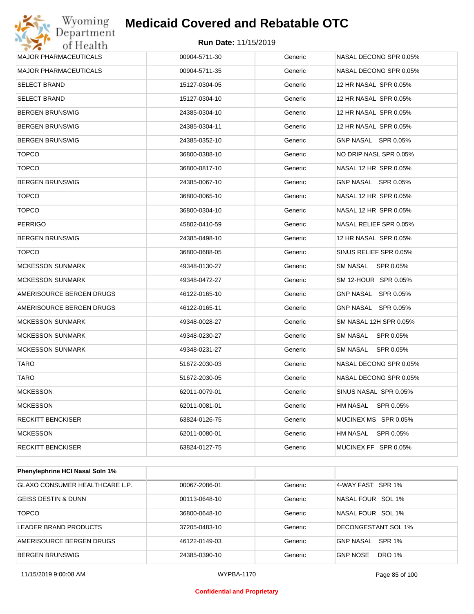

| Department<br>of Health      | <b>Run Date: 11/15/2019</b> |         |                        |
|------------------------------|-----------------------------|---------|------------------------|
| <b>MAJOR PHARMACEUTICALS</b> | 00904-5711-30               | Generic | NASAL DECONG SPR 0.05% |
| <b>MAJOR PHARMACEUTICALS</b> | 00904-5711-35               | Generic | NASAL DECONG SPR 0.05% |
| <b>SELECT BRAND</b>          | 15127-0304-05               | Generic | 12 HR NASAL SPR 0.05%  |
| <b>SELECT BRAND</b>          | 15127-0304-10               | Generic | 12 HR NASAL SPR 0.05%  |
| <b>BERGEN BRUNSWIG</b>       | 24385-0304-10               | Generic | 12 HR NASAL SPR 0.05%  |
| <b>BERGEN BRUNSWIG</b>       | 24385-0304-11               | Generic | 12 HR NASAL SPR 0.05%  |
| <b>BERGEN BRUNSWIG</b>       | 24385-0352-10               | Generic | GNP NASAL SPR 0.05%    |
| <b>TOPCO</b>                 | 36800-0388-10               | Generic | NO DRIP NASL SPR 0.05% |
| <b>TOPCO</b>                 | 36800-0817-10               | Generic | NASAL 12 HR SPR 0.05%  |
| <b>BERGEN BRUNSWIG</b>       | 24385-0067-10               | Generic | GNP NASAL SPR 0.05%    |
| <b>TOPCO</b>                 | 36800-0065-10               | Generic | NASAL 12 HR SPR 0.05%  |
| <b>TOPCO</b>                 | 36800-0304-10               | Generic | NASAL 12 HR SPR 0.05%  |
| <b>PERRIGO</b>               | 45802-0410-59               | Generic | NASAL RELIEF SPR 0.05% |
| <b>BERGEN BRUNSWIG</b>       | 24385-0498-10               | Generic | 12 HR NASAL SPR 0.05%  |
| <b>TOPCO</b>                 | 36800-0688-05               | Generic | SINUS RELIEF SPR 0.05% |
| <b>MCKESSON SUNMARK</b>      | 49348-0130-27               | Generic | SM NASAL<br>SPR 0.05%  |
| <b>MCKESSON SUNMARK</b>      | 49348-0472-27               | Generic | SM 12-HOUR SPR 0.05%   |
| AMERISOURCE BERGEN DRUGS     | 46122-0165-10               | Generic | GNP NASAL SPR 0.05%    |
| AMERISOURCE BERGEN DRUGS     | 46122-0165-11               | Generic | GNP NASAL SPR 0.05%    |
| <b>MCKESSON SUNMARK</b>      | 49348-0028-27               | Generic | SM NASAL 12H SPR 0.05% |
| <b>MCKESSON SUNMARK</b>      | 49348-0230-27               | Generic | SM NASAL<br>SPR 0.05%  |
| <b>MCKESSON SUNMARK</b>      | 49348-0231-27               | Generic | SM NASAL<br>SPR 0.05%  |
| TARO                         | 51672-2030-03               | Generic | NASAL DECONG SPR 0.05% |
| TARO                         | 51672-2030-05               | Generic | NASAL DECONG SPR 0.05% |
| <b>MCKESSON</b>              | 62011-0079-01               | Generic | SINUS NASAL SPR 0.05%  |
| <b>MCKESSON</b>              | 62011-0081-01               | Generic | SPR 0.05%<br>HM NASAL  |
| RECKITT BENCKISER            | 63824-0126-75               | Generic | MUCINEX MS SPR 0.05%   |
| <b>MCKESSON</b>              | 62011-0080-01               | Generic | HM NASAL<br>SPR 0.05%  |
| RECKITT BENCKISER            | 63824-0127-75               | Generic | MUCINEX FF SPR 0.05%   |

| <b>Phenylephrine HCI Nasal Soln 1%</b> |               |         |                                  |
|----------------------------------------|---------------|---------|----------------------------------|
| <b>GLAXO CONSUMER HEALTHCARE L.P.</b>  | 00067-2086-01 | Generic | 4-WAY FAST SPR 1%                |
| <b>GEISS DESTIN &amp; DUNN</b>         | 00113-0648-10 | Generic | NASAL FOUR SOL 1%                |
| <b>TOPCO</b>                           | 36800-0648-10 | Generic | NASAL FOUR SOL 1%                |
| LEADER BRAND PRODUCTS                  | 37205-0483-10 | Generic | DECONGESTANT SOL 1%              |
| AMERISOURCE BERGEN DRUGS               | 46122-0149-03 | Generic | GNP NASAL SPR 1%                 |
| BERGEN BRUNSWIG                        | 24385-0390-10 | Generic | <b>DRO 1%</b><br><b>GNP NOSE</b> |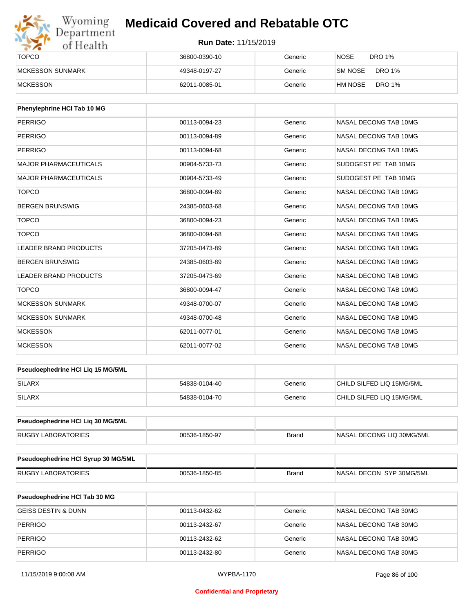

| <b>TOPCO</b>             | 36800-0390-10 | Generic | <b>NOSE</b><br><b>DRO 1%</b> |
|--------------------------|---------------|---------|------------------------------|
| <b>IMCKESSON SUNMARK</b> | 49348-0197-27 | Generic | DRO 1%<br><b>SM NOSE</b>     |
| <b>MCKESSON</b>          | 62011-0085-01 | Generic | <b>DRO 1%</b><br>HM NOSE     |

| Phenylephrine HCI Tab 10 MG  |               |         |                       |
|------------------------------|---------------|---------|-----------------------|
| <b>PERRIGO</b>               | 00113-0094-23 | Generic | NASAL DECONG TAB 10MG |
| <b>PERRIGO</b>               | 00113-0094-89 | Generic | NASAL DECONG TAB 10MG |
| <b>PERRIGO</b>               | 00113-0094-68 | Generic | NASAL DECONG TAB 10MG |
| <b>MAJOR PHARMACEUTICALS</b> | 00904-5733-73 | Generic | SUDOGEST PE TAB 10MG  |
| <b>MAJOR PHARMACEUTICALS</b> | 00904-5733-49 | Generic | SUDOGEST PE TAB 10MG  |
| <b>TOPCO</b>                 | 36800-0094-89 | Generic | NASAL DECONG TAB 10MG |
| <b>BERGEN BRUNSWIG</b>       | 24385-0603-68 | Generic | NASAL DECONG TAB 10MG |
| <b>TOPCO</b>                 | 36800-0094-23 | Generic | NASAL DECONG TAB 10MG |
| <b>TOPCO</b>                 | 36800-0094-68 | Generic | NASAL DECONG TAB 10MG |
| <b>LEADER BRAND PRODUCTS</b> | 37205-0473-89 | Generic | NASAL DECONG TAB 10MG |
| <b>BERGEN BRUNSWIG</b>       | 24385-0603-89 | Generic | NASAL DECONG TAB 10MG |
| <b>LEADER BRAND PRODUCTS</b> | 37205-0473-69 | Generic | NASAL DECONG TAB 10MG |
| <b>TOPCO</b>                 | 36800-0094-47 | Generic | NASAL DECONG TAB 10MG |
| <b>MCKESSON SUNMARK</b>      | 49348-0700-07 | Generic | NASAL DECONG TAB 10MG |
| <b>MCKESSON SUNMARK</b>      | 49348-0700-48 | Generic | NASAL DECONG TAB 10MG |
| <b>MCKESSON</b>              | 62011-0077-01 | Generic | NASAL DECONG TAB 10MG |
| <b>MCKESSON</b>              | 62011-0077-02 | Generic | NASAL DECONG TAB 10MG |

| <b>Pseudoephedrine HCI Lig 15 MG/5ML</b> |               |         |                           |
|------------------------------------------|---------------|---------|---------------------------|
| SILARX                                   | 54838-0104-40 | Generic | CHILD SILFED LIQ 15MG/5ML |
| <b>SILARX</b>                            | 54838-0104-70 | Generic | CHILD SILFED LIQ 15MG/5ML |

| <b>Pseudoephedrine HCI Lig 30 MG/5ML</b> |               |       |                            |
|------------------------------------------|---------------|-------|----------------------------|
| RUGBY LABORATORIES                       | 00536-1850-97 | Brand | INASAL DECONG LIQ 30MG/5ML |

| <b>Pseudoephedrine HCI Syrup 30 MG/5ML</b> |               |       |                           |
|--------------------------------------------|---------------|-------|---------------------------|
| <b>RUGBY LABORATORIES</b>                  | 00536-1850-85 | Brand | INASAL DECON SYP 30MG/5ML |

| <b>Pseudoephedrine HCI Tab 30 MG</b> |               |         |                       |
|--------------------------------------|---------------|---------|-----------------------|
| GEISS DESTIN & DUNN                  | 00113-0432-62 | Generic | NASAL DECONG TAB 30MG |
| PERRIGO                              | 00113-2432-67 | Generic | NASAL DECONG TAB 30MG |
| PERRIGO                              | 00113-2432-62 | Generic | NASAL DECONG TAB 30MG |
| PERRIGO                              | 00113-2432-80 | Generic | NASAL DECONG TAB 30MG |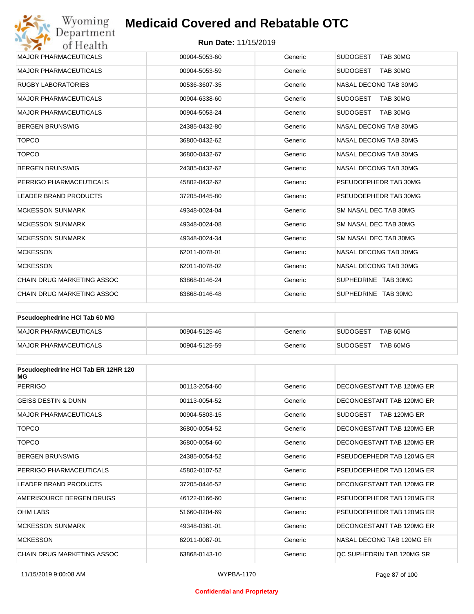#### **Run Date:** 11/15/2019

| Wyoming<br>Department             | <b>Medicaid Covered and Rebatable OTC</b> |                             |                             |  |  |
|-----------------------------------|-------------------------------------------|-----------------------------|-----------------------------|--|--|
| of Health                         |                                           | <b>Run Date: 11/15/2019</b> |                             |  |  |
| <b>MAJOR PHARMACEUTICALS</b>      | 00904-5053-60                             | Generic                     | <b>SUDOGEST</b><br>TAB 30MG |  |  |
| <b>MAJOR PHARMACEUTICALS</b>      | 00904-5053-59                             | Generic                     | <b>SUDOGEST</b><br>TAB 30MG |  |  |
| <b>RUGBY LABORATORIES</b>         | 00536-3607-35                             | Generic                     | NASAL DECONG TAB 30MG       |  |  |
| <b>MAJOR PHARMACEUTICALS</b>      | 00904-6338-60                             | Generic                     | <b>SUDOGEST</b><br>TAB 30MG |  |  |
| <b>MAJOR PHARMACEUTICALS</b>      | 00904-5053-24                             | Generic                     | <b>SUDOGEST</b><br>TAB 30MG |  |  |
| <b>BERGEN BRUNSWIG</b>            | 24385-0432-80                             | Generic                     | NASAL DECONG TAB 30MG       |  |  |
| <b>TOPCO</b>                      | 36800-0432-62                             | Generic                     | NASAL DECONG TAB 30MG       |  |  |
| <b>TOPCO</b>                      | 36800-0432-67                             | Generic                     | NASAL DECONG TAB 30MG       |  |  |
| <b>BERGEN BRUNSWIG</b>            | 24385-0432-62                             | Generic                     | NASAL DECONG TAB 30MG       |  |  |
| PERRIGO PHARMACEUTICALS           | 45802-0432-62                             | Generic                     | PSEUDOEPHEDR TAB 30MG       |  |  |
| <b>LEADER BRAND PRODUCTS</b>      | 37205-0445-80                             | Generic                     | PSEUDOEPHEDR TAB 30MG       |  |  |
| <b>MCKESSON SUNMARK</b>           | 49348-0024-04                             | Generic                     | SM NASAL DEC TAB 30MG       |  |  |
| <b>MCKESSON SUNMARK</b>           | 49348-0024-08                             | Generic                     | SM NASAL DEC TAB 30MG       |  |  |
| <b>MCKESSON SUNMARK</b>           | 49348-0024-34                             | Generic                     | SM NASAL DEC TAB 30MG       |  |  |
| <b>MCKESSON</b>                   | 62011-0078-01                             | Generic                     | NASAL DECONG TAB 30MG       |  |  |
| <b>MCKESSON</b>                   | 62011-0078-02                             | Generic                     | NASAL DECONG TAB 30MG       |  |  |
| <b>CHAIN DRUG MARKETING ASSOC</b> | 63868-0146-24                             | Generic                     | SUPHEDRINE TAB 30MG         |  |  |
| <b>CHAIN DRUG MARKETING ASSOC</b> | 63868-0146-48                             | Generic                     | SUPHEDRINE TAB 30MG         |  |  |

| Pseudoephedrine HCI Tab 60 MG |               |         |                             |  |
|-------------------------------|---------------|---------|-----------------------------|--|
| <b>IMAJOR PHARMACEUTICALS</b> | 00904-5125-46 | Generic | TAB 60MG<br>SUDOGEST        |  |
| MAJOR PHARMACEUTICALS         | 00904-5125-59 | Generic | TAB 60MG<br><b>SUDOGEST</b> |  |

| Pseudoephedrine HCI Tab ER 12HR 120<br>MG |               |         |                                 |
|-------------------------------------------|---------------|---------|---------------------------------|
| <b>PERRIGO</b>                            | 00113-2054-60 | Generic | DECONGESTANT TAB 120MG ER       |
| <b>GEISS DESTIN &amp; DUNN</b>            | 00113-0054-52 | Generic | DECONGESTANT TAB 120MG ER       |
| <b>MAJOR PHARMACEUTICALS</b>              | 00904-5803-15 | Generic | <b>SUDOGEST</b><br>TAB 120MG ER |
| <b>TOPCO</b>                              | 36800-0054-52 | Generic | DECONGESTANT TAB 120MG ER       |
| <b>TOPCO</b>                              | 36800-0054-60 | Generic | DECONGESTANT TAB 120MG ER       |
| <b>BERGEN BRUNSWIG</b>                    | 24385-0054-52 | Generic | PSEUDOEPHEDR TAB 120MG ER       |
| PERRIGO PHARMACEUTICALS                   | 45802-0107-52 | Generic | PSEUDOFPHEDR TAB 120MG FR       |
| <b>LEADER BRAND PRODUCTS</b>              | 37205-0446-52 | Generic | DECONGESTANT TAB 120MG ER       |
| AMERISOURCE BERGEN DRUGS                  | 46122-0166-60 | Generic | PSEUDOEPHEDR TAB 120MG ER       |
| <b>OHM LABS</b>                           | 51660-0204-69 | Generic | PSEUDOEPHEDR TAB 120MG ER       |
| <b>MCKESSON SUNMARK</b>                   | 49348-0361-01 | Generic | DECONGESTANT TAB 120MG ER       |
| <b>MCKESSON</b>                           | 62011-0087-01 | Generic | NASAL DECONG TAB 120MG FR       |
| CHAIN DRUG MARKETING ASSOC                | 63868-0143-10 | Generic | OC SUPHEDRIN TAB 120MG SR       |

#### **Confidential and Proprietary**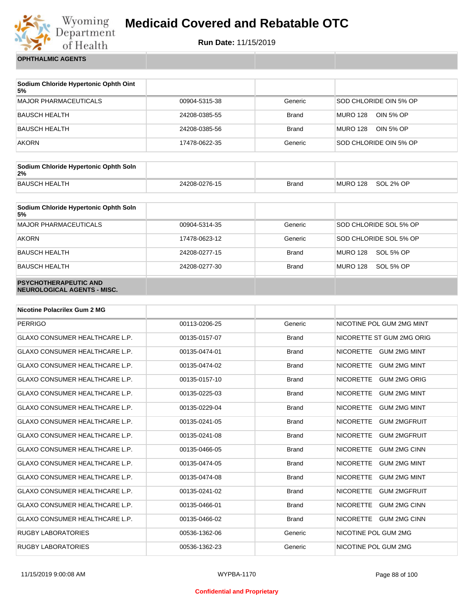

**Run Date:** 11/15/2019

**OPHTHALMIC AGENTS**

| Sodium Chloride Hypertonic Ophth Oint<br>5% |               |              |                              |
|---------------------------------------------|---------------|--------------|------------------------------|
| <b>MAJOR PHARMACEUTICALS</b>                | 00904-5315-38 | Generic      | SOD CHLORIDE OIN 5% OP       |
| <b>BAUSCH HEALTH</b>                        | 24208-0385-55 | <b>Brand</b> | <b>MURO 128</b><br>OIN 5% OP |
| <b>BAUSCH HEALTH</b>                        | 24208-0385-56 | <b>Brand</b> | <b>MURO 128</b><br>OIN 5% OP |
| <b>AKORN</b>                                | 17478-0622-35 | Generic      | SOD CHLORIDE OIN 5% OP       |

| Sodium Chloride Hypertonic Ophth Soln<br>2% |               |              |          |           |
|---------------------------------------------|---------------|--------------|----------|-----------|
| <b>BAUSCH HEALTH</b>                        | 24208-0276-15 | <b>Brand</b> | MURO 128 | SOL 2% OP |

| Sodium Chloride Hypertonic Ophth Soln<br>5%                 |               |              |                              |
|-------------------------------------------------------------|---------------|--------------|------------------------------|
| <b>MAJOR PHARMACEUTICALS</b>                                | 00904-5314-35 | Generic      | SOD CHLORIDE SOL 5% OP       |
| <b>AKORN</b>                                                | 17478-0623-12 | Generic      | SOD CHLORIDE SOL 5% OP       |
| <b>BAUSCH HEALTH</b>                                        | 24208-0277-15 | <b>Brand</b> | SOL 5% OP<br><b>MURO 128</b> |
| <b>BAUSCH HEALTH</b>                                        | 24208-0277-30 | <b>Brand</b> | MURO 128<br>SOL 5% OP        |
| <b>PSYCHOTHERAPEUTIC AND</b><br>NEUROLOGICAL AGENTS - MISC. |               |              |                              |

| <b>Nicotine Polacrilex Gum 2 MG</b>   |               |              |                                         |
|---------------------------------------|---------------|--------------|-----------------------------------------|
| <b>PERRIGO</b>                        | 00113-0206-25 | Generic      | NICOTINE POL GUM 2MG MINT               |
| <b>GLAXO CONSUMER HEALTHCARE L.P.</b> | 00135-0157-07 | <b>Brand</b> | NICORETTE ST GUM 2MG ORIG               |
| <b>GLAXO CONSUMER HEALTHCARE L.P.</b> | 00135-0474-01 | <b>Brand</b> | NICORETTE GUM 2MG MINT                  |
| <b>GLAXO CONSUMER HEALTHCARE L.P.</b> | 00135-0474-02 | <b>Brand</b> | <b>GUM 2MG MINT</b><br><b>NICORETTE</b> |
| <b>GLAXO CONSUMER HEALTHCARE L.P.</b> | 00135-0157-10 | <b>Brand</b> | <b>NICORETTE</b><br><b>GUM 2MG ORIG</b> |
| <b>GLAXO CONSUMER HEALTHCARE L.P.</b> | 00135-0225-03 | <b>Brand</b> | <b>NICORETTE</b><br><b>GUM 2MG MINT</b> |
| <b>GLAXO CONSUMER HEALTHCARE L.P.</b> | 00135-0229-04 | <b>Brand</b> | <b>NICORETTE</b><br><b>GUM 2MG MINT</b> |
| <b>GLAXO CONSUMER HEALTHCARE L.P.</b> | 00135-0241-05 | <b>Brand</b> | <b>NICORETTE</b><br><b>GUM 2MGFRUIT</b> |
| <b>GLAXO CONSUMER HEALTHCARE L.P.</b> | 00135-0241-08 | <b>Brand</b> | <b>NICORETTE</b><br><b>GUM 2MGFRUIT</b> |
| <b>GLAXO CONSUMER HEALTHCARE L.P.</b> | 00135-0466-05 | <b>Brand</b> | <b>NICORETTE</b><br><b>GUM 2MG CINN</b> |
| <b>GLAXO CONSUMER HEALTHCARE L.P.</b> | 00135-0474-05 | <b>Brand</b> | <b>NICORETTE</b><br><b>GUM 2MG MINT</b> |
| <b>GLAXO CONSUMER HEALTHCARE L.P.</b> | 00135-0474-08 | <b>Brand</b> | <b>NICORETTE</b><br><b>GUM 2MG MINT</b> |
| <b>GLAXO CONSUMER HEALTHCARE L.P.</b> | 00135-0241-02 | <b>Brand</b> | <b>NICORETTE</b><br><b>GUM 2MGFRUIT</b> |
| <b>GLAXO CONSUMER HEALTHCARE L.P.</b> | 00135-0466-01 | <b>Brand</b> | <b>NICORETTE</b><br><b>GUM 2MG CINN</b> |
| <b>GLAXO CONSUMER HEALTHCARE L.P.</b> | 00135-0466-02 | <b>Brand</b> | <b>NICORETTE</b><br><b>GUM 2MG CINN</b> |
| <b>RUGBY LABORATORIES</b>             | 00536-1362-06 | Generic      | NICOTINE POL GUM 2MG                    |
| <b>RUGBY LABORATORIES</b>             | 00536-1362-23 | Generic      | NICOTINE POL GUM 2MG                    |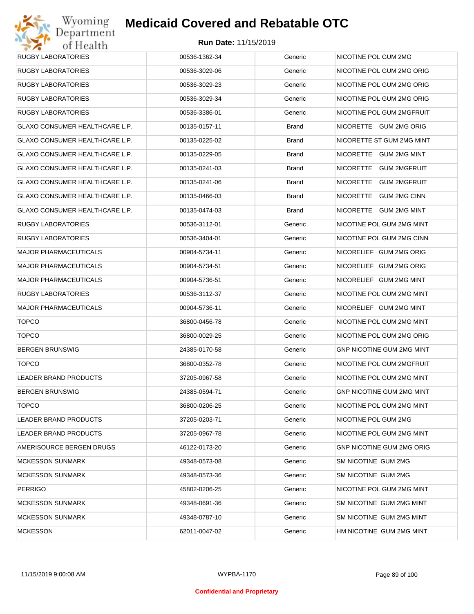| RUGBY LABORATORIES                    | 00536-1362-34 | Generic      | NICOTINE POL GUM 2MG      |
|---------------------------------------|---------------|--------------|---------------------------|
| RUGBY LABORATORIES                    | 00536-3029-06 | Generic      | NICOTINE POL GUM 2MG ORIG |
| RUGBY LABORATORIES                    | 00536-3029-23 | Generic      | NICOTINE POL GUM 2MG ORIG |
| <b>RUGBY LABORATORIES</b>             | 00536-3029-34 | Generic      | NICOTINE POL GUM 2MG ORIG |
| RUGBY LABORATORIES                    | 00536-3386-01 | Generic      | NICOTINE POL GUM 2MGFRUIT |
| GLAXO CONSUMER HEALTHCARE L.P.        | 00135-0157-11 | Brand        | NICORETTE GUM 2MG ORIG    |
| <b>GLAXO CONSUMER HEALTHCARE L.P.</b> | 00135-0225-02 | <b>Brand</b> | NICORETTE ST GUM 2MG MINT |
| GLAXO CONSUMER HEALTHCARE L.P.        | 00135-0229-05 | Brand        | NICORETTE GUM 2MG MINT    |
| GLAXO CONSUMER HEALTHCARE L.P.        | 00135-0241-03 | <b>Brand</b> | NICORETTE GUM 2MGFRUIT    |
| GLAXO CONSUMER HEALTHCARE L.P.        | 00135-0241-06 | Brand        | NICORETTE GUM 2MGFRUIT    |
| GLAXO CONSUMER HEALTHCARE L.P.        | 00135-0466-03 | <b>Brand</b> | NICORETTE GUM 2MG CINN    |
| <b>GLAXO CONSUMER HEALTHCARE L.P.</b> | 00135-0474-03 | Brand        | NICORETTE GUM 2MG MINT    |
| RUGBY LABORATORIES                    | 00536-3112-01 | Generic      | NICOTINE POL GUM 2MG MINT |
| RUGBY LABORATORIES                    | 00536-3404-01 | Generic      | NICOTINE POL GUM 2MG CINN |
| <b>MAJOR PHARMACEUTICALS</b>          | 00904-5734-11 | Generic      | NICORELIEF GUM 2MG ORIG   |
| <b>MAJOR PHARMACEUTICALS</b>          | 00904-5734-51 | Generic      | NICORELIEF GUM 2MG ORIG   |
| <b>MAJOR PHARMACEUTICALS</b>          | 00904-5736-51 | Generic      | NICORELIEF GUM 2MG MINT   |
| RUGBY LABORATORIES                    | 00536-3112-37 | Generic      | NICOTINE POL GUM 2MG MINT |
| <b>MAJOR PHARMACEUTICALS</b>          | 00904-5736-11 | Generic      | NICORELIEF GUM 2MG MINT   |
| <b>TOPCO</b>                          | 36800-0456-78 | Generic      | NICOTINE POL GUM 2MG MINT |
| <b>TOPCO</b>                          | 36800-0029-25 | Generic      | NICOTINE POL GUM 2MG ORIG |
| <b>BERGEN BRUNSWIG</b>                | 24385-0170-58 | Generic      | GNP NICOTINE GUM 2MG MINT |
| <b>TOPCO</b>                          | 36800-0352-78 | Generic      | NICOTINE POL GUM 2MGFRUIT |
| LEADER BRAND PRODUCTS                 | 37205-0967-58 | Generic      | NICOTINE POL GUM 2MG MINT |
| <b>BERGEN BRUNSWIG</b>                | 24385-0594-71 | Generic      | GNP NICOTINE GUM 2MG MINT |
| <b>TOPCO</b>                          | 36800-0206-25 | Generic      | NICOTINE POL GUM 2MG MINT |
| <b>LEADER BRAND PRODUCTS</b>          | 37205-0203-71 | Generic      | NICOTINE POL GUM 2MG      |
| LEADER BRAND PRODUCTS                 | 37205-0967-78 | Generic      | NICOTINE POL GUM 2MG MINT |
| AMERISOURCE BERGEN DRUGS              | 46122-0173-20 | Generic      | GNP NICOTINE GUM 2MG ORIG |
| <b>MCKESSON SUNMARK</b>               | 49348-0573-08 | Generic      | SM NICOTINE GUM 2MG       |
| <b>MCKESSON SUNMARK</b>               | 49348-0573-36 | Generic      | SM NICOTINE GUM 2MG       |
| <b>PERRIGO</b>                        | 45802-0206-25 | Generic      | NICOTINE POL GUM 2MG MINT |
| <b>MCKESSON SUNMARK</b>               | 49348-0691-36 | Generic      | SM NICOTINE GUM 2MG MINT  |
| <b>MCKESSON SUNMARK</b>               | 49348-0787-10 | Generic      | SM NICOTINE GUM 2MG MINT  |
| <b>MCKESSON</b>                       | 62011-0047-02 | Generic      | HM NICOTINE GUM 2MG MINT  |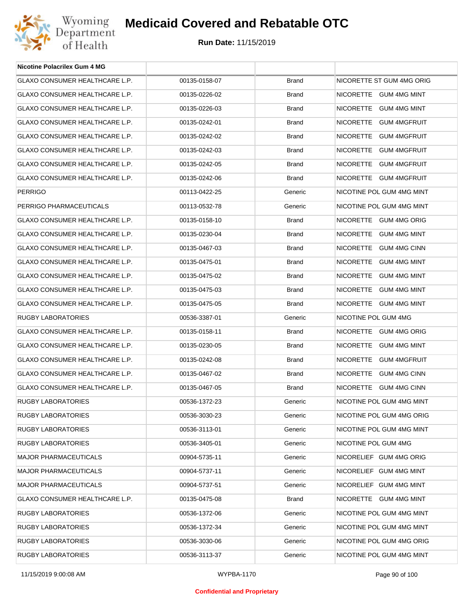

| <b>Nicotine Polacrilex Gum 4 MG</b>   |               |              |                           |
|---------------------------------------|---------------|--------------|---------------------------|
| GLAXO CONSUMER HEALTHCARE L.P.        | 00135-0158-07 | <b>Brand</b> | NICORETTE ST GUM 4MG ORIG |
| GLAXO CONSUMER HEALTHCARE L.P.        | 00135-0226-02 | <b>Brand</b> | NICORETTE GUM 4MG MINT    |
| <b>GLAXO CONSUMER HEALTHCARE L.P.</b> | 00135-0226-03 | <b>Brand</b> | NICORETTE GUM 4MG MINT    |
| GLAXO CONSUMER HEALTHCARE L.P.        | 00135-0242-01 | <b>Brand</b> | NICORETTE GUM 4MGFRUIT    |
| GLAXO CONSUMER HEALTHCARE L.P.        | 00135-0242-02 | <b>Brand</b> | NICORETTE GUM 4MGFRUIT    |
| GLAXO CONSUMER HEALTHCARE L.P.        | 00135-0242-03 | <b>Brand</b> | NICORETTE GUM 4MGFRUIT    |
| GLAXO CONSUMER HEALTHCARE L.P.        | 00135-0242-05 | <b>Brand</b> | NICORETTE GUM 4MGFRUIT    |
| GLAXO CONSUMER HEALTHCARE L.P.        | 00135-0242-06 | <b>Brand</b> | NICORETTE GUM 4MGFRUIT    |
| <b>PERRIGO</b>                        | 00113-0422-25 | Generic      | NICOTINE POL GUM 4MG MINT |
| PERRIGO PHARMACEUTICALS               | 00113-0532-78 | Generic      | NICOTINE POL GUM 4MG MINT |
| <b>GLAXO CONSUMER HEALTHCARE L.P.</b> | 00135-0158-10 | <b>Brand</b> | NICORETTE GUM 4MG ORIG    |
| GLAXO CONSUMER HEALTHCARE L.P.        | 00135-0230-04 | <b>Brand</b> | NICORETTE GUM 4MG MINT    |
| <b>GLAXO CONSUMER HEALTHCARE L.P.</b> | 00135-0467-03 | <b>Brand</b> | NICORETTE GUM 4MG CINN    |
| <b>GLAXO CONSUMER HEALTHCARE L.P.</b> | 00135-0475-01 | <b>Brand</b> | NICORETTE GUM 4MG MINT    |
| GLAXO CONSUMER HEALTHCARE L.P.        | 00135-0475-02 | <b>Brand</b> | NICORETTE GUM 4MG MINT    |
| GLAXO CONSUMER HEALTHCARE L.P.        | 00135-0475-03 | <b>Brand</b> | NICORETTE GUM 4MG MINT    |
| GLAXO CONSUMER HEALTHCARE L.P.        | 00135-0475-05 | <b>Brand</b> | NICORETTE GUM 4MG MINT    |
| RUGBY LABORATORIES                    | 00536-3387-01 | Generic      | NICOTINE POL GUM 4MG      |
| GLAXO CONSUMER HEALTHCARE L.P.        | 00135-0158-11 | <b>Brand</b> | NICORETTE GUM 4MG ORIG    |
| GLAXO CONSUMER HEALTHCARE L.P.        | 00135-0230-05 | <b>Brand</b> | NICORETTE GUM 4MG MINT    |
| GLAXO CONSUMER HEALTHCARE L.P.        | 00135-0242-08 | <b>Brand</b> | NICORETTE GUM 4MGFRUIT    |
| GLAXO CONSUMER HEALTHCARE L.P.        | 00135-0467-02 | <b>Brand</b> | NICORETTE GUM 4MG CINN    |
| GLAXO CONSUMER HEALTHCARE L.P.        | 00135-0467-05 | <b>Brand</b> | NICORETTE GUM 4MG CINN    |
| RUGBY LABORATORIES                    | 00536-1372-23 | Generic      | NICOTINE POL GUM 4MG MINT |
| RUGBY LABORATORIES                    | 00536-3030-23 | Generic      | NICOTINE POL GUM 4MG ORIG |
| <b>RUGBY LABORATORIES</b>             | 00536-3113-01 | Generic      | NICOTINE POL GUM 4MG MINT |
| RUGBY LABORATORIES                    | 00536-3405-01 | Generic      | NICOTINE POL GUM 4MG      |
| <b>MAJOR PHARMACEUTICALS</b>          | 00904-5735-11 | Generic      | NICORELIEF GUM 4MG ORIG   |
| <b>MAJOR PHARMACEUTICALS</b>          | 00904-5737-11 | Generic      | NICORELIEF GUM 4MG MINT   |
| <b>MAJOR PHARMACEUTICALS</b>          | 00904-5737-51 | Generic      | NICORELIEF GUM 4MG MINT   |
| <b>GLAXO CONSUMER HEALTHCARE L.P.</b> | 00135-0475-08 | <b>Brand</b> | NICORETTE GUM 4MG MINT    |
| RUGBY LABORATORIES                    | 00536-1372-06 | Generic      | NICOTINE POL GUM 4MG MINT |
| <b>RUGBY LABORATORIES</b>             | 00536-1372-34 | Generic      | NICOTINE POL GUM 4MG MINT |
| RUGBY LABORATORIES                    | 00536-3030-06 | Generic      | NICOTINE POL GUM 4MG ORIG |
| RUGBY LABORATORIES                    | 00536-3113-37 | Generic      | NICOTINE POL GUM 4MG MINT |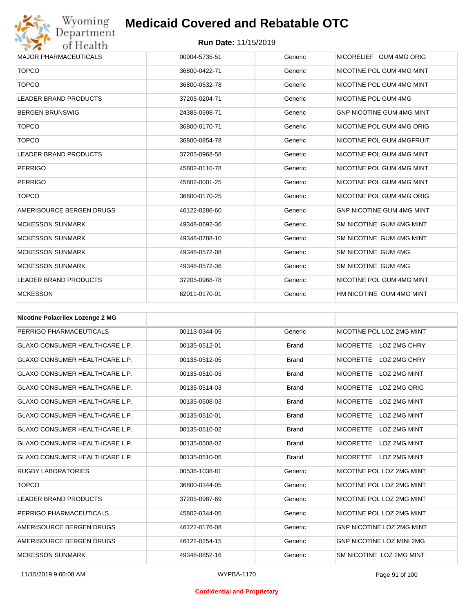## Wyoming<br>Department<br>of Health

## **Medicaid Covered and Rebatable OTC**

| <b>MAJOR PHARMACEUTICALS</b> | 00904-5735-51 | Generic | NICORELIEF GUM 4MG ORIG          |
|------------------------------|---------------|---------|----------------------------------|
| <b>TOPCO</b>                 | 36800-0422-71 | Generic | NICOTINE POL GUM 4MG MINT        |
| <b>TOPCO</b>                 | 36800-0532-78 | Generic | NICOTINE POL GUM 4MG MINT        |
| <b>LEADER BRAND PRODUCTS</b> | 37205-0204-71 | Generic | NICOTINE POL GUM 4MG             |
| <b>BERGEN BRUNSWIG</b>       | 24385-0598-71 | Generic | <b>GNP NICOTINE GUM 4MG MINT</b> |
| <b>TOPCO</b>                 | 36800-0170-71 | Generic | NICOTINE POL GUM 4MG ORIG        |
| <b>TOPCO</b>                 | 36800-0854-78 | Generic | NICOTINE POL GUM 4MGFRUIT        |
| <b>LEADER BRAND PRODUCTS</b> | 37205-0968-58 | Generic | NICOTINE POL GUM 4MG MINT        |
| <b>PERRIGO</b>               | 45802-0110-78 | Generic | NICOTINE POL GUM 4MG MINT        |
| <b>PERRIGO</b>               | 45802-0001-25 | Generic | NICOTINE POL GUM 4MG MINT        |
| <b>TOPCO</b>                 | 36800-0170-25 | Generic | NICOTINE POL GUM 4MG ORIG        |
| AMERISOURCE BERGEN DRUGS     | 46122-0286-60 | Generic | <b>GNP NICOTINE GUM 4MG MINT</b> |
| <b>MCKESSON SUNMARK</b>      | 49348-0692-36 | Generic | SM NICOTINE GUM 4MG MINT         |
| <b>MCKESSON SUNMARK</b>      | 49348-0788-10 | Generic | SM NICOTINE GUM 4MG MINT         |
| <b>MCKESSON SUNMARK</b>      | 49348-0572-08 | Generic | SM NICOTINE GUM 4MG              |
| <b>MCKESSON SUNMARK</b>      | 49348-0572-36 | Generic | SM NICOTINE GUM 4MG              |
| <b>LEADER BRAND PRODUCTS</b> | 37205-0968-78 | Generic | NICOTINE POL GUM 4MG MINT        |
| <b>MCKESSON</b>              | 62011-0170-01 | Generic | HM NICOTINE GUM 4MG MINT         |

| <b>Nicotine Polacrilex Lozenge 2 MG</b> |               |              |                                         |
|-----------------------------------------|---------------|--------------|-----------------------------------------|
| PERRIGO PHARMACEUTICALS                 | 00113-0344-05 | Generic      | NICOTINE POL LOZ 2MG MINT               |
| <b>GLAXO CONSUMER HEALTHCARE L.P.</b>   | 00135-0512-01 | <b>Brand</b> | NICORETTE LOZ 2MG CHRY                  |
| <b>GLAXO CONSUMER HEALTHCARE L.P.</b>   | 00135-0512-05 | <b>Brand</b> | <b>NICORETTE</b><br>LOZ 2MG CHRY        |
| <b>GLAXO CONSUMER HEALTHCARE L.P.</b>   | 00135-0510-03 | <b>Brand</b> | <b>NICORETTE</b><br>LOZ 2MG MINT        |
| <b>GLAXO CONSUMER HEALTHCARE L.P.</b>   | 00135-0514-03 | <b>Brand</b> | <b>NICORETTE</b><br>LOZ 2MG ORIG        |
| <b>GLAXO CONSUMER HEALTHCARE L.P.</b>   | 00135-0508-03 | <b>Brand</b> | <b>NICORETTE</b><br><b>LOZ 2MG MINT</b> |
| <b>GLAXO CONSUMER HEALTHCARE L.P.</b>   | 00135-0510-01 | <b>Brand</b> | <b>NICORETTE</b><br>LOZ 2MG MINT        |
| <b>GLAXO CONSUMER HEALTHCARE L.P.</b>   | 00135-0510-02 | <b>Brand</b> | <b>NICORETTE</b><br>LOZ 2MG MINT        |
| <b>GLAXO CONSUMER HEALTHCARE L.P.</b>   | 00135-0508-02 | <b>Brand</b> | <b>NICORETTE</b><br><b>LOZ 2MG MINT</b> |
| <b>GLAXO CONSUMER HEALTHCARE L.P.</b>   | 00135-0510-05 | <b>Brand</b> | NICORETTE LOZ 2MG MINT                  |
| <b>RUGBY LABORATORIES</b>               | 00536-1038-81 | Generic      | NICOTINE POL LOZ 2MG MINT               |
| <b>TOPCO</b>                            | 36800-0344-05 | Generic      | NICOTINE POL LOZ 2MG MINT               |
| <b>LEADER BRAND PRODUCTS</b>            | 37205-0987-69 | Generic      | NICOTINE POL LOZ 2MG MINT               |
| PERRIGO PHARMACEUTICALS                 | 45802-0344-05 | Generic      | NICOTINE POL LOZ 2MG MINT               |
| AMERISOURCE BERGEN DRUGS                | 46122-0176-08 | Generic      | <b>GNP NICOTINE LOZ 2MG MINT</b>        |
| AMERISOURCE BERGEN DRUGS                | 46122-0254-15 | Generic      | <b>GNP NICOTINE LOZ MINI 2MG</b>        |
| <b>MCKESSON SUNMARK</b>                 | 49348-0852-16 | Generic      | SM NICOTINE LOZ 2MG MINT                |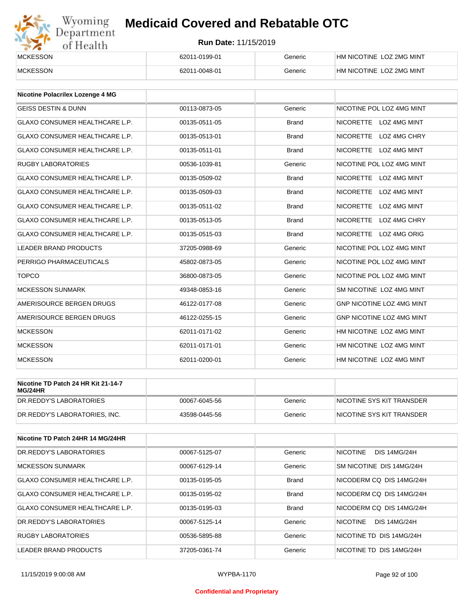# Wyoming<br>Department<br>of Health

## **Medicaid Covered and Rebatable OTC**

| <b>MCKESSON</b> | 62011-0199-01 | Generic | A NICOTINE LOZ 2MG MINT<br>HМ |
|-----------------|---------------|---------|-------------------------------|
| <b>MCKESSON</b> | 62011-0048-01 | Generic | HM NICOTINE LOZ 2MG MINT      |

| <b>Nicotine Polacrilex Lozenge 4 MG</b> |               |              |                                         |
|-----------------------------------------|---------------|--------------|-----------------------------------------|
| <b>GEISS DESTIN &amp; DUNN</b>          | 00113-0873-05 | Generic      | NICOTINE POL LOZ 4MG MINT               |
| <b>GLAXO CONSUMER HEALTHCARE L.P.</b>   | 00135-0511-05 | <b>Brand</b> | NICORETTE LOZ 4MG MINT                  |
| <b>GLAXO CONSUMER HEALTHCARE L.P.</b>   | 00135-0513-01 | <b>Brand</b> | <b>NICORETTE</b><br>LOZ 4MG CHRY        |
| GLAXO CONSUMER HEALTHCARE L.P.          | 00135-0511-01 | <b>Brand</b> | <b>NICORETTE</b><br><b>LOZ 4MG MINT</b> |
| <b>RUGBY LABORATORIES</b>               | 00536-1039-81 | Generic      | NICOTINE POL LOZ 4MG MINT               |
| <b>GLAXO CONSUMER HEALTHCARE L.P.</b>   | 00135-0509-02 | <b>Brand</b> | NICORETTE LOZ 4MG MINT                  |
| <b>GLAXO CONSUMER HEALTHCARE L.P.</b>   | 00135-0509-03 | <b>Brand</b> | NICORETTE LOZ 4MG MINT                  |
| <b>GLAXO CONSUMER HEALTHCARE L.P.</b>   | 00135-0511-02 | <b>Brand</b> | <b>NICORETTE</b><br>LOZ 4MG MINT        |
| <b>GLAXO CONSUMER HEALTHCARE L.P.</b>   | 00135-0513-05 | <b>Brand</b> | <b>NICORETTE</b><br>LOZ 4MG CHRY        |
| <b>GLAXO CONSUMER HEALTHCARE L.P.</b>   | 00135-0515-03 | <b>Brand</b> | NICORETTE LOZ 4MG ORIG                  |
| <b>LEADER BRAND PRODUCTS</b>            | 37205-0988-69 | Generic      | NICOTINE POL LOZ 4MG MINT               |
| PERRIGO PHARMACEUTICALS                 | 45802-0873-05 | Generic      | NICOTINE POL LOZ 4MG MINT               |
| <b>TOPCO</b>                            | 36800-0873-05 | Generic      | NICOTINE POL LOZ 4MG MINT               |
| <b>MCKESSON SUNMARK</b>                 | 49348-0853-16 | Generic      | SM NICOTINE LOZ 4MG MINT                |
| AMERISOURCE BERGEN DRUGS                | 46122-0177-08 | Generic      | <b>GNP NICOTINE LOZ 4MG MINT</b>        |
| AMERISOURCE BERGEN DRUGS                | 46122-0255-15 | Generic      | GNP NICOTINE LOZ 4MG MINT               |
| <b>MCKESSON</b>                         | 62011-0171-02 | Generic      | HM NICOTINE LOZ 4MG MINT                |
| <b>MCKESSON</b>                         | 62011-0171-01 | Generic      | HM NICOTINE LOZ 4MG MINT                |
| <b>MCKESSON</b>                         | 62011-0200-01 | Generic      | HM NICOTINE LOZ 4MG MINT                |

| Nicotine TD Patch 24 HR Kit 21-14-7<br>MG/24HR |               |         |                           |
|------------------------------------------------|---------------|---------|---------------------------|
| IDR.REDDY'S LABORATORIES                       | 00067-6045-56 | Generic | NICOTINE SYS KIT TRANSDER |
| DR.REDDY'S LABORATORIES. INC.                  | 43598-0445-56 | Generic | NICOTINE SYS KIT TRANSDER |

| Nicotine TD Patch 24HR 14 MG/24HR     |               |              |                                        |
|---------------------------------------|---------------|--------------|----------------------------------------|
| DR. REDDY'S LABORATORIES              | 00067-5125-07 | Generic      | <b>NICOTINE</b><br><b>DIS 14MG/24H</b> |
| <b>MCKESSON SUNMARK</b>               | 00067-6129-14 | Generic      | SM NICOTINE DIS 14MG/24H               |
| <b>GLAXO CONSUMER HEALTHCARE L.P.</b> | 00135-0195-05 | <b>Brand</b> | NICODERM CO DIS 14MG/24H               |
| <b>GLAXO CONSUMER HEALTHCARE L.P.</b> | 00135-0195-02 | <b>Brand</b> | NICODERM CO DIS 14MG/24H               |
| <b>GLAXO CONSUMER HEALTHCARE L.P.</b> | 00135-0195-03 | <b>Brand</b> | NICODERM CO DIS 14MG/24H               |
| DR. REDDY'S LABORATORIES              | 00067-5125-14 | Generic      | <b>DIS 14MG/24H</b><br>NICOTINE        |
| <b>RUGBY LABORATORIES</b>             | 00536-5895-88 | Generic      | NICOTINE TD DIS 14MG/24H               |
| <b>LEADER BRAND PRODUCTS</b>          | 37205-0361-74 | Generic      | NICOTINE TD DIS 14MG/24H               |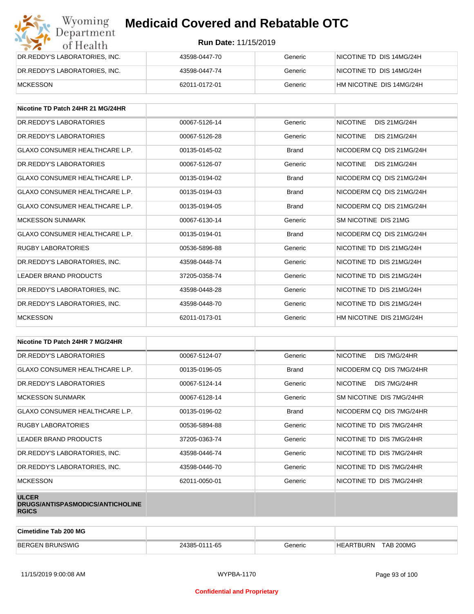| Wyoming<br><b>Medicaid Covered and Rebatable OTC</b><br>Department |                             |         |                          |  |  |
|--------------------------------------------------------------------|-----------------------------|---------|--------------------------|--|--|
| of Health                                                          | <b>Run Date: 11/15/2019</b> |         |                          |  |  |
| DR.REDDY'S LABORATORIES, INC.                                      | 43598-0447-70               | Generic | NICOTINE TD DIS 14MG/24H |  |  |
| DR.REDDY'S LABORATORIES, INC.                                      | 43598-0447-74               | Generic | NICOTINE TD DIS 14MG/24H |  |  |
| <b>MCKESSON</b>                                                    | 62011-0172-01               | Generic | HM NICOTINE DIS 14MG/24H |  |  |

| Nicotine TD Patch 24HR 21 MG/24HR     |               |              |                                        |
|---------------------------------------|---------------|--------------|----------------------------------------|
| DR.REDDY'S LABORATORIES               | 00067-5126-14 | Generic      | <b>NICOTINE</b><br><b>DIS 21MG/24H</b> |
| DR. REDDY'S LABORATORIES              | 00067-5126-28 | Generic      | <b>NICOTINE</b><br>DIS 21MG/24H        |
| <b>GLAXO CONSUMER HEALTHCARE L.P.</b> | 00135-0145-02 | <b>Brand</b> | NICODERM CO DIS 21MG/24H               |
| DR. REDDY'S LABORATORIES              | 00067-5126-07 | Generic      | <b>NICOTINE</b><br>DIS 21MG/24H        |
| <b>GLAXO CONSUMER HEALTHCARE L.P.</b> | 00135-0194-02 | <b>Brand</b> | NICODERM CO DIS 21MG/24H               |
| <b>GLAXO CONSUMER HEALTHCARE L.P.</b> | 00135-0194-03 | <b>Brand</b> | NICODERM CO DIS 21MG/24H               |
| <b>GLAXO CONSUMER HEALTHCARE L.P.</b> | 00135-0194-05 | <b>Brand</b> | NICODERM CO DIS 21MG/24H               |
| <b>MCKESSON SUNMARK</b>               | 00067-6130-14 | Generic      | SM NICOTINE DIS 21MG                   |
| <b>GLAXO CONSUMER HEALTHCARE L.P.</b> | 00135-0194-01 | <b>Brand</b> | NICODERM CO DIS 21MG/24H               |
| <b>RUGBY LABORATORIES</b>             | 00536-5896-88 | Generic      | NICOTINE TD DIS 21MG/24H               |
| DR.REDDY'S LABORATORIES, INC.         | 43598-0448-74 | Generic      | NICOTINE TD DIS 21MG/24H               |
| <b>LEADER BRAND PRODUCTS</b>          | 37205-0358-74 | Generic      | NICOTINE TD DIS 21MG/24H               |
| DR.REDDY'S LABORATORIES, INC.         | 43598-0448-28 | Generic      | NICOTINE TD DIS 21MG/24H               |
| DR.REDDY'S LABORATORIES, INC.         | 43598-0448-70 | Generic      | NICOTINE TD DIS 21MG/24H               |
| <b>MCKESSON</b>                       | 62011-0173-01 | Generic      | HM NICOTINE DIS 21MG/24H               |

| Nicotine TD Patch 24HR 7 MG/24HR                                 |               |              |                                 |
|------------------------------------------------------------------|---------------|--------------|---------------------------------|
| DR. REDDY'S LABORATORIES                                         | 00067-5124-07 | Generic      | <b>NICOTINE</b><br>DIS 7MG/24HR |
| <b>GLAXO CONSUMER HEALTHCARE L.P.</b>                            | 00135-0196-05 | <b>Brand</b> | NICODERM CQ DIS 7MG/24HR        |
| DR. REDDY'S LABORATORIES                                         | 00067-5124-14 | Generic      | <b>NICOTINE</b><br>DIS 7MG/24HR |
| <b>MCKESSON SUNMARK</b>                                          | 00067-6128-14 | Generic      | SM NICOTINE DIS 7MG/24HR        |
| <b>GLAXO CONSUMER HEALTHCARE L.P.</b>                            | 00135-0196-02 | <b>Brand</b> | NICODERM CQ DIS 7MG/24HR        |
| <b>RUGBY LABORATORIES</b>                                        | 00536-5894-88 | Generic      | NICOTINE TD DIS 7MG/24HR        |
| LEADER BRAND PRODUCTS                                            | 37205-0363-74 | Generic      | NICOTINE TD DIS 7MG/24HR        |
| DR.REDDY'S LABORATORIES, INC.                                    | 43598-0446-74 | Generic      | NICOTINE TD DIS 7MG/24HR        |
| DR.REDDY'S LABORATORIES, INC.                                    | 43598-0446-70 | Generic      | NICOTINE TD DIS 7MG/24HR        |
| <b>MCKESSON</b>                                                  | 62011-0050-01 | Generic      | NICOTINE TD DIS 7MG/24HR        |
| <b>ULCER</b><br>DRUGS/ANTISPASMODICS/ANTICHOLINE<br><b>RGICS</b> |               |              |                                 |

| Cimetidine Tab 200 MG  |               |         |                                      |
|------------------------|---------------|---------|--------------------------------------|
| <b>BERGEN BRUNSWIG</b> | 24385-0111-65 | Generic | <b>TAB 200MG</b><br><b>HEARTBURN</b> |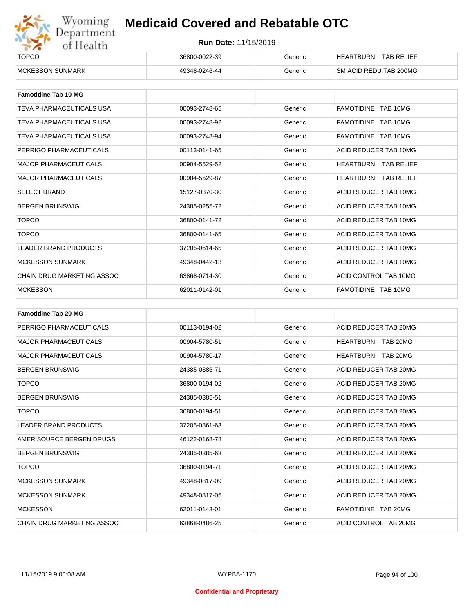

| ______<br><b>TOPCO</b>   | 36800-0022-39 | Generic | <b>TAB RELIEF</b><br><b>HEARTBURN</b> |
|--------------------------|---------------|---------|---------------------------------------|
| <b>IMCKESSON SUNMARK</b> | 49348-0246-44 | Generic | <b>SM ACID REDU TAB 200MG</b>         |

| <b>Famotidine Tab 10 MG</b>     |               |         |                             |
|---------------------------------|---------------|---------|-----------------------------|
| <b>TEVA PHARMACEUTICALS USA</b> | 00093-2748-65 | Generic | FAMOTIDINE TAB 10MG         |
| TEVA PHARMACEUTICALS USA        | 00093-2748-92 | Generic | FAMOTIDINE TAB 10MG         |
| TEVA PHARMACEUTICALS USA        | 00093-2748-94 | Generic | FAMOTIDINE TAB 10MG         |
| PERRIGO PHARMACEUTICALS         | 00113-0141-65 | Generic | ACID REDUCER TAB 10MG       |
| <b>MAJOR PHARMACEUTICALS</b>    | 00904-5529-52 | Generic | <b>HEARTBURN TAB RELIEF</b> |
| <b>MAJOR PHARMACEUTICALS</b>    | 00904-5529-87 | Generic | <b>HEARTBURN TAB RELIEF</b> |
| <b>SELECT BRAND</b>             | 15127-0370-30 | Generic | ACID REDUCER TAB 10MG       |
| <b>BERGEN BRUNSWIG</b>          | 24385-0255-72 | Generic | ACID REDUCER TAB 10MG       |
| <b>TOPCO</b>                    | 36800-0141-72 | Generic | ACID REDUCER TAB 10MG       |
| <b>TOPCO</b>                    | 36800-0141-65 | Generic | ACID REDUCER TAB 10MG       |
| <b>LEADER BRAND PRODUCTS</b>    | 37205-0614-65 | Generic | ACID REDUCER TAB 10MG       |
| <b>MCKESSON SUNMARK</b>         | 49348-0442-13 | Generic | ACID REDUCER TAB 10MG       |
| CHAIN DRUG MARKETING ASSOC      | 63868-0714-30 | Generic | ACID CONTROL TAB 10MG       |
| <b>MCKESSON</b>                 | 62011-0142-01 | Generic | FAMOTIDINE TAB 10MG         |

| <b>Famotidine Tab 20 MG</b>       |               |         |                              |
|-----------------------------------|---------------|---------|------------------------------|
| PERRIGO PHARMACEUTICALS           | 00113-0194-02 | Generic | ACID REDUCER TAB 20MG        |
| <b>MAJOR PHARMACEUTICALS</b>      | 00904-5780-51 | Generic | TAB 20MG<br>HEARTBURN        |
| <b>MAJOR PHARMACEUTICALS</b>      | 00904-5780-17 | Generic | <b>HEARTBURN</b><br>TAB 20MG |
| <b>BERGEN BRUNSWIG</b>            | 24385-0385-71 | Generic | ACID REDUCER TAB 20MG        |
| <b>TOPCO</b>                      | 36800-0194-02 | Generic | ACID REDUCER TAB 20MG        |
| <b>BERGEN BRUNSWIG</b>            | 24385-0385-51 | Generic | ACID REDUCER TAB 20MG        |
| <b>TOPCO</b>                      | 36800-0194-51 | Generic | ACID REDUCER TAB 20MG        |
| <b>LEADER BRAND PRODUCTS</b>      | 37205-0861-63 | Generic | ACID REDUCER TAB 20MG        |
| AMERISOURCE BERGEN DRUGS          | 46122-0168-78 | Generic | ACID REDUCER TAB 20MG        |
| <b>BERGEN BRUNSWIG</b>            | 24385-0385-63 | Generic | ACID REDUCER TAB 20MG        |
| <b>TOPCO</b>                      | 36800-0194-71 | Generic | ACID REDUCER TAB 20MG        |
| <b>MCKESSON SUNMARK</b>           | 49348-0817-09 | Generic | ACID REDUCER TAB 20MG        |
| <b>MCKESSON SUNMARK</b>           | 49348-0817-05 | Generic | ACID REDUCER TAB 20MG        |
| <b>MCKESSON</b>                   | 62011-0143-01 | Generic | FAMOTIDINE TAB 20MG          |
| <b>CHAIN DRUG MARKETING ASSOC</b> | 63868-0486-25 | Generic | ACID CONTROL TAB 20MG        |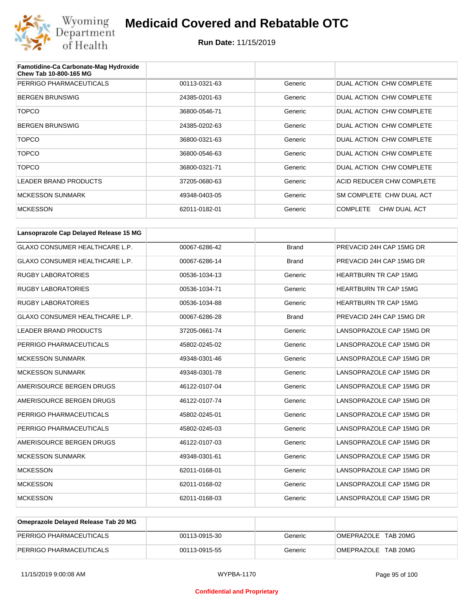

| Famotidine-Ca Carbonate-Mag Hydroxide<br>Chew Tab 10-800-165 MG |               |         |                                 |
|-----------------------------------------------------------------|---------------|---------|---------------------------------|
| PERRIGO PHARMACEUTICALS                                         | 00113-0321-63 | Generic | DUAL ACTION CHW COMPLETE        |
| <b>BERGEN BRUNSWIG</b>                                          | 24385-0201-63 | Generic | DUAL ACTION CHW COMPLETE        |
| <b>TOPCO</b>                                                    | 36800-0546-71 | Generic | DUAL ACTION CHW COMPLETE        |
| <b>BERGEN BRUNSWIG</b>                                          | 24385-0202-63 | Generic | DUAL ACTION CHW COMPLETE        |
| <b>TOPCO</b>                                                    | 36800-0321-63 | Generic | DUAL ACTION CHW COMPLETE        |
| <b>TOPCO</b>                                                    | 36800-0546-63 | Generic | DUAL ACTION CHW COMPLETE        |
| <b>TOPCO</b>                                                    | 36800-0321-71 | Generic | DUAL ACTION CHW COMPLETE        |
| <b>LEADER BRAND PRODUCTS</b>                                    | 37205-0680-63 | Generic | ACID REDUCER CHW COMPLETE       |
| <b>MCKESSON SUNMARK</b>                                         | 49348-0403-05 | Generic | SM COMPLETE CHW DUAL ACT        |
| <b>MCKESSON</b>                                                 | 62011-0182-01 | Generic | <b>COMPLETE</b><br>CHW DUAL ACT |

| Lansoprazole Cap Delayed Release 15 MG |               |              |                              |
|----------------------------------------|---------------|--------------|------------------------------|
| <b>GLAXO CONSUMER HEALTHCARE L.P.</b>  | 00067-6286-42 | <b>Brand</b> | PREVACID 24H CAP 15MG DR     |
| <b>GLAXO CONSUMER HEALTHCARE L.P.</b>  | 00067-6286-14 | <b>Brand</b> | PREVACID 24H CAP 15MG DR     |
| <b>RUGBY LABORATORIES</b>              | 00536-1034-13 | Generic      | <b>HEARTBURN TR CAP 15MG</b> |
| <b>RUGBY LABORATORIES</b>              | 00536-1034-71 | Generic      | <b>HEARTBURN TR CAP 15MG</b> |
| <b>RUGBY LABORATORIES</b>              | 00536-1034-88 | Generic      | <b>HEARTBURN TR CAP 15MG</b> |
| <b>GLAXO CONSUMER HEALTHCARE L.P.</b>  | 00067-6286-28 | <b>Brand</b> | PREVACID 24H CAP 15MG DR     |
| <b>LEADER BRAND PRODUCTS</b>           | 37205-0661-74 | Generic      | LANSOPRAZOLE CAP 15MG DR     |
| PERRIGO PHARMACEUTICALS                | 45802-0245-02 | Generic      | LANSOPRAZOLE CAP 15MG DR     |
| <b>MCKESSON SUNMARK</b>                | 49348-0301-46 | Generic      | LANSOPRAZOLE CAP 15MG DR     |
| <b>MCKESSON SUNMARK</b>                | 49348-0301-78 | Generic      | LANSOPRAZOLE CAP 15MG DR     |
| AMERISOURCE BERGEN DRUGS               | 46122-0107-04 | Generic      | LANSOPRAZOLE CAP 15MG DR     |
| AMERISOURCE BERGEN DRUGS               | 46122-0107-74 | Generic      | LANSOPRAZOLE CAP 15MG DR     |
| PERRIGO PHARMACEUTICALS                | 45802-0245-01 | Generic      | LANSOPRAZOLE CAP 15MG DR     |
| PERRIGO PHARMACEUTICALS                | 45802-0245-03 | Generic      | LANSOPRAZOLE CAP 15MG DR     |
| AMERISOURCE BERGEN DRUGS               | 46122-0107-03 | Generic      | LANSOPRAZOLE CAP 15MG DR     |
| <b>MCKESSON SUNMARK</b>                | 49348-0301-61 | Generic      | LANSOPRAZOLE CAP 15MG DR     |
| <b>MCKESSON</b>                        | 62011-0168-01 | Generic      | LANSOPRAZOLE CAP 15MG DR     |
| <b>MCKESSON</b>                        | 62011-0168-02 | Generic      | LANSOPRAZOLE CAP 15MG DR     |
| <b>MCKESSON</b>                        | 62011-0168-03 | Generic      | LANSOPRAZOLE CAP 15MG DR     |

| Omeprazole Delayed Release Tab 20 MG |               |         |                     |
|--------------------------------------|---------------|---------|---------------------|
| PERRIGO PHARMACEUTICALS              | 00113-0915-30 | Generic | OMEPRAZOLE TAB 20MG |
| PERRIGO PHARMACEUTICALS              | 00113-0915-55 | Generic | OMEPRAZOLE TAB 20MG |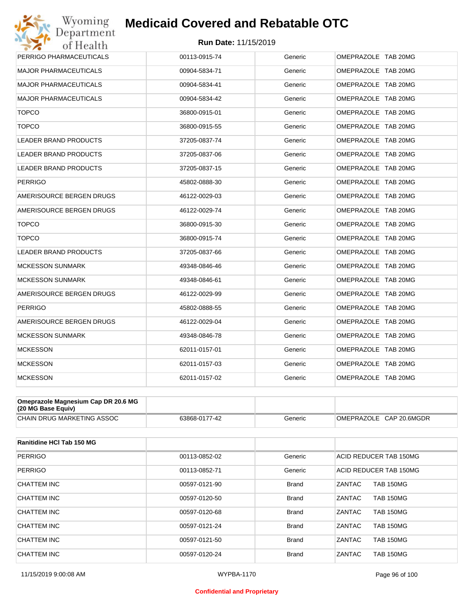

| PERRIGO PHARMACEUTICALS      | 00113-0915-74 | Generic | OMEPRAZOLE TAB 20MG |
|------------------------------|---------------|---------|---------------------|
| <b>MAJOR PHARMACEUTICALS</b> | 00904-5834-71 | Generic | OMEPRAZOLE TAB 20MG |
| <b>MAJOR PHARMACEUTICALS</b> | 00904-5834-41 | Generic | OMEPRAZOLE TAB 20MG |
| MAJOR PHARMACEUTICALS        | 00904-5834-42 | Generic | OMEPRAZOLE TAB 20MG |
| <b>TOPCO</b>                 | 36800-0915-01 | Generic | OMEPRAZOLE TAB 20MG |
| <b>TOPCO</b>                 | 36800-0915-55 | Generic | OMEPRAZOLE TAB 20MG |
| LEADER BRAND PRODUCTS        | 37205-0837-74 | Generic | OMEPRAZOLE TAB 20MG |
| <b>LEADER BRAND PRODUCTS</b> | 37205-0837-06 | Generic | OMEPRAZOLE TAB 20MG |
| LEADER BRAND PRODUCTS        | 37205-0837-15 | Generic | OMEPRAZOLE TAB 20MG |
| <b>PERRIGO</b>               | 45802-0888-30 | Generic | OMEPRAZOLE TAB 20MG |
| AMERISOURCE BERGEN DRUGS     | 46122-0029-03 | Generic | OMEPRAZOLE TAB 20MG |
| AMERISOURCE BERGEN DRUGS     | 46122-0029-74 | Generic | OMEPRAZOLE TAB 20MG |
| <b>TOPCO</b>                 | 36800-0915-30 | Generic | OMEPRAZOLE TAB 20MG |
| <b>TOPCO</b>                 | 36800-0915-74 | Generic | OMEPRAZOLE TAB 20MG |
| LEADER BRAND PRODUCTS        | 37205-0837-66 | Generic | OMEPRAZOLE TAB 20MG |
| <b>MCKESSON SUNMARK</b>      | 49348-0846-46 | Generic | OMEPRAZOLE TAB 20MG |
| MCKESSON SUNMARK             | 49348-0846-61 | Generic | OMEPRAZOLE TAB 20MG |
| AMERISOURCE BERGEN DRUGS     | 46122-0029-99 | Generic | OMEPRAZOLE TAB 20MG |
| PERRIGO                      | 45802-0888-55 | Generic | OMEPRAZOLE TAB 20MG |
| AMERISOURCE BERGEN DRUGS     | 46122-0029-04 | Generic | OMEPRAZOLE TAB 20MG |
| <b>MCKESSON SUNMARK</b>      | 49348-0846-78 | Generic | OMEPRAZOLE TAB 20MG |
| <b>MCKESSON</b>              | 62011-0157-01 | Generic | OMEPRAZOLE TAB 20MG |
| <b>MCKESSON</b>              | 62011-0157-03 | Generic | OMEPRAZOLE TAB 20MG |
| <b>MCKESSON</b>              | 62011-0157-02 | Generic | OMEPRAZOLE TAB 20MG |
|                              |               |         |                     |

| Omeprazole Magnesium Cap DR 20.6 MG<br>$(20 \text{ MG Base Equity})$ |               |         |                         |
|----------------------------------------------------------------------|---------------|---------|-------------------------|
| CHAIN DRUG MARKETING ASSOC                                           | 63868-0177-42 | Generic | OMEPRAZOLE CAP 20.6MGDR |

| Ranitidine HCI Tab 150 MG |               |              |                            |
|---------------------------|---------------|--------------|----------------------------|
| <b>PERRIGO</b>            | 00113-0852-02 | Generic      | ACID REDUCER TAB 150MG     |
| <b>PERRIGO</b>            | 00113-0852-71 | Generic      | ACID REDUCER TAB 150MG     |
| CHATTEM INC               | 00597-0121-90 | <b>Brand</b> | <b>TAB 150MG</b><br>ZANTAC |
| <b>CHATTEM INC</b>        | 00597-0120-50 | <b>Brand</b> | ZANTAC<br><b>TAB 150MG</b> |
| CHATTEM INC               | 00597-0120-68 | <b>Brand</b> | ZANTAC<br><b>TAB 150MG</b> |
| CHATTEM INC               | 00597-0121-24 | <b>Brand</b> | ZANTAC<br><b>TAB 150MG</b> |
| CHATTEM INC               | 00597-0121-50 | <b>Brand</b> | ZANTAC<br><b>TAB 150MG</b> |
| CHATTEM INC               | 00597-0120-24 | <b>Brand</b> | ZANTAC<br><b>TAB 150MG</b> |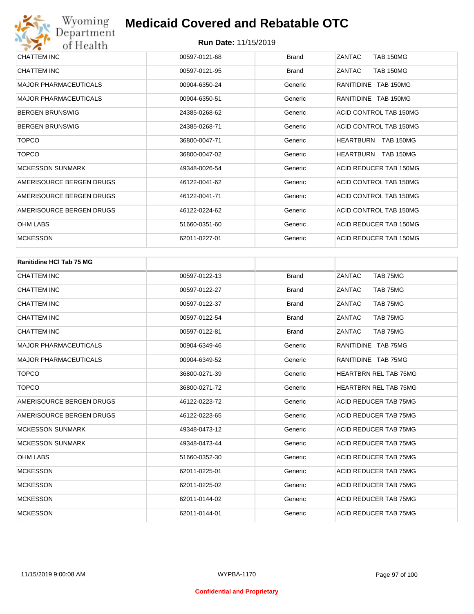| CHATTEM INC                  | 00597-0121-68 | <b>Brand</b> | ZANTAC<br><b>TAB 150MG</b>           |
|------------------------------|---------------|--------------|--------------------------------------|
| <b>CHATTEM INC</b>           | 00597-0121-95 | <b>Brand</b> | <b>TAB 150MG</b><br>ZANTAC           |
| <b>MAJOR PHARMACEUTICALS</b> | 00904-6350-24 | Generic      | RANITIDINE TAB 150MG                 |
| <b>MAJOR PHARMACEUTICALS</b> | 00904-6350-51 | Generic      | RANITIDINE TAB 150MG                 |
| <b>BERGEN BRUNSWIG</b>       | 24385-0268-62 | Generic      | ACID CONTROL TAB 150MG               |
| <b>BERGEN BRUNSWIG</b>       | 24385-0268-71 | Generic      | ACID CONTROL TAB 150MG               |
| <b>TOPCO</b>                 | 36800-0047-71 | Generic      | <b>HEARTBURN</b><br><b>TAB 150MG</b> |
| <b>TOPCO</b>                 | 36800-0047-02 | Generic      | <b>TAB 150MG</b><br><b>HEARTBURN</b> |
| <b>MCKESSON SUNMARK</b>      | 49348-0026-54 | Generic      | ACID REDUCER TAB 150MG               |
| AMERISOURCE BERGEN DRUGS     | 46122-0041-62 | Generic      | ACID CONTROL TAB 150MG               |
| AMERISOURCE BERGEN DRUGS     | 46122-0041-71 | Generic      | ACID CONTROL TAB 150MG               |
| AMERISOURCE BERGEN DRUGS     | 46122-0224-62 | Generic      | ACID CONTROL TAB 150MG               |
| <b>OHM LABS</b>              | 51660-0351-60 | Generic      | ACID REDUCER TAB 150MG               |
| <b>MCKESSON</b>              | 62011-0227-01 | Generic      | ACID REDUCER TAB 150MG               |

| <b>Ranitidine HCI Tab 75 MG</b> |               |              |                              |
|---------------------------------|---------------|--------------|------------------------------|
| <b>CHATTEM INC</b>              | 00597-0122-13 | <b>Brand</b> | ZANTAC<br>TAB 75MG           |
| <b>CHATTEM INC</b>              | 00597-0122-27 | <b>Brand</b> | ZANTAC<br>TAB 75MG           |
| <b>CHATTEM INC</b>              | 00597-0122-37 | <b>Brand</b> | ZANTAC<br>TAB 75MG           |
| <b>CHATTEM INC</b>              | 00597-0122-54 | <b>Brand</b> | ZANTAC<br>TAB 75MG           |
| <b>CHATTEM INC</b>              | 00597-0122-81 | <b>Brand</b> | ZANTAC<br>TAB 75MG           |
| <b>MAJOR PHARMACEUTICALS</b>    | 00904-6349-46 | Generic      | RANITIDINE TAB 75MG          |
| <b>MAJOR PHARMACEUTICALS</b>    | 00904-6349-52 | Generic      | RANITIDINE TAB 75MG          |
| <b>TOPCO</b>                    | 36800-0271-39 | Generic      | <b>HEARTBRN REL TAB 75MG</b> |
| <b>TOPCO</b>                    | 36800-0271-72 | Generic      | <b>HEARTBRN REL TAB 75MG</b> |
| AMERISOURCE BERGEN DRUGS        | 46122-0223-72 | Generic      | <b>ACID REDUCER TAB 75MG</b> |
| AMERISOURCE BERGEN DRUGS        | 46122-0223-65 | Generic      | <b>ACID REDUCER TAB 75MG</b> |
| <b>MCKESSON SUNMARK</b>         | 49348-0473-12 | Generic      | <b>ACID REDUCER TAB 75MG</b> |
| <b>MCKESSON SUNMARK</b>         | 49348-0473-44 | Generic      | ACID REDUCER TAB 75MG        |
| <b>OHM LABS</b>                 | 51660-0352-30 | Generic      | ACID REDUCER TAB 75MG        |
| <b>MCKESSON</b>                 | 62011-0225-01 | Generic      | <b>ACID REDUCER TAB 75MG</b> |
| <b>MCKESSON</b>                 | 62011-0225-02 | Generic      | <b>ACID REDUCER TAB 75MG</b> |
| <b>MCKESSON</b>                 | 62011-0144-02 | Generic      | <b>ACID REDUCER TAB 75MG</b> |
| <b>MCKESSON</b>                 | 62011-0144-01 | Generic      | <b>ACID REDUCER TAB 75MG</b> |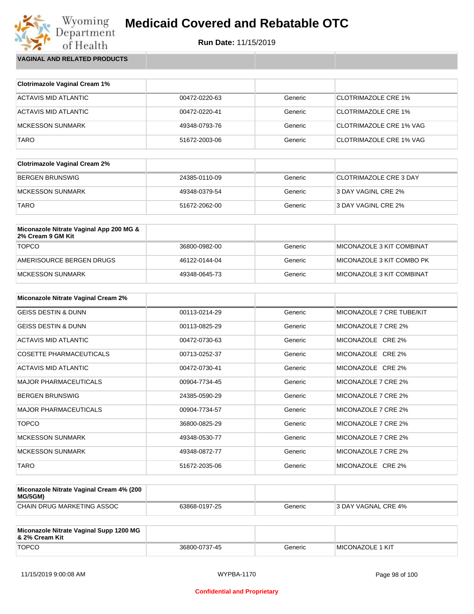

Wyoming<br>Department<br>of Health **VAGINAL AND RELATED PRODUCTS**

| <b>Clotrimazole Vaginal Cream 1%</b> |               |         |                                |
|--------------------------------------|---------------|---------|--------------------------------|
| ACTAVIS MID ATLANTIC                 | 00472-0220-63 | Generic | <b>CLOTRIMAZOLE CRE 1%</b>     |
| ACTAVIS MID ATLANTIC                 | 00472-0220-41 | Generic | <b>CLOTRIMAZOLE CRE 1%</b>     |
| <b>MCKESSON SUNMARK</b>              | 49348-0793-76 | Generic | <b>CLOTRIMAZOLE CRE 1% VAG</b> |
| TARO                                 | 51672-2003-06 | Generic | CLOTRIMAZOLE CRE 1% VAG        |

| <b>Clotrimazole Vaginal Cream 2%</b> |               |         |                               |
|--------------------------------------|---------------|---------|-------------------------------|
| BERGEN BRUNSWIG                      | 24385-0110-09 | Generic | <b>CLOTRIMAZOLE CRE 3 DAY</b> |
| IMCKESSON SUNMARK                    | 49348-0379-54 | Generic | 3 DAY VAGINL CRE 2%           |
| <b>TARO</b>                          | 51672-2062-00 | Generic | 3 DAY VAGINL CRE 2%           |

| Miconazole Nitrate Vaginal App 200 MG &<br>2% Cream 9 GM Kit |               |         |                           |
|--------------------------------------------------------------|---------------|---------|---------------------------|
| <b>TOPCO</b>                                                 | 36800-0982-00 | Generic | MICONAZOLE 3 KIT COMBINAT |
| AMERISOURCE BERGEN DRUGS                                     | 46122-0144-04 | Generic | MICONAZOLE 3 KIT COMBO PK |
| MCKESSON SUNMARK                                             | 49348-0645-73 | Generic | MICONAZOLE 3 KIT COMBINAT |

| <b>Miconazole Nitrate Vaginal Cream 2%</b> |               |         |                           |
|--------------------------------------------|---------------|---------|---------------------------|
| <b>GEISS DESTIN &amp; DUNN</b>             | 00113-0214-29 | Generic | MICONAZOLE 7 CRE TUBE/KIT |
| <b>GEISS DESTIN &amp; DUNN</b>             | 00113-0825-29 | Generic | MICONAZOLE 7 CRE 2%       |
| ACTAVIS MID ATLANTIC                       | 00472-0730-63 | Generic | MICONAZOLE CRE 2%         |
| <b>COSETTE PHARMACEUTICALS</b>             | 00713-0252-37 | Generic | MICONAZOLE CRE 2%         |
| ACTAVIS MID ATLANTIC                       | 00472-0730-41 | Generic | MICONAZOLE CRE 2%         |
| <b>MAJOR PHARMACEUTICALS</b>               | 00904-7734-45 | Generic | MICONAZOLE 7 CRE 2%       |
| <b>BERGEN BRUNSWIG</b>                     | 24385-0590-29 | Generic | MICONAZOLE 7 CRE 2%       |
| <b>MAJOR PHARMACEUTICALS</b>               | 00904-7734-57 | Generic | MICONAZOLE 7 CRE 2%       |
| <b>TOPCO</b>                               | 36800-0825-29 | Generic | MICONAZOLE 7 CRE 2%       |
| <b>MCKESSON SUNMARK</b>                    | 49348-0530-77 | Generic | MICONAZOLE 7 CRE 2%       |
| <b>MCKESSON SUNMARK</b>                    | 49348-0872-77 | Generic | MICONAZOLE 7 CRE 2%       |
| <b>TARO</b>                                | 51672-2035-06 | Generic | MICONAZOLE CRE 2%         |

| Miconazole Nitrate Vaginal Cream 4% (200<br>MG/5GM) |               |         |                            |
|-----------------------------------------------------|---------------|---------|----------------------------|
| CHAIN DRUG MARKETING ASSOC                          | 63868-0197-25 | Generic | <b>3 DAY VAGNAL CRE 4%</b> |

| Miconazole Nitrate Vaginal Supp 1200 MG<br>8. 2% Cream Kit |               |         |                          |
|------------------------------------------------------------|---------------|---------|--------------------------|
| <b>TOPCO</b>                                               | 36800-0737-45 | Generic | <b>IMICONAZOLE 1 KIT</b> |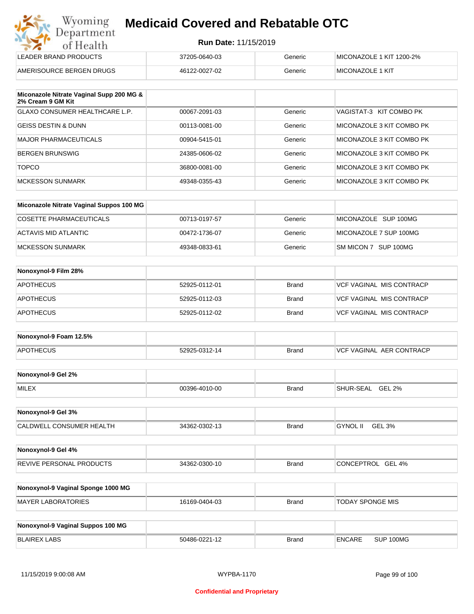|  | <b>Run Date: 11/15/2019</b> |
|--|-----------------------------|
|--|-----------------------------|

| Wyoming<br><b>Medicaid Covered and Rebatable OTC</b><br>Department |                             |         |                          |
|--------------------------------------------------------------------|-----------------------------|---------|--------------------------|
| of Health                                                          | <b>Run Date: 11/15/2019</b> |         |                          |
| LEADER BRAND PRODUCTS                                              | 37205-0640-03               | Generic | MICONAZOLE 1 KIT 1200-2% |
| AMERISOURCE BERGEN DRUGS                                           | 46122-0027-02               | Generic | <b>MICONAZOLE 1 KIT</b>  |

| Miconazole Nitrate Vaginal Supp 200 MG &<br>2% Cream 9 GM Kit |               |         |                           |
|---------------------------------------------------------------|---------------|---------|---------------------------|
| GLAXO CONSUMER HEALTHCARE L.P.                                | 00067-2091-03 | Generic | VAGISTAT-3 KIT COMBO PK   |
| <b>GEISS DESTIN &amp; DUNN</b>                                | 00113-0081-00 | Generic | MICONAZOLE 3 KIT COMBO PK |
| <b>MAJOR PHARMACEUTICALS</b>                                  | 00904-5415-01 | Generic | MICONAZOLE 3 KIT COMBO PK |
| <b>BERGEN BRUNSWIG</b>                                        | 24385-0606-02 | Generic | MICONAZOLE 3 KIT COMBO PK |
| <b>TOPCO</b>                                                  | 36800-0081-00 | Generic | MICONAZOLE 3 KIT COMBO PK |
| <b>MCKESSON SUNMARK</b>                                       | 49348-0355-43 | Generic | MICONAZOLE 3 KIT COMBO PK |

| Miconazole Nitrate Vaginal Suppos 100 MG |               |         |                        |
|------------------------------------------|---------------|---------|------------------------|
| COSETTE PHARMACEUTICALS                  | 00713-0197-57 | Generic | MICONAZOLE SUP 100MG   |
| ACTAVIS MID ATLANTIC                     | 00472-1736-07 | Generic | MICONAZOLE 7 SUP 100MG |
| MCKESSON SUNMARK                         | 49348-0833-61 | Generic | SM MICON 7 SUP 100MG   |

| Nonoxynol-9 Film 28% |               |       |                                 |
|----------------------|---------------|-------|---------------------------------|
| <b>APOTHECUS</b>     | 52925-0112-01 | Brand | <b>VCF VAGINAL MIS CONTRACP</b> |
| <b>APOTHECUS</b>     | 52925-0112-03 | Brand | VCF VAGINAL MIS CONTRACP        |
| <b>APOTHECUS</b>     | 52925-0112-02 | Brand | <b>VCF VAGINAL MIS CONTRACP</b> |

| Nonoxynol-9 Foam 12.5% |               |              |                               |
|------------------------|---------------|--------------|-------------------------------|
| <b>APOTHECUS</b>       | 52925-0312-14 | <b>Brand</b> | . AER CONTRACP<br>VCF VAGINAL |

| Nonoxynol-9 Gel 2% |               |       |                                   |
|--------------------|---------------|-------|-----------------------------------|
| <b>MILEX</b>       | 00396-4010-00 | Brand | <b>GEL 2%</b><br><b>SHUR-SEAL</b> |

| Nonoxynol-9 Gel 3%       |               |              |                           |
|--------------------------|---------------|--------------|---------------------------|
| CALDWELL CONSUMER HEALTH | 34362-0302-13 | <b>Brand</b> | GEL 3%<br><b>GYNOL II</b> |

| Nonoxynol-9 Gel 4%              |               |              |                   |
|---------------------------------|---------------|--------------|-------------------|
| <b>REVIVE PERSONAL PRODUCTS</b> | 34362-0300-10 | <b>Brand</b> | CONCEPTROL GEL 4% |

| Nonoxynol-9 Vaginal Sponge 1000 MG |               |       |                  |
|------------------------------------|---------------|-------|------------------|
| MAYER LABORATORIES                 | 16169-0404-03 | Brand | TODAY SPONGE MIS |

| Nonoxynol-9 Vaginal Suppos 100 MG |               |              |               |           |
|-----------------------------------|---------------|--------------|---------------|-----------|
| BLAIREX LABS                      | 50486-0221-12 | <b>Brand</b> | <b>ENCARE</b> | SUP 100MG |